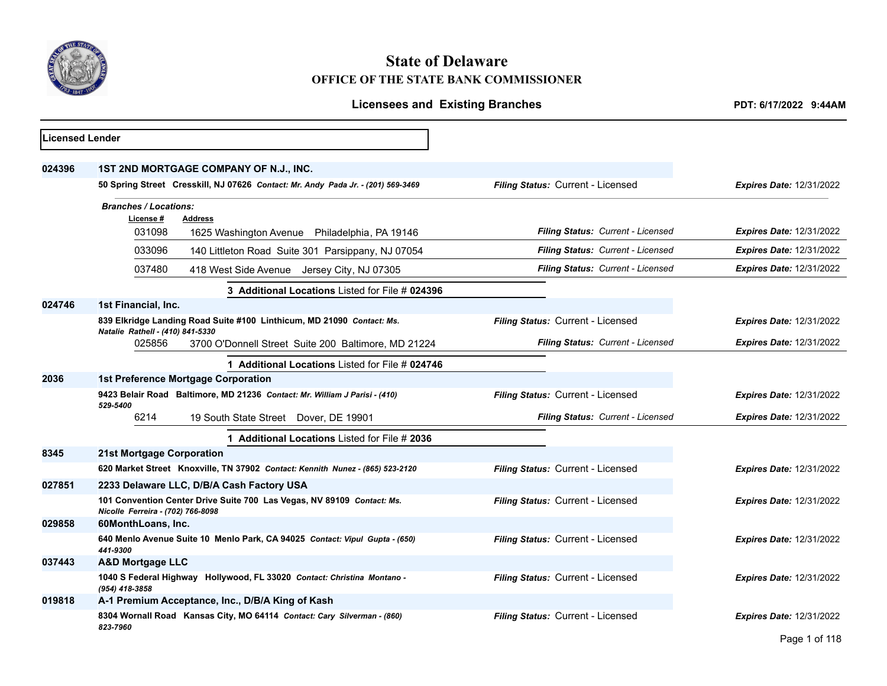

# **State of Delaware OFFICE OF THE STATE BANK COMMISSIONER**

|                                                                                                             | PDT: 6/17/2022 9:44AM                        |                                                |  |  |  |
|-------------------------------------------------------------------------------------------------------------|----------------------------------------------|------------------------------------------------|--|--|--|
| <b>Licensed Lender</b>                                                                                      |                                              |                                                |  |  |  |
| 1ST 2ND MORTGAGE COMPANY OF N.J., INC.                                                                      |                                              |                                                |  |  |  |
| 50 Spring Street Cresskill, NJ 07626 Contact: Mr. Andy Pada Jr. - (201) 569-3469                            | Filing Status: Current - Licensed            | <b>Expires Date: 12/31/2022</b>                |  |  |  |
| <b>Branches / Locations:</b><br>License #<br><b>Address</b>                                                 |                                              |                                                |  |  |  |
| 031098<br>1625 Washington Avenue Philadelphia, PA 19146                                                     | Filing Status: Current - Licensed            | <b>Expires Date: 12/31/2022</b>                |  |  |  |
| 033096<br>140 Littleton Road Suite 301 Parsippany, NJ 07054                                                 | Filing Status: Current - Licensed            | <b>Expires Date: 12/31/2022</b>                |  |  |  |
| 037480<br>418 West Side Avenue Jersey City, NJ 07305                                                        | Filing Status: Current - Licensed            | <b>Expires Date: 12/31/2022</b>                |  |  |  |
| 3 Additional Locations Listed for File # 024396                                                             |                                              |                                                |  |  |  |
| 1st Financial, Inc.                                                                                         |                                              |                                                |  |  |  |
| 839 Elkridge Landing Road Suite #100 Linthicum, MD 21090 Contact: Ms.                                       | Filing Status: Current - Licensed            | <b>Expires Date: 12/31/2022</b>                |  |  |  |
| 3700 O'Donnell Street Suite 200 Baltimore, MD 21224<br>025856                                               | Filing Status: Current - Licensed            | <b>Expires Date: 12/31/2022</b>                |  |  |  |
| 1 Additional Locations Listed for File # 024746                                                             |                                              |                                                |  |  |  |
| <b>1st Preference Mortgage Corporation</b>                                                                  |                                              |                                                |  |  |  |
| 9423 Belair Road Baltimore, MD 21236 Contact: Mr. William J Parisi - (410)                                  | Filing Status: Current - Licensed            | <b>Expires Date: 12/31/2022</b>                |  |  |  |
| 6214<br>19 South State Street Dover, DE 19901                                                               | Filing Status: Current - Licensed            | <b>Expires Date: 12/31/2022</b>                |  |  |  |
| 1 Additional Locations Listed for File # 2036                                                               |                                              |                                                |  |  |  |
| 21st Mortgage Corporation                                                                                   |                                              |                                                |  |  |  |
| 620 Market Street Knoxville, TN 37902 Contact: Kennith Nunez - (865) 523-2120                               | Filing Status: Current - Licensed            | Expires Date: 12/31/2022                       |  |  |  |
| 2233 Delaware LLC, D/B/A Cash Factory USA                                                                   |                                              |                                                |  |  |  |
| 101 Convention Center Drive Suite 700 Las Vegas, NV 89109 Contact: Ms.<br>Nicolle Ferreira - (702) 766-8098 | Filing Status: Current - Licensed            | <b>Expires Date: 12/31/2022</b>                |  |  |  |
| 60MonthLoans, Inc.                                                                                          |                                              |                                                |  |  |  |
| 640 Menlo Avenue Suite 10 Menlo Park, CA 94025 Contact: Vipul Gupta - (650)<br>441-9300                     | Filing Status: Current - Licensed            | <b>Expires Date: 12/31/2022</b>                |  |  |  |
| <b>A&amp;D Mortgage LLC</b>                                                                                 |                                              |                                                |  |  |  |
| 1040 S Federal Highway Hollywood, FL 33020 Contact: Christina Montano -<br>(954) 418-3858                   | Filing Status: Current - Licensed            | <b>Expires Date: 12/31/2022</b>                |  |  |  |
| A-1 Premium Acceptance, Inc., D/B/A King of Kash                                                            |                                              |                                                |  |  |  |
| 8304 Wornall Road Kansas City, MO 64114 Contact: Cary Silverman - (860)<br>823-7960                         | Filing Status: Current - Licensed            | <b>Expires Date: 12/31/2022</b><br>$P = 1.440$ |  |  |  |
|                                                                                                             | Natalie Rathell - (410) 841-5330<br>529-5400 | <b>Licensees and Existing Branches</b>         |  |  |  |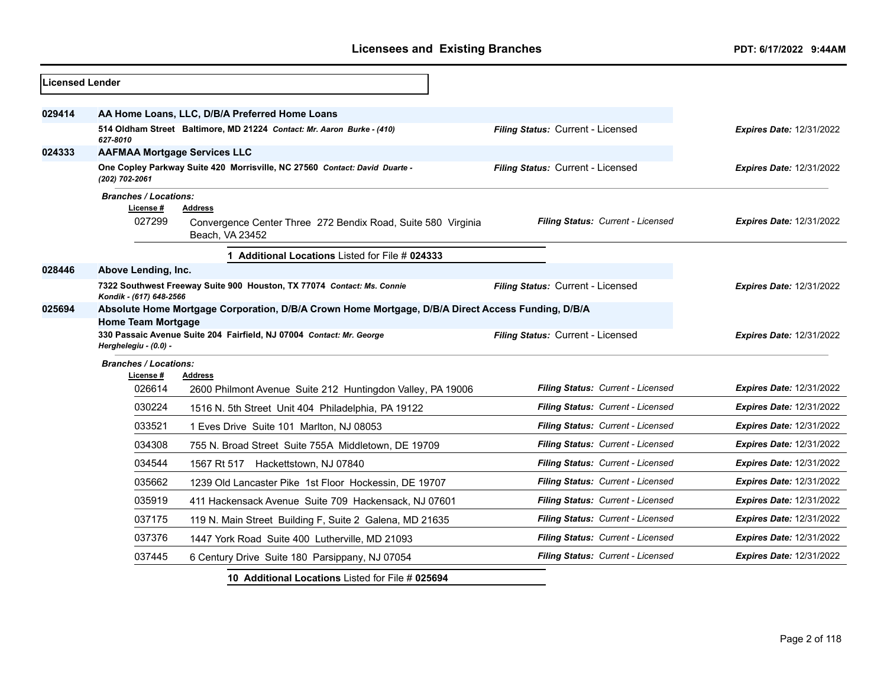| Licensed Lender |                                                                                                   |                                                                                                   |                                          |                                 |
|-----------------|---------------------------------------------------------------------------------------------------|---------------------------------------------------------------------------------------------------|------------------------------------------|---------------------------------|
| 029414          |                                                                                                   | AA Home Loans, LLC, D/B/A Preferred Home Loans                                                    |                                          |                                 |
|                 | 627-8010                                                                                          | 514 Oldham Street Baltimore, MD 21224 Contact: Mr. Aaron Burke - (410)                            | Filing Status: Current - Licensed        | <b>Expires Date: 12/31/2022</b> |
| 024333          | <b>AAFMAA Mortgage Services LLC</b>                                                               |                                                                                                   |                                          |                                 |
|                 | (202) 702-2061                                                                                    | One Copley Parkway Suite 420 Morrisville, NC 27560 Contact: David Duarte -                        | Filing Status: Current - Licensed        | <b>Expires Date: 12/31/2022</b> |
|                 | <b>Branches / Locations:</b><br>License#                                                          | <b>Address</b>                                                                                    |                                          |                                 |
|                 | 027299                                                                                            | Convergence Center Three 272 Bendix Road, Suite 580 Virginia<br>Beach, VA 23452                   | Filing Status: Current - Licensed        | Expires Date: 12/31/2022        |
|                 |                                                                                                   | 1 Additional Locations Listed for File # 024333                                                   |                                          |                                 |
| 028446          | Above Lending, Inc.                                                                               |                                                                                                   |                                          |                                 |
|                 | 7322 Southwest Freeway Suite 900 Houston, TX 77074 Contact: Ms. Connie<br>Kondik - (617) 648-2566 |                                                                                                   | Filing Status: Current - Licensed        | <b>Expires Date: 12/31/2022</b> |
| 025694          |                                                                                                   | Absolute Home Mortgage Corporation, D/B/A Crown Home Mortgage, D/B/A Direct Access Funding, D/B/A |                                          |                                 |
|                 | <b>Home Team Mortgage</b>                                                                         |                                                                                                   |                                          |                                 |
|                 | Herghelegiu - (0.0) -                                                                             | 330 Passaic Avenue Suite 204 Fairfield, NJ 07004 Contact: Mr. George                              | Filing Status: Current - Licensed        | <b>Expires Date: 12/31/2022</b> |
|                 | <b>Branches / Locations:</b>                                                                      |                                                                                                   |                                          |                                 |
|                 | License #                                                                                         | <b>Address</b>                                                                                    |                                          |                                 |
|                 | 026614                                                                                            | 2600 Philmont Avenue Suite 212 Huntingdon Valley, PA 19006                                        | Filing Status: Current - Licensed        | Expires Date: 12/31/2022        |
|                 | 030224                                                                                            | 1516 N. 5th Street Unit 404 Philadelphia, PA 19122                                                | <b>Filing Status: Current - Licensed</b> | <b>Expires Date: 12/31/2022</b> |
|                 | 033521                                                                                            | 1 Eves Drive Suite 101 Marlton, NJ 08053                                                          | Filing Status: Current - Licensed        | Expires Date: 12/31/2022        |
|                 | 034308                                                                                            | 755 N. Broad Street Suite 755A Middletown, DE 19709                                               | Filing Status: Current - Licensed        | Expires Date: 12/31/2022        |
|                 | 034544                                                                                            | 1567 Rt 517<br>Hackettstown, NJ 07840                                                             | Filing Status: Current - Licensed        | <b>Expires Date: 12/31/2022</b> |
|                 | 035662                                                                                            | 1239 Old Lancaster Pike 1st Floor Hockessin, DE 19707                                             | Filing Status: Current - Licensed        | Expires Date: 12/31/2022        |
|                 | 035919                                                                                            | 411 Hackensack Avenue Suite 709 Hackensack, NJ 07601                                              | Filing Status: Current - Licensed        | Expires Date: 12/31/2022        |
|                 | 037175                                                                                            | 119 N. Main Street Building F, Suite 2 Galena, MD 21635                                           | Filing Status: Current - Licensed        | <b>Expires Date: 12/31/2022</b> |
|                 | 037376                                                                                            | 1447 York Road Suite 400 Lutherville, MD 21093                                                    | Filing Status: Current - Licensed        | <b>Expires Date: 12/31/2022</b> |
|                 | 037445                                                                                            | 6 Century Drive Suite 180 Parsippany, NJ 07054                                                    | Filing Status: Current - Licensed        | <b>Expires Date: 12/31/2022</b> |
|                 |                                                                                                   | 10 Additional Locations Listed for File # 025694                                                  |                                          |                                 |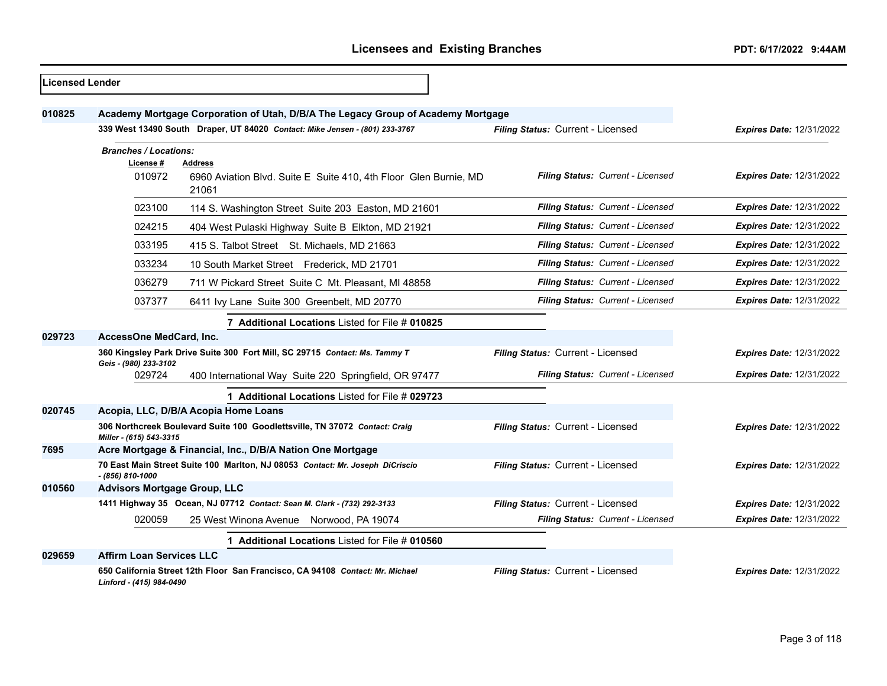| Licensed Lender |                                     |                                                                                             |                                   |                                 |
|-----------------|-------------------------------------|---------------------------------------------------------------------------------------------|-----------------------------------|---------------------------------|
| 010825          |                                     | Academy Mortgage Corporation of Utah, D/B/A The Legacy Group of Academy Mortgage            |                                   |                                 |
|                 |                                     | 339 West 13490 South Draper, UT 84020 Contact: Mike Jensen - (801) 233-3767                 | Filing Status: Current - Licensed | <b>Expires Date: 12/31/2022</b> |
|                 | <b>Branches / Locations:</b>        |                                                                                             |                                   |                                 |
|                 | License#<br>010972                  | <b>Address</b><br>6960 Aviation Blvd. Suite E Suite 410, 4th Floor Glen Burnie, MD<br>21061 | Filing Status: Current - Licensed | <b>Expires Date: 12/31/2022</b> |
|                 | 023100                              | 114 S. Washington Street Suite 203 Easton, MD 21601                                         | Filing Status: Current - Licensed | <b>Expires Date: 12/31/2022</b> |
|                 | 024215                              | 404 West Pulaski Highway Suite B Elkton, MD 21921                                           | Filing Status: Current - Licensed | <b>Expires Date: 12/31/2022</b> |
|                 | 033195                              | 415 S. Talbot Street St. Michaels, MD 21663                                                 | Filing Status: Current - Licensed | <b>Expires Date: 12/31/2022</b> |
|                 | 033234                              | 10 South Market Street Frederick, MD 21701                                                  | Filing Status: Current - Licensed | <b>Expires Date: 12/31/2022</b> |
|                 | 036279                              | 711 W Pickard Street Suite C Mt. Pleasant, MI 48858                                         | Filing Status: Current - Licensed | <b>Expires Date: 12/31/2022</b> |
|                 | 037377                              | 6411 Ivy Lane Suite 300 Greenbelt, MD 20770                                                 | Filing Status: Current - Licensed | Expires Date: 12/31/2022        |
|                 |                                     | 7 Additional Locations Listed for File # 010825                                             |                                   |                                 |
| 029723          | AccessOne MedCard, Inc.             |                                                                                             |                                   |                                 |
|                 | Geis - (980) 233-3102               | 360 Kingsley Park Drive Suite 300 Fort Mill, SC 29715 Contact: Ms. Tammy T                  | Filing Status: Current - Licensed | <b>Expires Date: 12/31/2022</b> |
|                 | 029724                              | 400 International Way Suite 220 Springfield, OR 97477                                       | Filing Status: Current - Licensed | <b>Expires Date: 12/31/2022</b> |
|                 |                                     | 1 Additional Locations Listed for File # 029723                                             |                                   |                                 |
| 020745          |                                     | Acopia, LLC, D/B/A Acopia Home Loans                                                        |                                   |                                 |
|                 | Miller - (615) 543-3315             | 306 Northcreek Boulevard Suite 100 Goodlettsville, TN 37072 Contact: Craig                  | Filing Status: Current - Licensed | Expires Date: 12/31/2022        |
| 7695            |                                     | Acre Mortgage & Financial, Inc., D/B/A Nation One Mortgage                                  |                                   |                                 |
|                 | $-$ (856) 810-1000                  | 70 East Main Street Suite 100 Marlton, NJ 08053 Contact: Mr. Joseph DiCriscio               | Filing Status: Current - Licensed | <b>Expires Date: 12/31/2022</b> |
| 010560          | <b>Advisors Mortgage Group, LLC</b> |                                                                                             |                                   |                                 |
|                 |                                     | 1411 Highway 35 Ocean, NJ 07712 Contact: Sean M. Clark - (732) 292-3133                     | Filing Status: Current - Licensed | <b>Expires Date: 12/31/2022</b> |
|                 | 020059                              | 25 West Winona Avenue Norwood, PA 19074                                                     | Filing Status: Current - Licensed | <b>Expires Date: 12/31/2022</b> |
|                 |                                     | 1 Additional Locations Listed for File # 010560                                             |                                   |                                 |
| 029659          | <b>Affirm Loan Services LLC</b>     |                                                                                             |                                   |                                 |
|                 | Linford - (415) 984-0490            | 650 California Street 12th Floor San Francisco, CA 94108 Contact: Mr. Michael               | Filing Status: Current - Licensed | Expires Date: 12/31/2022        |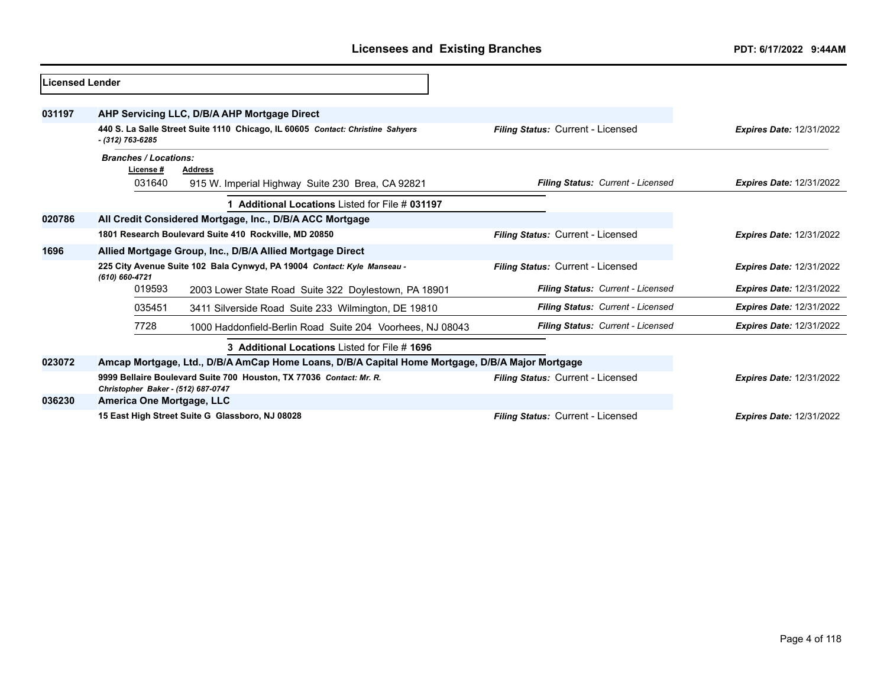| <b>Licensed Lender</b> |                                                                                                                                                       |                                                                                |                                          |                                 |
|------------------------|-------------------------------------------------------------------------------------------------------------------------------------------------------|--------------------------------------------------------------------------------|------------------------------------------|---------------------------------|
| 031197                 |                                                                                                                                                       | AHP Servicing LLC, D/B/A AHP Mortgage Direct                                   |                                          |                                 |
|                        | - (312) 763-6285                                                                                                                                      | 440 S. La Salle Street Suite 1110 Chicago, IL 60605 Contact: Christine Sahyers | Filing Status: Current - Licensed        | <b>Expires Date: 12/31/2022</b> |
|                        | <b>Branches / Locations:</b><br>License#<br>031640                                                                                                    | <b>Address</b><br>915 W. Imperial Highway Suite 230 Brea, CA 92821             | Filing Status: Current - Licensed        | <b>Expires Date: 12/31/2022</b> |
|                        |                                                                                                                                                       | 1 Additional Locations Listed for File # 031197                                |                                          |                                 |
| 020786                 |                                                                                                                                                       | All Credit Considered Mortgage, Inc., D/B/A ACC Mortgage                       |                                          |                                 |
|                        | 1801 Research Boulevard Suite 410 Rockville, MD 20850                                                                                                 |                                                                                | Filing Status: Current - Licensed        | <b>Expires Date: 12/31/2022</b> |
| 1696                   | Allied Mortgage Group, Inc., D/B/A Allied Mortgage Direct                                                                                             |                                                                                |                                          |                                 |
|                        | 225 City Avenue Suite 102 Bala Cynwyd, PA 19004 Contact: Kyle Manseau -<br>(610) 660-4721                                                             |                                                                                | <b>Filing Status: Current - Licensed</b> | <b>Expires Date: 12/31/2022</b> |
|                        | 019593                                                                                                                                                | 2003 Lower State Road Suite 322 Doylestown, PA 18901                           | Filing Status: Current - Licensed        | <b>Expires Date: 12/31/2022</b> |
|                        | 035451                                                                                                                                                | 3411 Silverside Road Suite 233 Wilmington, DE 19810                            | Filing Status: Current - Licensed        | <b>Expires Date: 12/31/2022</b> |
|                        | 7728                                                                                                                                                  | 1000 Haddonfield-Berlin Road Suite 204 Voorhees, NJ 08043                      | Filing Status: Current - Licensed        | <b>Expires Date: 12/31/2022</b> |
|                        |                                                                                                                                                       |                                                                                |                                          |                                 |
| 023072                 | Amcap Mortgage, Ltd., D/B/A AmCap Home Loans, D/B/A Capital Home Mortgage, D/B/A Major Mortgage                                                       |                                                                                |                                          |                                 |
|                        | 9999 Bellaire Boulevard Suite 700 Houston, TX 77036 Contact: Mr. R.<br><b>Filing Status: Current - Licensed</b><br>Christopher Baker - (512) 687-0747 |                                                                                | <b>Expires Date: 12/31/2022</b>          |                                 |
| 036230                 | America One Mortgage, LLC                                                                                                                             |                                                                                |                                          |                                 |
|                        | 15 East High Street Suite G Glassboro, NJ 08028                                                                                                       | <b>Expires Date: 12/31/2022</b>                                                |                                          |                                 |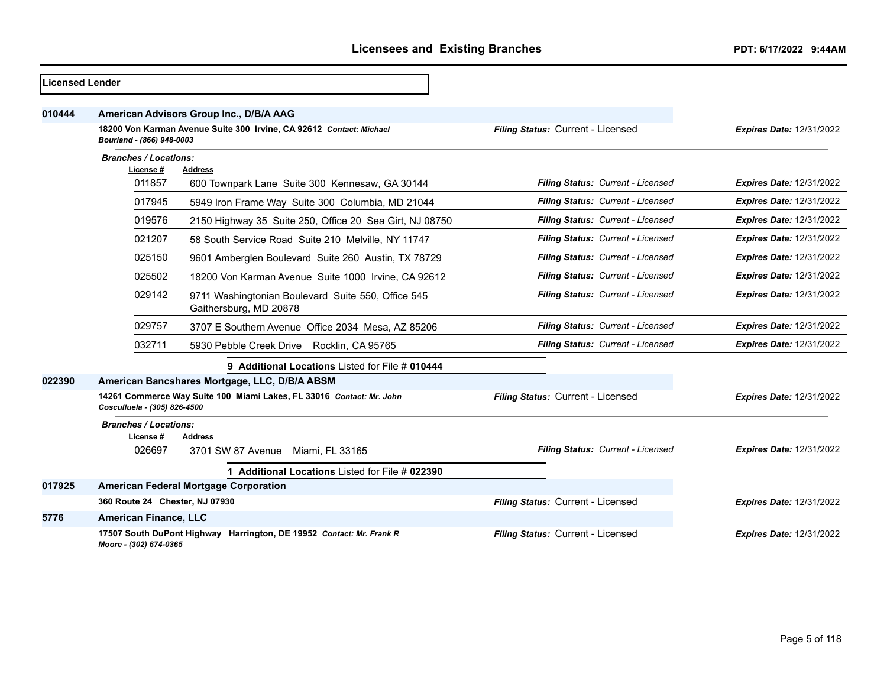| Licensed Lender |                                                                                                  |                                                                              |                                   |                                 |
|-----------------|--------------------------------------------------------------------------------------------------|------------------------------------------------------------------------------|-----------------------------------|---------------------------------|
| 010444          |                                                                                                  | American Advisors Group Inc., D/B/A AAG                                      |                                   |                                 |
|                 | 18200 Von Karman Avenue Suite 300 Irvine, CA 92612 Contact: Michael<br>Bourland - (866) 948-0003 |                                                                              | Filing Status: Current - Licensed | <b>Expires Date: 12/31/2022</b> |
|                 | <b>Branches / Locations:</b>                                                                     |                                                                              |                                   |                                 |
|                 | License#<br>011857                                                                               | <b>Address</b>                                                               | Filing Status: Current - Licensed | <b>Expires Date: 12/31/2022</b> |
|                 |                                                                                                  | 600 Townpark Lane Suite 300 Kennesaw, GA 30144                               |                                   |                                 |
|                 | 017945                                                                                           | 5949 Iron Frame Way Suite 300 Columbia, MD 21044                             | Filing Status: Current - Licensed | <b>Expires Date: 12/31/2022</b> |
|                 | 019576                                                                                           | 2150 Highway 35 Suite 250, Office 20 Sea Girt, NJ 08750                      | Filing Status: Current - Licensed | <b>Expires Date: 12/31/2022</b> |
|                 | 021207                                                                                           | 58 South Service Road Suite 210 Melville, NY 11747                           | Filing Status: Current - Licensed | <b>Expires Date: 12/31/2022</b> |
|                 | 025150                                                                                           | 9601 Amberglen Boulevard Suite 260 Austin, TX 78729                          | Filing Status: Current - Licensed | <b>Expires Date: 12/31/2022</b> |
|                 | 025502                                                                                           | 18200 Von Karman Avenue Suite 1000 Irvine, CA 92612                          | Filing Status: Current - Licensed | <b>Expires Date: 12/31/2022</b> |
|                 | 029142                                                                                           | 9711 Washingtonian Boulevard Suite 550, Office 545<br>Gaithersburg, MD 20878 | Filing Status: Current - Licensed | <b>Expires Date: 12/31/2022</b> |
|                 | 029757                                                                                           | 3707 E Southern Avenue Office 2034 Mesa, AZ 85206                            | Filing Status: Current - Licensed | <b>Expires Date: 12/31/2022</b> |
|                 | 032711                                                                                           | 5930 Pebble Creek Drive Rocklin, CA 95765                                    | Filing Status: Current - Licensed | <b>Expires Date: 12/31/2022</b> |
|                 |                                                                                                  | 9 Additional Locations Listed for File # 010444                              |                                   |                                 |
| 022390          |                                                                                                  | American Bancshares Mortgage, LLC, D/B/A ABSM                                |                                   |                                 |
|                 | Cosculluela - (305) 826-4500                                                                     | 14261 Commerce Way Suite 100 Miami Lakes, FL 33016 Contact: Mr. John         | Filing Status: Current - Licensed | <b>Expires Date: 12/31/2022</b> |
|                 | <b>Branches / Locations:</b><br>License #                                                        | Address                                                                      |                                   |                                 |
|                 | 026697                                                                                           | 3701 SW 87 Avenue Miami, FL 33165                                            | Filing Status: Current - Licensed | <b>Expires Date: 12/31/2022</b> |
|                 |                                                                                                  | 1 Additional Locations Listed for File # 022390                              |                                   |                                 |
| 017925          |                                                                                                  | <b>American Federal Mortgage Corporation</b>                                 |                                   |                                 |
|                 | 360 Route 24 Chester, NJ 07930                                                                   |                                                                              | Filing Status: Current - Licensed | <b>Expires Date: 12/31/2022</b> |
| 5776            | <b>American Finance, LLC</b>                                                                     |                                                                              |                                   |                                 |
|                 | Moore - (302) 674-0365                                                                           | 17507 South DuPont Highway Harrington, DE 19952 Contact: Mr. Frank R         | Filing Status: Current - Licensed | <b>Expires Date: 12/31/2022</b> |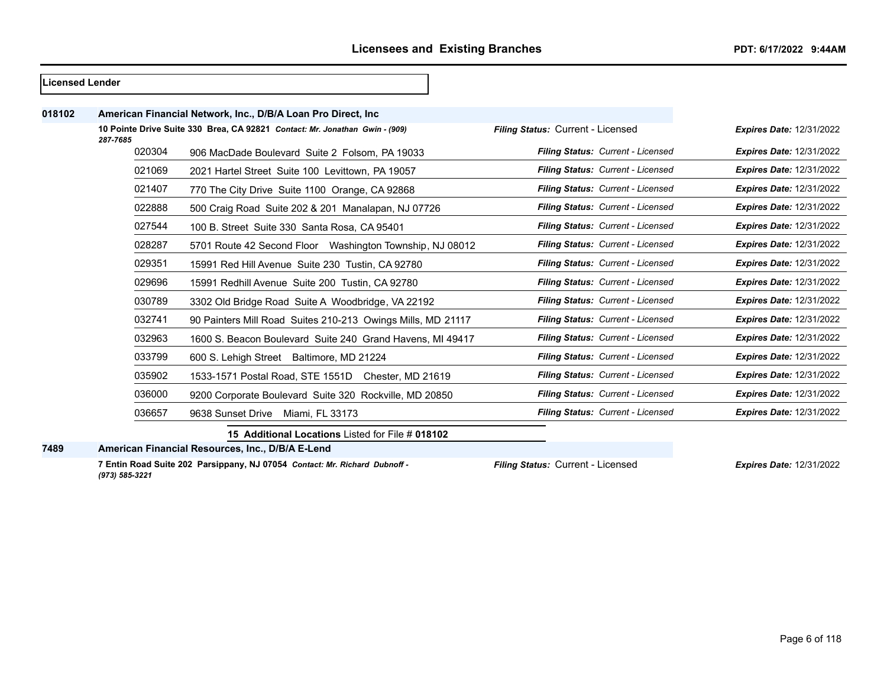| <b>Licensed Lender</b> |          |                                                                             |                                   |                                 |
|------------------------|----------|-----------------------------------------------------------------------------|-----------------------------------|---------------------------------|
| 018102                 |          | American Financial Network, Inc., D/B/A Loan Pro Direct, Inc.               |                                   |                                 |
|                        | 287-7685 | 10 Pointe Drive Suite 330 Brea, CA 92821 Contact: Mr. Jonathan Gwin - (909) | Filing Status: Current - Licensed | <b>Expires Date: 12/31/2022</b> |
|                        | 020304   | 906 MacDade Boulevard Suite 2 Folsom, PA 19033                              | Filing Status: Current - Licensed | <b>Expires Date: 12/31/2022</b> |
|                        | 021069   | 2021 Hartel Street Suite 100 Levittown, PA 19057                            | Filing Status: Current - Licensed | <b>Expires Date: 12/31/2022</b> |
|                        | 021407   | 770 The City Drive Suite 1100 Orange, CA 92868                              | Filing Status: Current - Licensed | <b>Expires Date: 12/31/2022</b> |
|                        | 022888   | 500 Craig Road Suite 202 & 201 Manalapan, NJ 07726                          | Filing Status: Current - Licensed | <b>Expires Date: 12/31/2022</b> |
|                        | 027544   | 100 B. Street Suite 330 Santa Rosa, CA 95401                                | Filing Status: Current - Licensed | <b>Expires Date: 12/31/2022</b> |
|                        | 028287   | 5701 Route 42 Second Floor Washington Township, NJ 08012                    | Filing Status: Current - Licensed | <b>Expires Date: 12/31/2022</b> |
|                        | 029351   | 15991 Red Hill Avenue Suite 230 Tustin, CA 92780                            | Filing Status: Current - Licensed | <b>Expires Date: 12/31/2022</b> |
|                        | 029696   | 15991 Redhill Avenue Suite 200 Tustin, CA 92780                             | Filing Status: Current - Licensed | <b>Expires Date: 12/31/2022</b> |
|                        | 030789   | 3302 Old Bridge Road Suite A Woodbridge, VA 22192                           | Filing Status: Current - Licensed | <b>Expires Date: 12/31/2022</b> |
|                        | 032741   | 90 Painters Mill Road Suites 210-213 Owings Mills, MD 21117                 | Filing Status: Current - Licensed | <b>Expires Date: 12/31/2022</b> |
|                        | 032963   | 1600 S. Beacon Boulevard Suite 240 Grand Havens, MI 49417                   | Filing Status: Current - Licensed | <b>Expires Date: 12/31/2022</b> |
|                        | 033799   | 600 S. Lehigh Street Baltimore, MD 21224                                    | Filing Status: Current - Licensed | <b>Expires Date: 12/31/2022</b> |
|                        | 035902   | 1533-1571 Postal Road, STE 1551D Chester, MD 21619                          | Filing Status: Current - Licensed | <b>Expires Date: 12/31/2022</b> |
|                        | 036000   | 9200 Corporate Boulevard Suite 320 Rockville, MD 20850                      | Filing Status: Current - Licensed | <b>Expires Date: 12/31/2022</b> |
|                        | 036657   | 9638 Sunset Drive<br>Miami, FL 33173                                        | Filing Status: Current - Licensed | <b>Expires Date: 12/31/2022</b> |
|                        |          | 15 Additional Locations Listed for File # 018102                            |                                   |                                 |

**American Financial Resources, Inc., D/B/A E-Lend**

**7 Entin Road Suite 202 Parsippany, NJ 07054** *Contact: Mr. Richard Dubnoff - (973) 585-3221*

*Filing Status:* Current - Licensed *Expires Date:* 12/31/2022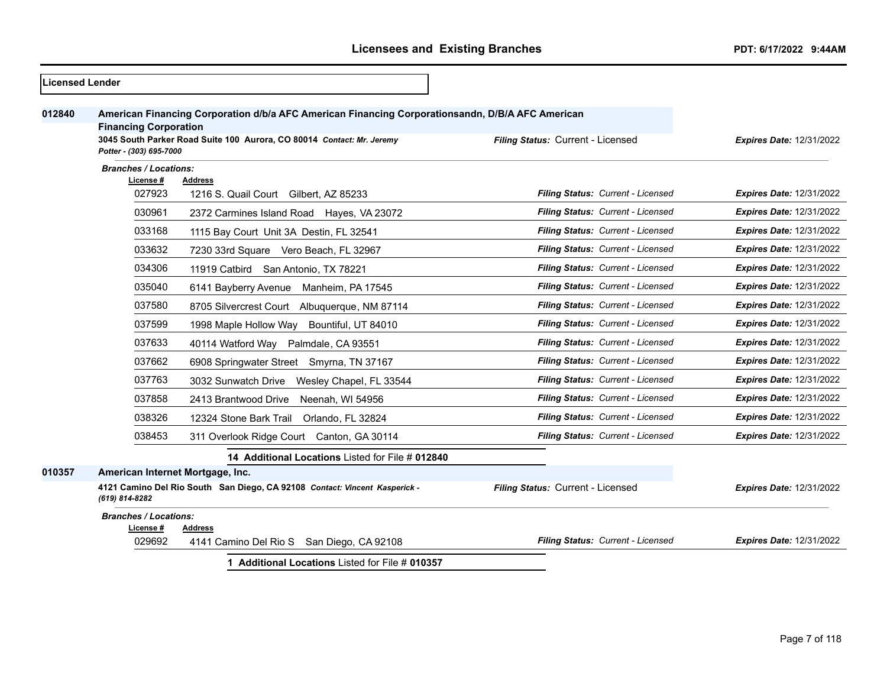| <b>Licensed Lender</b> |                                                         |                                                                                                                                                                           |                                   |                                 |
|------------------------|---------------------------------------------------------|---------------------------------------------------------------------------------------------------------------------------------------------------------------------------|-----------------------------------|---------------------------------|
| 012840                 | <b>Financing Corporation</b><br>Potter - (303) 695-7000 | American Financing Corporation d/b/a AFC American Financing Corporationsandn, D/B/A AFC American<br>3045 South Parker Road Suite 100 Aurora, CO 80014 Contact: Mr. Jeremy | Filing Status: Current - Licensed | <b>Expires Date: 12/31/2022</b> |
|                        | <b>Branches / Locations:</b>                            |                                                                                                                                                                           |                                   |                                 |
|                        | License #<br>027923                                     | <b>Address</b><br>1216 S. Quail Court Gilbert, AZ 85233                                                                                                                   | Filing Status: Current - Licensed | <b>Expires Date: 12/31/2022</b> |
|                        | 030961                                                  | 2372 Carmines Island Road Hayes, VA 23072                                                                                                                                 | Filing Status: Current - Licensed | <b>Expires Date: 12/31/2022</b> |
|                        | 033168                                                  | 1115 Bay Court Unit 3A Destin, FL 32541                                                                                                                                   | Filing Status: Current - Licensed | <b>Expires Date: 12/31/2022</b> |
|                        | 033632                                                  | 7230 33rd Square Vero Beach, FL 32967                                                                                                                                     | Filing Status: Current - Licensed | Expires Date: 12/31/2022        |
|                        | 034306                                                  | 11919 Catbird San Antonio, TX 78221                                                                                                                                       | Filing Status: Current - Licensed | Expires Date: 12/31/2022        |
|                        | 035040                                                  | 6141 Bayberry Avenue<br>Manheim, PA 17545                                                                                                                                 | Filing Status: Current - Licensed | <b>Expires Date: 12/31/2022</b> |
|                        | 037580                                                  | 8705 Silvercrest Court Albuquerque, NM 87114                                                                                                                              | Filing Status: Current - Licensed | <b>Expires Date: 12/31/2022</b> |
|                        | 037599                                                  | 1998 Maple Hollow Way<br>Bountiful, UT 84010                                                                                                                              | Filing Status: Current - Licensed | <b>Expires Date: 12/31/2022</b> |
|                        | 037633                                                  | 40114 Watford Way Palmdale, CA 93551                                                                                                                                      | Filing Status: Current - Licensed | Expires Date: 12/31/2022        |
|                        | 037662                                                  | 6908 Springwater Street Smyrna, TN 37167                                                                                                                                  | Filing Status: Current - Licensed | <b>Expires Date: 12/31/2022</b> |
|                        | 037763                                                  | 3032 Sunwatch Drive Wesley Chapel, FL 33544                                                                                                                               | Filing Status: Current - Licensed | Expires Date: 12/31/2022        |
|                        | 037858                                                  | 2413 Brantwood Drive<br>Neenah, WI 54956                                                                                                                                  | Filing Status: Current - Licensed | <b>Expires Date: 12/31/2022</b> |
|                        | 038326                                                  | 12324 Stone Bark Trail<br>Orlando, FL 32824                                                                                                                               | Filing Status: Current - Licensed | <b>Expires Date: 12/31/2022</b> |
|                        | 038453                                                  | 311 Overlook Ridge Court Canton, GA 30114                                                                                                                                 | Filing Status: Current - Licensed | Expires Date: 12/31/2022        |
|                        |                                                         | 14 Additional Locations Listed for File # 012840                                                                                                                          |                                   |                                 |
| 010357                 | American Internet Mortgage, Inc.                        |                                                                                                                                                                           |                                   |                                 |
|                        | (619) 814-8282                                          | 4121 Camino Del Rio South San Diego, CA 92108 Contact: Vincent Kasperick -                                                                                                | Filing Status: Current - Licensed | <b>Expires Date: 12/31/2022</b> |
|                        | <b>Branches / Locations:</b>                            |                                                                                                                                                                           |                                   |                                 |
|                        | License #<br>029692                                     | <b>Address</b><br>4141 Camino Del Rio S San Diego, CA 92108                                                                                                               | Filing Status: Current - Licensed | Expires Date: 12/31/2022        |
|                        |                                                         | 1 Additional Locations Listed for File # 010357                                                                                                                           |                                   |                                 |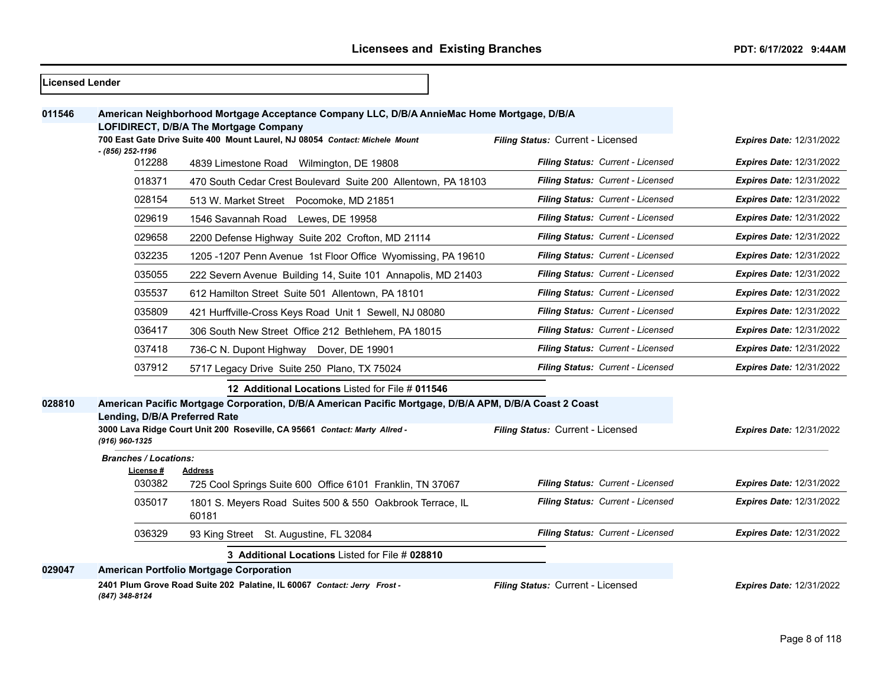| 011546 |                                                 | American Neighborhood Mortgage Acceptance Company LLC, D/B/A AnnieMac Home Mortgage, D/B/A                            |                                   |                                 |
|--------|-------------------------------------------------|-----------------------------------------------------------------------------------------------------------------------|-----------------------------------|---------------------------------|
|        |                                                 | LOFIDIRECT, D/B/A The Mortgage Company<br>700 East Gate Drive Suite 400 Mount Laurel, NJ 08054 Contact: Michele Mount | Filing Status: Current - Licensed | <b>Expires Date: 12/31/2022</b> |
|        | - (856) 252-1196<br>012288                      | 4839 Limestone Road Wilmington, DE 19808                                                                              | Filing Status: Current - Licensed | <b>Expires Date: 12/31/2022</b> |
|        | 018371                                          | 470 South Cedar Crest Boulevard Suite 200 Allentown, PA 18103                                                         | Filing Status: Current - Licensed | <b>Expires Date: 12/31/2022</b> |
|        | 028154                                          | 513 W. Market Street Pocomoke, MD 21851                                                                               | Filing Status: Current - Licensed | <b>Expires Date: 12/31/2022</b> |
|        | 029619                                          | 1546 Savannah Road Lewes, DE 19958                                                                                    | Filing Status: Current - Licensed | <b>Expires Date: 12/31/2022</b> |
|        | 029658                                          | 2200 Defense Highway Suite 202 Crofton, MD 21114                                                                      | Filing Status: Current - Licensed | <b>Expires Date: 12/31/2022</b> |
|        | 032235                                          | 1205 -1207 Penn Avenue 1st Floor Office Wyomissing, PA 19610                                                          | Filing Status: Current - Licensed | <b>Expires Date: 12/31/2022</b> |
|        | 035055                                          | 222 Severn Avenue Building 14, Suite 101 Annapolis, MD 21403                                                          | Filing Status: Current - Licensed | <b>Expires Date: 12/31/2022</b> |
|        | 035537                                          | 612 Hamilton Street Suite 501 Allentown, PA 18101                                                                     | Filing Status: Current - Licensed | <b>Expires Date: 12/31/2022</b> |
|        | 035809                                          | 421 Hurffville-Cross Keys Road Unit 1 Sewell, NJ 08080                                                                | Filing Status: Current - Licensed | <b>Expires Date: 12/31/2022</b> |
|        | 036417                                          | 306 South New Street Office 212 Bethlehem, PA 18015                                                                   | Filing Status: Current - Licensed | <b>Expires Date: 12/31/2022</b> |
|        | 037418                                          | 736-C N. Dupont Highway Dover, DE 19901                                                                               | Filing Status: Current - Licensed | <b>Expires Date: 12/31/2022</b> |
|        | 037912                                          | 5717 Legacy Drive Suite 250 Plano, TX 75024                                                                           | Filing Status: Current - Licensed | <b>Expires Date: 12/31/2022</b> |
|        |                                                 | 12 Additional Locations Listed for File # 011546                                                                      |                                   |                                 |
| 028810 |                                                 | American Pacific Mortgage Corporation, D/B/A American Pacific Mortgage, D/B/A APM, D/B/A Coast 2 Coast                |                                   |                                 |
|        | Lending, D/B/A Preferred Rate<br>(916) 960-1325 | 3000 Lava Ridge Court Unit 200 Roseville, CA 95661 Contact: Marty Allred -                                            | Filing Status: Current - Licensed | Expires Date: 12/31/2022        |
|        | <b>Branches / Locations:</b><br>License #       | Address                                                                                                               |                                   |                                 |
|        | 030382                                          | 725 Cool Springs Suite 600 Office 6101 Franklin, TN 37067                                                             | Filing Status: Current - Licensed | <b>Expires Date: 12/31/2022</b> |
|        | 035017                                          | 1801 S. Meyers Road Suites 500 & 550 Oakbrook Terrace, IL<br>60181                                                    | Filing Status: Current - Licensed | <b>Expires Date: 12/31/2022</b> |
|        | 036329                                          | 93 King Street St. Augustine, FL 32084                                                                                | Filing Status: Current - Licensed | <b>Expires Date: 12/31/2022</b> |
|        |                                                 | 3 Additional Locations Listed for File # 028810                                                                       |                                   |                                 |
| 029047 |                                                 | <b>American Portfolio Mortgage Corporation</b>                                                                        |                                   |                                 |
|        | (847) 348-8124                                  | 2401 Plum Grove Road Suite 202 Palatine, IL 60067 Contact: Jerry Frost -                                              | Filing Status: Current - Licensed | <b>Expires Date: 12/31/2022</b> |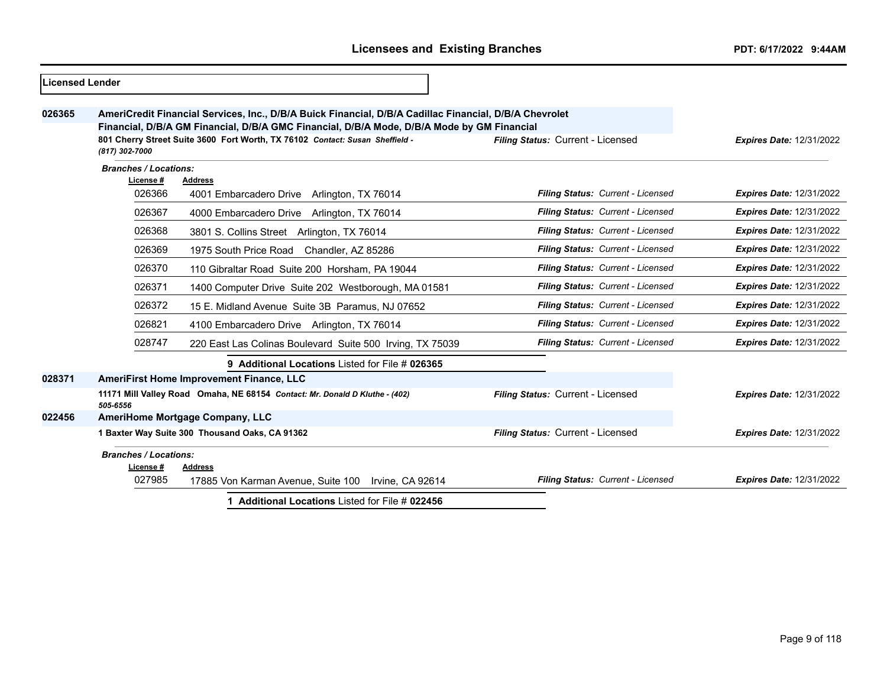| Licensed Lender |                                                                                                                                                                                                                                                                                                                                             |                                                                             |                                   |                                 |
|-----------------|---------------------------------------------------------------------------------------------------------------------------------------------------------------------------------------------------------------------------------------------------------------------------------------------------------------------------------------------|-----------------------------------------------------------------------------|-----------------------------------|---------------------------------|
| 026365          | AmeriCredit Financial Services, Inc., D/B/A Buick Financial, D/B/A Cadillac Financial, D/B/A Chevrolet<br>Financial, D/B/A GM Financial, D/B/A GMC Financial, D/B/A Mode, D/B/A Mode by GM Financial<br>801 Cherry Street Suite 3600 Fort Worth, TX 76102 Contact: Susan Sheffield -<br>Filing Status: Current - Licensed<br>(817) 302-7000 |                                                                             |                                   | <b>Expires Date: 12/31/2022</b> |
|                 | <b>Branches / Locations:</b>                                                                                                                                                                                                                                                                                                                |                                                                             |                                   |                                 |
|                 | License #<br>026366                                                                                                                                                                                                                                                                                                                         | <b>Address</b><br>4001 Embarcadero Drive Arlington, TX 76014                | Filing Status: Current - Licensed | <b>Expires Date: 12/31/2022</b> |
|                 | 026367                                                                                                                                                                                                                                                                                                                                      | 4000 Embarcadero Drive Arlington, TX 76014                                  | Filing Status: Current - Licensed | <b>Expires Date: 12/31/2022</b> |
|                 | 026368                                                                                                                                                                                                                                                                                                                                      | 3801 S. Collins Street Arlington, TX 76014                                  | Filing Status: Current - Licensed | <b>Expires Date: 12/31/2022</b> |
|                 | 026369                                                                                                                                                                                                                                                                                                                                      | 1975 South Price Road Chandler, AZ 85286                                    | Filing Status: Current - Licensed | <b>Expires Date: 12/31/2022</b> |
|                 | 026370                                                                                                                                                                                                                                                                                                                                      | 110 Gibraltar Road Suite 200 Horsham, PA 19044                              | Filing Status: Current - Licensed | <b>Expires Date: 12/31/2022</b> |
|                 | 026371                                                                                                                                                                                                                                                                                                                                      | 1400 Computer Drive Suite 202 Westborough, MA 01581                         | Filing Status: Current - Licensed | <b>Expires Date: 12/31/2022</b> |
|                 | 026372                                                                                                                                                                                                                                                                                                                                      | 15 E. Midland Avenue Suite 3B Paramus, NJ 07652                             | Filing Status: Current - Licensed | <b>Expires Date: 12/31/2022</b> |
|                 | 026821                                                                                                                                                                                                                                                                                                                                      | 4100 Embarcadero Drive Arlington, TX 76014                                  | Filing Status: Current - Licensed | <b>Expires Date: 12/31/2022</b> |
|                 | 028747                                                                                                                                                                                                                                                                                                                                      | 220 East Las Colinas Boulevard Suite 500 Irving, TX 75039                   | Filing Status: Current - Licensed | <b>Expires Date: 12/31/2022</b> |
|                 |                                                                                                                                                                                                                                                                                                                                             | 9 Additional Locations Listed for File # 026365                             |                                   |                                 |
| 028371          |                                                                                                                                                                                                                                                                                                                                             | <b>AmeriFirst Home Improvement Finance, LLC</b>                             |                                   |                                 |
|                 | 505-6556                                                                                                                                                                                                                                                                                                                                    | 11171 Mill Valley Road Omaha, NE 68154 Contact: Mr. Donald D Kluthe - (402) | Filing Status: Current - Licensed | <b>Expires Date: 12/31/2022</b> |
| 022456          |                                                                                                                                                                                                                                                                                                                                             | AmeriHome Mortgage Company, LLC                                             |                                   |                                 |
|                 |                                                                                                                                                                                                                                                                                                                                             | 1 Baxter Way Suite 300 Thousand Oaks, CA 91362                              | Filing Status: Current - Licensed | <b>Expires Date: 12/31/2022</b> |
|                 | <b>Branches / Locations:</b><br>License #                                                                                                                                                                                                                                                                                                   | <b>Address</b>                                                              |                                   |                                 |
|                 | 027985                                                                                                                                                                                                                                                                                                                                      | 17885 Von Karman Avenue, Suite 100 Irvine, CA 92614                         | Filing Status: Current - Licensed | <b>Expires Date: 12/31/2022</b> |
|                 |                                                                                                                                                                                                                                                                                                                                             | 1 Additional Locations Listed for File # 022456                             |                                   |                                 |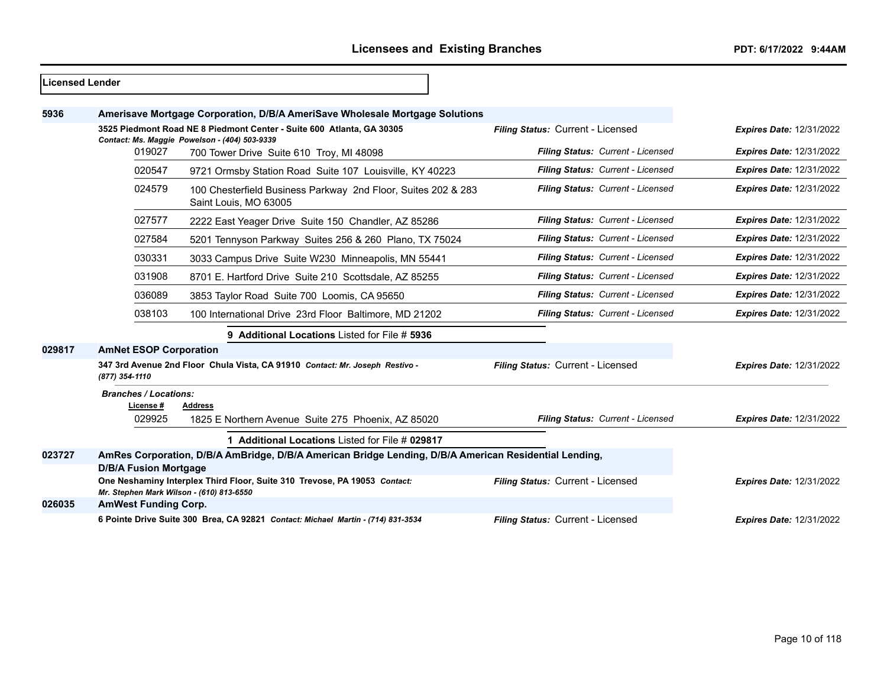| Licensed Lender |                                           |                                                                                                                        |                                   |                                 |
|-----------------|-------------------------------------------|------------------------------------------------------------------------------------------------------------------------|-----------------------------------|---------------------------------|
| 5936            |                                           | Amerisave Mortgage Corporation, D/B/A AmeriSave Wholesale Mortgage Solutions                                           |                                   |                                 |
|                 |                                           | 3525 Piedmont Road NE 8 Piedmont Center - Suite 600 Atlanta, GA 30305<br>Contact: Ms. Maggie Powelson - (404) 503-9339 | Filing Status: Current - Licensed | <b>Expires Date: 12/31/2022</b> |
|                 | 019027                                    | 700 Tower Drive Suite 610 Troy, MI 48098                                                                               | Filing Status: Current - Licensed | <b>Expires Date: 12/31/2022</b> |
|                 | 020547                                    | 9721 Ormsby Station Road Suite 107 Louisville, KY 40223                                                                | Filing Status: Current - Licensed | <b>Expires Date: 12/31/2022</b> |
|                 | 024579                                    | 100 Chesterfield Business Parkway 2nd Floor, Suites 202 & 283<br>Saint Louis, MO 63005                                 | Filing Status: Current - Licensed | <b>Expires Date: 12/31/2022</b> |
|                 | 027577                                    | 2222 East Yeager Drive Suite 150 Chandler, AZ 85286                                                                    | Filing Status: Current - Licensed | <b>Expires Date: 12/31/2022</b> |
|                 | 027584                                    | 5201 Tennyson Parkway Suites 256 & 260 Plano, TX 75024                                                                 | Filing Status: Current - Licensed | <b>Expires Date: 12/31/2022</b> |
|                 | 030331                                    | 3033 Campus Drive Suite W230 Minneapolis, MN 55441                                                                     | Filing Status: Current - Licensed | <b>Expires Date: 12/31/2022</b> |
|                 | 031908                                    | 8701 E. Hartford Drive Suite 210 Scottsdale, AZ 85255                                                                  | Filing Status: Current - Licensed | <b>Expires Date: 12/31/2022</b> |
|                 | 036089                                    | 3853 Taylor Road Suite 700 Loomis, CA 95650                                                                            | Filing Status: Current - Licensed | <b>Expires Date: 12/31/2022</b> |
|                 | 038103                                    | 100 International Drive 23rd Floor Baltimore, MD 21202                                                                 | Filing Status: Current - Licensed | <b>Expires Date: 12/31/2022</b> |
|                 |                                           | 9 Additional Locations Listed for File # 5936                                                                          |                                   |                                 |
| 029817          | <b>AmNet ESOP Corporation</b>             |                                                                                                                        |                                   |                                 |
|                 | (877) 354-1110                            | 347 3rd Avenue 2nd Floor Chula Vista, CA 91910 Contact: Mr. Joseph Restivo -                                           | Filing Status: Current - Licensed | <b>Expires Date: 12/31/2022</b> |
|                 | <b>Branches / Locations:</b><br>License # | <b>Address</b>                                                                                                         |                                   |                                 |
|                 | 029925                                    | 1825 E Northern Avenue Suite 275 Phoenix, AZ 85020                                                                     | Filing Status: Current - Licensed | <b>Expires Date: 12/31/2022</b> |
|                 |                                           | 1 Additional Locations Listed for File # 029817                                                                        |                                   |                                 |
| 023727          | <b>D/B/A Fusion Mortgage</b>              | AmRes Corporation, D/B/A AmBridge, D/B/A American Bridge Lending, D/B/A American Residential Lending,                  |                                   |                                 |
|                 | Mr. Stephen Mark Wilson - (610) 813-6550  | One Neshaminy Interplex Third Floor, Suite 310 Trevose, PA 19053 Contact:                                              | Filing Status: Current - Licensed | <b>Expires Date: 12/31/2022</b> |
| 026035          | <b>AmWest Funding Corp.</b>               |                                                                                                                        |                                   |                                 |
|                 |                                           | 6 Pointe Drive Suite 300 Brea, CA 92821 Contact: Michael Martin - (714) 831-3534                                       | Filing Status: Current - Licensed | <b>Expires Date: 12/31/2022</b> |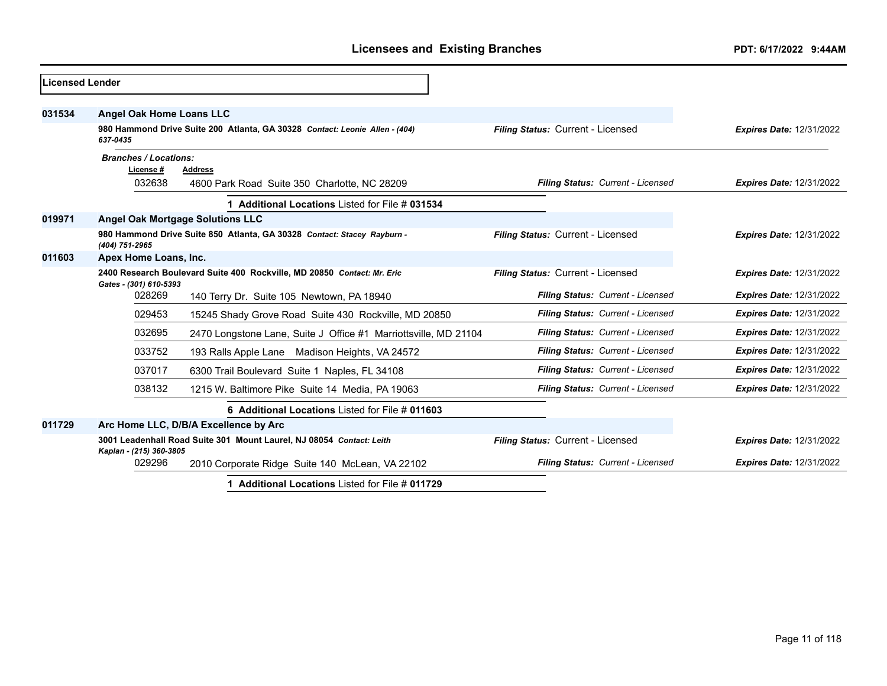| Licensed Lender |                                                                                                                                      |                                                                             |                                   |                                 |
|-----------------|--------------------------------------------------------------------------------------------------------------------------------------|-----------------------------------------------------------------------------|-----------------------------------|---------------------------------|
| 031534          | <b>Angel Oak Home Loans LLC</b>                                                                                                      |                                                                             |                                   |                                 |
|                 | 637-0435                                                                                                                             | 980 Hammond Drive Suite 200 Atlanta, GA 30328 Contact: Leonie Allen - (404) | Filing Status: Current - Licensed | <b>Expires Date: 12/31/2022</b> |
|                 | <b>Branches / Locations:</b><br>License #                                                                                            | Address                                                                     |                                   |                                 |
|                 | 032638                                                                                                                               | 4600 Park Road Suite 350 Charlotte, NC 28209                                | Filing Status: Current - Licensed | <b>Expires Date: 12/31/2022</b> |
|                 |                                                                                                                                      | 1 Additional Locations Listed for File # 031534                             |                                   |                                 |
| 019971          |                                                                                                                                      | <b>Angel Oak Mortgage Solutions LLC</b>                                     |                                   |                                 |
|                 | (404) 751-2965                                                                                                                       | 980 Hammond Drive Suite 850 Atlanta, GA 30328 Contact: Stacey Rayburn -     | Filing Status: Current - Licensed | <b>Expires Date: 12/31/2022</b> |
| 011603          | Apex Home Loans, Inc.                                                                                                                |                                                                             |                                   |                                 |
|                 | 2400 Research Boulevard Suite 400 Rockville, MD 20850 Contact: Mr. Eric                                                              |                                                                             | Filing Status: Current - Licensed | <b>Expires Date: 12/31/2022</b> |
|                 | Gates - (301) 610-5393<br>028269                                                                                                     | 140 Terry Dr. Suite 105 Newtown, PA 18940                                   | Filing Status: Current - Licensed | <b>Expires Date: 12/31/2022</b> |
|                 | 029453                                                                                                                               | 15245 Shady Grove Road Suite 430 Rockville, MD 20850                        | Filing Status: Current - Licensed | Expires Date: 12/31/2022        |
|                 | 032695                                                                                                                               | 2470 Longstone Lane, Suite J Office #1 Marriottsville, MD 21104             | Filing Status: Current - Licensed | <b>Expires Date: 12/31/2022</b> |
|                 | 033752                                                                                                                               | 193 Ralls Apple Lane Madison Heights, VA 24572                              | Filing Status: Current - Licensed | <b>Expires Date: 12/31/2022</b> |
|                 | 037017                                                                                                                               | 6300 Trail Boulevard Suite 1 Naples, FL 34108                               | Filing Status: Current - Licensed | <b>Expires Date: 12/31/2022</b> |
|                 | 038132                                                                                                                               | 1215 W. Baltimore Pike Suite 14 Media, PA 19063                             | Filing Status: Current - Licensed | <b>Expires Date: 12/31/2022</b> |
|                 |                                                                                                                                      | 6 Additional Locations Listed for File # 011603                             |                                   |                                 |
| 011729          |                                                                                                                                      | Arc Home LLC, D/B/A Excellence by Arc                                       |                                   |                                 |
|                 | 3001 Leadenhall Road Suite 301 Mount Laurel, NJ 08054 Contact: Leith<br>Filing Status: Current - Licensed<br>Kaplan - (215) 360-3805 |                                                                             |                                   | <b>Expires Date: 12/31/2022</b> |
|                 | 029296                                                                                                                               | 2010 Corporate Ridge Suite 140 McLean, VA 22102                             | Filing Status: Current - Licensed | <b>Expires Date: 12/31/2022</b> |
|                 |                                                                                                                                      | 1 Additional Locations Listed for File # 011729                             |                                   |                                 |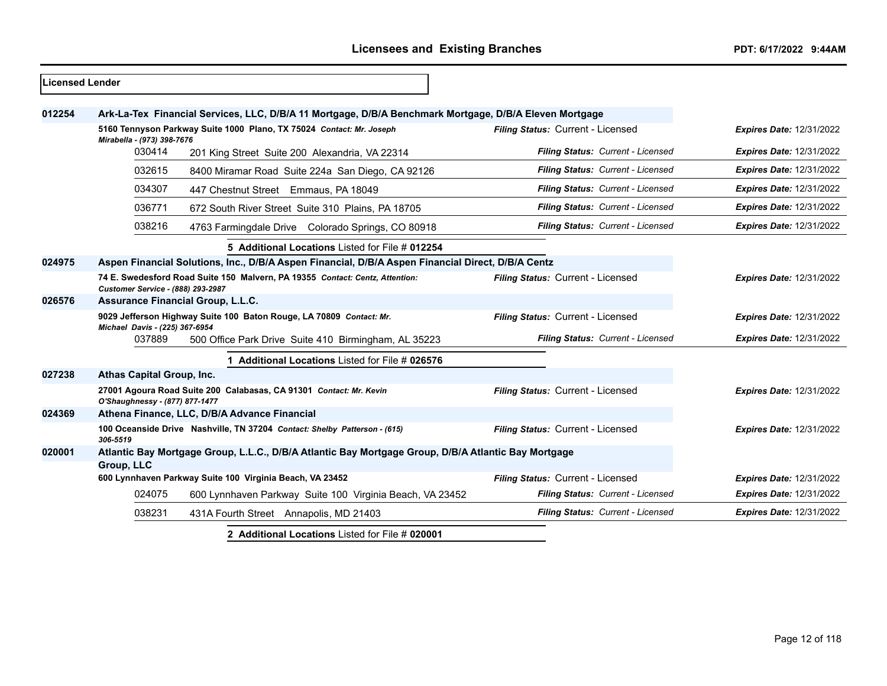| Licensed Lender |                                                                                                                                                                |                                                                                                        |                                   |                                 |  |
|-----------------|----------------------------------------------------------------------------------------------------------------------------------------------------------------|--------------------------------------------------------------------------------------------------------|-----------------------------------|---------------------------------|--|
| 012254          |                                                                                                                                                                | Ark-La-Tex Financial Services, LLC, D/B/A 11 Mortgage, D/B/A Benchmark Mortgage, D/B/A Eleven Mortgage |                                   |                                 |  |
|                 | 5160 Tennyson Parkway Suite 1000 Plano, TX 75024 Contact: Mr. Joseph<br>Mirabella - (973) 398-7676<br>030414<br>201 King Street Suite 200 Alexandria, VA 22314 |                                                                                                        | Filing Status: Current - Licensed | <b>Expires Date: 12/31/2022</b> |  |
|                 |                                                                                                                                                                |                                                                                                        | Filing Status: Current - Licensed | <b>Expires Date: 12/31/2022</b> |  |
|                 | 032615                                                                                                                                                         | 8400 Miramar Road Suite 224a San Diego, CA 92126                                                       | Filing Status: Current - Licensed | <b>Expires Date: 12/31/2022</b> |  |
|                 | 034307                                                                                                                                                         | 447 Chestnut Street Emmaus, PA 18049                                                                   | Filing Status: Current - Licensed | <b>Expires Date: 12/31/2022</b> |  |
|                 | 036771                                                                                                                                                         | 672 South River Street Suite 310 Plains, PA 18705                                                      | Filing Status: Current - Licensed | <b>Expires Date: 12/31/2022</b> |  |
|                 | 038216                                                                                                                                                         | 4763 Farmingdale Drive Colorado Springs, CO 80918                                                      | Filing Status: Current - Licensed | <b>Expires Date: 12/31/2022</b> |  |
|                 |                                                                                                                                                                | 5 Additional Locations Listed for File # 012254                                                        |                                   |                                 |  |
| 024975          |                                                                                                                                                                | Aspen Financial Solutions, Inc., D/B/A Aspen Financial, D/B/A Aspen Financial Direct, D/B/A Centz      |                                   |                                 |  |
|                 | 74 E. Swedesford Road Suite 150 Malvern, PA 19355 Contact: Centz, Attention:<br>Customer Service - (888) 293-2987                                              |                                                                                                        | Filing Status: Current - Licensed | Expires Date: 12/31/2022        |  |
| 026576          |                                                                                                                                                                | <b>Assurance Financial Group, L.L.C.</b>                                                               |                                   |                                 |  |
|                 | 9029 Jefferson Highway Suite 100 Baton Rouge, LA 70809 Contact: Mr.<br>Michael Davis - (225) 367-6954                                                          |                                                                                                        | Filing Status: Current - Licensed | <b>Expires Date: 12/31/2022</b> |  |
|                 | 037889                                                                                                                                                         | 500 Office Park Drive Suite 410 Birmingham, AL 35223                                                   | Filing Status: Current - Licensed | <b>Expires Date: 12/31/2022</b> |  |
|                 |                                                                                                                                                                | Additional Locations Listed for File # 026576                                                          |                                   |                                 |  |
| 027238          | Athas Capital Group, Inc.                                                                                                                                      |                                                                                                        |                                   |                                 |  |
|                 | O'Shaughnessy - (877) 877-1477                                                                                                                                 | 27001 Agoura Road Suite 200 Calabasas, CA 91301 Contact: Mr. Kevin                                     | Filing Status: Current - Licensed | <b>Expires Date: 12/31/2022</b> |  |
| 024369          |                                                                                                                                                                | Athena Finance, LLC, D/B/A Advance Financial                                                           |                                   |                                 |  |
|                 | 100 Oceanside Drive Nashville, TN 37204 Contact: Shelby Patterson - (615)<br>306-5519                                                                          |                                                                                                        | Filing Status: Current - Licensed | <b>Expires Date: 12/31/2022</b> |  |
| 020001          |                                                                                                                                                                | Atlantic Bay Mortgage Group, L.L.C., D/B/A Atlantic Bay Mortgage Group, D/B/A Atlantic Bay Mortgage    |                                   |                                 |  |
|                 | Group, LLC                                                                                                                                                     |                                                                                                        |                                   |                                 |  |
|                 |                                                                                                                                                                | 600 Lynnhaven Parkway Suite 100 Virginia Beach, VA 23452                                               | Filing Status: Current - Licensed | <b>Expires Date: 12/31/2022</b> |  |
|                 | 024075                                                                                                                                                         | 600 Lynnhaven Parkway Suite 100 Virginia Beach, VA 23452                                               | Filing Status: Current - Licensed | <b>Expires Date: 12/31/2022</b> |  |
|                 | 038231                                                                                                                                                         | 431A Fourth Street Annapolis, MD 21403                                                                 | Filing Status: Current - Licensed | <b>Expires Date: 12/31/2022</b> |  |
|                 | 2 Additional Locations Listed for File # 020001                                                                                                                |                                                                                                        |                                   |                                 |  |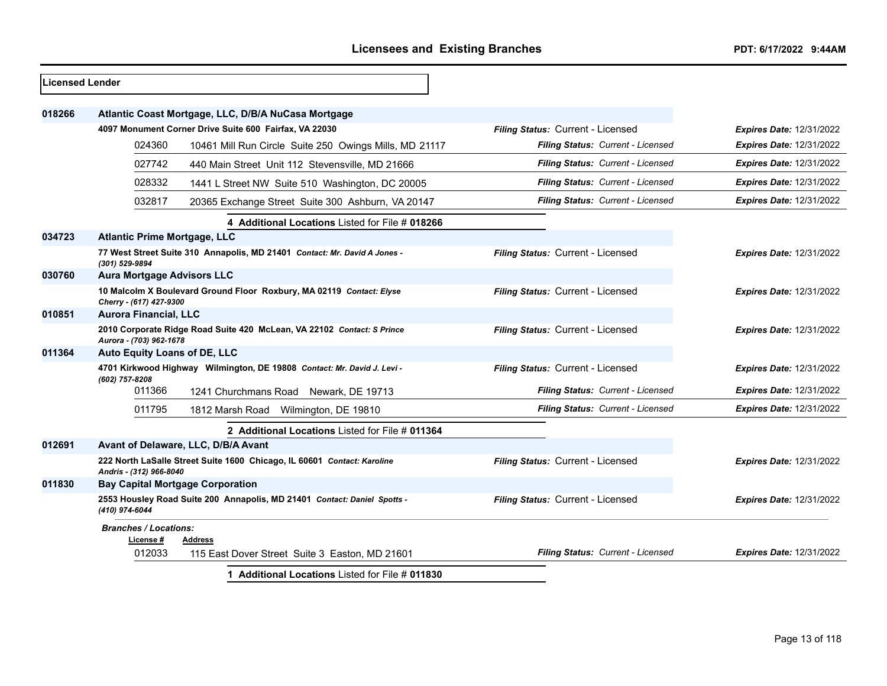| <b>Licensed Lender</b> |                                                                                                   |                                                                           |                                   |                                 |
|------------------------|---------------------------------------------------------------------------------------------------|---------------------------------------------------------------------------|-----------------------------------|---------------------------------|
| 018266                 |                                                                                                   | Atlantic Coast Mortgage, LLC, D/B/A NuCasa Mortgage                       |                                   |                                 |
|                        |                                                                                                   | 4097 Monument Corner Drive Suite 600 Fairfax, VA 22030                    | Filing Status: Current - Licensed | <b>Expires Date: 12/31/2022</b> |
|                        | 024360                                                                                            | 10461 Mill Run Circle Suite 250 Owings Mills, MD 21117                    | Filing Status: Current - Licensed | <b>Expires Date: 12/31/2022</b> |
|                        | 027742                                                                                            | 440 Main Street Unit 112 Stevensville, MD 21666                           | Filing Status: Current - Licensed | <b>Expires Date: 12/31/2022</b> |
|                        | 028332                                                                                            | 1441 L Street NW Suite 510 Washington, DC 20005                           | Filing Status: Current - Licensed | <b>Expires Date: 12/31/2022</b> |
|                        | 032817                                                                                            | 20365 Exchange Street Suite 300 Ashburn, VA 20147                         | Filing Status: Current - Licensed | <b>Expires Date: 12/31/2022</b> |
|                        |                                                                                                   | 4 Additional Locations Listed for File # 018266                           |                                   |                                 |
| 034723                 | <b>Atlantic Prime Mortgage, LLC</b>                                                               |                                                                           |                                   |                                 |
|                        | (301) 529-9894                                                                                    | 77 West Street Suite 310 Annapolis, MD 21401 Contact: Mr. David A Jones - | Filing Status: Current - Licensed | <b>Expires Date: 12/31/2022</b> |
| 030760                 | <b>Aura Mortgage Advisors LLC</b>                                                                 |                                                                           |                                   |                                 |
|                        | 10 Malcolm X Boulevard Ground Floor Roxbury, MA 02119 Contact: Elyse<br>Cherry - (617) 427-9300   |                                                                           | Filing Status: Current - Licensed | <b>Expires Date: 12/31/2022</b> |
| 010851                 | <b>Aurora Financial, LLC</b>                                                                      |                                                                           |                                   |                                 |
|                        | 2010 Corporate Ridge Road Suite 420 McLean, VA 22102 Contact: S Prince<br>Aurora - (703) 962-1678 |                                                                           | Filing Status: Current - Licensed | Expires Date: 12/31/2022        |
| 011364                 | <b>Auto Equity Loans of DE, LLC</b>                                                               |                                                                           |                                   |                                 |
|                        | (602) 757-8208                                                                                    | 4701 Kirkwood Highway Wilmington, DE 19808 Contact: Mr. David J. Levi -   | Filing Status: Current - Licensed | <b>Expires Date: 12/31/2022</b> |
|                        | 011366                                                                                            | 1241 Churchmans Road Newark, DE 19713                                     | Filing Status: Current - Licensed | <b>Expires Date: 12/31/2022</b> |
|                        | 011795                                                                                            | 1812 Marsh Road<br>Wilmington, DE 19810                                   | Filing Status: Current - Licensed | <b>Expires Date: 12/31/2022</b> |
|                        |                                                                                                   | 2 Additional Locations Listed for File # 011364                           |                                   |                                 |
| 012691                 |                                                                                                   | Avant of Delaware, LLC, D/B/A Avant                                       |                                   |                                 |
|                        | Andris - (312) 966-8040                                                                           | 222 North LaSalle Street Suite 1600 Chicago, IL 60601 Contact: Karoline   | Filing Status: Current - Licensed | <b>Expires Date: 12/31/2022</b> |
| 011830                 |                                                                                                   | <b>Bay Capital Mortgage Corporation</b>                                   |                                   |                                 |
|                        | (410) 974-6044                                                                                    | 2553 Housley Road Suite 200 Annapolis, MD 21401 Contact: Daniel Spotts -  | Filing Status: Current - Licensed | <b>Expires Date: 12/31/2022</b> |
|                        | <b>Branches / Locations:</b><br>License #                                                         | <b>Address</b>                                                            |                                   |                                 |
|                        | 012033                                                                                            | 115 East Dover Street Suite 3 Easton, MD 21601                            | Filing Status: Current - Licensed | <b>Expires Date: 12/31/2022</b> |
|                        |                                                                                                   | 1 Additional Locations Listed for File # 011830                           |                                   |                                 |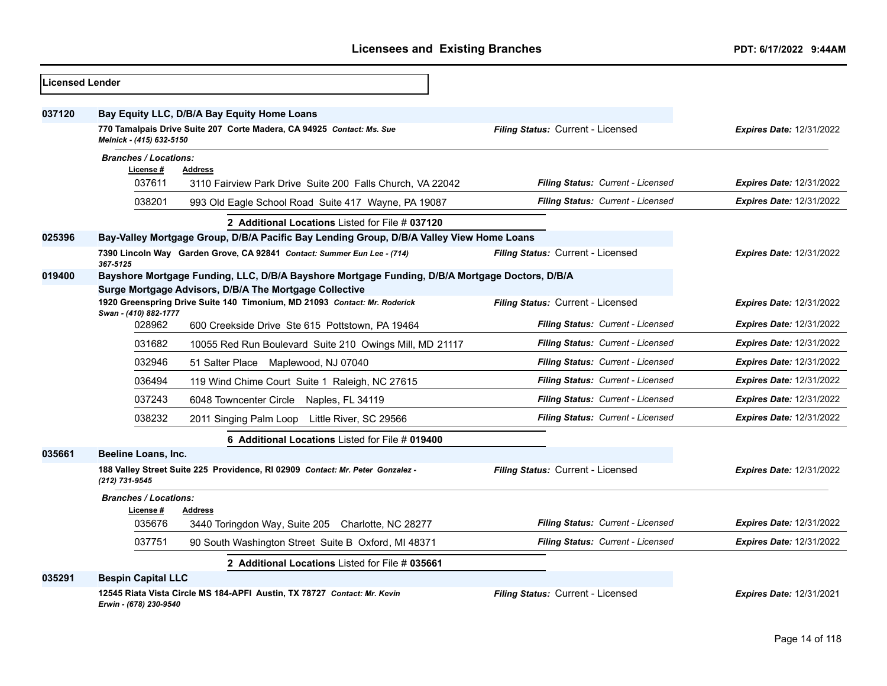| Licensed Lender |                              |                                                                                                |                                   |                                 |
|-----------------|------------------------------|------------------------------------------------------------------------------------------------|-----------------------------------|---------------------------------|
| 037120          |                              | Bay Equity LLC, D/B/A Bay Equity Home Loans                                                    |                                   |                                 |
|                 | Melnick - (415) 632-5150     | 770 Tamalpais Drive Suite 207 Corte Madera, CA 94925 Contact: Ms. Sue                          | Filing Status: Current - Licensed | <b>Expires Date: 12/31/2022</b> |
|                 | <b>Branches / Locations:</b> |                                                                                                |                                   |                                 |
|                 | License #<br>037611          | <b>Address</b><br>3110 Fairview Park Drive Suite 200 Falls Church, VA 22042                    | Filing Status: Current - Licensed | <b>Expires Date: 12/31/2022</b> |
|                 | 038201                       |                                                                                                | Filing Status: Current - Licensed |                                 |
|                 |                              | 993 Old Eagle School Road Suite 417 Wayne, PA 19087                                            |                                   | <b>Expires Date: 12/31/2022</b> |
|                 |                              | 2 Additional Locations Listed for File # 037120                                                |                                   |                                 |
| 025396          |                              | Bay-Valley Mortgage Group, D/B/A Pacific Bay Lending Group, D/B/A Valley View Home Loans       |                                   |                                 |
|                 | 367-5125                     | 7390 Lincoln Way Garden Grove, CA 92841 Contact: Summer Eun Lee - (714)                        | Filing Status: Current - Licensed | <b>Expires Date: 12/31/2022</b> |
| 019400          |                              | Bayshore Mortgage Funding, LLC, D/B/A Bayshore Mortgage Funding, D/B/A Mortgage Doctors, D/B/A |                                   |                                 |
|                 |                              | Surge Mortgage Advisors, D/B/A The Mortgage Collective                                         |                                   |                                 |
|                 | Swan - (410) 882-1777        | 1920 Greenspring Drive Suite 140 Timonium, MD 21093 Contact: Mr. Roderick                      | Filing Status: Current - Licensed | <b>Expires Date: 12/31/2022</b> |
|                 | 028962                       | 600 Creekside Drive Ste 615 Pottstown, PA 19464                                                | Filing Status: Current - Licensed | <b>Expires Date: 12/31/2022</b> |
|                 | 031682                       | 10055 Red Run Boulevard Suite 210 Owings Mill, MD 21117                                        | Filing Status: Current - Licensed | <b>Expires Date: 12/31/2022</b> |
|                 | 032946                       | 51 Salter Place Maplewood, NJ 07040                                                            | Filing Status: Current - Licensed | <b>Expires Date: 12/31/2022</b> |
|                 | 036494                       | 119 Wind Chime Court Suite 1 Raleigh, NC 27615                                                 | Filing Status: Current - Licensed | <b>Expires Date: 12/31/2022</b> |
|                 | 037243                       | 6048 Towncenter Circle Naples, FL 34119                                                        | Filing Status: Current - Licensed | <b>Expires Date: 12/31/2022</b> |
|                 | 038232                       | 2011 Singing Palm Loop Little River, SC 29566                                                  | Filing Status: Current - Licensed | <b>Expires Date: 12/31/2022</b> |
|                 |                              | 6 Additional Locations Listed for File # 019400                                                |                                   |                                 |
| 035661          | Beeline Loans, Inc.          |                                                                                                |                                   |                                 |
|                 | (212) 731-9545               | 188 Valley Street Suite 225 Providence, RI 02909 Contact: Mr. Peter Gonzalez -                 | Filing Status: Current - Licensed | Expires Date: 12/31/2022        |
|                 | <b>Branches / Locations:</b> |                                                                                                |                                   |                                 |
|                 | License #                    | <b>Address</b>                                                                                 |                                   |                                 |
|                 | 035676                       | 3440 Toringdon Way, Suite 205 Charlotte, NC 28277                                              | Filing Status: Current - Licensed | <b>Expires Date: 12/31/2022</b> |
|                 | 037751                       | 90 South Washington Street Suite B Oxford, MI 48371                                            | Filing Status: Current - Licensed | <b>Expires Date: 12/31/2022</b> |
|                 |                              | 2 Additional Locations Listed for File # 035661                                                |                                   |                                 |
| 035291          | <b>Bespin Capital LLC</b>    |                                                                                                |                                   |                                 |
|                 | Erwin - (678) 230-9540       | 12545 Riata Vista Circle MS 184-APFI Austin, TX 78727 Contact: Mr. Kevin                       | Filing Status: Current - Licensed | <b>Expires Date: 12/31/2021</b> |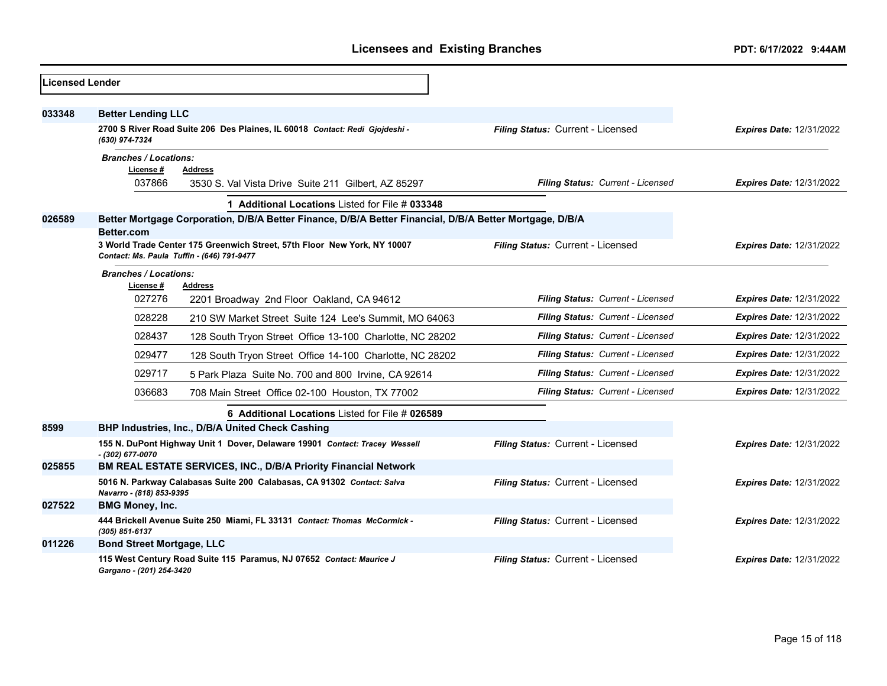| <b>Licensed Lender</b> |                                                     |                                                                                                                        |                                   |                                 |
|------------------------|-----------------------------------------------------|------------------------------------------------------------------------------------------------------------------------|-----------------------------------|---------------------------------|
| 033348                 | <b>Better Lending LLC</b>                           |                                                                                                                        |                                   |                                 |
|                        | (630) 974-7324                                      | 2700 S River Road Suite 206 Des Plaines, IL 60018 Contact: Redi Gjojdeshi -                                            | Filing Status: Current - Licensed | <b>Expires Date: 12/31/2022</b> |
|                        | <b>Branches / Locations:</b><br>License #<br>037866 | <b>Address</b><br>3530 S. Val Vista Drive Suite 211 Gilbert, AZ 85297                                                  | Filing Status: Current - Licensed | <b>Expires Date: 12/31/2022</b> |
|                        |                                                     | 1 Additional Locations Listed for File # 033348                                                                        |                                   |                                 |
| 026589                 |                                                     | Better Mortgage Corporation, D/B/A Better Finance, D/B/A Better Financial, D/B/A Better Mortgage, D/B/A                |                                   |                                 |
|                        | Better.com                                          | 3 World Trade Center 175 Greenwich Street, 57th Floor New York, NY 10007<br>Contact: Ms. Paula Tuffin - (646) 791-9477 | Filing Status: Current - Licensed | <b>Expires Date: 12/31/2022</b> |
|                        | <b>Branches / Locations:</b><br>License #<br>027276 | <b>Address</b><br>2201 Broadway 2nd Floor Oakland, CA 94612                                                            | Filing Status: Current - Licensed | <b>Expires Date: 12/31/2022</b> |
|                        | 028228                                              | 210 SW Market Street Suite 124 Lee's Summit. MO 64063                                                                  | Filing Status: Current - Licensed | <b>Expires Date: 12/31/2022</b> |
|                        | 028437                                              | 128 South Tryon Street Office 13-100 Charlotte, NC 28202                                                               | Filing Status: Current - Licensed | <b>Expires Date: 12/31/2022</b> |
|                        | 029477                                              | 128 South Tryon Street Office 14-100 Charlotte, NC 28202                                                               | Filing Status: Current - Licensed | <b>Expires Date: 12/31/2022</b> |
|                        | 029717                                              | 5 Park Plaza Suite No. 700 and 800 Irvine, CA 92614                                                                    | Filing Status: Current - Licensed | <b>Expires Date: 12/31/2022</b> |
|                        | 036683                                              | 708 Main Street Office 02-100 Houston, TX 77002                                                                        | Filing Status: Current - Licensed | <b>Expires Date: 12/31/2022</b> |
|                        |                                                     | 6 Additional Locations Listed for File # 026589                                                                        |                                   |                                 |
| 8599                   |                                                     | BHP Industries, Inc., D/B/A United Check Cashing                                                                       |                                   |                                 |
|                        | - (302) 677-0070                                    | 155 N. DuPont Highway Unit 1 Dover, Delaware 19901 Contact: Tracey Wessell                                             | Filing Status: Current - Licensed | <b>Expires Date: 12/31/2022</b> |
| 025855                 |                                                     | <b>BM REAL ESTATE SERVICES, INC., D/B/A Priority Financial Network</b>                                                 |                                   |                                 |
|                        | Navarro - (818) 853-9395                            | 5016 N. Parkway Calabasas Suite 200 Calabasas, CA 91302 Contact: Salva                                                 | Filing Status: Current - Licensed | <b>Expires Date: 12/31/2022</b> |
| 027522                 | <b>BMG Money, Inc.</b>                              |                                                                                                                        |                                   |                                 |
|                        | (305) 851-6137                                      | 444 Brickell Avenue Suite 250 Miami, FL 33131 Contact: Thomas McCormick -                                              | Filing Status: Current - Licensed | <b>Expires Date: 12/31/2022</b> |
| 011226                 | <b>Bond Street Mortgage, LLC</b>                    |                                                                                                                        |                                   |                                 |
|                        | Gargano - (201) 254-3420                            | 115 West Century Road Suite 115 Paramus, NJ 07652 Contact: Maurice J                                                   | Filing Status: Current - Licensed | <b>Expires Date: 12/31/2022</b> |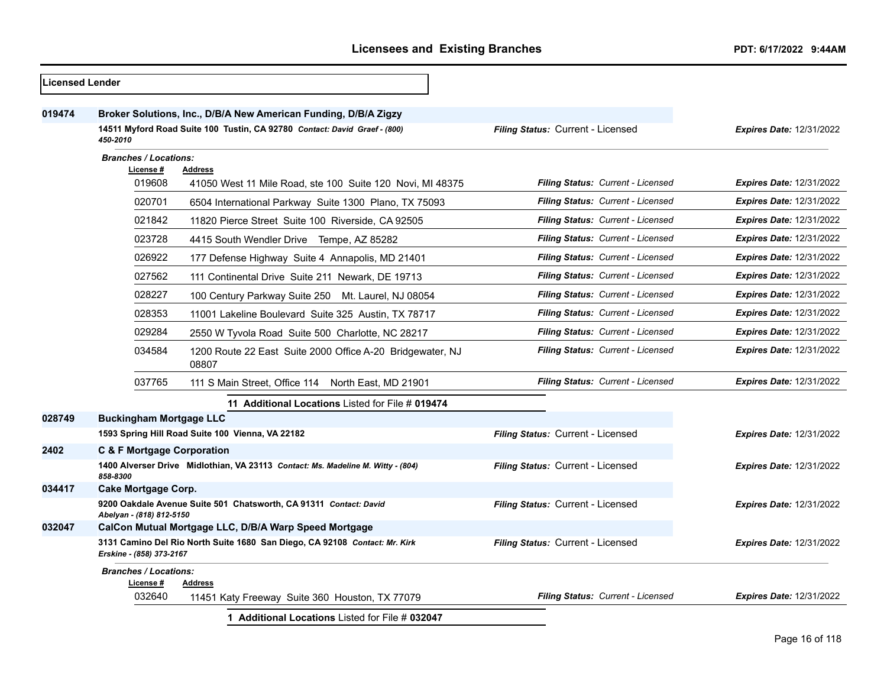| <b>Licensed Lender</b> |                                                                                                        |                                                                                 |                                          |                                 |
|------------------------|--------------------------------------------------------------------------------------------------------|---------------------------------------------------------------------------------|------------------------------------------|---------------------------------|
| 019474                 |                                                                                                        | Broker Solutions, Inc., D/B/A New American Funding, D/B/A Zigzy                 |                                          |                                 |
|                        | 14511 Myford Road Suite 100 Tustin, CA 92780 Contact: David Graef - (800)<br>450-2010                  |                                                                                 | Filing Status: Current - Licensed        | <b>Expires Date: 12/31/2022</b> |
|                        | <b>Branches / Locations:</b>                                                                           |                                                                                 |                                          |                                 |
|                        | License #<br>019608                                                                                    | <b>Address</b><br>41050 West 11 Mile Road, ste 100 Suite 120 Novi, MI 48375     | <b>Filing Status: Current - Licensed</b> | <b>Expires Date: 12/31/2022</b> |
|                        | 020701                                                                                                 | 6504 International Parkway Suite 1300 Plano, TX 75093                           | Filing Status: Current - Licensed        | <b>Expires Date: 12/31/2022</b> |
|                        | 021842                                                                                                 | 11820 Pierce Street Suite 100 Riverside, CA 92505                               | <b>Filing Status: Current - Licensed</b> | <b>Expires Date: 12/31/2022</b> |
|                        | 023728                                                                                                 | 4415 South Wendler Drive Tempe, AZ 85282                                        | Filing Status: Current - Licensed        | <b>Expires Date: 12/31/2022</b> |
|                        | 026922                                                                                                 | 177 Defense Highway Suite 4 Annapolis, MD 21401                                 | Filing Status: Current - Licensed        | <b>Expires Date: 12/31/2022</b> |
|                        | 027562                                                                                                 | 111 Continental Drive Suite 211 Newark, DE 19713                                | <b>Filing Status: Current - Licensed</b> | <b>Expires Date: 12/31/2022</b> |
|                        | 028227                                                                                                 | 100 Century Parkway Suite 250 Mt. Laurel, NJ 08054                              | <b>Filing Status: Current - Licensed</b> | <b>Expires Date: 12/31/2022</b> |
|                        | 028353                                                                                                 | 11001 Lakeline Boulevard Suite 325 Austin, TX 78717                             | Filing Status: Current - Licensed        | Expires Date: 12/31/2022        |
|                        | 029284                                                                                                 | 2550 W Tyvola Road Suite 500 Charlotte, NC 28217                                | <b>Filing Status: Current - Licensed</b> | <b>Expires Date: 12/31/2022</b> |
|                        | 034584                                                                                                 | 1200 Route 22 East Suite 2000 Office A-20 Bridgewater, NJ<br>08807              | <b>Filing Status: Current - Licensed</b> | <b>Expires Date: 12/31/2022</b> |
|                        | 037765                                                                                                 | 111 S Main Street, Office 114 North East, MD 21901                              | Filing Status: Current - Licensed        | <b>Expires Date: 12/31/2022</b> |
|                        |                                                                                                        | 11 Additional Locations Listed for File # 019474                                |                                          |                                 |
| 028749                 | <b>Buckingham Mortgage LLC</b>                                                                         |                                                                                 |                                          |                                 |
|                        |                                                                                                        | 1593 Spring Hill Road Suite 100 Vienna, VA 22182                                | Filing Status: Current - Licensed        | Expires Date: 12/31/2022        |
| 2402                   | <b>C &amp; F Mortgage Corporation</b>                                                                  |                                                                                 |                                          |                                 |
|                        | 858-8300                                                                                               | 1400 Alverser Drive Midlothian, VA 23113 Contact: Ms. Madeline M. Witty - (804) | Filing Status: Current - Licensed        | Expires Date: 12/31/2022        |
| 034417                 | <b>Cake Mortgage Corp.</b>                                                                             |                                                                                 |                                          |                                 |
|                        | Abelyan - (818) 812-5150                                                                               | 9200 Oakdale Avenue Suite 501 Chatsworth, CA 91311 Contact: David               | Filing Status: Current - Licensed        | <b>Expires Date: 12/31/2022</b> |
| 032047                 |                                                                                                        | CalCon Mutual Mortgage LLC, D/B/A Warp Speed Mortgage                           |                                          |                                 |
|                        | 3131 Camino Del Rio North Suite 1680 San Diego, CA 92108 Contact: Mr. Kirk<br>Erskine - (858) 373-2167 |                                                                                 | Filing Status: Current - Licensed        | <b>Expires Date: 12/31/2022</b> |
|                        | <b>Branches / Locations:</b><br>License #                                                              | <b>Address</b>                                                                  |                                          |                                 |
|                        | 032640                                                                                                 | 11451 Katy Freeway Suite 360 Houston, TX 77079                                  | Filing Status: Current - Licensed        | <b>Expires Date: 12/31/2022</b> |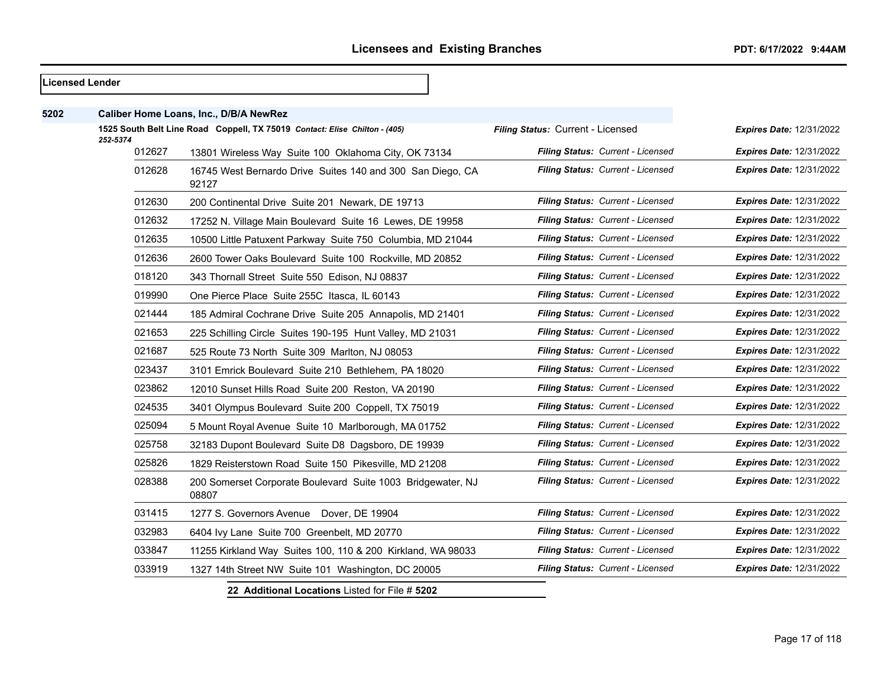|      | Licensed Lender    |                                                                            |                                   |                                 |
|------|--------------------|----------------------------------------------------------------------------|-----------------------------------|---------------------------------|
| 5202 |                    | Caliber Home Loans, Inc., D/B/A NewRez                                     |                                   |                                 |
|      |                    | 1525 South Belt Line Road Coppell, TX 75019 Contact: Elise Chilton - (405) | Filing Status: Current - Licensed | <b>Expires Date: 12/31/2022</b> |
|      | 252-5374<br>012627 | 13801 Wireless Way Suite 100 Oklahoma City, OK 73134                       | Filing Status: Current - Licensed | <b>Expires Date: 12/31/2022</b> |
|      | 012628             | 16745 West Bernardo Drive Suites 140 and 300 San Diego, CA<br>92127        | Filing Status: Current - Licensed | <b>Expires Date: 12/31/2022</b> |
|      | 012630             | 200 Continental Drive Suite 201 Newark, DE 19713                           | Filing Status: Current - Licensed | <b>Expires Date: 12/31/2022</b> |
|      | 012632             | 17252 N. Village Main Boulevard Suite 16 Lewes, DE 19958                   | Filing Status: Current - Licensed | <b>Expires Date: 12/31/2022</b> |
|      | 012635             | 10500 Little Patuxent Parkway Suite 750 Columbia, MD 21044                 | Filing Status: Current - Licensed | <b>Expires Date: 12/31/2022</b> |
|      | 012636             | 2600 Tower Oaks Boulevard Suite 100 Rockville, MD 20852                    | Filing Status: Current - Licensed | <b>Expires Date: 12/31/2022</b> |
|      | 018120             | 343 Thornall Street Suite 550 Edison, NJ 08837                             | Filing Status: Current - Licensed | Expires Date: 12/31/2022        |
|      | 019990             | One Pierce Place Suite 255C Itasca, IL 60143                               | Filing Status: Current - Licensed | <b>Expires Date: 12/31/2022</b> |
|      | 021444             | 185 Admiral Cochrane Drive Suite 205 Annapolis, MD 21401                   | Filing Status: Current - Licensed | <b>Expires Date: 12/31/2022</b> |
|      | 021653             | 225 Schilling Circle Suites 190-195 Hunt Valley, MD 21031                  | Filing Status: Current - Licensed | <b>Expires Date: 12/31/2022</b> |
|      | 021687             | 525 Route 73 North Suite 309 Marlton, NJ 08053                             | Filing Status: Current - Licensed | <b>Expires Date: 12/31/2022</b> |
|      | 023437             | 3101 Emrick Boulevard Suite 210 Bethlehem, PA 18020                        | Filing Status: Current - Licensed | <b>Expires Date: 12/31/2022</b> |
|      | 023862             | 12010 Sunset Hills Road Suite 200 Reston, VA 20190                         | Filing Status: Current - Licensed | <b>Expires Date: 12/31/2022</b> |
|      | 024535             | 3401 Olympus Boulevard Suite 200 Coppell, TX 75019                         | Filing Status: Current - Licensed | <b>Expires Date: 12/31/2022</b> |
|      | 025094             | 5 Mount Royal Avenue Suite 10 Marlborough, MA 01752                        | Filing Status: Current - Licensed | <b>Expires Date: 12/31/2022</b> |
|      | 025758             | 32183 Dupont Boulevard Suite D8 Dagsboro, DE 19939                         | Filing Status: Current - Licensed | <b>Expires Date: 12/31/2022</b> |
|      | 025826             | 1829 Reisterstown Road Suite 150 Pikesville, MD 21208                      | Filing Status: Current - Licensed | <b>Expires Date: 12/31/2022</b> |
|      | 028388             | 200 Somerset Corporate Boulevard Suite 1003 Bridgewater, NJ<br>08807       | Filing Status: Current - Licensed | <b>Expires Date: 12/31/2022</b> |
|      | 031415             | 1277 S. Governors Avenue Dover, DE 19904                                   | Filing Status: Current - Licensed | Expires Date: 12/31/2022        |
|      | 032983             | 6404 Ivy Lane Suite 700 Greenbelt, MD 20770                                | Filing Status: Current - Licensed | <b>Expires Date: 12/31/2022</b> |
|      | 033847             | 11255 Kirkland Way Suites 100, 110 & 200 Kirkland, WA 98033                | Filing Status: Current - Licensed | <b>Expires Date: 12/31/2022</b> |
|      | 033919             | 1327 14th Street NW Suite 101 Washington, DC 20005                         | Filing Status: Current - Licensed | <b>Expires Date: 12/31/2022</b> |
|      |                    | 22 Additional Locations Listed for File # 5202                             |                                   |                                 |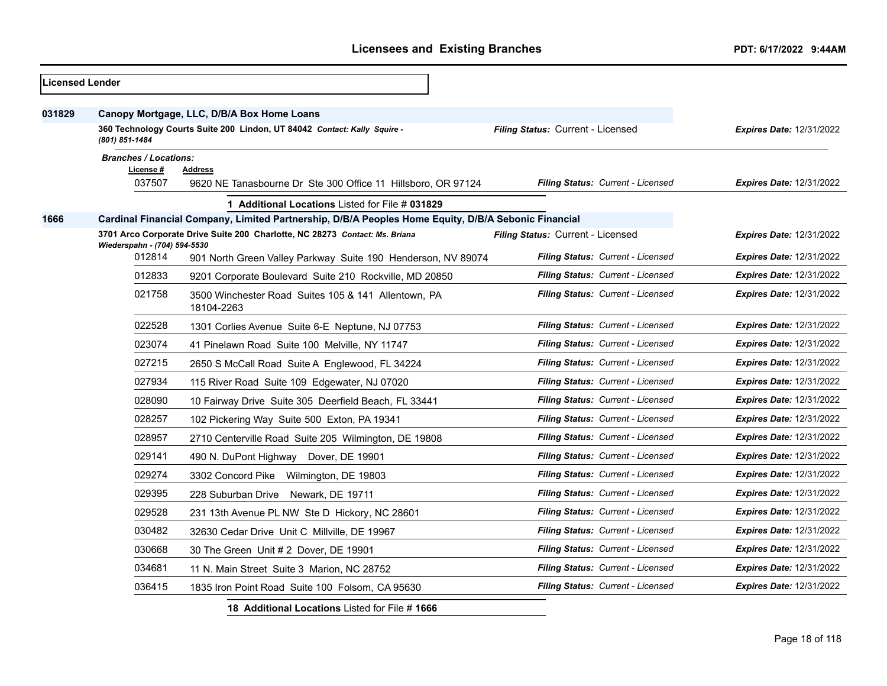| <b>Licensed Lender</b> |                                                                                                                                                                               |                                                                                                                                                        |                                          |                                 |
|------------------------|-------------------------------------------------------------------------------------------------------------------------------------------------------------------------------|--------------------------------------------------------------------------------------------------------------------------------------------------------|------------------------------------------|---------------------------------|
| 031829                 | Canopy Mortgage, LLC, D/B/A Box Home Loans<br>Filing Status: Current - Licensed<br>360 Technology Courts Suite 200 Lindon, UT 84042 Contact: Kally Squire -<br>(801) 851-1484 |                                                                                                                                                        |                                          | <b>Expires Date: 12/31/2022</b> |
|                        | <b>Branches / Locations:</b><br>License #<br>037507                                                                                                                           | <b>Address</b><br>9620 NE Tanasbourne Dr Ste 300 Office 11 Hillsboro, OR 97124                                                                         | Filing Status: Current - Licensed        | <b>Expires Date: 12/31/2022</b> |
| 1666                   |                                                                                                                                                                               | 1 Additional Locations Listed for File # 031829<br>Cardinal Financial Company, Limited Partnership, D/B/A Peoples Home Equity, D/B/A Sebonic Financial |                                          |                                 |
|                        | Wiederspahn - (704) 594-5530                                                                                                                                                  | 3701 Arco Corporate Drive Suite 200 Charlotte, NC 28273 Contact: Ms. Briana                                                                            | Filing Status: Current - Licensed        | <b>Expires Date: 12/31/2022</b> |
|                        | 012814                                                                                                                                                                        | 901 North Green Valley Parkway Suite 190 Henderson, NV 89074                                                                                           | Filing Status: Current - Licensed        | <b>Expires Date: 12/31/2022</b> |
|                        | 012833                                                                                                                                                                        | 9201 Corporate Boulevard Suite 210 Rockville, MD 20850                                                                                                 | <b>Filing Status: Current - Licensed</b> | <b>Expires Date: 12/31/2022</b> |
|                        | 021758                                                                                                                                                                        | 3500 Winchester Road Suites 105 & 141 Allentown, PA<br>18104-2263                                                                                      | Filing Status: Current - Licensed        | <b>Expires Date: 12/31/2022</b> |
|                        | 022528                                                                                                                                                                        | 1301 Corlies Avenue Suite 6-E Neptune, NJ 07753                                                                                                        | <b>Filing Status: Current - Licensed</b> | <b>Expires Date: 12/31/2022</b> |
|                        | 023074                                                                                                                                                                        | 41 Pinelawn Road Suite 100 Melville, NY 11747                                                                                                          | <b>Filing Status: Current - Licensed</b> | <b>Expires Date: 12/31/2022</b> |
|                        | 027215                                                                                                                                                                        | 2650 S McCall Road Suite A Englewood, FL 34224                                                                                                         | Filing Status: Current - Licensed        | <b>Expires Date: 12/31/2022</b> |
|                        | 027934                                                                                                                                                                        | 115 River Road Suite 109 Edgewater, NJ 07020                                                                                                           | <b>Filing Status: Current - Licensed</b> | <b>Expires Date: 12/31/2022</b> |
|                        | 028090                                                                                                                                                                        | 10 Fairway Drive Suite 305 Deerfield Beach, FL 33441                                                                                                   | <b>Filing Status: Current - Licensed</b> | Expires Date: 12/31/2022        |
|                        | 028257                                                                                                                                                                        | 102 Pickering Way Suite 500 Exton, PA 19341                                                                                                            | Filing Status: Current - Licensed        | <b>Expires Date: 12/31/2022</b> |
|                        | 028957                                                                                                                                                                        | 2710 Centerville Road Suite 205 Wilmington, DE 19808                                                                                                   | Filing Status: Current - Licensed        | <b>Expires Date: 12/31/2022</b> |
|                        | 029141                                                                                                                                                                        | 490 N. DuPont Highway Dover, DE 19901                                                                                                                  | <b>Filing Status: Current - Licensed</b> | <b>Expires Date: 12/31/2022</b> |
|                        | 029274                                                                                                                                                                        | 3302 Concord Pike Wilmington, DE 19803                                                                                                                 | Filing Status: Current - Licensed        | <b>Expires Date: 12/31/2022</b> |
|                        | 029395                                                                                                                                                                        | 228 Suburban Drive Newark, DE 19711                                                                                                                    | <b>Filing Status: Current - Licensed</b> | <b>Expires Date: 12/31/2022</b> |
|                        | 029528                                                                                                                                                                        | 231 13th Avenue PL NW Ste D Hickory, NC 28601                                                                                                          | <b>Filing Status: Current - Licensed</b> | <b>Expires Date: 12/31/2022</b> |
|                        | 030482                                                                                                                                                                        | 32630 Cedar Drive Unit C Millville, DE 19967                                                                                                           | <b>Filing Status: Current - Licensed</b> | <b>Expires Date: 12/31/2022</b> |
|                        | 030668                                                                                                                                                                        | 30 The Green Unit #2 Dover, DE 19901                                                                                                                   | Filing Status: Current - Licensed        | <b>Expires Date: 12/31/2022</b> |
|                        | 034681                                                                                                                                                                        | 11 N. Main Street Suite 3 Marion, NC 28752                                                                                                             | Filing Status: Current - Licensed        | <b>Expires Date: 12/31/2022</b> |
|                        | 036415                                                                                                                                                                        | 1835 Iron Point Road Suite 100 Folsom, CA 95630                                                                                                        | Filing Status: Current - Licensed        | <b>Expires Date: 12/31/2022</b> |
|                        |                                                                                                                                                                               | 18 Additional Locations Listed for File #1666                                                                                                          |                                          |                                 |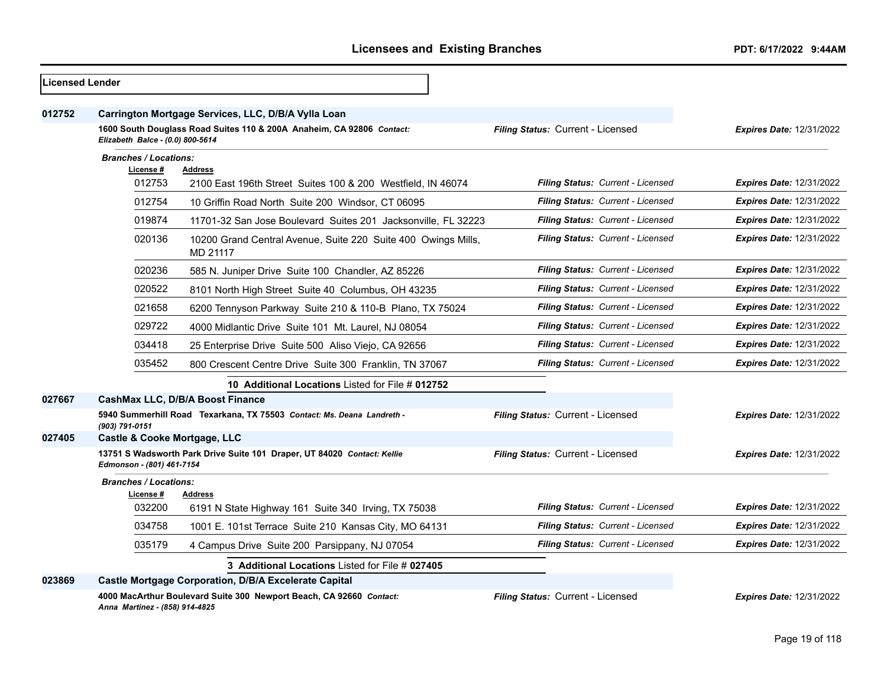| <b>Licensed Lender</b> |                                           |                                                                                                                              |                                   |                                 |
|------------------------|-------------------------------------------|------------------------------------------------------------------------------------------------------------------------------|-----------------------------------|---------------------------------|
| 012752                 | Elizabeth Balce - (0.0) 800-5614          | Carrington Mortgage Services, LLC, D/B/A Vylla Loan<br>1600 South Douglass Road Suites 110 & 200A Anaheim, CA 92806 Contact: | Filing Status: Current - Licensed | <b>Expires Date: 12/31/2022</b> |
|                        | <b>Branches / Locations:</b><br>License # | <b>Address</b>                                                                                                               |                                   |                                 |
|                        | 012753                                    | 2100 East 196th Street Suites 100 & 200 Westfield. IN 46074                                                                  | Filing Status: Current - Licensed | <b>Expires Date: 12/31/2022</b> |
|                        | 012754                                    | 10 Griffin Road North Suite 200 Windsor, CT 06095                                                                            | Filing Status: Current - Licensed | <b>Expires Date: 12/31/2022</b> |
|                        | 019874                                    | 11701-32 San Jose Boulevard Suites 201 Jacksonville, FL 32223                                                                | Filing Status: Current - Licensed | <b>Expires Date: 12/31/2022</b> |
|                        | 020136                                    | 10200 Grand Central Avenue, Suite 220 Suite 400 Owings Mills,<br>MD 21117                                                    | Filing Status: Current - Licensed | <b>Expires Date: 12/31/2022</b> |
|                        | 020236                                    | 585 N. Juniper Drive Suite 100 Chandler, AZ 85226                                                                            | Filing Status: Current - Licensed | <b>Expires Date: 12/31/2022</b> |
|                        | 020522                                    | 8101 North High Street Suite 40 Columbus, OH 43235                                                                           | Filing Status: Current - Licensed | <b>Expires Date: 12/31/2022</b> |
|                        | 021658                                    | 6200 Tennyson Parkway Suite 210 & 110-B Plano, TX 75024                                                                      | Filing Status: Current - Licensed | <b>Expires Date: 12/31/2022</b> |
|                        | 029722                                    | 4000 Midlantic Drive Suite 101 Mt. Laurel, NJ 08054                                                                          | Filing Status: Current - Licensed | <b>Expires Date: 12/31/2022</b> |
|                        | 034418                                    | 25 Enterprise Drive Suite 500 Aliso Viejo, CA 92656                                                                          | Filing Status: Current - Licensed | <b>Expires Date: 12/31/2022</b> |
|                        | 035452                                    | 800 Crescent Centre Drive Suite 300 Franklin, TN 37067                                                                       | Filing Status: Current - Licensed | <b>Expires Date: 12/31/2022</b> |
|                        |                                           | 10 Additional Locations Listed for File # 012752                                                                             |                                   |                                 |
| 027667                 |                                           | <b>CashMax LLC, D/B/A Boost Finance</b>                                                                                      |                                   |                                 |
|                        | (903) 791-0151                            | 5940 Summerhill Road Texarkana, TX 75503 Contact: Ms. Deana Landreth -                                                       | Filing Status: Current - Licensed | <b>Expires Date: 12/31/2022</b> |
| 027405                 | Castle & Cooke Mortgage, LLC              |                                                                                                                              |                                   |                                 |
|                        | Edmonson - (801) 461-7154                 | 13751 S Wadsworth Park Drive Suite 101 Draper, UT 84020 Contact: Kellie                                                      | Filing Status: Current - Licensed | <b>Expires Date: 12/31/2022</b> |
|                        | <b>Branches / Locations:</b>              |                                                                                                                              |                                   |                                 |
|                        | License #<br>032200                       | <b>Address</b><br>6191 N State Highway 161 Suite 340 Irving, TX 75038                                                        | Filing Status: Current - Licensed | <b>Expires Date: 12/31/2022</b> |
|                        | 034758                                    | 1001 E. 101st Terrace Suite 210 Kansas City, MO 64131                                                                        | Filing Status: Current - Licensed | <b>Expires Date: 12/31/2022</b> |
|                        | 035179                                    | 4 Campus Drive Suite 200 Parsippany, NJ 07054                                                                                | Filing Status: Current - Licensed | <b>Expires Date: 12/31/2022</b> |
|                        |                                           | 3 Additional Locations Listed for File # 027405                                                                              |                                   |                                 |
| 023869                 |                                           | Castle Mortgage Corporation, D/B/A Excelerate Capital                                                                        |                                   |                                 |
|                        | Anna Martinez - (858) 914-4825            | 4000 MacArthur Boulevard Suite 300 Newport Beach, CA 92660 Contact:                                                          | Filing Status: Current - Licensed | <b>Expires Date: 12/31/2022</b> |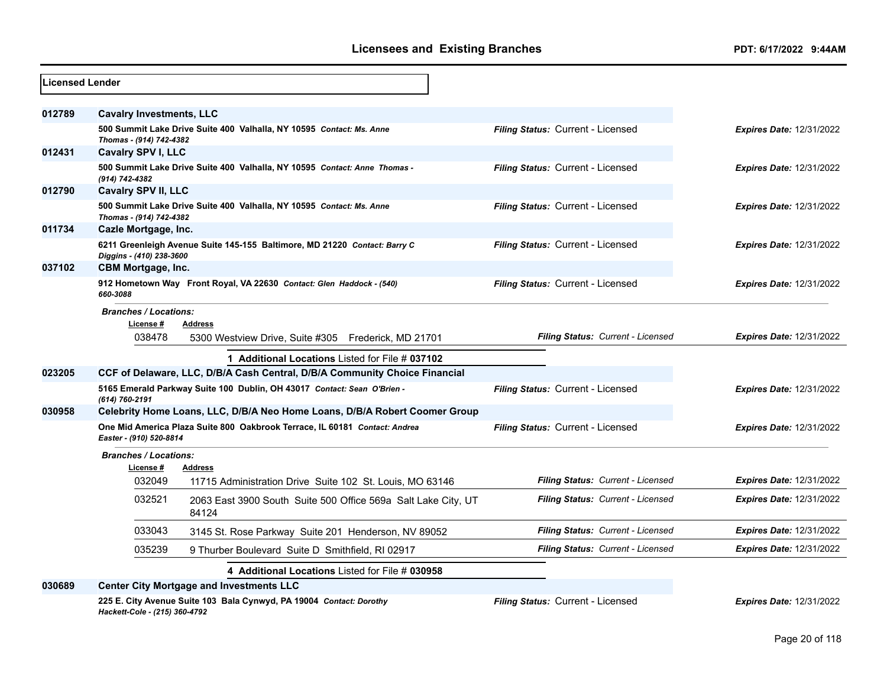| Licensed Lender |                                           |                                                                            |                                   |                                 |
|-----------------|-------------------------------------------|----------------------------------------------------------------------------|-----------------------------------|---------------------------------|
| 012789          | <b>Cavalry Investments, LLC</b>           |                                                                            |                                   |                                 |
|                 | Thomas - (914) 742-4382                   | 500 Summit Lake Drive Suite 400 Valhalla, NY 10595 Contact: Ms. Anne       | Filing Status: Current - Licensed | <b>Expires Date: 12/31/2022</b> |
| 012431          | <b>Cavalry SPV I, LLC</b>                 |                                                                            |                                   |                                 |
|                 | (914) 742-4382                            | 500 Summit Lake Drive Suite 400 Valhalla, NY 10595 Contact: Anne Thomas -  | Filing Status: Current - Licensed | <b>Expires Date: 12/31/2022</b> |
| 012790          | Cavalry SPV II, LLC                       |                                                                            |                                   |                                 |
|                 | Thomas - (914) 742-4382                   | 500 Summit Lake Drive Suite 400 Valhalla, NY 10595 Contact: Ms. Anne       | Filing Status: Current - Licensed | <b>Expires Date: 12/31/2022</b> |
| 011734          | Cazle Mortgage, Inc.                      |                                                                            |                                   |                                 |
|                 | Diggins - (410) 238-3600                  | 6211 Greenleigh Avenue Suite 145-155 Baltimore, MD 21220 Contact: Barry C  | Filing Status: Current - Licensed | <b>Expires Date: 12/31/2022</b> |
| 037102          | <b>CBM Mortgage, Inc.</b>                 |                                                                            |                                   |                                 |
|                 | 660-3088                                  | 912 Hometown Way Front Royal, VA 22630 Contact: Glen Haddock - (540)       | Filing Status: Current - Licensed | <b>Expires Date: 12/31/2022</b> |
|                 | <b>Branches / Locations:</b>              |                                                                            |                                   |                                 |
|                 | License#                                  | <b>Address</b>                                                             |                                   |                                 |
|                 | 038478                                    | 5300 Westview Drive, Suite #305 Frederick, MD 21701                        | Filing Status: Current - Licensed | <b>Expires Date: 12/31/2022</b> |
|                 |                                           | 1 Additional Locations Listed for File # 037102                            |                                   |                                 |
| 023205          |                                           | CCF of Delaware, LLC, D/B/A Cash Central, D/B/A Community Choice Financial |                                   |                                 |
|                 | (614) 760-2191                            | 5165 Emerald Parkway Suite 100 Dublin, OH 43017 Contact: Sean O'Brien -    | Filing Status: Current - Licensed | <b>Expires Date: 12/31/2022</b> |
| 030958          |                                           | Celebrity Home Loans, LLC, D/B/A Neo Home Loans, D/B/A Robert Coomer Group |                                   |                                 |
|                 | Easter - (910) 520-8814                   | One Mid America Plaza Suite 800 Oakbrook Terrace, IL 60181 Contact: Andrea | Filing Status: Current - Licensed | <b>Expires Date: 12/31/2022</b> |
|                 | <b>Branches / Locations:</b><br>License # | <b>Address</b>                                                             |                                   |                                 |
|                 | 032049                                    | 11715 Administration Drive Suite 102 St. Louis, MO 63146                   | Filing Status: Current - Licensed | <b>Expires Date: 12/31/2022</b> |
|                 | 032521                                    | 2063 East 3900 South Suite 500 Office 569a Salt Lake City, UT<br>84124     | Filing Status: Current - Licensed | <b>Expires Date: 12/31/2022</b> |
|                 | 033043                                    | 3145 St. Rose Parkway Suite 201 Henderson, NV 89052                        | Filing Status: Current - Licensed | <b>Expires Date: 12/31/2022</b> |
|                 | 035239                                    | 9 Thurber Boulevard Suite D Smithfield, RI 02917                           | Filing Status: Current - Licensed | <b>Expires Date: 12/31/2022</b> |
|                 |                                           | 4 Additional Locations Listed for File # 030958                            |                                   |                                 |
| 030689          |                                           | <b>Center City Mortgage and Investments LLC</b>                            |                                   |                                 |
|                 | Hackett-Cole - (215) 360-4792             | 225 E. City Avenue Suite 103 Bala Cynwyd, PA 19004 Contact: Dorothy        | Filing Status: Current - Licensed | <b>Expires Date: 12/31/2022</b> |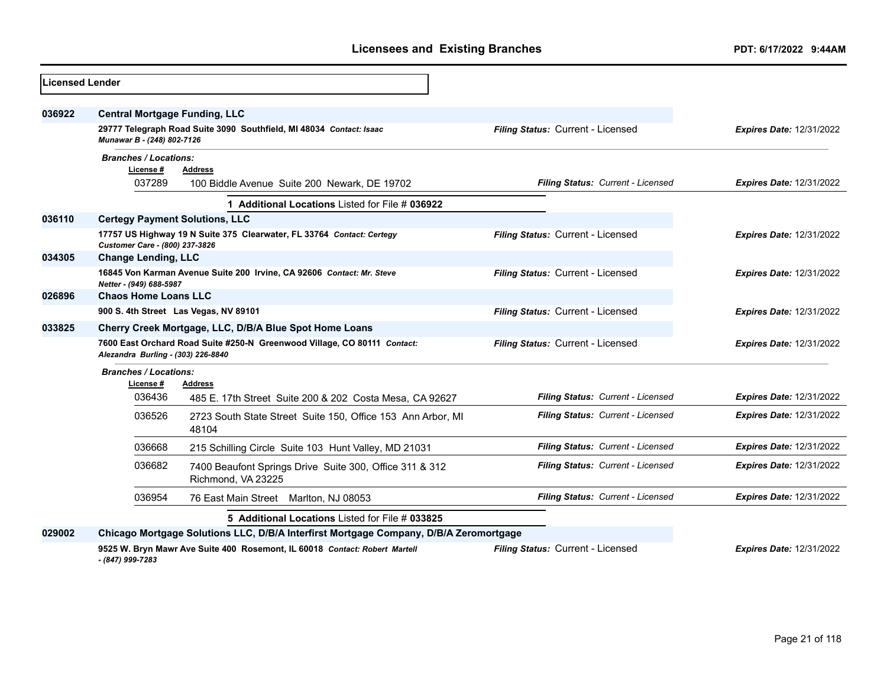| Licensed Lender |                                                        |                                                                                       |                                   |                                 |
|-----------------|--------------------------------------------------------|---------------------------------------------------------------------------------------|-----------------------------------|---------------------------------|
| 036922          | <b>Central Mortgage Funding, LLC</b>                   |                                                                                       |                                   |                                 |
|                 | Munawar B - (248) 802-7126                             | 29777 Telegraph Road Suite 3090 Southfield, MI 48034 Contact: Isaac                   | Filing Status: Current - Licensed | <b>Expires Date: 12/31/2022</b> |
|                 | <b>Branches / Locations:</b><br>License#<br>037289     | <b>Address</b><br>100 Biddle Avenue Suite 200 Newark, DE 19702                        | Filing Status: Current - Licensed | <b>Expires Date: 12/31/2022</b> |
|                 |                                                        | 1 Additional Locations Listed for File # 036922                                       |                                   |                                 |
| 036110          | <b>Certegy Payment Solutions, LLC</b>                  |                                                                                       |                                   |                                 |
|                 | Customer Care - (800) 237-3826                         | 17757 US Highway 19 N Suite 375 Clearwater, FL 33764 Contact: Certegy                 | Filing Status: Current - Licensed | <b>Expires Date: 12/31/2022</b> |
| 034305          | <b>Change Lending, LLC</b>                             |                                                                                       |                                   |                                 |
|                 | Netter - (949) 688-5987                                | 16845 Von Karman Avenue Suite 200 Irvine, CA 92606 Contact: Mr. Steve                 | Filing Status: Current - Licensed | <b>Expires Date: 12/31/2022</b> |
| 026896          | <b>Chaos Home Loans LLC</b>                            |                                                                                       |                                   |                                 |
|                 |                                                        | 900 S. 4th Street Las Vegas, NV 89101                                                 | Filing Status: Current - Licensed | <b>Expires Date: 12/31/2022</b> |
| 033825          | Cherry Creek Mortgage, LLC, D/B/A Blue Spot Home Loans |                                                                                       |                                   |                                 |
|                 | Alezandra Burling - (303) 226-8840                     | 7600 East Orchard Road Suite #250-N Greenwood Village, CO 80111 Contact:              | Filing Status: Current - Licensed | <b>Expires Date: 12/31/2022</b> |
|                 | <b>Branches / Locations:</b><br>License #              | Address                                                                               |                                   |                                 |
|                 | 036436                                                 | 485 E. 17th Street Suite 200 & 202 Costa Mesa, CA 92627                               | Filing Status: Current - Licensed | <b>Expires Date: 12/31/2022</b> |
|                 | 036526                                                 | 2723 South State Street Suite 150, Office 153 Ann Arbor, MI<br>48104                  | Filing Status: Current - Licensed | <b>Expires Date: 12/31/2022</b> |
|                 | 036668                                                 | 215 Schilling Circle Suite 103 Hunt Valley, MD 21031                                  | Filing Status: Current - Licensed | <b>Expires Date: 12/31/2022</b> |
|                 | 036682                                                 | 7400 Beaufont Springs Drive Suite 300, Office 311 & 312<br>Richmond, VA 23225         | Filing Status: Current - Licensed | <b>Expires Date: 12/31/2022</b> |
|                 | 036954                                                 | 76 East Main Street Marlton, NJ 08053                                                 | Filing Status: Current - Licensed | <b>Expires Date: 12/31/2022</b> |
|                 |                                                        | 5 Additional Locations Listed for File # 033825                                       |                                   |                                 |
| 029002          |                                                        | Chicago Mortgage Solutions LLC, D/B/A Interfirst Mortgage Company, D/B/A Zeromortgage |                                   |                                 |
|                 | - (847) 999-7283                                       | 9525 W. Bryn Mawr Ave Suite 400 Rosemont, IL 60018 Contact: Robert Martell            | Filing Status: Current - Licensed | <b>Expires Date: 12/31/2022</b> |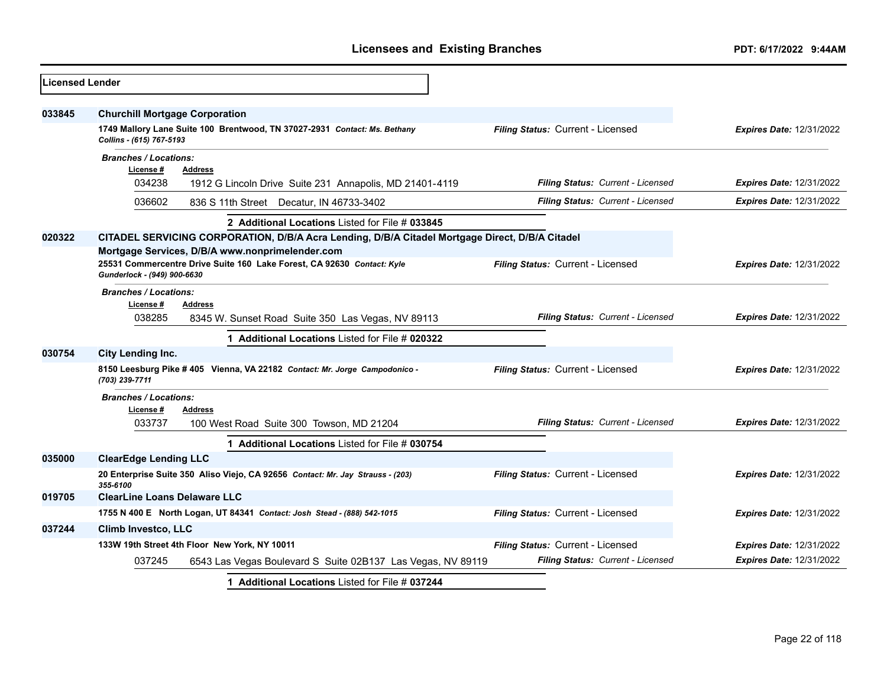| <b>Licensed Lender</b> |                                                                                                       |                                   |                                 |
|------------------------|-------------------------------------------------------------------------------------------------------|-----------------------------------|---------------------------------|
| 033845                 | <b>Churchill Mortgage Corporation</b>                                                                 |                                   |                                 |
|                        | 1749 Mallory Lane Suite 100 Brentwood, TN 37027-2931 Contact: Ms. Bethany<br>Collins - (615) 767-5193 | Filing Status: Current - Licensed | <b>Expires Date: 12/31/2022</b> |
|                        | <b>Branches / Locations:</b>                                                                          |                                   |                                 |
|                        | License #<br><b>Address</b><br>034238<br>1912 G Lincoln Drive Suite 231 Annapolis, MD 21401-4119      | Filing Status: Current - Licensed | <b>Expires Date: 12/31/2022</b> |
|                        | 036602<br>836 S 11th Street Decatur, IN 46733-3402                                                    | Filing Status: Current - Licensed | <b>Expires Date: 12/31/2022</b> |
|                        | 2 Additional Locations Listed for File # 033845                                                       |                                   |                                 |
| 020322                 | CITADEL SERVICING CORPORATION, D/B/A Acra Lending, D/B/A Citadel Mortgage Direct, D/B/A Citadel       |                                   |                                 |
|                        | Mortgage Services, D/B/A www.nonprimelender.com                                                       |                                   |                                 |
|                        | 25531 Commercentre Drive Suite 160 Lake Forest, CA 92630 Contact: Kyle<br>Gunderlock - (949) 900-6630 | Filing Status: Current - Licensed | <b>Expires Date: 12/31/2022</b> |
|                        | <b>Branches / Locations:</b>                                                                          |                                   |                                 |
|                        | License#<br>Address                                                                                   |                                   |                                 |
|                        | 038285<br>8345 W. Sunset Road Suite 350 Las Vegas, NV 89113                                           | Filing Status: Current - Licensed | <b>Expires Date: 12/31/2022</b> |
|                        | 1 Additional Locations Listed for File # 020322                                                       |                                   |                                 |
| 030754                 | <b>City Lending Inc.</b>                                                                              |                                   |                                 |
|                        | 8150 Leesburg Pike #405 Vienna, VA 22182 Contact: Mr. Jorge Campodonico -<br>(703) 239-7711           | Filing Status: Current - Licensed | <b>Expires Date: 12/31/2022</b> |
|                        | <b>Branches / Locations:</b>                                                                          |                                   |                                 |
|                        | License #<br>Address                                                                                  |                                   |                                 |
|                        | 033737<br>100 West Road Suite 300 Towson, MD 21204                                                    | Filing Status: Current - Licensed | <b>Expires Date: 12/31/2022</b> |
|                        | 1 Additional Locations Listed for File # 030754                                                       |                                   |                                 |
| 035000                 | <b>ClearEdge Lending LLC</b>                                                                          |                                   |                                 |
|                        | 20 Enterprise Suite 350 Aliso Viejo, CA 92656 Contact: Mr. Jay Strauss - (203)<br>355-6100            | Filing Status: Current - Licensed | <b>Expires Date: 12/31/2022</b> |
| 019705                 | <b>ClearLine Loans Delaware LLC</b>                                                                   |                                   |                                 |
|                        | 1755 N 400 E North Logan, UT 84341 Contact: Josh Stead - (888) 542-1015                               | Filing Status: Current - Licensed | <b>Expires Date: 12/31/2022</b> |
| 037244                 | <b>Climb Investco, LLC</b>                                                                            |                                   |                                 |
|                        | 133W 19th Street 4th Floor New York, NY 10011                                                         | Filing Status: Current - Licensed | <b>Expires Date: 12/31/2022</b> |
|                        | 037245<br>6543 Las Vegas Boulevard S Suite 02B137 Las Vegas, NV 89119                                 | Filing Status: Current - Licensed | <b>Expires Date: 12/31/2022</b> |
|                        | 1 Additional Locations Listed for File # 037244                                                       |                                   |                                 |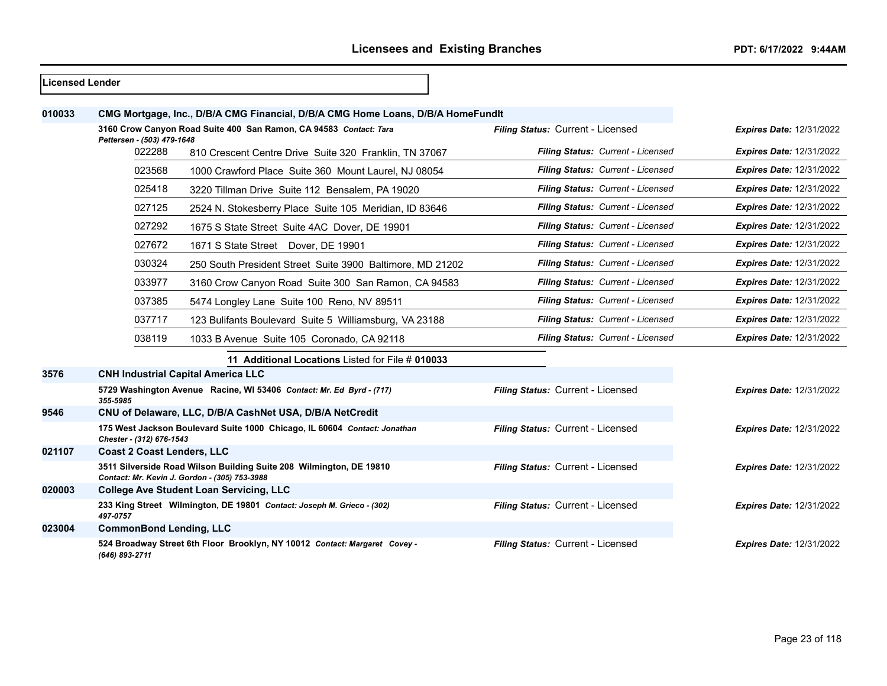| Licensed Lender |                                      |                                                                                                                      |                                   |                                 |
|-----------------|--------------------------------------|----------------------------------------------------------------------------------------------------------------------|-----------------------------------|---------------------------------|
| 010033          |                                      | CMG Mortgage, Inc., D/B/A CMG Financial, D/B/A CMG Home Loans, D/B/A HomeFundIt                                      |                                   |                                 |
|                 |                                      | 3160 Crow Canyon Road Suite 400 San Ramon, CA 94583 Contact: Tara                                                    | Filing Status: Current - Licensed | <b>Expires Date: 12/31/2022</b> |
|                 | Pettersen - (503) 479-1648<br>022288 | 810 Crescent Centre Drive Suite 320 Franklin, TN 37067                                                               | Filing Status: Current - Licensed | <b>Expires Date: 12/31/2022</b> |
|                 | 023568                               | 1000 Crawford Place Suite 360 Mount Laurel, NJ 08054                                                                 | Filing Status: Current - Licensed | <b>Expires Date: 12/31/2022</b> |
|                 | 025418                               | 3220 Tillman Drive Suite 112 Bensalem, PA 19020                                                                      | Filing Status: Current - Licensed | <b>Expires Date: 12/31/2022</b> |
|                 | 027125                               | 2524 N. Stokesberry Place Suite 105 Meridian, ID 83646                                                               | Filing Status: Current - Licensed | <b>Expires Date: 12/31/2022</b> |
|                 | 027292                               | 1675 S State Street Suite 4AC Dover, DE 19901                                                                        | Filing Status: Current - Licensed | <b>Expires Date: 12/31/2022</b> |
|                 | 027672                               | 1671 S State Street Dover, DE 19901                                                                                  | Filing Status: Current - Licensed | <b>Expires Date: 12/31/2022</b> |
|                 | 030324                               | 250 South President Street Suite 3900 Baltimore, MD 21202                                                            | Filing Status: Current - Licensed | <b>Expires Date: 12/31/2022</b> |
|                 | 033977                               | 3160 Crow Canyon Road Suite 300 San Ramon, CA 94583                                                                  | Filing Status: Current - Licensed | <b>Expires Date: 12/31/2022</b> |
|                 | 037385                               | 5474 Longley Lane Suite 100 Reno, NV 89511                                                                           | Filing Status: Current - Licensed | <b>Expires Date: 12/31/2022</b> |
|                 | 037717                               | 123 Bulifants Boulevard Suite 5 Williamsburg, VA 23188                                                               | Filing Status: Current - Licensed | <b>Expires Date: 12/31/2022</b> |
|                 | 038119                               | 1033 B Avenue Suite 105 Coronado, CA 92118                                                                           | Filing Status: Current - Licensed | <b>Expires Date: 12/31/2022</b> |
|                 |                                      | 11 Additional Locations Listed for File # 010033                                                                     |                                   |                                 |
| 3576            |                                      | <b>CNH Industrial Capital America LLC</b>                                                                            |                                   |                                 |
|                 | 355-5985                             | 5729 Washington Avenue Racine, WI 53406 Contact: Mr. Ed Byrd - (717)                                                 | Filing Status: Current - Licensed | <b>Expires Date: 12/31/2022</b> |
| 9546            |                                      | CNU of Delaware, LLC, D/B/A CashNet USA, D/B/A NetCredit                                                             |                                   |                                 |
|                 | Chester - (312) 676-1543             | 175 West Jackson Boulevard Suite 1000 Chicago, IL 60604 Contact: Jonathan                                            | Filing Status: Current - Licensed | <b>Expires Date: 12/31/2022</b> |
| 021107          | <b>Coast 2 Coast Lenders, LLC</b>    |                                                                                                                      |                                   |                                 |
|                 |                                      | 3511 Silverside Road Wilson Building Suite 208 Wilmington, DE 19810<br>Contact: Mr. Kevin J. Gordon - (305) 753-3988 | Filing Status: Current - Licensed | <b>Expires Date: 12/31/2022</b> |
| 020003          |                                      | <b>College Ave Student Loan Servicing, LLC</b>                                                                       |                                   |                                 |
|                 | 497-0757                             | 233 King Street Wilmington, DE 19801 Contact: Joseph M. Grieco - (302)                                               | Filing Status: Current - Licensed | <b>Expires Date: 12/31/2022</b> |
| 023004          | <b>CommonBond Lending, LLC</b>       |                                                                                                                      |                                   |                                 |
|                 | (646) 893-2711                       | 524 Broadway Street 6th Floor Brooklyn, NY 10012 Contact: Margaret Covey -                                           | Filing Status: Current - Licensed | <b>Expires Date: 12/31/2022</b> |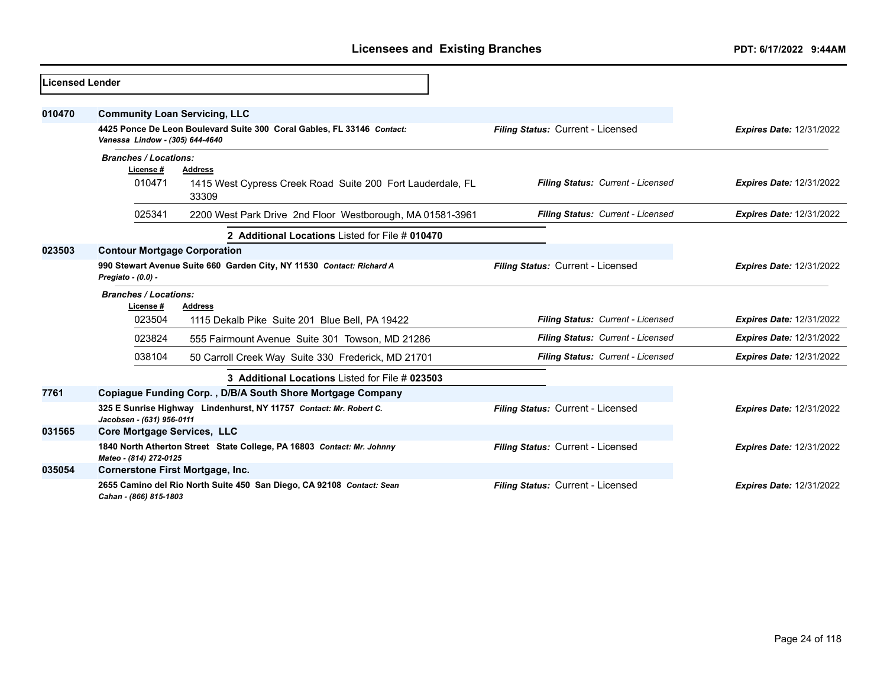| Licensed Lender |                                           |                                                                        |                                   |                                 |
|-----------------|-------------------------------------------|------------------------------------------------------------------------|-----------------------------------|---------------------------------|
| 010470          | <b>Community Loan Servicing, LLC</b>      |                                                                        |                                   |                                 |
|                 | Vanessa Lindow - (305) 644-4640           | 4425 Ponce De Leon Boulevard Suite 300 Coral Gables, FL 33146 Contact: | Filing Status: Current - Licensed | <b>Expires Date: 12/31/2022</b> |
|                 | <b>Branches / Locations:</b><br>License # | <b>Address</b>                                                         |                                   |                                 |
|                 | 010471                                    | 1415 West Cypress Creek Road Suite 200 Fort Lauderdale, FL<br>33309    | Filing Status: Current - Licensed | <b>Expires Date: 12/31/2022</b> |
|                 | 025341                                    | 2200 West Park Drive 2nd Floor Westborough, MA 01581-3961              | Filing Status: Current - Licensed | <b>Expires Date: 12/31/2022</b> |
|                 |                                           | 2 Additional Locations Listed for File # 010470                        |                                   |                                 |
| 023503          | <b>Contour Mortgage Corporation</b>       |                                                                        |                                   |                                 |
|                 | Pregiato - (0.0) -                        | 990 Stewart Avenue Suite 660 Garden City, NY 11530 Contact: Richard A  | Filing Status: Current - Licensed | <b>Expires Date: 12/31/2022</b> |
|                 | <b>Branches / Locations:</b><br>License#  | <b>Address</b>                                                         |                                   |                                 |
|                 | 023504                                    | 1115 Dekalb Pike Suite 201 Blue Bell, PA 19422                         | Filing Status: Current - Licensed | <b>Expires Date: 12/31/2022</b> |
|                 | 023824                                    | 555 Fairmount Avenue Suite 301 Towson, MD 21286                        | Filing Status: Current - Licensed | <b>Expires Date: 12/31/2022</b> |
|                 | 038104                                    | 50 Carroll Creek Way Suite 330 Frederick, MD 21701                     | Filing Status: Current - Licensed | <b>Expires Date: 12/31/2022</b> |
|                 |                                           | 3 Additional Locations Listed for File # 023503                        |                                   |                                 |
| 7761            |                                           | Copiague Funding Corp., D/B/A South Shore Mortgage Company             |                                   |                                 |
|                 | Jacobsen - (631) 956-0111                 | 325 E Sunrise Highway Lindenhurst, NY 11757 Contact: Mr. Robert C.     | Filing Status: Current - Licensed | <b>Expires Date: 12/31/2022</b> |
| 031565          | <b>Core Mortgage Services, LLC</b>        |                                                                        |                                   |                                 |
|                 | Mateo - (814) 272-0125                    | 1840 North Atherton Street State College, PA 16803 Contact: Mr. Johnny | Filing Status: Current - Licensed | <b>Expires Date: 12/31/2022</b> |
| 035054          | <b>Cornerstone First Mortgage, Inc.</b>   |                                                                        |                                   |                                 |
|                 | Cahan - (866) 815-1803                    | 2655 Camino del Rio North Suite 450 San Diego, CA 92108 Contact: Sean  | Filing Status: Current - Licensed | <b>Expires Date: 12/31/2022</b> |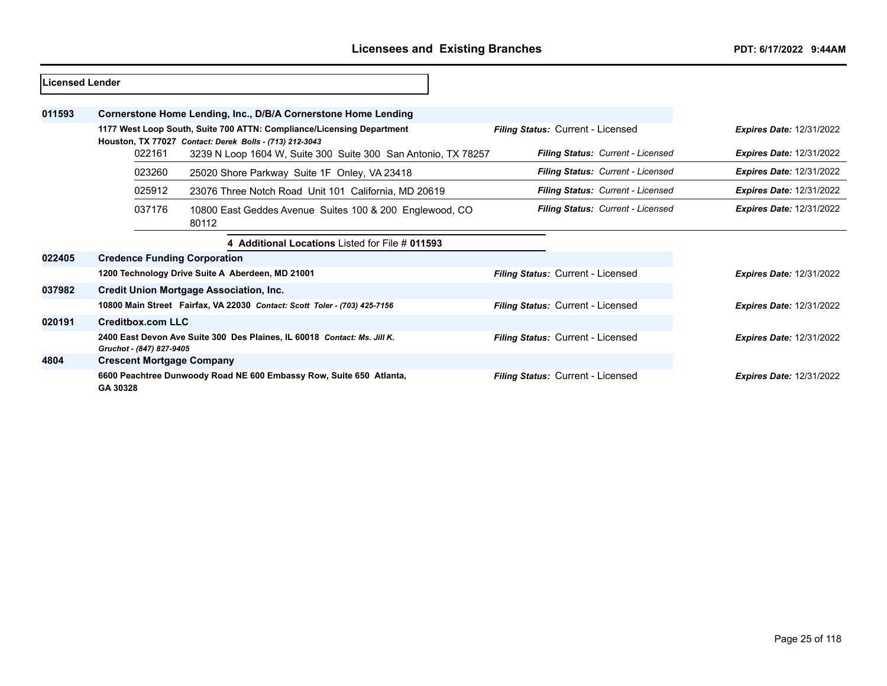| lLicensed Lender |          |                          |                                                |                                                                                                                                  |                                          |                                   |                                 |
|------------------|----------|--------------------------|------------------------------------------------|----------------------------------------------------------------------------------------------------------------------------------|------------------------------------------|-----------------------------------|---------------------------------|
| 011593           |          |                          |                                                | Cornerstone Home Lending, Inc., D/B/A Cornerstone Home Lending                                                                   |                                          |                                   |                                 |
|                  |          |                          |                                                | 1177 West Loop South, Suite 700 ATTN: Compliance/Licensing Department<br>Houston, TX 77027 Contact: Derek Bolls - (713) 212-3043 | Filing Status: Current - Licensed        |                                   | <b>Expires Date: 12/31/2022</b> |
|                  |          | 022161                   |                                                | 3239 N Loop 1604 W, Suite 300 Suite 300 San Antonio, TX 78257                                                                    |                                          | Filing Status: Current - Licensed | <b>Expires Date: 12/31/2022</b> |
|                  |          | 023260                   |                                                | 25020 Shore Parkway Suite 1F Onley, VA 23418                                                                                     |                                          | Filing Status: Current - Licensed | <b>Expires Date: 12/31/2022</b> |
|                  |          | 025912                   |                                                | 23076 Three Notch Road Unit 101 California, MD 20619                                                                             |                                          | Filing Status: Current - Licensed | <b>Expires Date: 12/31/2022</b> |
|                  |          | 037176                   | 80112                                          | 10800 East Geddes Avenue Suites 100 & 200 Englewood, CO                                                                          |                                          | Filing Status: Current - Licensed | <b>Expires Date: 12/31/2022</b> |
|                  |          |                          |                                                | 4 Additional Locations Listed for File # 011593                                                                                  |                                          |                                   |                                 |
| 022405           |          |                          | <b>Credence Funding Corporation</b>            |                                                                                                                                  |                                          |                                   |                                 |
|                  |          |                          |                                                | 1200 Technology Drive Suite A Aberdeen, MD 21001                                                                                 | Filing Status: Current - Licensed        |                                   | <b>Expires Date: 12/31/2022</b> |
| 037982           |          |                          | <b>Credit Union Mortgage Association, Inc.</b> |                                                                                                                                  |                                          |                                   |                                 |
|                  |          |                          |                                                | 10800 Main Street Fairfax, VA 22030 Contact: Scott Toler - (703) 425-7156                                                        | Filing Status: Current - Licensed        |                                   | <b>Expires Date: 12/31/2022</b> |
| 020191           |          | <b>Creditbox.com LLC</b> |                                                |                                                                                                                                  |                                          |                                   |                                 |
|                  |          | Gruchot - (847) 827-9405 |                                                | 2400 East Devon Ave Suite 300 Des Plaines, IL 60018 Contact: Ms. Jill K.                                                         | <b>Filing Status: Current - Licensed</b> |                                   | <b>Expires Date: 12/31/2022</b> |
| 4804             |          |                          | <b>Crescent Mortgage Company</b>               |                                                                                                                                  |                                          |                                   |                                 |
|                  | GA 30328 |                          |                                                | 6600 Peachtree Dunwoody Road NE 600 Embassy Row, Suite 650 Atlanta,                                                              | <b>Filing Status: Current - Licensed</b> |                                   | <b>Expires Date: 12/31/2022</b> |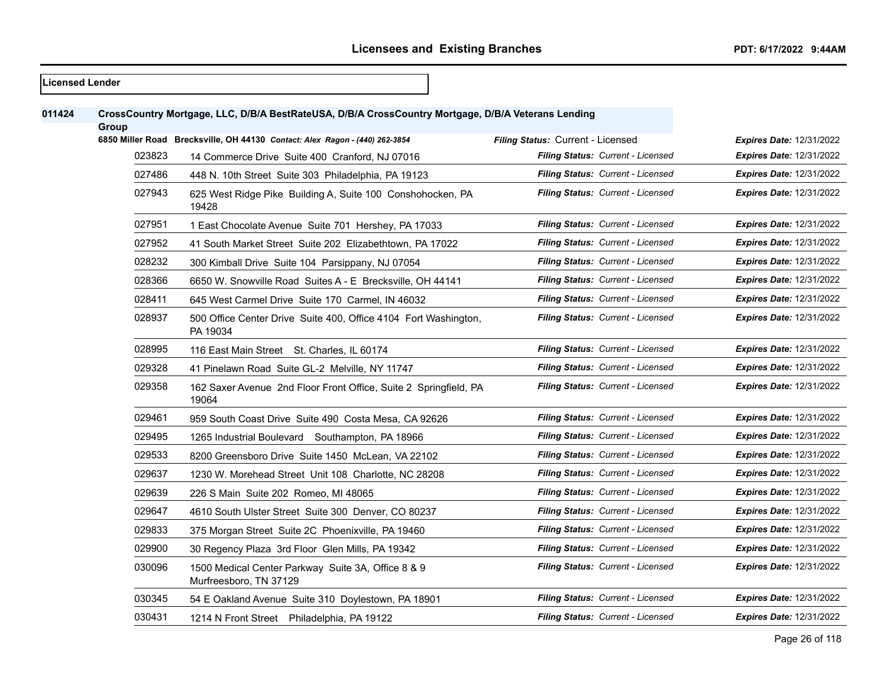## **Licensed Lender CrossCountry Mortgage, LLC, D/B/A BestRateUSA, D/B/A CrossCountry Mortgage, D/B/A Veterans Lending Group 6850 Miller Road Brecksville, OH 44130** *Contact: Alex Ragon - (440) 262-3854 Filing Status:* Current - Licensed *Expires Date:* 12/31/2022 14 Commerce Drive Suite 400 Cranford, NJ 07016 *Filing Status: Current - Licensed Expires Date:* 12/31/2022 448 N. 10th Street Suite 303 Philadelphia, PA 19123 *Filing Status: Current - Licensed Expires Date:* 12/31/2022 625 West Ridge Pike Building A, Suite 100 Conshohocken, PA *Filing Status: Current - Licensed Expires Date:* 12/31/2022 1 East Chocolate Avenue Suite 701 Hershey, PA 17033 *Filing Status: Current - Licensed Expires Date:* 12/31/2022 41 South Market Street Suite 202 Elizabethtown, PA 17022 *Filing Status: Current - Licensed Expires Date:* 12/31/2022 300 Kimball Drive Suite 104 Parsippany, NJ 07054 *Filing Status: Current - Licensed Expires Date:* 12/31/2022 6650 W. Snowville Road Suites A - E Brecksville, OH 44141 *Filing Status: Current - Licensed Expires Date:* 12/31/2022 645 West Carmel Drive Suite 170 Carmel, IN 46032 *Filing Status: Current - Licensed Expires Date:* 12/31/2022 500 Office Center Drive Suite 400, Office 4104 Fort Washington, PA 19034 *Filing Status: Current - Licensed Expires Date:* 12/31/2022 116 East Main Street St. Charles, IL 60174 *Filing Status: Current - Licensed Expires Date:* 12/31/2022 41 Pinelawn Road Suite GL-2 Melville, NY 11747 *Filing Status: Current - Licensed Expires Date:* 12/31/2022 162 Saxer Avenue 2nd Floor Front Office, Suite 2 Springfield, PA *Filing Status: Current - Licensed Expires Date:* 12/31/2022 959 South Coast Drive Suite 490 Costa Mesa, CA 92626 *Filing Status: Current - Licensed Expires Date:* 12/31/2022 1265 Industrial Boulevard Southampton, PA 18966 *Filing Status: Current - Licensed Expires Date:* 12/31/2022 8200 Greensboro Drive Suite 1450 McLean, VA 22102 *Filing Status: Current - Licensed Expires Date:* 12/31/2022 1230 W. Morehead Street Unit 108 Charlotte, NC 28208 *Filing Status: Current - Licensed Expires Date:* 12/31/2022 226 S Main Suite 202 Romeo, MI 48065 *Filing Status: Current - Licensed Expires Date:* 12/31/2022 4610 South Ulster Street Suite 300 Denver, CO 80237 *Filing Status: Current - Licensed Expires Date:* 12/31/2022 375 Morgan Street Suite 2C Phoenixville, PA 19460 *Filing Status: Current - Licensed Expires Date:* 12/31/2022 30 Regency Plaza 3rd Floor Glen Mills, PA 19342 *Filing Status: Current - Licensed Expires Date:* 12/31/2022 1500 Medical Center Parkway Suite 3A, Office 8 & 9 Murfreesboro, TN 37129 *Filing Status: Current - Licensed Expires Date:* 12/31/2022 54 E Oakland Avenue Suite 310 Doylestown, PA 18901 *Filing Status: Current - Licensed Expires Date:* 12/31/2022 1214 N Front Street Philadelphia, PA 19122 *Filing Status: Current - Licensed Expires Date:* 12/31/2022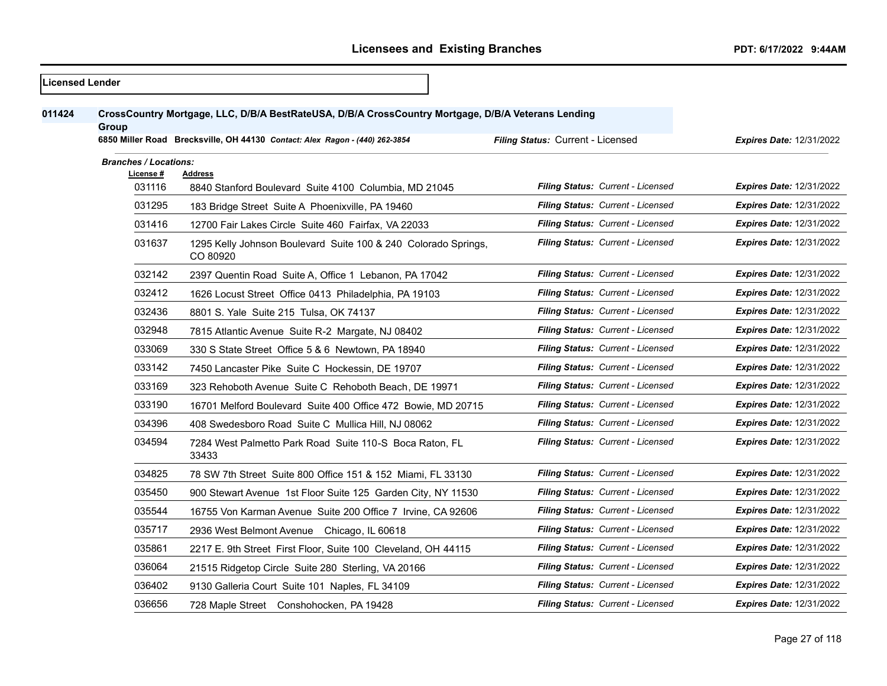| <b>Licensed Lender</b> |                              |                                                                                                                                                                                   |                                          |                                 |
|------------------------|------------------------------|-----------------------------------------------------------------------------------------------------------------------------------------------------------------------------------|------------------------------------------|---------------------------------|
| 011424                 | Group                        | CrossCountry Mortgage, LLC, D/B/A BestRateUSA, D/B/A CrossCountry Mortgage, D/B/A Veterans Lending<br>6850 Miller Road Brecksville, OH 44130 Contact: Alex Ragon - (440) 262-3854 | Filing Status: Current - Licensed        | <b>Expires Date: 12/31/2022</b> |
|                        | <b>Branches / Locations:</b> |                                                                                                                                                                                   |                                          |                                 |
|                        | License #                    | <b>Address</b>                                                                                                                                                                    |                                          |                                 |
|                        | 031116                       | 8840 Stanford Boulevard Suite 4100 Columbia, MD 21045                                                                                                                             | <b>Filing Status: Current - Licensed</b> | <b>Expires Date: 12/31/2022</b> |
|                        | 031295                       | 183 Bridge Street Suite A Phoenixville, PA 19460                                                                                                                                  | Filing Status: Current - Licensed        | <b>Expires Date: 12/31/2022</b> |
|                        | 031416                       | 12700 Fair Lakes Circle Suite 460 Fairfax, VA 22033                                                                                                                               | Filing Status: Current - Licensed        | <b>Expires Date: 12/31/2022</b> |
|                        | 031637                       | 1295 Kelly Johnson Boulevard Suite 100 & 240 Colorado Springs,<br>CO 80920                                                                                                        | <b>Filing Status: Current - Licensed</b> | <b>Expires Date: 12/31/2022</b> |
|                        | 032142                       | 2397 Quentin Road Suite A, Office 1 Lebanon, PA 17042                                                                                                                             | Filing Status: Current - Licensed        | Expires Date: 12/31/2022        |
|                        | 032412                       | 1626 Locust Street Office 0413 Philadelphia, PA 19103                                                                                                                             | Filing Status: Current - Licensed        | <b>Expires Date: 12/31/2022</b> |
|                        | 032436                       | 8801 S. Yale Suite 215 Tulsa, OK 74137                                                                                                                                            | Filing Status: Current - Licensed        | <b>Expires Date: 12/31/2022</b> |
|                        | 032948                       | 7815 Atlantic Avenue Suite R-2 Margate, NJ 08402                                                                                                                                  | Filing Status: Current - Licensed        | <b>Expires Date: 12/31/2022</b> |
|                        | 033069                       | 330 S State Street Office 5 & 6 Newtown, PA 18940                                                                                                                                 | Filing Status: Current - Licensed        | <b>Expires Date: 12/31/2022</b> |
|                        | 033142                       | 7450 Lancaster Pike Suite C Hockessin, DE 19707                                                                                                                                   | Filing Status: Current - Licensed        | <b>Expires Date: 12/31/2022</b> |
|                        | 033169                       | 323 Rehoboth Avenue Suite C Rehoboth Beach, DE 19971                                                                                                                              | <b>Filing Status: Current - Licensed</b> | <b>Expires Date: 12/31/2022</b> |
|                        | 033190                       | 16701 Melford Boulevard Suite 400 Office 472 Bowie, MD 20715                                                                                                                      | Filing Status: Current - Licensed        | <b>Expires Date: 12/31/2022</b> |
|                        | 034396                       | 408 Swedesboro Road Suite C Mullica Hill, NJ 08062                                                                                                                                | Filing Status: Current - Licensed        | Expires Date: 12/31/2022        |
|                        | 034594                       | 7284 West Palmetto Park Road Suite 110-S Boca Raton, FL<br>33433                                                                                                                  | <b>Filing Status: Current - Licensed</b> | <b>Expires Date: 12/31/2022</b> |
|                        | 034825                       | 78 SW 7th Street Suite 800 Office 151 & 152 Miami, FL 33130                                                                                                                       | Filing Status: Current - Licensed        | <b>Expires Date: 12/31/2022</b> |
|                        | 035450                       | 900 Stewart Avenue 1st Floor Suite 125 Garden City, NY 11530                                                                                                                      | Filing Status: Current - Licensed        | <b>Expires Date: 12/31/2022</b> |
|                        | 035544                       | 16755 Von Karman Avenue Suite 200 Office 7 Irvine, CA 92606                                                                                                                       | Filing Status: Current - Licensed        | <b>Expires Date: 12/31/2022</b> |
|                        | 035717                       | 2936 West Belmont Avenue Chicago, IL 60618                                                                                                                                        | <b>Filing Status: Current - Licensed</b> | <b>Expires Date: 12/31/2022</b> |
|                        | 035861                       | 2217 E. 9th Street First Floor, Suite 100 Cleveland, OH 44115                                                                                                                     | Filing Status: Current - Licensed        | Expires Date: 12/31/2022        |
|                        | 036064                       | 21515 Ridgetop Circle Suite 280 Sterling, VA 20166                                                                                                                                | Filing Status: Current - Licensed        | <b>Expires Date: 12/31/2022</b> |
|                        | 036402                       | 9130 Galleria Court Suite 101 Naples, FL 34109                                                                                                                                    | Filing Status: Current - Licensed        | <b>Expires Date: 12/31/2022</b> |
|                        | 036656                       | 728 Maple Street Conshohocken, PA 19428                                                                                                                                           | Filing Status: Current - Licensed        | <b>Expires Date: 12/31/2022</b> |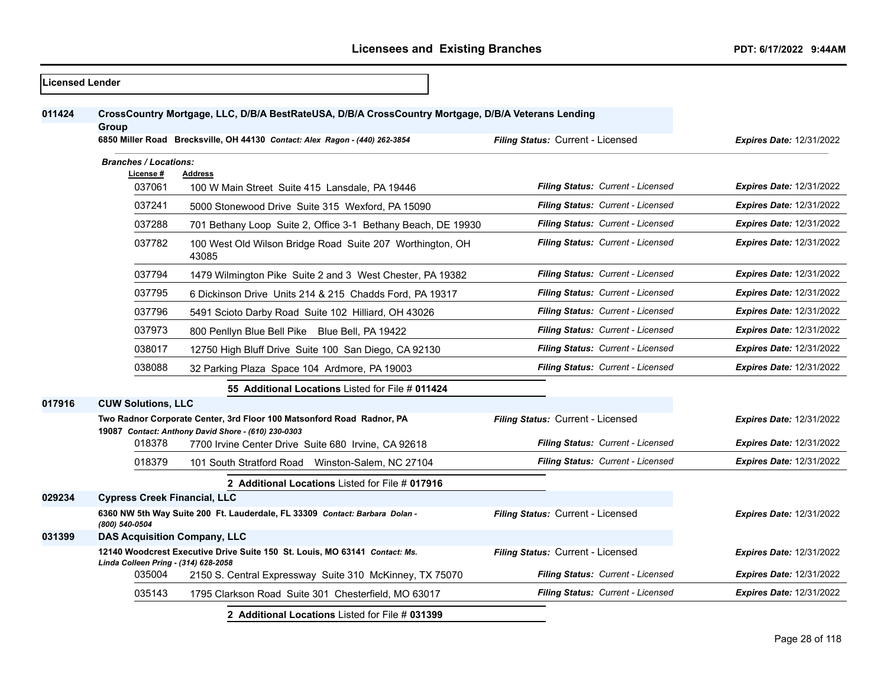| <b>Licensed Lender</b> |                              |                                                                                                                                                                                   |                                          |                                 |
|------------------------|------------------------------|-----------------------------------------------------------------------------------------------------------------------------------------------------------------------------------|------------------------------------------|---------------------------------|
| 011424                 | Group                        | CrossCountry Mortgage, LLC, D/B/A BestRateUSA, D/B/A CrossCountry Mortgage, D/B/A Veterans Lending<br>6850 Miller Road Brecksville, OH 44130 Contact: Alex Ragon - (440) 262-3854 | Filing Status: Current - Licensed        | <b>Expires Date: 12/31/2022</b> |
|                        | <b>Branches / Locations:</b> |                                                                                                                                                                                   |                                          |                                 |
|                        | License #<br>037061          | <b>Address</b><br>100 W Main Street Suite 415 Lansdale, PA 19446                                                                                                                  | Filing Status: Current - Licensed        | <b>Expires Date: 12/31/2022</b> |
|                        | 037241                       | 5000 Stonewood Drive Suite 315 Wexford, PA 15090                                                                                                                                  | Filing Status: Current - Licensed        | <b>Expires Date: 12/31/2022</b> |
|                        | 037288                       | 701 Bethany Loop Suite 2, Office 3-1 Bethany Beach, DE 19930                                                                                                                      | Filing Status: Current - Licensed        | <b>Expires Date: 12/31/2022</b> |
|                        | 037782                       | 100 West Old Wilson Bridge Road Suite 207 Worthington, OH<br>43085                                                                                                                | Filing Status: Current - Licensed        | <b>Expires Date: 12/31/2022</b> |
|                        | 037794                       | 1479 Wilmington Pike Suite 2 and 3 West Chester, PA 19382                                                                                                                         | Filing Status: Current - Licensed        | <b>Expires Date: 12/31/2022</b> |
|                        | 037795                       | 6 Dickinson Drive Units 214 & 215 Chadds Ford, PA 19317                                                                                                                           | Filing Status: Current - Licensed        | <b>Expires Date: 12/31/2022</b> |
|                        | 037796                       | 5491 Scioto Darby Road Suite 102 Hilliard, OH 43026                                                                                                                               | Filing Status: Current - Licensed        | <b>Expires Date: 12/31/2022</b> |
|                        | 037973                       | 800 Penllyn Blue Bell Pike Blue Bell, PA 19422                                                                                                                                    | Filing Status: Current - Licensed        | <b>Expires Date: 12/31/2022</b> |
|                        | 038017                       | 12750 High Bluff Drive Suite 100 San Diego, CA 92130                                                                                                                              | <b>Filing Status: Current - Licensed</b> | <b>Expires Date: 12/31/2022</b> |
|                        | 038088                       | 32 Parking Plaza Space 104 Ardmore, PA 19003                                                                                                                                      | Filing Status: Current - Licensed        | <b>Expires Date: 12/31/2022</b> |
|                        |                              | 55 Additional Locations Listed for File # 011424                                                                                                                                  |                                          |                                 |
| 017916                 | <b>CUW Solutions, LLC</b>    |                                                                                                                                                                                   |                                          |                                 |
|                        |                              | Two Radnor Corporate Center, 3rd Floor 100 Matsonford Road Radnor, PA<br>19087 Contact: Anthony David Shore - (610) 230-0303                                                      | Filing Status: Current - Licensed        | <b>Expires Date: 12/31/2022</b> |
|                        | 018378                       | 7700 Irvine Center Drive Suite 680 Irvine, CA 92618                                                                                                                               | Filing Status: Current - Licensed        | <b>Expires Date: 12/31/2022</b> |
|                        | 018379                       | 101 South Stratford Road Winston-Salem, NC 27104                                                                                                                                  | Filing Status: Current - Licensed        | <b>Expires Date: 12/31/2022</b> |
|                        |                              | 2 Additional Locations Listed for File # 017916                                                                                                                                   |                                          |                                 |
| 029234                 |                              | <b>Cypress Creek Financial, LLC</b>                                                                                                                                               |                                          |                                 |
|                        | (800) 540-0504               | 6360 NW 5th Way Suite 200 Ft. Lauderdale, FL 33309 Contact: Barbara Dolan -                                                                                                       | Filing Status: Current - Licensed        | Expires Date: 12/31/2022        |
| 031399                 |                              | <b>DAS Acquisition Company, LLC</b>                                                                                                                                               |                                          |                                 |
|                        |                              | 12140 Woodcrest Executive Drive Suite 150 St. Louis, MO 63141 Contact: Ms.                                                                                                        | Filing Status: Current - Licensed        | <b>Expires Date: 12/31/2022</b> |
|                        | 035004                       | Linda Colleen Pring - (314) 628-2058<br>2150 S. Central Expressway Suite 310 McKinney, TX 75070                                                                                   | Filing Status: Current - Licensed        | Expires Date: 12/31/2022        |
|                        | 035143                       | 1795 Clarkson Road Suite 301 Chesterfield, MO 63017                                                                                                                               | Filing Status: Current - Licensed        | <b>Expires Date: 12/31/2022</b> |
|                        |                              | 2 Additional Locations Listed for File # 031399                                                                                                                                   |                                          |                                 |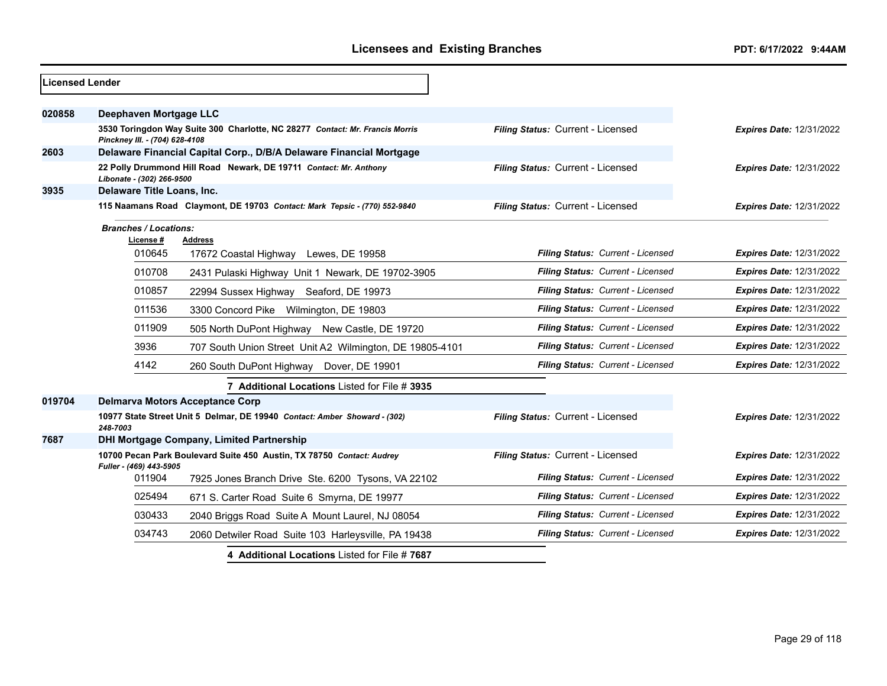| <b>Licensed Lender</b> |                                          |                                                                              |                                   |                                 |
|------------------------|------------------------------------------|------------------------------------------------------------------------------|-----------------------------------|---------------------------------|
| 020858                 | Deephaven Mortgage LLC                   |                                                                              |                                   |                                 |
|                        | Pinckney III. - (704) 628-4108           | 3530 Toringdon Way Suite 300 Charlotte, NC 28277 Contact: Mr. Francis Morris | Filing Status: Current - Licensed | <b>Expires Date: 12/31/2022</b> |
| 2603                   |                                          | Delaware Financial Capital Corp., D/B/A Delaware Financial Mortgage          |                                   |                                 |
|                        | Libonate - (302) 266-9500                | 22 Polly Drummond Hill Road Newark, DE 19711 Contact: Mr. Anthony            | Filing Status: Current - Licensed | <b>Expires Date: 12/31/2022</b> |
| 3935                   | Delaware Title Loans, Inc.               |                                                                              |                                   |                                 |
|                        |                                          | 115 Naamans Road Claymont, DE 19703 Contact: Mark Tepsic - (770) 552-9840    | Filing Status: Current - Licensed | <b>Expires Date: 12/31/2022</b> |
|                        | <b>Branches / Locations:</b><br>License# | Address                                                                      |                                   |                                 |
|                        | 010645                                   | 17672 Coastal Highway Lewes, DE 19958                                        | Filing Status: Current - Licensed | Expires Date: 12/31/2022        |
|                        | 010708                                   | 2431 Pulaski Highway Unit 1 Newark, DE 19702-3905                            | Filing Status: Current - Licensed | <b>Expires Date: 12/31/2022</b> |
|                        | 010857                                   | 22994 Sussex Highway Seaford, DE 19973                                       | Filing Status: Current - Licensed | Expires Date: 12/31/2022        |
|                        | 011536                                   | 3300 Concord Pike Wilmington, DE 19803                                       | Filing Status: Current - Licensed | Expires Date: 12/31/2022        |
|                        | 011909                                   | 505 North DuPont Highway New Castle, DE 19720                                | Filing Status: Current - Licensed | <b>Expires Date: 12/31/2022</b> |
|                        | 3936                                     | 707 South Union Street Unit A2 Wilmington, DE 19805-4101                     | Filing Status: Current - Licensed | <b>Expires Date: 12/31/2022</b> |
|                        | 4142                                     | 260 South DuPont Highway Dover, DE 19901                                     | Filing Status: Current - Licensed | <b>Expires Date: 12/31/2022</b> |
|                        |                                          | 7 Additional Locations Listed for File # 3935                                |                                   |                                 |
| 019704                 | <b>Delmarva Motors Acceptance Corp</b>   |                                                                              |                                   |                                 |
|                        | 248-7003                                 | 10977 State Street Unit 5 Delmar, DE 19940 Contact: Amber Showard - (302)    | Filing Status: Current - Licensed | <b>Expires Date: 12/31/2022</b> |
| 7687                   |                                          | <b>DHI Mortgage Company, Limited Partnership</b>                             |                                   |                                 |
|                        | Fuller - (469) 443-5905                  | 10700 Pecan Park Boulevard Suite 450 Austin, TX 78750 Contact: Audrey        | Filing Status: Current - Licensed | <b>Expires Date: 12/31/2022</b> |
|                        | 011904                                   | 7925 Jones Branch Drive Ste. 6200 Tysons, VA 22102                           | Filing Status: Current - Licensed | <b>Expires Date: 12/31/2022</b> |
|                        | 025494                                   | 671 S. Carter Road Suite 6 Smyrna, DE 19977                                  | Filing Status: Current - Licensed | <b>Expires Date: 12/31/2022</b> |
|                        | 030433                                   | 2040 Briggs Road Suite A Mount Laurel, NJ 08054                              | Filing Status: Current - Licensed | <b>Expires Date: 12/31/2022</b> |
|                        | 034743                                   | 2060 Detwiler Road Suite 103 Harleysville, PA 19438                          | Filing Status: Current - Licensed | Expires Date: 12/31/2022        |
|                        |                                          | 4 Additional Locations Listed for File #7687                                 |                                   |                                 |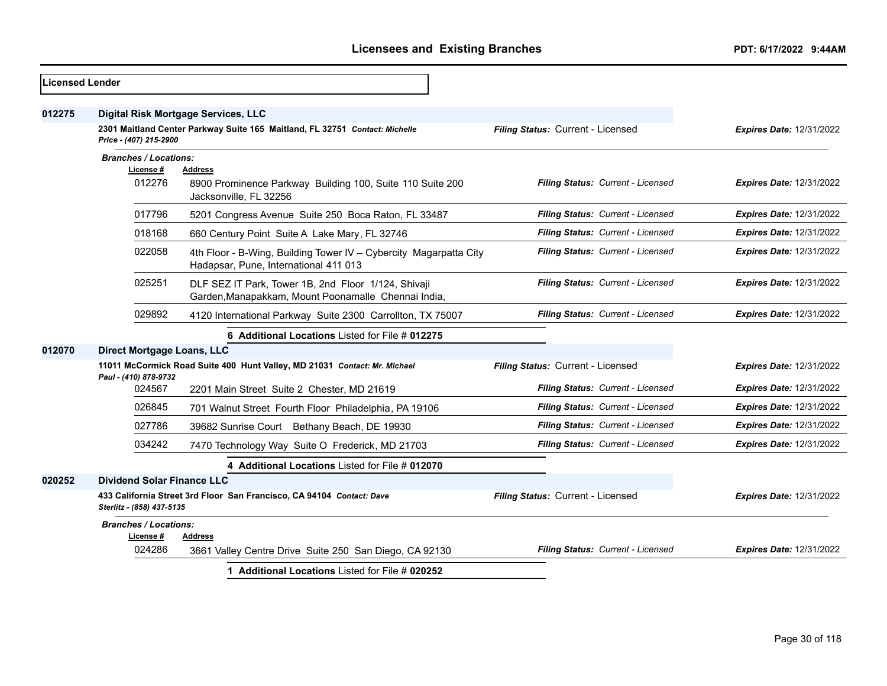| <b>Licensed Lender</b> |                                                                                                    |                                                                                                            |                                   |                                 |
|------------------------|----------------------------------------------------------------------------------------------------|------------------------------------------------------------------------------------------------------------|-----------------------------------|---------------------------------|
| 012275                 |                                                                                                    | Digital Risk Mortgage Services, LLC                                                                        |                                   |                                 |
|                        | Price - (407) 215-2900                                                                             | 2301 Maitland Center Parkway Suite 165 Maitland, FL 32751 Contact: Michelle                                | Filing Status: Current - Licensed | <b>Expires Date: 12/31/2022</b> |
|                        | <b>Branches / Locations:</b><br>License #<br>012276                                                | <b>Address</b><br>8900 Prominence Parkway Building 100, Suite 110 Suite 200<br>Jacksonville, FL 32256      | Filing Status: Current - Licensed | <b>Expires Date: 12/31/2022</b> |
|                        | 017796                                                                                             | 5201 Congress Avenue Suite 250 Boca Raton, FL 33487                                                        | Filing Status: Current - Licensed | <b>Expires Date: 12/31/2022</b> |
|                        | 018168                                                                                             | 660 Century Point Suite A Lake Mary, FL 32746                                                              | Filing Status: Current - Licensed | <b>Expires Date: 12/31/2022</b> |
|                        | 022058                                                                                             | 4th Floor - B-Wing, Building Tower IV - Cybercity Magarpatta City<br>Hadapsar, Pune, International 411 013 | Filing Status: Current - Licensed | <b>Expires Date: 12/31/2022</b> |
|                        | 025251                                                                                             | DLF SEZ IT Park, Tower 1B, 2nd Floor 1/124, Shivaji<br>Garden, Manapakkam, Mount Poonamalle Chennai India, | Filing Status: Current - Licensed | Expires Date: 12/31/2022        |
|                        | 029892                                                                                             | 4120 International Parkway Suite 2300 Carrollton, TX 75007                                                 | Filing Status: Current - Licensed | <b>Expires Date: 12/31/2022</b> |
|                        |                                                                                                    | 6 Additional Locations Listed for File # 012275                                                            |                                   |                                 |
| 012070                 | Direct Mortgage Loans, LLC                                                                         |                                                                                                            |                                   |                                 |
|                        | Paul - (410) 878-9732                                                                              | 11011 McCormick Road Suite 400 Hunt Valley, MD 21031 Contact: Mr. Michael                                  | Filing Status: Current - Licensed | <b>Expires Date: 12/31/2022</b> |
|                        | 024567                                                                                             | 2201 Main Street Suite 2 Chester, MD 21619                                                                 | Filing Status: Current - Licensed | <b>Expires Date: 12/31/2022</b> |
|                        | 026845                                                                                             | 701 Walnut Street Fourth Floor Philadelphia, PA 19106                                                      | Filing Status: Current - Licensed | <b>Expires Date: 12/31/2022</b> |
|                        | 027786                                                                                             | 39682 Sunrise Court Bethany Beach, DE 19930                                                                | Filing Status: Current - Licensed | Expires Date: 12/31/2022        |
|                        | 034242                                                                                             | 7470 Technology Way Suite O Frederick, MD 21703                                                            | Filing Status: Current - Licensed | <b>Expires Date: 12/31/2022</b> |
|                        |                                                                                                    | 4 Additional Locations Listed for File # 012070                                                            |                                   |                                 |
| 020252                 | <b>Dividend Solar Finance LLC</b>                                                                  |                                                                                                            |                                   |                                 |
|                        | 433 California Street 3rd Floor San Francisco, CA 94104 Contact: Dave<br>Sterlitz - (858) 437-5135 |                                                                                                            | Filing Status: Current - Licensed | <b>Expires Date: 12/31/2022</b> |
|                        | <b>Branches / Locations:</b>                                                                       |                                                                                                            |                                   |                                 |
|                        | License #<br>024286                                                                                | <b>Address</b><br>3661 Valley Centre Drive Suite 250 San Diego, CA 92130                                   | Filing Status: Current - Licensed | <b>Expires Date: 12/31/2022</b> |
|                        |                                                                                                    | 1 Additional Locations Listed for File # 020252                                                            |                                   |                                 |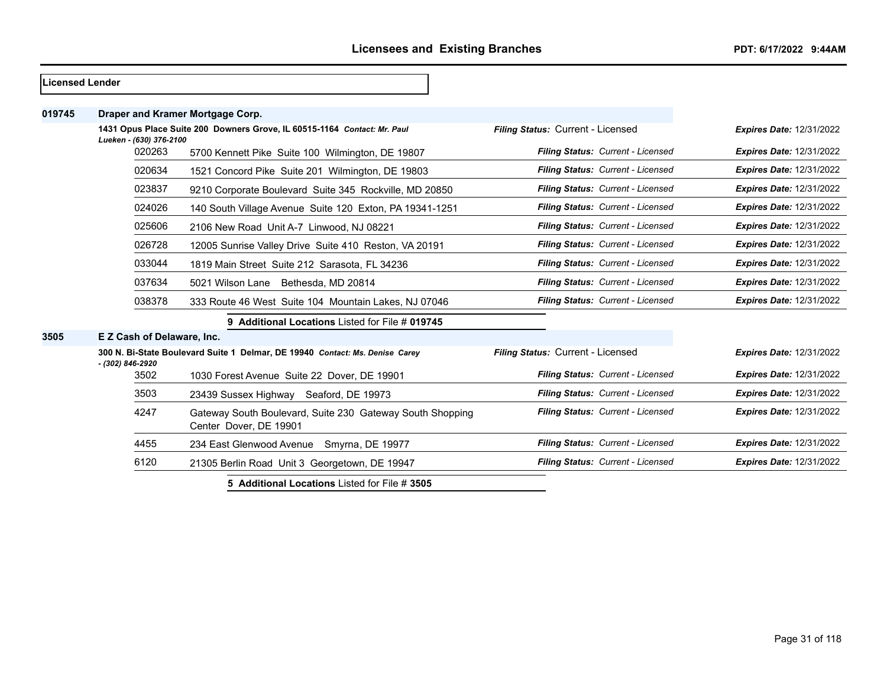| <b>Licensed Lender</b> |                            |                                                                                     |                                   |                                 |
|------------------------|----------------------------|-------------------------------------------------------------------------------------|-----------------------------------|---------------------------------|
| 019745                 |                            | Draper and Kramer Mortgage Corp.                                                    |                                   |                                 |
|                        | Lueken - (630) 376-2100    | 1431 Opus Place Suite 200 Downers Grove, IL 60515-1164 Contact: Mr. Paul            | Filing Status: Current - Licensed | <b>Expires Date: 12/31/2022</b> |
|                        | 020263                     | 5700 Kennett Pike Suite 100 Wilmington, DE 19807                                    | Filing Status: Current - Licensed | <b>Expires Date: 12/31/2022</b> |
|                        | 020634                     | 1521 Concord Pike Suite 201 Wilmington, DE 19803                                    | Filing Status: Current - Licensed | <b>Expires Date: 12/31/2022</b> |
|                        | 023837                     | 9210 Corporate Boulevard Suite 345 Rockville, MD 20850                              | Filing Status: Current - Licensed | <b>Expires Date: 12/31/2022</b> |
|                        | 024026                     | 140 South Village Avenue Suite 120 Exton, PA 19341-1251                             | Filing Status: Current - Licensed | <b>Expires Date: 12/31/2022</b> |
|                        | 025606                     | 2106 New Road Unit A-7 Linwood, NJ 08221                                            | Filing Status: Current - Licensed | <b>Expires Date: 12/31/2022</b> |
|                        | 026728                     | 12005 Sunrise Valley Drive Suite 410 Reston, VA 20191                               | Filing Status: Current - Licensed | <b>Expires Date: 12/31/2022</b> |
|                        | 033044                     | 1819 Main Street Suite 212 Sarasota, FL 34236                                       | Filing Status: Current - Licensed | <b>Expires Date: 12/31/2022</b> |
|                        | 037634                     | 5021 Wilson Lane Bethesda, MD 20814                                                 | Filing Status: Current - Licensed | <b>Expires Date: 12/31/2022</b> |
|                        | 038378                     | 333 Route 46 West Suite 104 Mountain Lakes, NJ 07046                                | Filing Status: Current - Licensed | <b>Expires Date: 12/31/2022</b> |
|                        |                            | 9 Additional Locations Listed for File # 019745                                     |                                   |                                 |
| 3505                   | E Z Cash of Delaware, Inc. |                                                                                     |                                   |                                 |
|                        | - (302) 846-2920           | 300 N. Bi-State Boulevard Suite 1 Delmar, DE 19940 Contact: Ms. Denise Carey        | Filing Status: Current - Licensed | <b>Expires Date: 12/31/2022</b> |
|                        | 3502                       | 1030 Forest Avenue Suite 22 Dover, DE 19901                                         | Filing Status: Current - Licensed | <b>Expires Date: 12/31/2022</b> |
|                        | 3503                       | 23439 Sussex Highway Seaford, DE 19973                                              | Filing Status: Current - Licensed | <b>Expires Date: 12/31/2022</b> |
|                        | 4247                       | Gateway South Boulevard, Suite 230 Gateway South Shopping<br>Center Dover, DE 19901 | Filing Status: Current - Licensed | <b>Expires Date: 12/31/2022</b> |
|                        | 4455                       | 234 East Glenwood Avenue Smyrna, DE 19977                                           | Filing Status: Current - Licensed | <b>Expires Date: 12/31/2022</b> |
|                        | 6120                       | 21305 Berlin Road Unit 3 Georgetown, DE 19947                                       | Filing Status: Current - Licensed | <b>Expires Date: 12/31/2022</b> |
|                        |                            | 5 Additional Locations Listed for File # 3505                                       |                                   |                                 |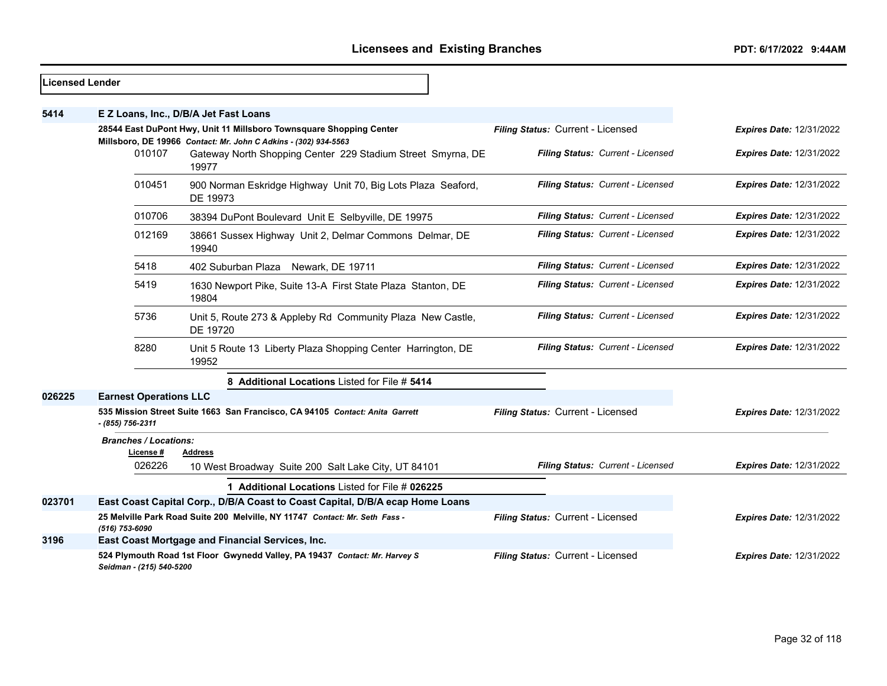| <b>Licensed Lender</b> |                                           |                                                                                                                                        |                                   |                                 |
|------------------------|-------------------------------------------|----------------------------------------------------------------------------------------------------------------------------------------|-----------------------------------|---------------------------------|
| 5414                   |                                           | E Z Loans, Inc., D/B/A Jet Fast Loans                                                                                                  |                                   |                                 |
|                        |                                           | 28544 East DuPont Hwy, Unit 11 Millsboro Townsquare Shopping Center<br>Millsboro, DE 19966 Contact: Mr. John C Adkins - (302) 934-5563 | Filing Status: Current - Licensed | <b>Expires Date: 12/31/2022</b> |
|                        | 010107                                    | Gateway North Shopping Center 229 Stadium Street Smyrna, DE<br>19977                                                                   | Filing Status: Current - Licensed | <b>Expires Date: 12/31/2022</b> |
|                        | 010451                                    | 900 Norman Eskridge Highway Unit 70, Big Lots Plaza Seaford,<br>DE 19973                                                               | Filing Status: Current - Licensed | <b>Expires Date: 12/31/2022</b> |
|                        | 010706                                    | 38394 DuPont Boulevard Unit E Selbyville, DE 19975                                                                                     | Filing Status: Current - Licensed | <b>Expires Date: 12/31/2022</b> |
|                        | 012169                                    | 38661 Sussex Highway Unit 2, Delmar Commons Delmar, DE<br>19940                                                                        | Filing Status: Current - Licensed | <b>Expires Date: 12/31/2022</b> |
|                        | 5418                                      | 402 Suburban Plaza Newark, DE 19711                                                                                                    | Filing Status: Current - Licensed | <b>Expires Date: 12/31/2022</b> |
|                        | 5419                                      | 1630 Newport Pike, Suite 13-A First State Plaza Stanton, DE<br>19804                                                                   | Filing Status: Current - Licensed | <b>Expires Date: 12/31/2022</b> |
|                        | 5736                                      | Unit 5, Route 273 & Appleby Rd Community Plaza New Castle,<br>DE 19720                                                                 | Filing Status: Current - Licensed | <b>Expires Date: 12/31/2022</b> |
|                        | 8280                                      | Unit 5 Route 13 Liberty Plaza Shopping Center Harrington, DE<br>19952                                                                  | Filing Status: Current - Licensed | <b>Expires Date: 12/31/2022</b> |
|                        |                                           | 8 Additional Locations Listed for File # 5414                                                                                          |                                   |                                 |
| 026225                 | <b>Earnest Operations LLC</b>             |                                                                                                                                        |                                   |                                 |
|                        | - (855) 756-2311                          | 535 Mission Street Suite 1663 San Francisco, CA 94105 Contact: Anita Garrett                                                           | Filing Status: Current - Licensed | <b>Expires Date: 12/31/2022</b> |
|                        | <b>Branches / Locations:</b><br>License # | <b>Address</b>                                                                                                                         |                                   |                                 |
|                        | 026226                                    | 10 West Broadway Suite 200 Salt Lake City, UT 84101                                                                                    | Filing Status: Current - Licensed | <b>Expires Date: 12/31/2022</b> |
|                        |                                           | 1 Additional Locations Listed for File # 026225                                                                                        |                                   |                                 |
| 023701                 |                                           | East Coast Capital Corp., D/B/A Coast to Coast Capital, D/B/A ecap Home Loans                                                          |                                   |                                 |
|                        | (516) 753-6090                            | 25 Melville Park Road Suite 200 Melville, NY 11747 Contact: Mr. Seth Fass -                                                            | Filing Status: Current - Licensed | <b>Expires Date: 12/31/2022</b> |
| 3196                   |                                           | East Coast Mortgage and Financial Services, Inc.                                                                                       |                                   |                                 |
|                        | Seidman - (215) 540-5200                  | 524 Plymouth Road 1st Floor Gwynedd Valley, PA 19437 Contact: Mr. Harvey S                                                             | Filing Status: Current - Licensed | <b>Expires Date: 12/31/2022</b> |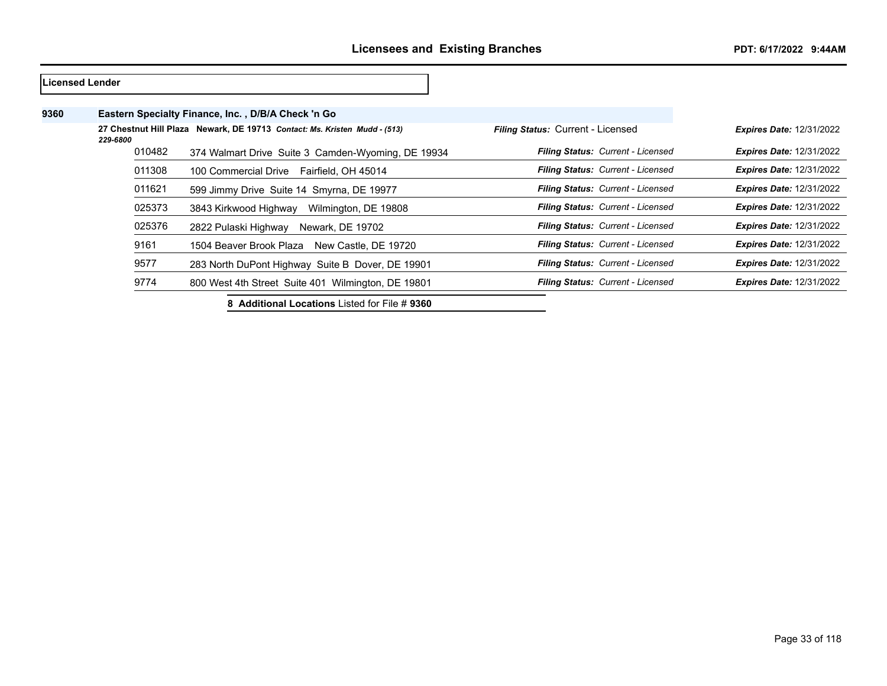| <b>Licensed Lender</b> |                                                                                       |  |                                                    |                                          |                                 |
|------------------------|---------------------------------------------------------------------------------------|--|----------------------------------------------------|------------------------------------------|---------------------------------|
| 9360                   |                                                                                       |  | Eastern Specialty Finance, Inc., D/B/A Check 'n Go |                                          |                                 |
|                        | 27 Chestnut Hill Plaza Newark, DE 19713 Contact: Ms. Kristen Mudd - (513)<br>229-6800 |  |                                                    | <b>Filing Status: Current - Licensed</b> | <b>Expires Date: 12/31/2022</b> |
|                        | 010482                                                                                |  | 374 Walmart Drive Suite 3 Camden-Wyoming, DE 19934 | Filing Status: Current - Licensed        | <b>Expires Date: 12/31/2022</b> |
|                        | 011308                                                                                |  | 100 Commercial Drive Fairfield, OH 45014           | Filing Status: Current - Licensed        | <b>Expires Date: 12/31/2022</b> |
|                        | 011621                                                                                |  | 599 Jimmy Drive Suite 14 Smyrna, DE 19977          | <b>Filing Status: Current - Licensed</b> | <b>Expires Date: 12/31/2022</b> |
|                        | 025373                                                                                |  | 3843 Kirkwood Highway<br>Wilmington, DE 19808      | <b>Filing Status: Current - Licensed</b> | <b>Expires Date: 12/31/2022</b> |
|                        | 025376                                                                                |  | 2822 Pulaski Highway<br>Newark, DE 19702           | <b>Filing Status: Current - Licensed</b> | <b>Expires Date: 12/31/2022</b> |
|                        | 9161                                                                                  |  | 1504 Beaver Brook Plaza<br>New Castle, DE 19720    | Filing Status: Current - Licensed        | <b>Expires Date: 12/31/2022</b> |
|                        | 9577                                                                                  |  | 283 North DuPont Highway Suite B Dover, DE 19901   | Filing Status: Current - Licensed        | <b>Expires Date: 12/31/2022</b> |
|                        | 9774                                                                                  |  | 800 West 4th Street Suite 401 Wilmington, DE 19801 | Filing Status: Current - Licensed        | <b>Expires Date: 12/31/2022</b> |

**8 Additional Locations** Listed for File # **9360**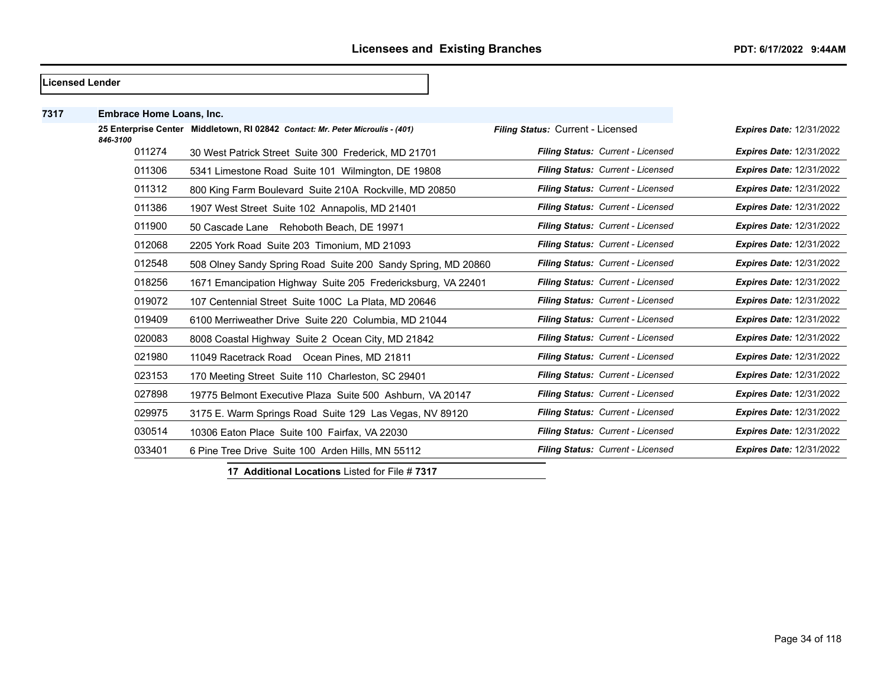|      | Licensed Lender                 |                                                                                |                                   |                                 |
|------|---------------------------------|--------------------------------------------------------------------------------|-----------------------------------|---------------------------------|
| 7317 | <b>Embrace Home Loans, Inc.</b> |                                                                                |                                   |                                 |
|      | 846-3100                        | 25 Enterprise Center Middletown, RI 02842 Contact: Mr. Peter Microulis - (401) | Filing Status: Current - Licensed | <b>Expires Date: 12/31/2022</b> |
|      | 011274                          | 30 West Patrick Street Suite 300 Frederick, MD 21701                           | Filing Status: Current - Licensed | <b>Expires Date: 12/31/2022</b> |
|      | 011306                          | 5341 Limestone Road Suite 101 Wilmington, DE 19808                             | Filing Status: Current - Licensed | <b>Expires Date: 12/31/2022</b> |
|      | 011312                          | 800 King Farm Boulevard Suite 210A Rockville, MD 20850                         | Filing Status: Current - Licensed | <b>Expires Date: 12/31/2022</b> |
|      | 011386                          | 1907 West Street Suite 102 Annapolis, MD 21401                                 | Filing Status: Current - Licensed | <b>Expires Date: 12/31/2022</b> |
|      | 011900                          | 50 Cascade Lane Rehoboth Beach, DE 19971                                       | Filing Status: Current - Licensed | <b>Expires Date: 12/31/2022</b> |
|      | 012068                          | 2205 York Road Suite 203 Timonium, MD 21093                                    | Filing Status: Current - Licensed | <b>Expires Date: 12/31/2022</b> |
|      | 012548                          | 508 Olney Sandy Spring Road Suite 200 Sandy Spring, MD 20860                   | Filing Status: Current - Licensed | <b>Expires Date: 12/31/2022</b> |
|      | 018256                          | 1671 Emancipation Highway Suite 205 Fredericksburg, VA 22401                   | Filing Status: Current - Licensed | <b>Expires Date: 12/31/2022</b> |
|      | 019072                          | 107 Centennial Street Suite 100C La Plata, MD 20646                            | Filing Status: Current - Licensed | <b>Expires Date: 12/31/2022</b> |
|      | 019409                          | 6100 Merriweather Drive Suite 220 Columbia, MD 21044                           | Filing Status: Current - Licensed | <b>Expires Date: 12/31/2022</b> |
|      | 020083                          | 8008 Coastal Highway Suite 2 Ocean City, MD 21842                              | Filing Status: Current - Licensed | <b>Expires Date: 12/31/2022</b> |
|      | 021980                          | 11049 Racetrack Road Ocean Pines, MD 21811                                     | Filing Status: Current - Licensed | <b>Expires Date: 12/31/2022</b> |
|      | 023153                          | 170 Meeting Street Suite 110 Charleston, SC 29401                              | Filing Status: Current - Licensed | <b>Expires Date: 12/31/2022</b> |
|      | 027898                          | 19775 Belmont Executive Plaza Suite 500 Ashburn, VA 20147                      | Filing Status: Current - Licensed | <b>Expires Date: 12/31/2022</b> |
|      | 029975                          | 3175 E. Warm Springs Road Suite 129 Las Vegas, NV 89120                        | Filing Status: Current - Licensed | <b>Expires Date: 12/31/2022</b> |
|      | 030514                          | 10306 Eaton Place Suite 100 Fairfax, VA 22030                                  | Filing Status: Current - Licensed | <b>Expires Date: 12/31/2022</b> |
|      | 033401                          | 6 Pine Tree Drive Suite 100 Arden Hills, MN 55112                              | Filing Status: Current - Licensed | <b>Expires Date: 12/31/2022</b> |

**17 Additional Locations** Listed for File # **7317**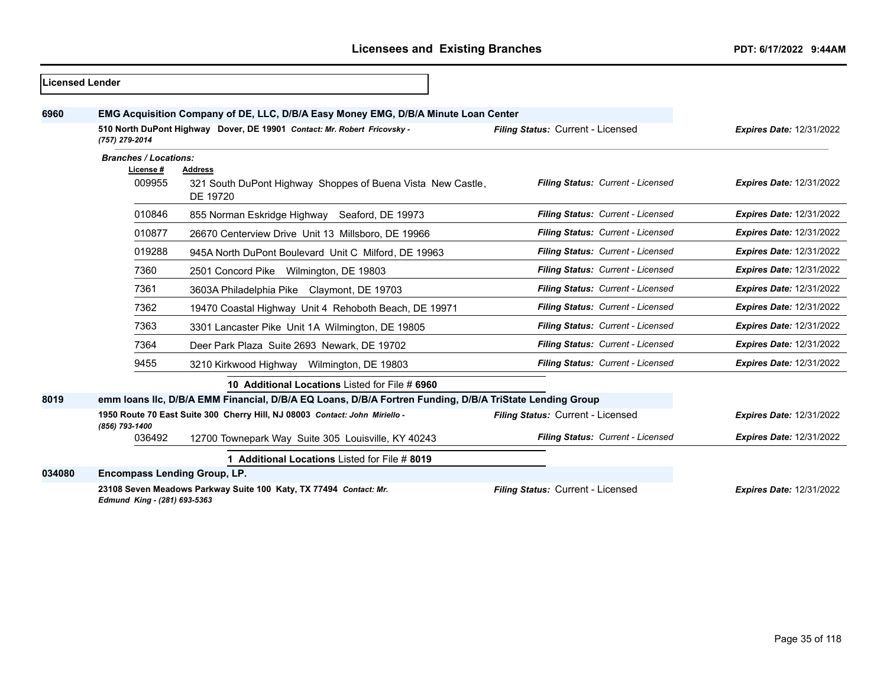| <b>Licensed Lender</b> |                                           |                                                                                                         |                                   |                                 |
|------------------------|-------------------------------------------|---------------------------------------------------------------------------------------------------------|-----------------------------------|---------------------------------|
| 6960                   |                                           | EMG Acquisition Company of DE, LLC, D/B/A Easy Money EMG, D/B/A Minute Loan Center                      |                                   |                                 |
|                        | (757) 279-2014                            | 510 North DuPont Highway Dover, DE 19901 Contact: Mr. Robert Fricovsky -                                | Filing Status: Current - Licensed | <b>Expires Date: 12/31/2022</b> |
|                        | <b>Branches / Locations:</b><br>License # | <b>Address</b>                                                                                          |                                   |                                 |
|                        | 009955                                    | 321 South DuPont Highway Shoppes of Buena Vista New Castle,<br>DE 19720                                 | Filing Status: Current - Licensed | <b>Expires Date: 12/31/2022</b> |
|                        | 010846                                    | 855 Norman Eskridge Highway Seaford, DE 19973                                                           | Filing Status: Current - Licensed | <b>Expires Date: 12/31/2022</b> |
|                        | 010877                                    | 26670 Centerview Drive Unit 13 Millsboro, DE 19966                                                      | Filing Status: Current - Licensed | <b>Expires Date: 12/31/2022</b> |
|                        | 019288                                    | 945A North DuPont Boulevard Unit C Milford, DE 19963                                                    | Filing Status: Current - Licensed | <b>Expires Date: 12/31/2022</b> |
|                        | 7360                                      | 2501 Concord Pike Wilmington, DE 19803                                                                  | Filing Status: Current - Licensed | <b>Expires Date: 12/31/2022</b> |
|                        | 7361                                      | 3603A Philadelphia Pike Claymont, DE 19703                                                              | Filing Status: Current - Licensed | <b>Expires Date: 12/31/2022</b> |
|                        | 7362                                      | 19470 Coastal Highway Unit 4 Rehoboth Beach, DE 19971                                                   | Filing Status: Current - Licensed | <b>Expires Date: 12/31/2022</b> |
|                        | 7363                                      | 3301 Lancaster Pike Unit 1A Wilmington, DE 19805                                                        | Filing Status: Current - Licensed | <b>Expires Date: 12/31/2022</b> |
|                        | 7364                                      | Deer Park Plaza Suite 2693 Newark, DE 19702                                                             | Filing Status: Current - Licensed | <b>Expires Date: 12/31/2022</b> |
|                        | 9455                                      | 3210 Kirkwood Highway Wilmington, DE 19803                                                              | Filing Status: Current - Licensed | <b>Expires Date: 12/31/2022</b> |
|                        |                                           | 10 Additional Locations Listed for File # 6960                                                          |                                   |                                 |
| 8019                   |                                           | emm Ioans IIc, D/B/A EMM Financial, D/B/A EQ Loans, D/B/A Fortren Funding, D/B/A TriState Lending Group |                                   |                                 |
|                        | (856) 793-1400                            | 1950 Route 70 East Suite 300 Cherry Hill, NJ 08003 Contact: John Miriello -                             | Filing Status: Current - Licensed | <b>Expires Date: 12/31/2022</b> |
|                        | 036492                                    | 12700 Townepark Way Suite 305 Louisville, KY 40243                                                      | Filing Status: Current - Licensed | <b>Expires Date: 12/31/2022</b> |
|                        |                                           | 1 Additional Locations Listed for File # 8019                                                           |                                   |                                 |
| 034080                 | <b>Encompass Lending Group, LP.</b>       |                                                                                                         |                                   |                                 |
|                        | Edmund King - (281) 693-5363              | 23108 Seven Meadows Parkway Suite 100 Katy, TX 77494 Contact: Mr.                                       | Filing Status: Current - Licensed | <b>Expires Date: 12/31/2022</b> |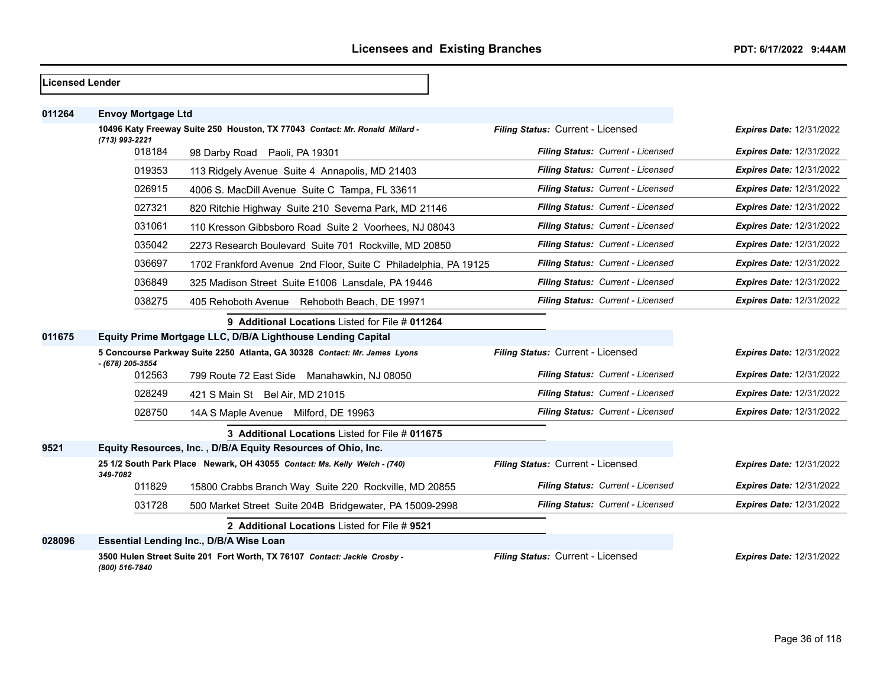| <b>Licensed Lender</b> |                           |                                                                              |                                   |                                 |
|------------------------|---------------------------|------------------------------------------------------------------------------|-----------------------------------|---------------------------------|
| 011264                 | <b>Envoy Mortgage Ltd</b> |                                                                              |                                   |                                 |
|                        | (713) 993-2221            | 10496 Katy Freeway Suite 250 Houston, TX 77043 Contact: Mr. Ronald Millard - | Filing Status: Current - Licensed | <b>Expires Date: 12/31/2022</b> |
|                        | 018184                    | 98 Darby Road Paoli, PA 19301                                                | Filing Status: Current - Licensed | <b>Expires Date: 12/31/2022</b> |
|                        | 019353                    | 113 Ridgely Avenue Suite 4 Annapolis, MD 21403                               | Filing Status: Current - Licensed | <b>Expires Date: 12/31/2022</b> |
|                        | 026915                    | 4006 S. MacDill Avenue Suite C Tampa, FL 33611                               | Filing Status: Current - Licensed | <b>Expires Date: 12/31/2022</b> |
|                        | 027321                    | 820 Ritchie Highway Suite 210 Severna Park, MD 21146                         | Filing Status: Current - Licensed | <b>Expires Date: 12/31/2022</b> |
|                        | 031061                    | 110 Kresson Gibbsboro Road Suite 2 Voorhees, NJ 08043                        | Filing Status: Current - Licensed | Expires Date: 12/31/2022        |
|                        | 035042                    | 2273 Research Boulevard Suite 701 Rockville, MD 20850                        | Filing Status: Current - Licensed | <b>Expires Date: 12/31/2022</b> |
|                        | 036697                    | 1702 Frankford Avenue 2nd Floor, Suite C Philadelphia, PA 19125              | Filing Status: Current - Licensed | <b>Expires Date: 12/31/2022</b> |
|                        | 036849                    | 325 Madison Street Suite E1006 Lansdale, PA 19446                            | Filing Status: Current - Licensed | <b>Expires Date: 12/31/2022</b> |
|                        | 038275                    | 405 Rehoboth Avenue Rehoboth Beach, DE 19971                                 | Filing Status: Current - Licensed | <b>Expires Date: 12/31/2022</b> |
|                        |                           | 9 Additional Locations Listed for File # 011264                              |                                   |                                 |
| 011675                 |                           | Equity Prime Mortgage LLC, D/B/A Lighthouse Lending Capital                  |                                   |                                 |
|                        | - (678) 205-3554          | 5 Concourse Parkway Suite 2250 Atlanta, GA 30328 Contact: Mr. James Lyons    | Filing Status: Current - Licensed | <b>Expires Date: 12/31/2022</b> |
|                        | 012563                    | 799 Route 72 East Side Manahawkin, NJ 08050                                  | Filing Status: Current - Licensed | <b>Expires Date: 12/31/2022</b> |
|                        | 028249                    | 421 S Main St Bel Air, MD 21015                                              | Filing Status: Current - Licensed | <b>Expires Date: 12/31/2022</b> |
|                        | 028750                    | 14A S Maple Avenue Milford, DE 19963                                         | Filing Status: Current - Licensed | <b>Expires Date: 12/31/2022</b> |
|                        |                           | 3 Additional Locations Listed for File # 011675                              |                                   |                                 |
| 9521                   |                           | Equity Resources, Inc., D/B/A Equity Resources of Ohio, Inc.                 |                                   |                                 |
|                        | 349-7082                  | 25 1/2 South Park Place Newark, OH 43055 Contact: Ms. Kelly Welch - (740)    | Filing Status: Current - Licensed | <b>Expires Date: 12/31/2022</b> |
|                        | 011829                    | 15800 Crabbs Branch Way Suite 220 Rockville, MD 20855                        | Filing Status: Current - Licensed | <b>Expires Date: 12/31/2022</b> |
|                        | 031728                    | 500 Market Street Suite 204B Bridgewater, PA 15009-2998                      | Filing Status: Current - Licensed | Expires Date: 12/31/2022        |
|                        |                           | 2 Additional Locations Listed for File # 9521                                |                                   |                                 |
| 028096                 |                           | Essential Lending Inc., D/B/A Wise Loan                                      |                                   |                                 |
|                        | (800) 516-7840            | 3500 Hulen Street Suite 201 Fort Worth, TX 76107 Contact: Jackie Crosby -    | Filing Status: Current - Licensed | Expires Date: 12/31/2022        |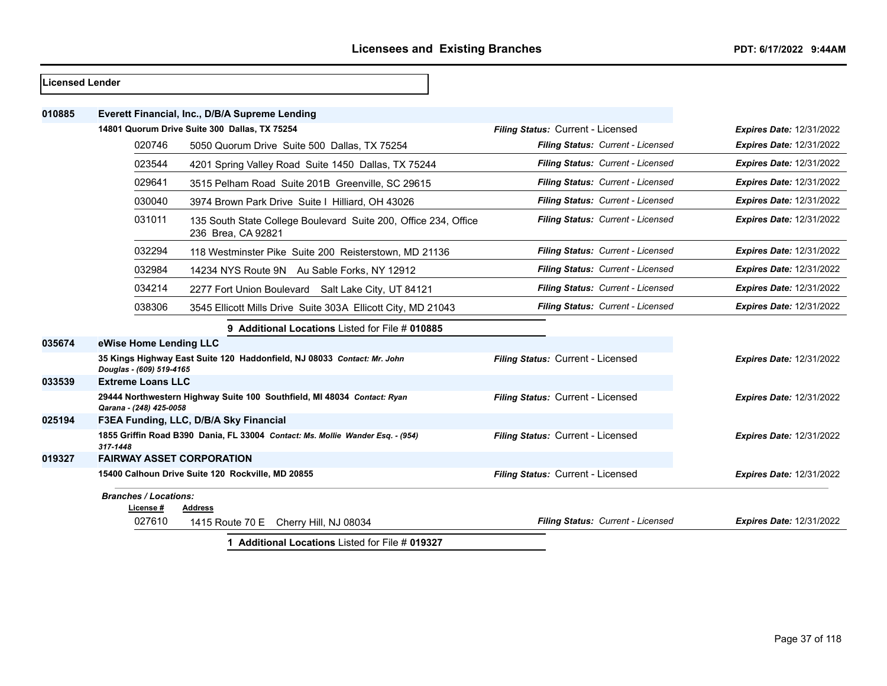| Licensed Lender |                                           |                                                                                       |                                   |                                 |
|-----------------|-------------------------------------------|---------------------------------------------------------------------------------------|-----------------------------------|---------------------------------|
| 010885          |                                           | Everett Financial, Inc., D/B/A Supreme Lending                                        |                                   |                                 |
|                 |                                           | 14801 Quorum Drive Suite 300 Dallas, TX 75254                                         | Filing Status: Current - Licensed | <b>Expires Date: 12/31/2022</b> |
|                 | 020746                                    | 5050 Quorum Drive Suite 500 Dallas, TX 75254                                          | Filing Status: Current - Licensed | <b>Expires Date: 12/31/2022</b> |
|                 | 023544                                    | 4201 Spring Valley Road Suite 1450 Dallas, TX 75244                                   | Filing Status: Current - Licensed | <b>Expires Date: 12/31/2022</b> |
|                 | 029641                                    | 3515 Pelham Road Suite 201B Greenville, SC 29615                                      | Filing Status: Current - Licensed | <b>Expires Date: 12/31/2022</b> |
|                 | 030040                                    | 3974 Brown Park Drive Suite I Hilliard, OH 43026                                      | Filing Status: Current - Licensed | <b>Expires Date: 12/31/2022</b> |
|                 | 031011                                    | 135 South State College Boulevard Suite 200, Office 234, Office<br>236 Brea, CA 92821 | Filing Status: Current - Licensed | <b>Expires Date: 12/31/2022</b> |
|                 | 032294                                    | 118 Westminster Pike Suite 200 Reisterstown, MD 21136                                 | Filing Status: Current - Licensed | <b>Expires Date: 12/31/2022</b> |
|                 | 032984                                    | 14234 NYS Route 9N Au Sable Forks, NY 12912                                           | Filing Status: Current - Licensed | <b>Expires Date: 12/31/2022</b> |
|                 | 034214                                    | 2277 Fort Union Boulevard Salt Lake City, UT 84121                                    | Filing Status: Current - Licensed | <b>Expires Date: 12/31/2022</b> |
|                 | 038306                                    | 3545 Ellicott Mills Drive Suite 303A Ellicott City, MD 21043                          | Filing Status: Current - Licensed | <b>Expires Date: 12/31/2022</b> |
|                 |                                           | 9 Additional Locations Listed for File # 010885                                       |                                   |                                 |
| 035674          | eWise Home Lending LLC                    |                                                                                       |                                   |                                 |
|                 | Douglas - (609) 519-4165                  | 35 Kings Highway East Suite 120 Haddonfield, NJ 08033 Contact: Mr. John               | Filing Status: Current - Licensed | <b>Expires Date: 12/31/2022</b> |
| 033539          | <b>Extreme Loans LLC</b>                  |                                                                                       |                                   |                                 |
|                 | Qarana - (248) 425-0058                   | 29444 Northwestern Highway Suite 100 Southfield, MI 48034 Contact: Ryan               | Filing Status: Current - Licensed | <b>Expires Date: 12/31/2022</b> |
| 025194          |                                           | F3EA Funding, LLC, D/B/A Sky Financial                                                |                                   |                                 |
|                 | 317-1448                                  | 1855 Griffin Road B390 Dania, FL 33004 Contact: Ms. Mollie Wander Esq. - (954)        | Filing Status: Current - Licensed | <b>Expires Date: 12/31/2022</b> |
| 019327          | <b>FAIRWAY ASSET CORPORATION</b>          |                                                                                       |                                   |                                 |
|                 |                                           | 15400 Calhoun Drive Suite 120 Rockville, MD 20855                                     | Filing Status: Current - Licensed | <b>Expires Date: 12/31/2022</b> |
|                 | <b>Branches / Locations:</b><br>License # | <b>Address</b>                                                                        |                                   |                                 |
|                 | 027610                                    | 1415 Route 70 E Cherry Hill, NJ 08034                                                 | Filing Status: Current - Licensed | <b>Expires Date: 12/31/2022</b> |
|                 |                                           | 1 Additional Locations Listed for File # 019327                                       |                                   |                                 |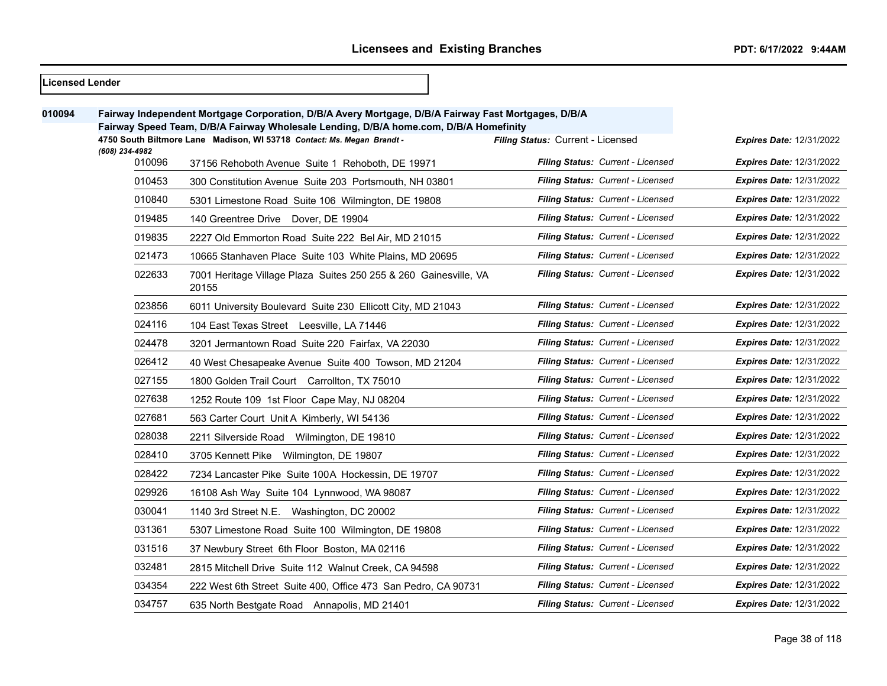| <b>Licensed Lender</b> |                                                                                                                                                                                              |                                                                           |                                          |                                 |
|------------------------|----------------------------------------------------------------------------------------------------------------------------------------------------------------------------------------------|---------------------------------------------------------------------------|------------------------------------------|---------------------------------|
| 010094                 | Fairway Independent Mortgage Corporation, D/B/A Avery Mortgage, D/B/A Fairway Fast Mortgages, D/B/A<br>Fairway Speed Team, D/B/A Fairway Wholesale Lending, D/B/A home.com, D/B/A Homefinity |                                                                           |                                          |                                 |
|                        | 4750 South Biltmore Lane Madison, WI 53718 Contact: Ms. Megan Brandt -<br>(608) 234-4982                                                                                                     |                                                                           | Filing Status: Current - Licensed        | <b>Expires Date: 12/31/2022</b> |
|                        | 010096                                                                                                                                                                                       | 37156 Rehoboth Avenue Suite 1 Rehoboth, DE 19971                          | Filing Status: Current - Licensed        | <b>Expires Date: 12/31/2022</b> |
|                        | 010453                                                                                                                                                                                       | 300 Constitution Avenue Suite 203 Portsmouth, NH 03801                    | Filing Status: Current - Licensed        | <b>Expires Date: 12/31/2022</b> |
|                        | 010840                                                                                                                                                                                       | 5301 Limestone Road Suite 106 Wilmington, DE 19808                        | Filing Status: Current - Licensed        | <b>Expires Date: 12/31/2022</b> |
|                        | 019485                                                                                                                                                                                       | 140 Greentree Drive Dover, DE 19904                                       | Filing Status: Current - Licensed        | <b>Expires Date: 12/31/2022</b> |
|                        | 019835                                                                                                                                                                                       | 2227 Old Emmorton Road Suite 222 Bel Air, MD 21015                        | Filing Status: Current - Licensed        | <b>Expires Date: 12/31/2022</b> |
|                        | 021473                                                                                                                                                                                       | 10665 Stanhaven Place Suite 103 White Plains, MD 20695                    | Filing Status: Current - Licensed        | <b>Expires Date: 12/31/2022</b> |
|                        | 022633                                                                                                                                                                                       | 7001 Heritage Village Plaza Suites 250 255 & 260 Gainesville, VA<br>20155 | <b>Filing Status: Current - Licensed</b> | <b>Expires Date: 12/31/2022</b> |
|                        | 023856                                                                                                                                                                                       | 6011 University Boulevard Suite 230 Ellicott City, MD 21043               | <b>Filing Status: Current - Licensed</b> | <b>Expires Date: 12/31/2022</b> |
|                        | 024116                                                                                                                                                                                       | 104 East Texas Street Leesville, LA 71446                                 | Filing Status: Current - Licensed        | <b>Expires Date: 12/31/2022</b> |
|                        | 024478                                                                                                                                                                                       | 3201 Jermantown Road Suite 220 Fairfax, VA 22030                          | Filing Status: Current - Licensed        | <b>Expires Date: 12/31/2022</b> |
|                        | 026412                                                                                                                                                                                       | 40 West Chesapeake Avenue Suite 400 Towson, MD 21204                      | Filing Status: Current - Licensed        | <b>Expires Date: 12/31/2022</b> |
|                        | 027155                                                                                                                                                                                       | 1800 Golden Trail Court Carrollton, TX 75010                              | Filing Status: Current - Licensed        | <b>Expires Date: 12/31/2022</b> |
|                        | 027638                                                                                                                                                                                       | 1252 Route 109 1st Floor Cape May, NJ 08204                               | Filing Status: Current - Licensed        | <b>Expires Date: 12/31/2022</b> |
|                        | 027681                                                                                                                                                                                       | 563 Carter Court Unit A Kimberly, WI 54136                                | Filing Status: Current - Licensed        | <b>Expires Date: 12/31/2022</b> |
|                        | 028038                                                                                                                                                                                       | 2211 Silverside Road Wilmington, DE 19810                                 | Filing Status: Current - Licensed        | <b>Expires Date: 12/31/2022</b> |
|                        | 028410                                                                                                                                                                                       | 3705 Kennett Pike Wilmington, DE 19807                                    | Filing Status: Current - Licensed        | <b>Expires Date: 12/31/2022</b> |
|                        | 028422                                                                                                                                                                                       | 7234 Lancaster Pike Suite 100A Hockessin, DE 19707                        | <b>Filing Status: Current - Licensed</b> | <b>Expires Date: 12/31/2022</b> |
|                        | 029926                                                                                                                                                                                       | 16108 Ash Way Suite 104 Lynnwood, WA 98087                                | Filing Status: Current - Licensed        | <b>Expires Date: 12/31/2022</b> |
|                        | 030041                                                                                                                                                                                       | 1140 3rd Street N.E. Washington, DC 20002                                 | Filing Status: Current - Licensed        | <b>Expires Date: 12/31/2022</b> |
|                        | 031361                                                                                                                                                                                       | 5307 Limestone Road Suite 100 Wilmington, DE 19808                        | <b>Filing Status: Current - Licensed</b> | <b>Expires Date: 12/31/2022</b> |
|                        | 031516                                                                                                                                                                                       | 37 Newbury Street 6th Floor Boston, MA 02116                              | Filing Status: Current - Licensed        | <b>Expires Date: 12/31/2022</b> |
|                        | 032481                                                                                                                                                                                       | 2815 Mitchell Drive Suite 112 Walnut Creek, CA 94598                      | Filing Status: Current - Licensed        | <b>Expires Date: 12/31/2022</b> |
|                        | 034354                                                                                                                                                                                       | 222 West 6th Street Suite 400, Office 473 San Pedro, CA 90731             | Filing Status: Current - Licensed        | <b>Expires Date: 12/31/2022</b> |
|                        | 034757                                                                                                                                                                                       | 635 North Bestgate Road Annapolis, MD 21401                               | <b>Filing Status: Current - Licensed</b> | <b>Expires Date: 12/31/2022</b> |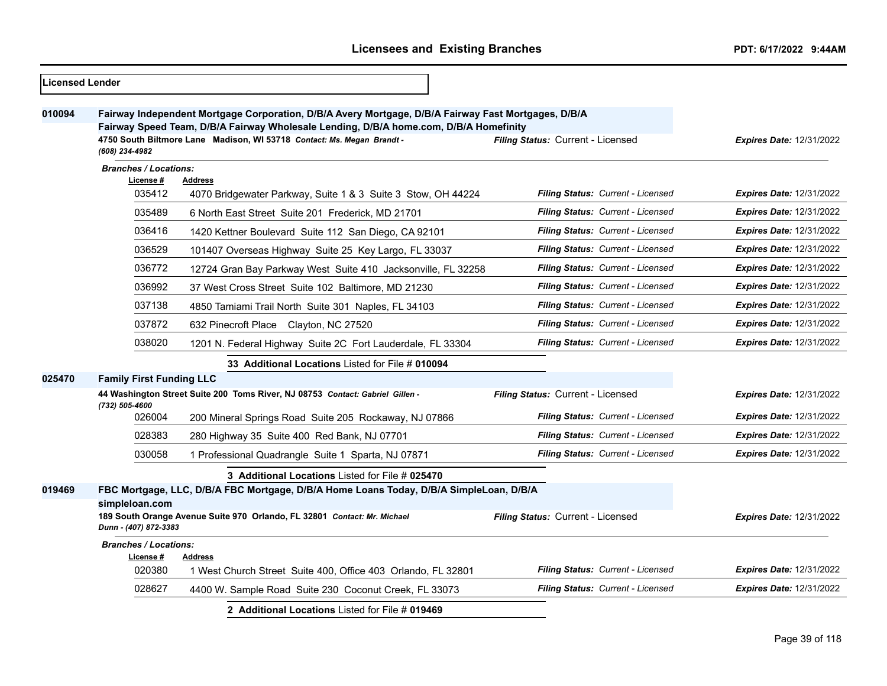| <b>Licensed Lender</b> |                                                      |                                                                                                                                                                                                                                                                        |                                          |                                 |
|------------------------|------------------------------------------------------|------------------------------------------------------------------------------------------------------------------------------------------------------------------------------------------------------------------------------------------------------------------------|------------------------------------------|---------------------------------|
| 010094                 | (608) 234-4982                                       | Fairway Independent Mortgage Corporation, D/B/A Avery Mortgage, D/B/A Fairway Fast Mortgages, D/B/A<br>Fairway Speed Team, D/B/A Fairway Wholesale Lending, D/B/A home.com, D/B/A Homefinity<br>4750 South Biltmore Lane Madison, WI 53718 Contact: Ms. Megan Brandt - | Filing Status: Current - Licensed        | <b>Expires Date: 12/31/2022</b> |
|                        | <b>Branches / Locations:</b>                         |                                                                                                                                                                                                                                                                        |                                          |                                 |
|                        | License #<br>035412                                  | <b>Address</b><br>4070 Bridgewater Parkway, Suite 1 & 3 Suite 3 Stow, OH 44224                                                                                                                                                                                         | Filing Status: Current - Licensed        | <b>Expires Date: 12/31/2022</b> |
|                        | 035489                                               | 6 North East Street Suite 201 Frederick, MD 21701                                                                                                                                                                                                                      | Filing Status: Current - Licensed        | <b>Expires Date: 12/31/2022</b> |
|                        | 036416                                               | 1420 Kettner Boulevard Suite 112 San Diego, CA 92101                                                                                                                                                                                                                   | Filing Status: Current - Licensed        | <b>Expires Date: 12/31/2022</b> |
|                        | 036529                                               | 101407 Overseas Highway Suite 25 Key Largo, FL 33037                                                                                                                                                                                                                   | Filing Status: Current - Licensed        | <b>Expires Date: 12/31/2022</b> |
|                        | 036772                                               | 12724 Gran Bay Parkway West Suite 410 Jacksonville, FL 32258                                                                                                                                                                                                           | Filing Status: Current - Licensed        | <b>Expires Date: 12/31/2022</b> |
|                        | 036992                                               | 37 West Cross Street Suite 102 Baltimore, MD 21230                                                                                                                                                                                                                     | Filing Status: Current - Licensed        | <b>Expires Date: 12/31/2022</b> |
|                        | 037138                                               | 4850 Tamiami Trail North Suite 301 Naples, FL 34103                                                                                                                                                                                                                    | <b>Filing Status: Current - Licensed</b> | <b>Expires Date: 12/31/2022</b> |
|                        | 037872                                               | 632 Pinecroft Place Clayton, NC 27520                                                                                                                                                                                                                                  | Filing Status: Current - Licensed        | <b>Expires Date: 12/31/2022</b> |
|                        | 038020                                               | 1201 N. Federal Highway Suite 2C Fort Lauderdale, FL 33304                                                                                                                                                                                                             | <b>Filing Status: Current - Licensed</b> | <b>Expires Date: 12/31/2022</b> |
|                        |                                                      | 33 Additional Locations Listed for File # 010094                                                                                                                                                                                                                       |                                          |                                 |
| 025470                 | <b>Family First Funding LLC</b>                      |                                                                                                                                                                                                                                                                        |                                          |                                 |
|                        | (732) 505-4600                                       | 44 Washington Street Suite 200 Toms River, NJ 08753 Contact: Gabriel Gillen -                                                                                                                                                                                          | Filing Status: Current - Licensed        | <b>Expires Date: 12/31/2022</b> |
|                        | 026004                                               | 200 Mineral Springs Road Suite 205 Rockaway, NJ 07866                                                                                                                                                                                                                  | Filing Status: Current - Licensed        | <b>Expires Date: 12/31/2022</b> |
|                        | 028383                                               | 280 Highway 35 Suite 400 Red Bank, NJ 07701                                                                                                                                                                                                                            | Filing Status: Current - Licensed        | <b>Expires Date: 12/31/2022</b> |
|                        | 030058                                               | 1 Professional Quadrangle Suite 1 Sparta, NJ 07871                                                                                                                                                                                                                     | Filing Status: Current - Licensed        | <b>Expires Date: 12/31/2022</b> |
|                        |                                                      | <b>3 Additional Locations Listed for File # 025470</b>                                                                                                                                                                                                                 |                                          |                                 |
| 019469                 |                                                      | FBC Mortgage, LLC, D/B/A FBC Mortgage, D/B/A Home Loans Today, D/B/A SimpleLoan, D/B/A                                                                                                                                                                                 |                                          |                                 |
|                        | simpleloan.com<br>Dunn - (407) 872-3383              | 189 South Orange Avenue Suite 970 Orlando, FL 32801 Contact: Mr. Michael                                                                                                                                                                                               | Filing Status: Current - Licensed        | <b>Expires Date: 12/31/2022</b> |
|                        | <b>Branches / Locations:</b><br>License #<br>Address |                                                                                                                                                                                                                                                                        |                                          |                                 |
|                        | 020380                                               | 1 West Church Street Suite 400, Office 403 Orlando, FL 32801                                                                                                                                                                                                           | Filing Status: Current - Licensed        | <b>Expires Date: 12/31/2022</b> |
|                        | 028627                                               | 4400 W. Sample Road Suite 230 Coconut Creek, FL 33073                                                                                                                                                                                                                  | Filing Status: Current - Licensed        | <b>Expires Date: 12/31/2022</b> |
|                        |                                                      | 2 Additional Locations Listed for File # 019469                                                                                                                                                                                                                        |                                          |                                 |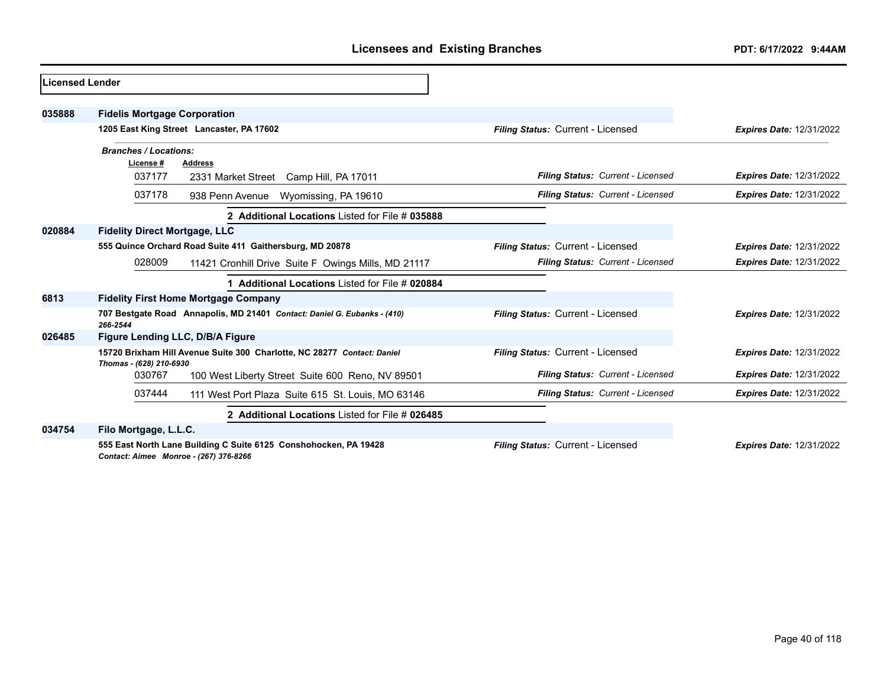| <b>Licensed Lender</b> |                                                                                                            |                                   |                                 |
|------------------------|------------------------------------------------------------------------------------------------------------|-----------------------------------|---------------------------------|
| 035888                 | <b>Fidelis Mortgage Corporation</b>                                                                        |                                   |                                 |
|                        | 1205 East King Street Lancaster, PA 17602                                                                  | Filing Status: Current - Licensed | <b>Expires Date: 12/31/2022</b> |
|                        | <b>Branches / Locations:</b>                                                                               |                                   |                                 |
|                        | License #<br><b>Address</b>                                                                                |                                   |                                 |
|                        | 037177<br>2331 Market Street Camp Hill, PA 17011                                                           | Filing Status: Current - Licensed | <b>Expires Date: 12/31/2022</b> |
|                        | 037178<br>938 Penn Avenue<br>Wyomissing, PA 19610                                                          | Filing Status: Current - Licensed | <b>Expires Date: 12/31/2022</b> |
|                        | 2 Additional Locations Listed for File # 035888                                                            |                                   |                                 |
| 020884                 | <b>Fidelity Direct Mortgage, LLC</b>                                                                       |                                   |                                 |
|                        | 555 Quince Orchard Road Suite 411 Gaithersburg, MD 20878                                                   | Filing Status: Current - Licensed | <b>Expires Date: 12/31/2022</b> |
|                        | 028009<br>11421 Cronhill Drive Suite F Owings Mills, MD 21117                                              | Filing Status: Current - Licensed | <b>Expires Date: 12/31/2022</b> |
|                        | 1 Additional Locations Listed for File # 020884                                                            |                                   |                                 |
| 6813                   | <b>Fidelity First Home Mortgage Company</b>                                                                |                                   |                                 |
|                        | 707 Bestgate Road Annapolis, MD 21401 Contact: Daniel G. Eubanks - (410)<br>266-2544                       | Filing Status: Current - Licensed | <b>Expires Date: 12/31/2022</b> |
| 026485                 | Figure Lending LLC, D/B/A Figure                                                                           |                                   |                                 |
|                        | 15720 Brixham Hill Avenue Suite 300 Charlotte, NC 28277 Contact: Daniel<br>Thomas - (628) 210-6930         | Filing Status: Current - Licensed | <b>Expires Date: 12/31/2022</b> |
|                        | 030767<br>100 West Liberty Street Suite 600 Reno, NV 89501                                                 | Filing Status: Current - Licensed | <b>Expires Date: 12/31/2022</b> |
|                        | 037444<br>111 West Port Plaza Suite 615 St. Louis, MO 63146                                                | Filing Status: Current - Licensed | <b>Expires Date: 12/31/2022</b> |
|                        | 2 Additional Locations Listed for File # 026485                                                            |                                   |                                 |
| 034754                 | Filo Mortgage, L.L.C.                                                                                      |                                   |                                 |
|                        | 555 East North Lane Building C Suite 6125 Conshohocken, PA 19428<br>Contact: Aimee Monroe - (267) 376-8266 | Filing Status: Current - Licensed | <b>Expires Date: 12/31/2022</b> |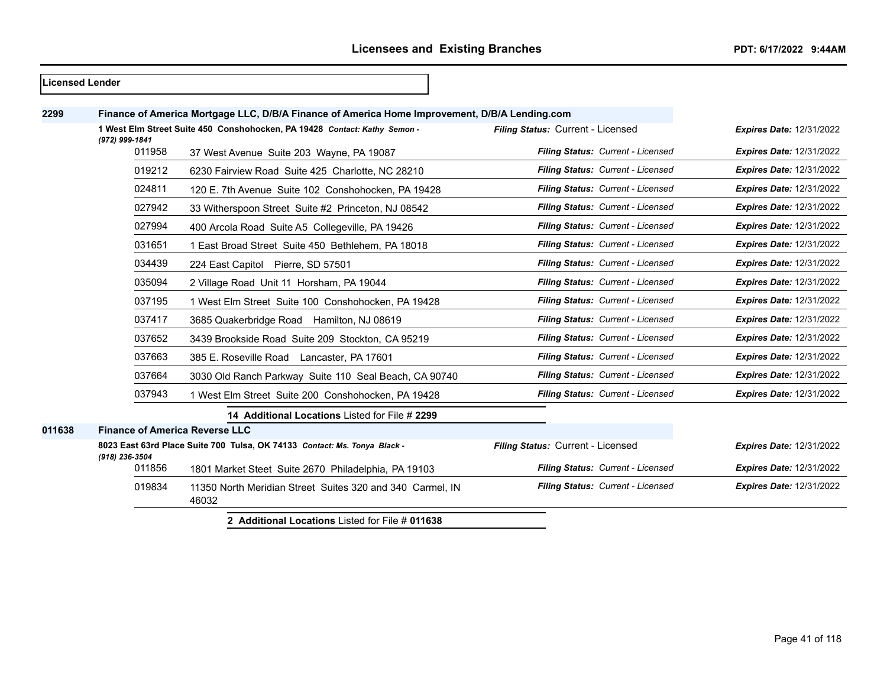# **Finance of America Mortgage LLC, D/B/A Finance of America Home Improvement, D/B/A Lending.com 1 West Elm Street Suite 450 Conshohocken, PA 19428** *Contact: Kathy Semon - (972) 999-1841 Filing Status:* Current - Licensed *Expires Date:* 12/31/2022 37 West Avenue Suite 203 Wayne, PA 19087 *Filing Status: Current - Licensed Expires Date:* 12/31/2022 6230 Fairview Road Suite 425 Charlotte, NC 28210 *Filing Status: Current - Licensed Expires Date:* 12/31/2022 120 E. 7th Avenue Suite 102 Conshohocken, PA 19428 *Filing Status: Current - Licensed Expires Date:* 12/31/2022 33 Witherspoon Street Suite #2 Princeton, NJ 08542 *Filing Status: Current - Licensed Expires Date:* 12/31/2022 400 Arcola Road Suite A5 Collegeville, PA 19426 *Filing Status: Current - Licensed Expires Date:* 12/31/2022 1 East Broad Street Suite 450 Bethlehem, PA 18018 *Filing Status: Current - Licensed Expires Date:* 12/31/2022 224 East Capitol Pierre, SD 57501 *Filing Status: Current - Licensed Expires Date:* 12/31/2022 2 Village Road Unit 11 Horsham, PA 19044 *Filing Status: Current - Licensed Expires Date:* 12/31/2022 1 West Elm Street Suite 100 Conshohocken, PA 19428 *Filing Status: Current - Licensed Expires Date:* 12/31/2022 3685 Quakerbridge Road Hamilton, NJ 08619 *Filing Status: Current - Licensed Expires Date:* 12/31/2022 3439 Brookside Road Suite 209 Stockton, CA 95219 *Filing Status: Current - Licensed Expires Date:* 12/31/2022 385 E. Roseville Road Lancaster, PA 17601 *Filing Status: Current - Licensed Expires Date:* 12/31/2022 3030 Old Ranch Parkway Suite 110 Seal Beach, CA 90740 *Filing Status: Current - Licensed Expires Date:* 12/31/2022 1 West Elm Street Suite 200 Conshohocken, PA 19428 *Filing Status: Current - Licensed Expires Date:* 12/31/2022 **14 Additional Locations** Listed for File # **2299 Finance of America Reverse LLC 8023 East 63rd Place Suite 700 Tulsa, OK 74133** *Contact: Ms. Tonya Black - (918) 236-3504 Filing Status:* Current - Licensed *Expires Date:* 12/31/2022 1801 Market Steet Suite 2670 Philadelphia, PA 19103 *Filing Status: Current - Licensed Expires Date:* 12/31/2022 11350 North Meridian Street Suites 320 and 340 Carmel, IN *Filing Status: Current - Licensed Expires Date:* 12/31/2022

**2 Additional Locations** Listed for File # **011638**

**Licensed Lender**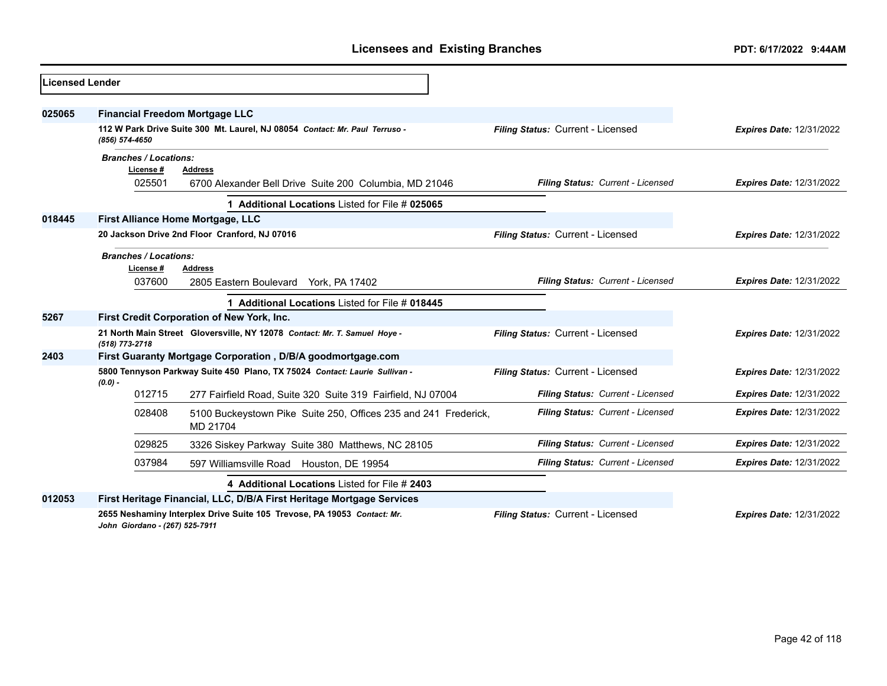| Licensed Lender |                                                     |                                                                             |                                   |                                 |
|-----------------|-----------------------------------------------------|-----------------------------------------------------------------------------|-----------------------------------|---------------------------------|
| 025065          | <b>Financial Freedom Mortgage LLC</b>               |                                                                             |                                   |                                 |
|                 | (856) 574-4650                                      | 112 W Park Drive Suite 300 Mt. Laurel, NJ 08054 Contact: Mr. Paul Terruso - | Filing Status: Current - Licensed | <b>Expires Date: 12/31/2022</b> |
|                 | <b>Branches / Locations:</b><br>License #<br>025501 | <b>Address</b><br>6700 Alexander Bell Drive Suite 200 Columbia, MD 21046    | Filing Status: Current - Licensed | <b>Expires Date: 12/31/2022</b> |
|                 |                                                     | 1 Additional Locations Listed for File # 025065                             |                                   |                                 |
| 018445          |                                                     | First Alliance Home Mortgage, LLC                                           |                                   |                                 |
|                 |                                                     | 20 Jackson Drive 2nd Floor Cranford, NJ 07016                               | Filing Status: Current - Licensed | <b>Expires Date: 12/31/2022</b> |
|                 | <b>Branches / Locations:</b><br>License #           | <b>Address</b>                                                              |                                   |                                 |
|                 | 037600                                              | 2805 Eastern Boulevard York, PA 17402                                       | Filing Status: Current - Licensed | <b>Expires Date: 12/31/2022</b> |
|                 |                                                     | 1 Additional Locations Listed for File # 018445                             |                                   |                                 |
| 5267            |                                                     | <b>First Credit Corporation of New York, Inc.</b>                           |                                   |                                 |
|                 | (518) 773-2718                                      | 21 North Main Street Gloversville, NY 12078 Contact: Mr. T. Samuel Hoye -   | Filing Status: Current - Licensed | <b>Expires Date: 12/31/2022</b> |
| 2403            |                                                     | First Guaranty Mortgage Corporation, D/B/A goodmortgage.com                 |                                   |                                 |
|                 | $(0.0)$ -                                           | 5800 Tennyson Parkway Suite 450 Plano, TX 75024 Contact: Laurie Sullivan -  | Filing Status: Current - Licensed | <b>Expires Date: 12/31/2022</b> |
|                 | 012715                                              | 277 Fairfield Road, Suite 320 Suite 319 Fairfield, NJ 07004                 | Filing Status: Current - Licensed | <b>Expires Date: 12/31/2022</b> |
|                 | 028408                                              | 5100 Buckeystown Pike Suite 250, Offices 235 and 241 Frederick,<br>MD 21704 | Filing Status: Current - Licensed | <b>Expires Date: 12/31/2022</b> |
|                 | 029825                                              | 3326 Siskey Parkway Suite 380 Matthews, NC 28105                            | Filing Status: Current - Licensed | <b>Expires Date: 12/31/2022</b> |
|                 | 037984                                              | 597 Williamsville Road Houston, DE 19954                                    | Filing Status: Current - Licensed | <b>Expires Date: 12/31/2022</b> |
|                 |                                                     | 4 Additional Locations Listed for File # 2403                               |                                   |                                 |
| 012053          |                                                     | First Heritage Financial, LLC, D/B/A First Heritage Mortgage Services       |                                   |                                 |
|                 | John Giordano - (267) 525-7911                      | 2655 Neshaminy Interplex Drive Suite 105 Trevose, PA 19053 Contact: Mr.     | Filing Status: Current - Licensed | <b>Expires Date: 12/31/2022</b> |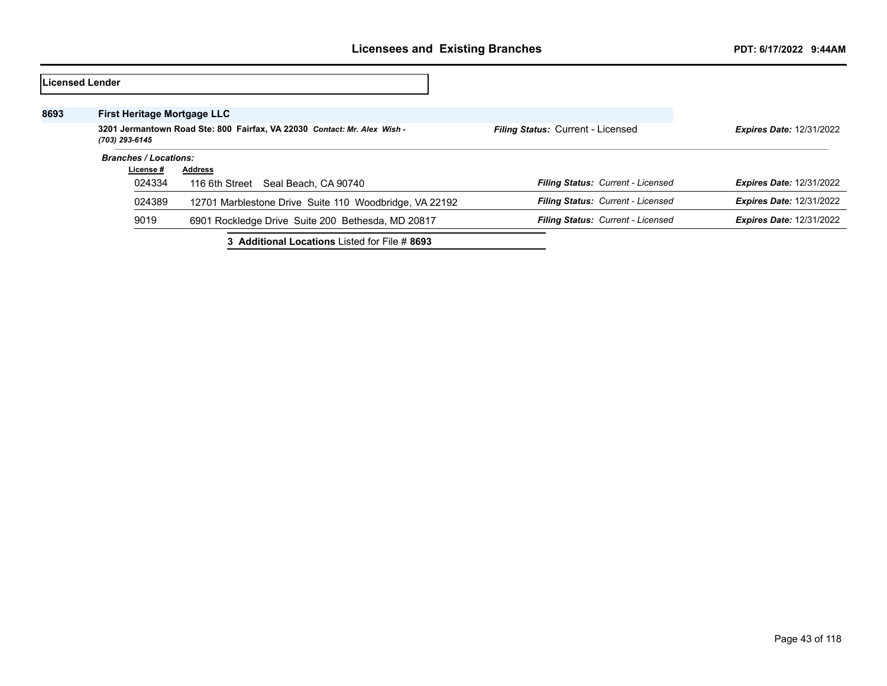|      | lLicensed Lender                                                                           |                                                        |                                          |                                 |
|------|--------------------------------------------------------------------------------------------|--------------------------------------------------------|------------------------------------------|---------------------------------|
| 8693 | <b>First Heritage Mortgage LLC</b>                                                         |                                                        |                                          |                                 |
|      | 3201 Jermantown Road Ste: 800 Fairfax, VA 22030 Contact: Mr. Alex Wish -<br>(703) 293-6145 |                                                        | <b>Filing Status: Current - Licensed</b> | <b>Expires Date: 12/31/2022</b> |
|      | <b>Branches / Locations:</b>                                                               |                                                        |                                          |                                 |
|      | License #                                                                                  | <b>Address</b>                                         |                                          |                                 |
|      | 024334                                                                                     | 116 6th Street<br>Seal Beach, CA 90740                 | Filing Status: Current - Licensed        | <b>Expires Date: 12/31/2022</b> |
|      | 024389                                                                                     | 12701 Marblestone Drive Suite 110 Woodbridge, VA 22192 | <b>Filing Status: Current - Licensed</b> | <b>Expires Date: 12/31/2022</b> |
|      | 9019                                                                                       | 6901 Rockledge Drive Suite 200 Bethesda, MD 20817      | Filing Status: Current - Licensed        | <b>Expires Date: 12/31/2022</b> |
|      |                                                                                            | 3 Additional Locations Listed for File # 8693          |                                          |                                 |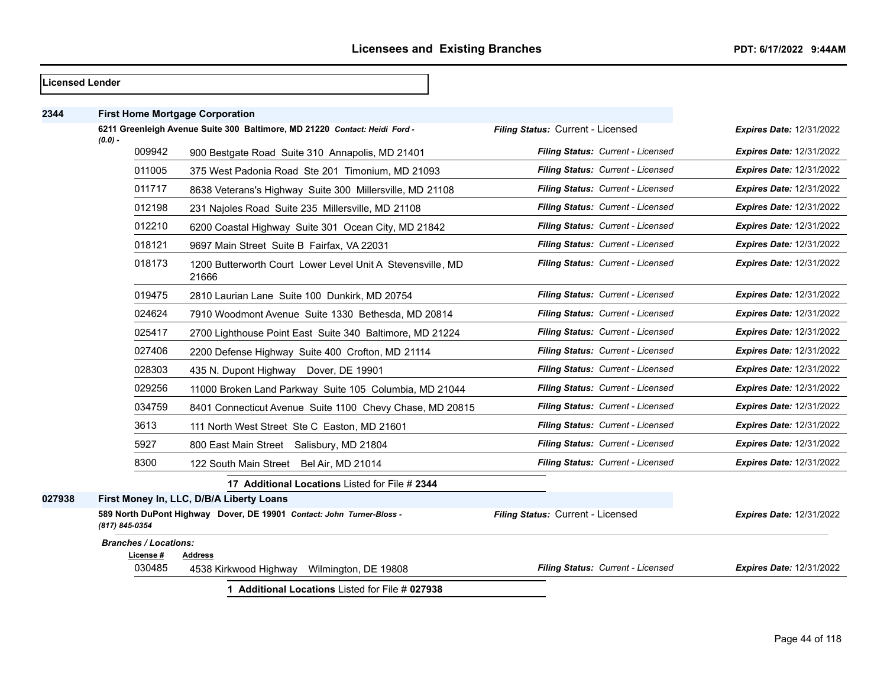|        | Licensed Lender |                              |                                                                            |                                   |                                 |
|--------|-----------------|------------------------------|----------------------------------------------------------------------------|-----------------------------------|---------------------------------|
| 2344   |                 |                              | <b>First Home Mortgage Corporation</b>                                     |                                   |                                 |
|        | $(0.0) -$       |                              | 6211 Greenleigh Avenue Suite 300 Baltimore, MD 21220 Contact: Heidi Ford - | Filing Status: Current - Licensed | <b>Expires Date: 12/31/2022</b> |
|        |                 | 009942                       | 900 Bestgate Road Suite 310 Annapolis, MD 21401                            | Filing Status: Current - Licensed | Expires Date: 12/31/2022        |
|        |                 | 011005                       | 375 West Padonia Road Ste 201 Timonium, MD 21093                           | Filing Status: Current - Licensed | <b>Expires Date: 12/31/2022</b> |
|        |                 | 011717                       | 8638 Veterans's Highway Suite 300 Millersville, MD 21108                   | Filing Status: Current - Licensed | <b>Expires Date: 12/31/2022</b> |
|        |                 | 012198                       | 231 Najoles Road Suite 235 Millersville, MD 21108                          | Filing Status: Current - Licensed | Expires Date: 12/31/2022        |
|        |                 | 012210                       | 6200 Coastal Highway Suite 301 Ocean City, MD 21842                        | Filing Status: Current - Licensed | <b>Expires Date: 12/31/2022</b> |
|        |                 | 018121                       | 9697 Main Street Suite B Fairfax, VA 22031                                 | Filing Status: Current - Licensed | Expires Date: 12/31/2022        |
|        |                 | 018173                       | 1200 Butterworth Court Lower Level Unit A Stevensville, MD<br>21666        | Filing Status: Current - Licensed | <b>Expires Date: 12/31/2022</b> |
|        |                 | 019475                       | 2810 Laurian Lane Suite 100 Dunkirk, MD 20754                              | Filing Status: Current - Licensed | <b>Expires Date: 12/31/2022</b> |
|        |                 | 024624                       | 7910 Woodmont Avenue Suite 1330 Bethesda, MD 20814                         | Filing Status: Current - Licensed | Expires Date: 12/31/2022        |
|        |                 | 025417                       | 2700 Lighthouse Point East Suite 340 Baltimore, MD 21224                   | Filing Status: Current - Licensed | <b>Expires Date: 12/31/2022</b> |
|        |                 | 027406                       | 2200 Defense Highway Suite 400 Crofton, MD 21114                           | Filing Status: Current - Licensed | <b>Expires Date: 12/31/2022</b> |
|        |                 | 028303                       | 435 N. Dupont Highway Dover, DE 19901                                      | Filing Status: Current - Licensed | <b>Expires Date: 12/31/2022</b> |
|        |                 | 029256                       | 11000 Broken Land Parkway Suite 105 Columbia, MD 21044                     | Filing Status: Current - Licensed | <b>Expires Date: 12/31/2022</b> |
|        |                 | 034759                       | 8401 Connecticut Avenue Suite 1100 Chevy Chase, MD 20815                   | Filing Status: Current - Licensed | <b>Expires Date: 12/31/2022</b> |
|        |                 | 3613                         | 111 North West Street Ste C Easton, MD 21601                               | Filing Status: Current - Licensed | <b>Expires Date: 12/31/2022</b> |
|        |                 | 5927                         | 800 East Main Street Salisbury, MD 21804                                   | Filing Status: Current - Licensed | <b>Expires Date: 12/31/2022</b> |
|        |                 | 8300                         | 122 South Main Street Bel Air, MD 21014                                    | Filing Status: Current - Licensed | <b>Expires Date: 12/31/2022</b> |
|        |                 |                              | 17 Additional Locations Listed for File # 2344                             |                                   |                                 |
| 027938 |                 |                              | First Money In, LLC, D/B/A Liberty Loans                                   |                                   |                                 |
|        | (817) 845-0354  |                              | 589 North DuPont Highway Dover, DE 19901 Contact: John Turner-Bloss -      | Filing Status: Current - Licensed | Expires Date: 12/31/2022        |
|        |                 | <b>Branches / Locations:</b> |                                                                            |                                   |                                 |
|        |                 | License #<br>030485          | <b>Address</b><br>4538 Kirkwood Highway<br>Wilmington, DE 19808            | Filing Status: Current - Licensed | <b>Expires Date: 12/31/2022</b> |

**1 Additional Locations** Listed for File # **027938**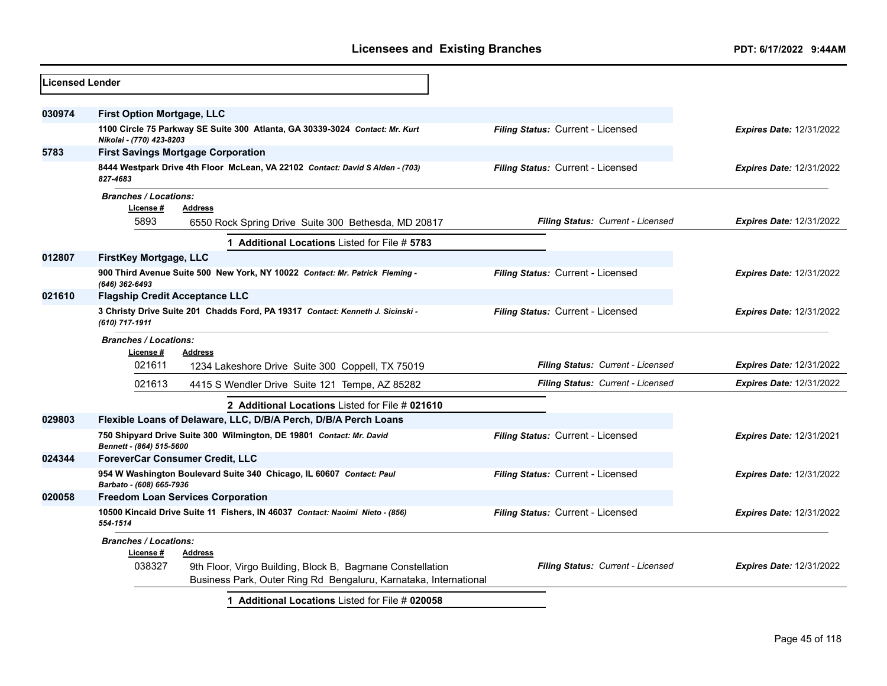| Licensed Lender |                                                                                                                                         |                                   |                                 |
|-----------------|-----------------------------------------------------------------------------------------------------------------------------------------|-----------------------------------|---------------------------------|
| 030974          | <b>First Option Mortgage, LLC</b>                                                                                                       |                                   |                                 |
|                 | 1100 Circle 75 Parkway SE Suite 300 Atlanta, GA 30339-3024 Contact: Mr. Kurt<br>Nikolai - (770) 423-8203                                | Filing Status: Current - Licensed | <b>Expires Date: 12/31/2022</b> |
| 5783            | <b>First Savings Mortgage Corporation</b>                                                                                               |                                   |                                 |
|                 | 8444 Westpark Drive 4th Floor McLean, VA 22102 Contact: David S Alden - (703)<br>827-4683                                               | Filing Status: Current - Licensed | <b>Expires Date: 12/31/2022</b> |
|                 | <b>Branches / Locations:</b><br>License #<br><b>Address</b><br>5893<br>6550 Rock Spring Drive Suite 300 Bethesda, MD 20817              | Filing Status: Current - Licensed | <b>Expires Date: 12/31/2022</b> |
|                 | 1 Additional Locations Listed for File # 5783                                                                                           |                                   |                                 |
| 012807          | FirstKey Mortgage, LLC                                                                                                                  |                                   |                                 |
|                 | 900 Third Avenue Suite 500 New York, NY 10022 Contact: Mr. Patrick Fleming -<br>(646) 362-6493                                          | Filing Status: Current - Licensed | <b>Expires Date: 12/31/2022</b> |
| 021610          | <b>Flagship Credit Acceptance LLC</b>                                                                                                   |                                   |                                 |
|                 | 3 Christy Drive Suite 201 Chadds Ford, PA 19317 Contact: Kenneth J. Sicinski -<br>(610) 717-1911                                        | Filing Status: Current - Licensed | <b>Expires Date: 12/31/2022</b> |
|                 | <b>Branches / Locations:</b>                                                                                                            |                                   |                                 |
|                 | License#<br><b>Address</b><br>021611<br>1234 Lakeshore Drive Suite 300 Coppell, TX 75019                                                | Filing Status: Current - Licensed | <b>Expires Date: 12/31/2022</b> |
|                 | 021613<br>4415 S Wendler Drive Suite 121 Tempe, AZ 85282                                                                                | Filing Status: Current - Licensed | <b>Expires Date: 12/31/2022</b> |
|                 | 2 Additional Locations Listed for File # 021610                                                                                         |                                   |                                 |
| 029803          | Flexible Loans of Delaware, LLC, D/B/A Perch, D/B/A Perch Loans                                                                         |                                   |                                 |
|                 | 750 Shipyard Drive Suite 300 Wilmington, DE 19801 Contact: Mr. David<br>Bennett - (864) 515-5600                                        | Filing Status: Current - Licensed | <b>Expires Date: 12/31/2021</b> |
| 024344          | <b>ForeverCar Consumer Credit, LLC</b>                                                                                                  |                                   |                                 |
|                 | 954 W Washington Boulevard Suite 340 Chicago, IL 60607 Contact: Paul<br>Barbato - (608) 665-7936                                        | Filing Status: Current - Licensed | <b>Expires Date: 12/31/2022</b> |
| 020058          | <b>Freedom Loan Services Corporation</b>                                                                                                |                                   |                                 |
|                 | 10500 Kincaid Drive Suite 11 Fishers, IN 46037 Contact: Naoimi Nieto - (856)<br>554-1514                                                | Filing Status: Current - Licensed | <b>Expires Date: 12/31/2022</b> |
|                 | <b>Branches / Locations:</b>                                                                                                            |                                   |                                 |
|                 | License #<br><b>Address</b>                                                                                                             |                                   |                                 |
|                 | 038327<br>9th Floor, Virgo Building, Block B, Bagmane Constellation<br>Business Park, Outer Ring Rd Bengaluru, Karnataka, International | Filing Status: Current - Licensed | <b>Expires Date: 12/31/2022</b> |
|                 | 1 Additional Locations Listed for File # 020058                                                                                         |                                   |                                 |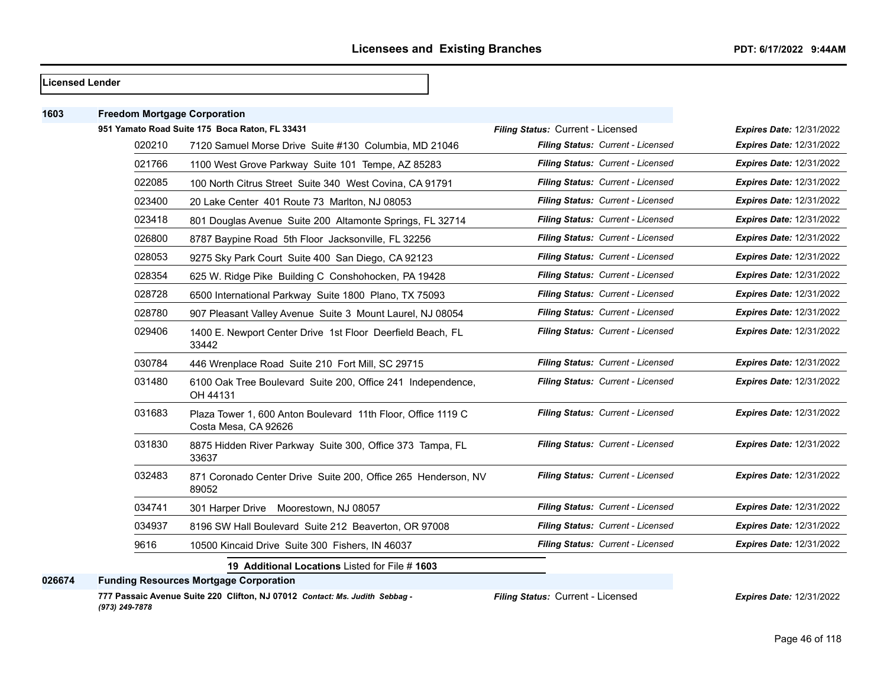#### **Licensed Lender**

| 1603   | <b>Freedom Mortgage Corporation</b> |                                                                                      |                                   |                                 |
|--------|-------------------------------------|--------------------------------------------------------------------------------------|-----------------------------------|---------------------------------|
|        |                                     | 951 Yamato Road Suite 175 Boca Raton, FL 33431                                       | Filing Status: Current - Licensed | <b>Expires Date: 12/31/2022</b> |
|        | 020210                              | 7120 Samuel Morse Drive Suite #130 Columbia, MD 21046                                | Filing Status: Current - Licensed | <b>Expires Date: 12/31/2022</b> |
|        | 021766                              | 1100 West Grove Parkway Suite 101 Tempe, AZ 85283                                    | Filing Status: Current - Licensed | <b>Expires Date: 12/31/2022</b> |
|        | 022085                              | 100 North Citrus Street Suite 340 West Covina, CA 91791                              | Filing Status: Current - Licensed | <b>Expires Date: 12/31/2022</b> |
|        | 023400                              | 20 Lake Center 401 Route 73 Marlton, NJ 08053                                        | Filing Status: Current - Licensed | <b>Expires Date: 12/31/2022</b> |
|        | 023418                              | 801 Douglas Avenue Suite 200 Altamonte Springs, FL 32714                             | Filing Status: Current - Licensed | <b>Expires Date: 12/31/2022</b> |
|        | 026800                              | 8787 Baypine Road 5th Floor Jacksonville, FL 32256                                   | Filing Status: Current - Licensed | <b>Expires Date: 12/31/2022</b> |
|        | 028053                              | 9275 Sky Park Court Suite 400 San Diego, CA 92123                                    | Filing Status: Current - Licensed | <b>Expires Date: 12/31/2022</b> |
|        | 028354                              | 625 W. Ridge Pike Building C Conshohocken, PA 19428                                  | Filing Status: Current - Licensed | <b>Expires Date: 12/31/2022</b> |
|        | 028728                              | 6500 International Parkway Suite 1800 Plano, TX 75093                                | Filing Status: Current - Licensed | <b>Expires Date: 12/31/2022</b> |
|        | 028780                              | 907 Pleasant Valley Avenue Suite 3 Mount Laurel, NJ 08054                            | Filing Status: Current - Licensed | <b>Expires Date: 12/31/2022</b> |
|        | 029406                              | 1400 E. Newport Center Drive 1st Floor Deerfield Beach, FL<br>33442                  | Filing Status: Current - Licensed | <b>Expires Date: 12/31/2022</b> |
|        | 030784                              | 446 Wrenplace Road Suite 210 Fort Mill, SC 29715                                     | Filing Status: Current - Licensed | Expires Date: 12/31/2022        |
|        | 031480                              | 6100 Oak Tree Boulevard Suite 200, Office 241 Independence,<br>OH 44131              | Filing Status: Current - Licensed | <b>Expires Date: 12/31/2022</b> |
|        | 031683                              | Plaza Tower 1, 600 Anton Boulevard 11th Floor, Office 1119 C<br>Costa Mesa, CA 92626 | Filing Status: Current - Licensed | <b>Expires Date: 12/31/2022</b> |
|        | 031830                              | 8875 Hidden River Parkway Suite 300, Office 373 Tampa, FL<br>33637                   | Filing Status: Current - Licensed | <b>Expires Date: 12/31/2022</b> |
|        | 032483                              | 871 Coronado Center Drive Suite 200, Office 265 Henderson, NV<br>89052               | Filing Status: Current - Licensed | Expires Date: 12/31/2022        |
|        | 034741                              | 301 Harper Drive Moorestown, NJ 08057                                                | Filing Status: Current - Licensed | <b>Expires Date: 12/31/2022</b> |
|        | 034937                              | 8196 SW Hall Boulevard Suite 212 Beaverton, OR 97008                                 | Filing Status: Current - Licensed | <b>Expires Date: 12/31/2022</b> |
|        | 9616                                | 10500 Kincaid Drive Suite 300 Fishers, IN 46037                                      | Filing Status: Current - Licensed | <b>Expires Date: 12/31/2022</b> |
|        |                                     | 19 Additional Locations Listed for File # 1603                                       |                                   |                                 |
| 026674 |                                     | <b>Funding Resources Mortgage Corporation</b>                                        |                                   |                                 |
|        |                                     |                                                                                      |                                   |                                 |

**777 Passaic Avenue Suite 220 Clifton, NJ 07012** *Contact: Ms. Judith Sebbag - (973) 249-7878*

*Filing Status:* Current - Licensed *Expires Date:* 12/31/2022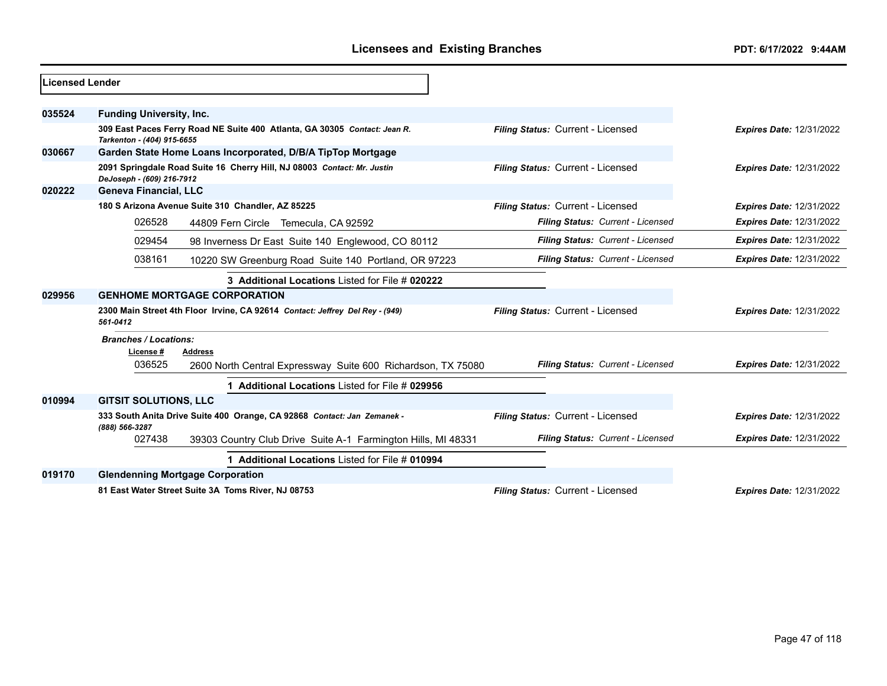| Licensed Lender |                                 |                                                                              |                                   |                                 |
|-----------------|---------------------------------|------------------------------------------------------------------------------|-----------------------------------|---------------------------------|
| 035524          | <b>Funding University, Inc.</b> |                                                                              |                                   |                                 |
|                 | Tarkenton - (404) 915-6655      | 309 East Paces Ferry Road NE Suite 400 Atlanta, GA 30305 Contact: Jean R.    | Filing Status: Current - Licensed | <b>Expires Date: 12/31/2022</b> |
| 030667          |                                 | Garden State Home Loans Incorporated, D/B/A TipTop Mortgage                  |                                   |                                 |
|                 | DeJoseph - (609) 216-7912       | 2091 Springdale Road Suite 16 Cherry Hill, NJ 08003 Contact: Mr. Justin      | Filing Status: Current - Licensed | <b>Expires Date: 12/31/2022</b> |
| 020222          | <b>Geneva Financial, LLC</b>    |                                                                              |                                   |                                 |
|                 |                                 | 180 S Arizona Avenue Suite 310 Chandler, AZ 85225                            | Filing Status: Current - Licensed | <b>Expires Date: 12/31/2022</b> |
|                 | 026528                          | 44809 Fern Circle Temecula, CA 92592                                         | Filing Status: Current - Licensed | <b>Expires Date: 12/31/2022</b> |
|                 | 029454                          | 98 Inverness Dr East Suite 140 Englewood, CO 80112                           | Filing Status: Current - Licensed | <b>Expires Date: 12/31/2022</b> |
|                 | 038161                          | 10220 SW Greenburg Road Suite 140 Portland, OR 97223                         | Filing Status: Current - Licensed | <b>Expires Date: 12/31/2022</b> |
|                 |                                 | 3 Additional Locations Listed for File # 020222                              |                                   |                                 |
| 029956          |                                 | <b>GENHOME MORTGAGE CORPORATION</b>                                          |                                   |                                 |
|                 | 561-0412                        | 2300 Main Street 4th Floor Irvine, CA 92614 Contact: Jeffrey Del Rey - (949) | Filing Status: Current - Licensed | <b>Expires Date: 12/31/2022</b> |
|                 | <b>Branches / Locations:</b>    |                                                                              |                                   |                                 |
|                 | License #                       | Address                                                                      |                                   |                                 |
|                 | 036525                          | 2600 North Central Expressway Suite 600 Richardson, TX 75080                 | Filing Status: Current - Licensed | <b>Expires Date: 12/31/2022</b> |
|                 |                                 | Additional Locations Listed for File # 029956                                |                                   |                                 |
| 010994          | <b>GITSIT SOLUTIONS, LLC</b>    |                                                                              |                                   |                                 |
|                 |                                 | 333 South Anita Drive Suite 400 Orange, CA 92868 Contact: Jan Zemanek -      | Filing Status: Current - Licensed | <b>Expires Date: 12/31/2022</b> |
|                 | (888) 566-3287<br>027438        | 39303 Country Club Drive Suite A-1 Farmington Hills, MI 48331                | Filing Status: Current - Licensed | <b>Expires Date: 12/31/2022</b> |
|                 |                                 | 1 Additional Locations Listed for File # 010994                              |                                   |                                 |
| 019170          |                                 | <b>Glendenning Mortgage Corporation</b>                                      |                                   |                                 |
|                 |                                 | 81 East Water Street Suite 3A Toms River, NJ 08753                           | Filing Status: Current - Licensed | <b>Expires Date: 12/31/2022</b> |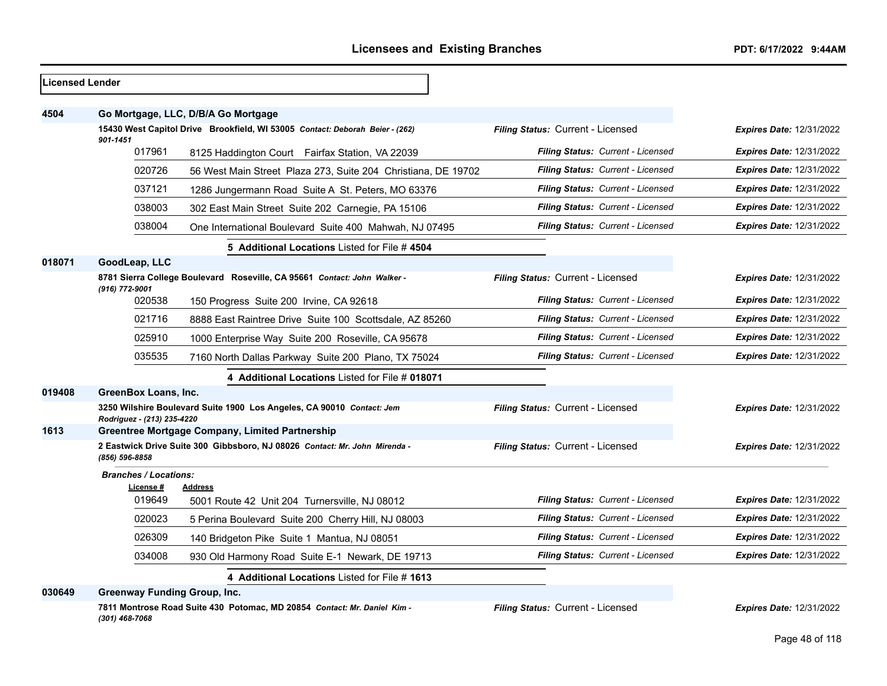| Licensed Lender |                                                                                          |                                                                            |                                   |                                 |
|-----------------|------------------------------------------------------------------------------------------|----------------------------------------------------------------------------|-----------------------------------|---------------------------------|
| 4504            | Go Mortgage, LLC, D/B/A Go Mortgage                                                      |                                                                            |                                   |                                 |
|                 | 15430 West Capitol Drive Brookfield, WI 53005 Contact: Deborah Beier - (262)<br>901-1451 |                                                                            | Filing Status: Current - Licensed | <b>Expires Date: 12/31/2022</b> |
|                 | 017961                                                                                   | 8125 Haddington Court Fairfax Station, VA 22039                            | Filing Status: Current - Licensed | <b>Expires Date: 12/31/2022</b> |
|                 | 020726                                                                                   | 56 West Main Street Plaza 273, Suite 204 Christiana, DE 19702              | Filing Status: Current - Licensed | <b>Expires Date: 12/31/2022</b> |
|                 | 037121                                                                                   | 1286 Jungermann Road Suite A St. Peters, MO 63376                          | Filing Status: Current - Licensed | <b>Expires Date: 12/31/2022</b> |
|                 | 038003                                                                                   | 302 East Main Street Suite 202 Carnegie, PA 15106                          | Filing Status: Current - Licensed | Expires Date: 12/31/2022        |
|                 | 038004                                                                                   | One International Boulevard Suite 400 Mahwah, NJ 07495                     | Filing Status: Current - Licensed | <b>Expires Date: 12/31/2022</b> |
|                 |                                                                                          | 5 Additional Locations Listed for File #4504                               |                                   |                                 |
| 018071          | GoodLeap, LLC                                                                            |                                                                            |                                   |                                 |
|                 | (916) 772-9001                                                                           | 8781 Sierra College Boulevard Roseville, CA 95661 Contact: John Walker -   | Filing Status: Current - Licensed | <b>Expires Date: 12/31/2022</b> |
|                 | 020538                                                                                   | 150 Progress Suite 200 Irvine, CA 92618                                    | Filing Status: Current - Licensed | <b>Expires Date: 12/31/2022</b> |
|                 | 021716                                                                                   | 8888 East Raintree Drive Suite 100 Scottsdale, AZ 85260                    | Filing Status: Current - Licensed | <b>Expires Date: 12/31/2022</b> |
|                 | 025910                                                                                   | 1000 Enterprise Way Suite 200 Roseville, CA 95678                          | Filing Status: Current - Licensed | <b>Expires Date: 12/31/2022</b> |
|                 | 035535                                                                                   | 7160 North Dallas Parkway Suite 200 Plano, TX 75024                        | Filing Status: Current - Licensed | <b>Expires Date: 12/31/2022</b> |
|                 |                                                                                          | 4 Additional Locations Listed for File # 018071                            |                                   |                                 |
| 019408          | GreenBox Loans, Inc.                                                                     |                                                                            |                                   |                                 |
|                 | Rodriguez - (213) 235-4220                                                               | 3250 Wilshire Boulevard Suite 1900 Los Angeles, CA 90010 Contact: Jem      | Filing Status: Current - Licensed | <b>Expires Date: 12/31/2022</b> |
| 1613            |                                                                                          | <b>Greentree Mortgage Company, Limited Partnership</b>                     |                                   |                                 |
|                 | (856) 596-8858                                                                           | 2 Eastwick Drive Suite 300 Gibbsboro, NJ 08026 Contact: Mr. John Mirenda - | Filing Status: Current - Licensed | <b>Expires Date: 12/31/2022</b> |
|                 | <b>Branches / Locations:</b>                                                             |                                                                            |                                   |                                 |
|                 | License #<br>019649                                                                      | Address<br>5001 Route 42 Unit 204 Turnersville, NJ 08012                   | Filing Status: Current - Licensed | <b>Expires Date: 12/31/2022</b> |
|                 | 020023                                                                                   | 5 Perina Boulevard Suite 200 Cherry Hill, NJ 08003                         | Filing Status: Current - Licensed | <b>Expires Date: 12/31/2022</b> |
|                 | 026309                                                                                   | 140 Bridgeton Pike Suite 1 Mantua, NJ 08051                                | Filing Status: Current - Licensed | <b>Expires Date: 12/31/2022</b> |
|                 | 034008                                                                                   | 930 Old Harmony Road Suite E-1 Newark, DE 19713                            | Filing Status: Current - Licensed | <b>Expires Date: 12/31/2022</b> |
|                 |                                                                                          | 4 Additional Locations Listed for File # 1613                              |                                   |                                 |
| 030649          | <b>Greenway Funding Group, Inc.</b>                                                      |                                                                            |                                   |                                 |
|                 | (301) 468-7068                                                                           | 7811 Montrose Road Suite 430 Potomac, MD 20854 Contact: Mr. Daniel Kim -   | Filing Status: Current - Licensed | <b>Expires Date: 12/31/2022</b> |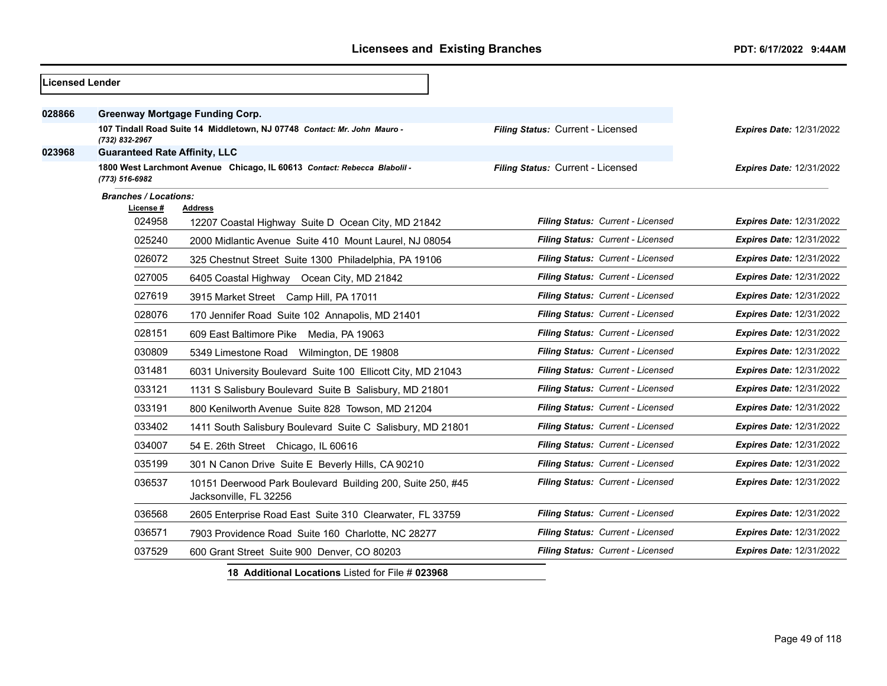| <b>Licensed Lender</b> |                                                                                            |                                                                                      |                                   |                                 |
|------------------------|--------------------------------------------------------------------------------------------|--------------------------------------------------------------------------------------|-----------------------------------|---------------------------------|
| 028866                 |                                                                                            | <b>Greenway Mortgage Funding Corp.</b>                                               |                                   |                                 |
|                        | 107 Tindall Road Suite 14 Middletown, NJ 07748 Contact: Mr. John Mauro -<br>(732) 832-2967 |                                                                                      | Filing Status: Current - Licensed | <b>Expires Date: 12/31/2022</b> |
| 023968                 | <b>Guaranteed Rate Affinity, LLC</b>                                                       |                                                                                      |                                   |                                 |
|                        | (773) 516-6982                                                                             | 1800 West Larchmont Avenue Chicago, IL 60613 Contact: Rebecca Blabolil -             | Filing Status: Current - Licensed | <b>Expires Date: 12/31/2022</b> |
|                        | <b>Branches / Locations:</b>                                                               |                                                                                      |                                   |                                 |
|                        | License #                                                                                  | <b>Address</b>                                                                       |                                   |                                 |
|                        | 024958                                                                                     | 12207 Coastal Highway Suite D Ocean City, MD 21842                                   | Filing Status: Current - Licensed | <b>Expires Date: 12/31/2022</b> |
|                        | 025240                                                                                     | 2000 Midlantic Avenue Suite 410 Mount Laurel, NJ 08054                               | Filing Status: Current - Licensed | <b>Expires Date: 12/31/2022</b> |
|                        | 026072                                                                                     | 325 Chestnut Street Suite 1300 Philadelphia, PA 19106                                | Filing Status: Current - Licensed | <b>Expires Date: 12/31/2022</b> |
|                        | 027005                                                                                     | 6405 Coastal Highway Ocean City, MD 21842                                            | Filing Status: Current - Licensed | <b>Expires Date: 12/31/2022</b> |
|                        | 027619                                                                                     | 3915 Market Street Camp Hill, PA 17011                                               | Filing Status: Current - Licensed | Expires Date: 12/31/2022        |
|                        | 028076                                                                                     | 170 Jennifer Road Suite 102 Annapolis, MD 21401                                      | Filing Status: Current - Licensed | <b>Expires Date: 12/31/2022</b> |
|                        | 028151                                                                                     | 609 East Baltimore Pike Media, PA 19063                                              | Filing Status: Current - Licensed | <b>Expires Date: 12/31/2022</b> |
|                        | 030809                                                                                     | 5349 Limestone Road Wilmington, DE 19808                                             | Filing Status: Current - Licensed | <b>Expires Date: 12/31/2022</b> |
|                        | 031481                                                                                     | 6031 University Boulevard Suite 100 Ellicott City, MD 21043                          | Filing Status: Current - Licensed | <b>Expires Date: 12/31/2022</b> |
|                        | 033121                                                                                     | 1131 S Salisbury Boulevard Suite B Salisbury, MD 21801                               | Filing Status: Current - Licensed | <b>Expires Date: 12/31/2022</b> |
|                        | 033191                                                                                     | 800 Kenilworth Avenue Suite 828 Towson, MD 21204                                     | Filing Status: Current - Licensed | <b>Expires Date: 12/31/2022</b> |
|                        | 033402                                                                                     | 1411 South Salisbury Boulevard Suite C Salisbury, MD 21801                           | Filing Status: Current - Licensed | <b>Expires Date: 12/31/2022</b> |
|                        | 034007                                                                                     | 54 E. 26th Street Chicago, IL 60616                                                  | Filing Status: Current - Licensed | <b>Expires Date: 12/31/2022</b> |
|                        | 035199                                                                                     | 301 N Canon Drive Suite E Beverly Hills, CA 90210                                    | Filing Status: Current - Licensed | <b>Expires Date: 12/31/2022</b> |
|                        | 036537                                                                                     | 10151 Deerwood Park Boulevard Building 200, Suite 250, #45<br>Jacksonville, FL 32256 | Filing Status: Current - Licensed | <b>Expires Date: 12/31/2022</b> |
|                        | 036568                                                                                     | 2605 Enterprise Road East Suite 310 Clearwater, FL 33759                             | Filing Status: Current - Licensed | <b>Expires Date: 12/31/2022</b> |
|                        | 036571                                                                                     | 7903 Providence Road Suite 160 Charlotte, NC 28277                                   | Filing Status: Current - Licensed | <b>Expires Date: 12/31/2022</b> |
|                        | 037529                                                                                     | 600 Grant Street Suite 900 Denver, CO 80203                                          | Filing Status: Current - Licensed | <b>Expires Date: 12/31/2022</b> |
|                        |                                                                                            | 18 Additional Locations Listed for File # 023968                                     |                                   |                                 |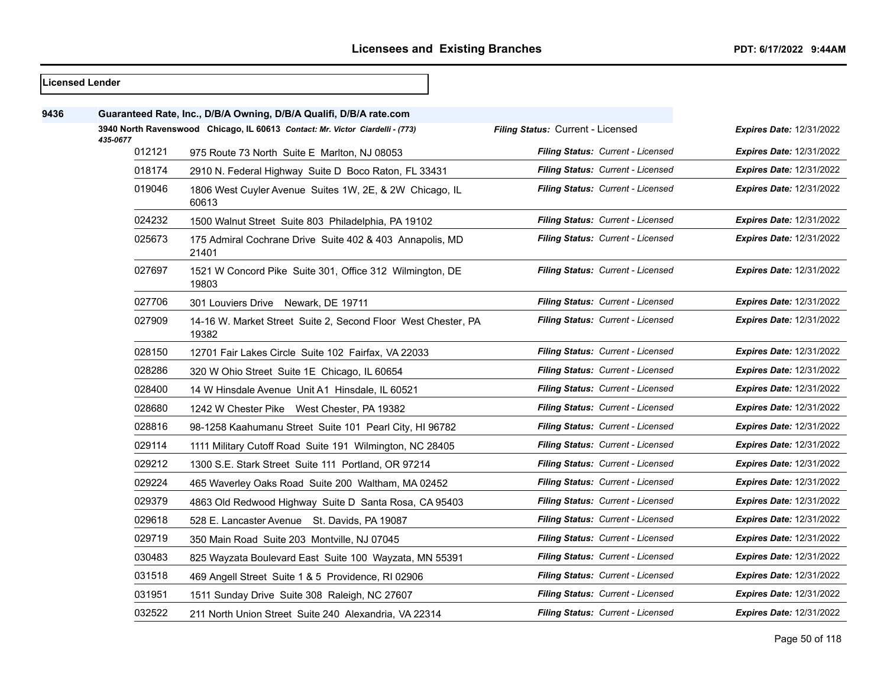$\overline{\phantom{0}}$ 

|      | <b>Licensed Lender</b> |                                                                               |                                          |                                 |
|------|------------------------|-------------------------------------------------------------------------------|------------------------------------------|---------------------------------|
| 9436 |                        | Guaranteed Rate, Inc., D/B/A Owning, D/B/A Qualifi, D/B/A rate.com            |                                          |                                 |
|      | 435-0677               | 3940 North Ravenswood Chicago, IL 60613 Contact: Mr. Victor Ciardelli - (773) | Filing Status: Current - Licensed        | <b>Expires Date: 12/31/2022</b> |
|      | 012121                 | 975 Route 73 North Suite E Marlton, NJ 08053                                  | Filing Status: Current - Licensed        | <b>Expires Date: 12/31/2022</b> |
|      | 018174                 | 2910 N. Federal Highway Suite D Boco Raton, FL 33431                          | Filing Status: Current - Licensed        | <b>Expires Date: 12/31/2022</b> |
|      | 019046                 | 1806 West Cuyler Avenue Suites 1W, 2E, & 2W Chicago, IL<br>60613              | Filing Status: Current - Licensed        | <b>Expires Date: 12/31/2022</b> |
|      | 024232                 | 1500 Walnut Street Suite 803 Philadelphia, PA 19102                           | Filing Status: Current - Licensed        | Expires Date: 12/31/2022        |
|      | 025673                 | 175 Admiral Cochrane Drive Suite 402 & 403 Annapolis, MD<br>21401             | <b>Filing Status: Current - Licensed</b> | <b>Expires Date: 12/31/2022</b> |
|      | 027697                 | 1521 W Concord Pike Suite 301, Office 312 Wilmington, DE<br>19803             | Filing Status: Current - Licensed        | <b>Expires Date: 12/31/2022</b> |
|      | 027706                 | 301 Louviers Drive Newark, DE 19711                                           | Filing Status: Current - Licensed        | <b>Expires Date: 12/31/2022</b> |
|      | 027909                 | 14-16 W. Market Street Suite 2, Second Floor West Chester, PA<br>19382        | Filing Status: Current - Licensed        | <b>Expires Date: 12/31/2022</b> |
|      | 028150                 | 12701 Fair Lakes Circle Suite 102 Fairfax, VA 22033                           | Filing Status: Current - Licensed        | <b>Expires Date: 12/31/2022</b> |
|      | 028286                 | 320 W Ohio Street Suite 1E Chicago, IL 60654                                  | Filing Status: Current - Licensed        | <b>Expires Date: 12/31/2022</b> |
|      | 028400                 | 14 W Hinsdale Avenue Unit A1 Hinsdale, IL 60521                               | Filing Status: Current - Licensed        | <b>Expires Date: 12/31/2022</b> |
|      | 028680                 | 1242 W Chester Pike West Chester, PA 19382                                    | <b>Filing Status: Current - Licensed</b> | <b>Expires Date: 12/31/2022</b> |
|      | 028816                 | 98-1258 Kaahumanu Street Suite 101 Pearl City, HI 96782                       | <b>Filing Status: Current - Licensed</b> | <b>Expires Date: 12/31/2022</b> |
|      | 029114                 | 1111 Military Cutoff Road Suite 191 Wilmington, NC 28405                      | Filing Status: Current - Licensed        | <b>Expires Date: 12/31/2022</b> |
|      | 029212                 | 1300 S.E. Stark Street Suite 111 Portland, OR 97214                           | Filing Status: Current - Licensed        | <b>Expires Date: 12/31/2022</b> |
|      | 029224                 | 465 Waverley Oaks Road Suite 200 Waltham, MA 02452                            | Filing Status: Current - Licensed        | <b>Expires Date: 12/31/2022</b> |
|      | 029379                 | 4863 Old Redwood Highway Suite D Santa Rosa, CA 95403                         | <b>Filing Status: Current - Licensed</b> | <b>Expires Date: 12/31/2022</b> |
|      | 029618                 | 528 E. Lancaster Avenue St. Davids, PA 19087                                  | Filing Status: Current - Licensed        | <b>Expires Date: 12/31/2022</b> |
|      | 029719                 | 350 Main Road Suite 203 Montville, NJ 07045                                   | Filing Status: Current - Licensed        | <b>Expires Date: 12/31/2022</b> |
|      | 030483                 | 825 Wayzata Boulevard East Suite 100 Wayzata, MN 55391                        | <b>Filing Status: Current - Licensed</b> | <b>Expires Date: 12/31/2022</b> |
|      | 031518                 | 469 Angell Street Suite 1 & 5 Providence, RI 02906                            | Filing Status: Current - Licensed        | <b>Expires Date: 12/31/2022</b> |
|      | 031951                 | 1511 Sunday Drive Suite 308 Raleigh, NC 27607                                 | Filing Status: Current - Licensed        | <b>Expires Date: 12/31/2022</b> |
|      | 032522                 | 211 North Union Street Suite 240 Alexandria, VA 22314                         | Filing Status: Current - Licensed        | <b>Expires Date: 12/31/2022</b> |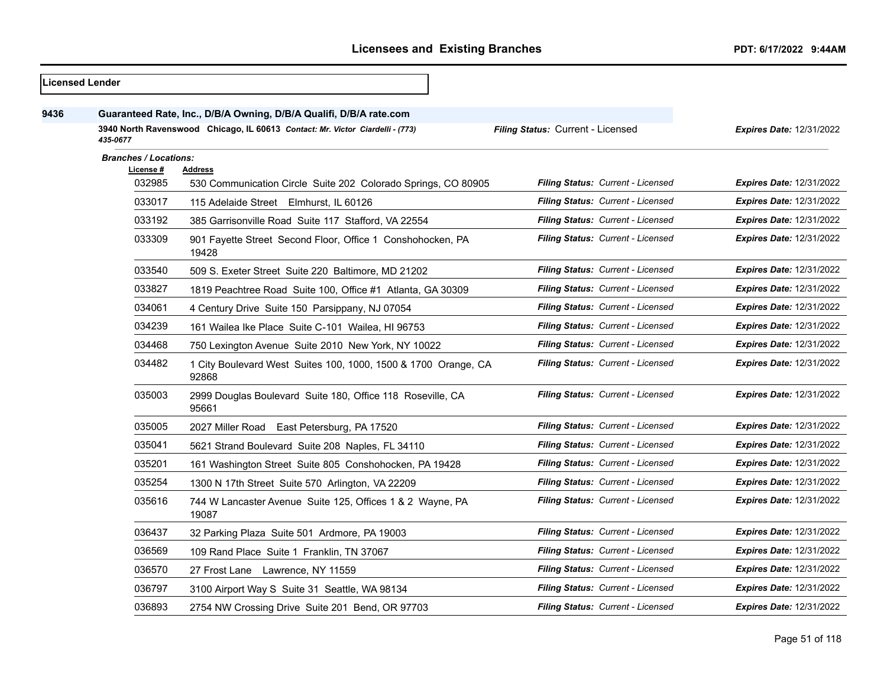|      | Licensed Lender                                                                           |                                                                         |                                   |                                 |  |
|------|-------------------------------------------------------------------------------------------|-------------------------------------------------------------------------|-----------------------------------|---------------------------------|--|
| 9436 |                                                                                           | Guaranteed Rate, Inc., D/B/A Owning, D/B/A Qualifi, D/B/A rate.com      |                                   |                                 |  |
|      | 3940 North Ravenswood Chicago, IL 60613 Contact: Mr. Victor Ciardelli - (773)<br>435-0677 |                                                                         | Filing Status: Current - Licensed | <b>Expires Date: 12/31/2022</b> |  |
|      | <b>Branches / Locations:</b><br><u>License #</u>                                          | Address                                                                 |                                   |                                 |  |
|      | 032985                                                                                    | 530 Communication Circle Suite 202 Colorado Springs, CO 80905           | Filing Status: Current - Licensed | <b>Expires Date: 12/31/2022</b> |  |
|      | 033017                                                                                    | 115 Adelaide Street Elmhurst, IL 60126                                  | Filing Status: Current - Licensed | <b>Expires Date: 12/31/2022</b> |  |
|      | 033192                                                                                    | 385 Garrisonville Road Suite 117 Stafford, VA 22554                     | Filing Status: Current - Licensed | <b>Expires Date: 12/31/2022</b> |  |
|      | 033309                                                                                    | 901 Fayette Street Second Floor, Office 1 Conshohocken, PA<br>19428     | Filing Status: Current - Licensed | <b>Expires Date: 12/31/2022</b> |  |
|      | 033540                                                                                    | 509 S. Exeter Street Suite 220 Baltimore, MD 21202                      | Filing Status: Current - Licensed | <b>Expires Date: 12/31/2022</b> |  |
|      | 033827                                                                                    | 1819 Peachtree Road Suite 100, Office #1 Atlanta, GA 30309              | Filing Status: Current - Licensed | <b>Expires Date: 12/31/2022</b> |  |
|      | 034061                                                                                    | 4 Century Drive Suite 150 Parsippany, NJ 07054                          | Filing Status: Current - Licensed | <b>Expires Date: 12/31/2022</b> |  |
|      | 034239                                                                                    | 161 Wailea Ike Place Suite C-101 Wailea, HI 96753                       | Filing Status: Current - Licensed | <b>Expires Date: 12/31/2022</b> |  |
|      | 034468                                                                                    | 750 Lexington Avenue Suite 2010 New York, NY 10022                      | Filing Status: Current - Licensed | <b>Expires Date: 12/31/2022</b> |  |
|      | 034482                                                                                    | 1 City Boulevard West Suites 100, 1000, 1500 & 1700 Orange, CA<br>92868 | Filing Status: Current - Licensed | <b>Expires Date: 12/31/2022</b> |  |
|      | 035003                                                                                    | 2999 Douglas Boulevard Suite 180, Office 118 Roseville, CA<br>95661     | Filing Status: Current - Licensed | <b>Expires Date: 12/31/2022</b> |  |
|      | 035005                                                                                    | 2027 Miller Road East Petersburg, PA 17520                              | Filing Status: Current - Licensed | <b>Expires Date: 12/31/2022</b> |  |
|      | 035041                                                                                    | 5621 Strand Boulevard Suite 208 Naples, FL 34110                        | Filing Status: Current - Licensed | <b>Expires Date: 12/31/2022</b> |  |
|      | 035201                                                                                    | 161 Washington Street Suite 805 Conshohocken, PA 19428                  | Filing Status: Current - Licensed | <b>Expires Date: 12/31/2022</b> |  |
|      | 035254                                                                                    | 1300 N 17th Street Suite 570 Arlington, VA 22209                        | Filing Status: Current - Licensed | <b>Expires Date: 12/31/2022</b> |  |
|      | 035616                                                                                    | 744 W Lancaster Avenue Suite 125, Offices 1 & 2 Wayne, PA<br>19087      | Filing Status: Current - Licensed | <b>Expires Date: 12/31/2022</b> |  |
|      | 036437                                                                                    | 32 Parking Plaza Suite 501 Ardmore, PA 19003                            | Filing Status: Current - Licensed | <b>Expires Date: 12/31/2022</b> |  |
|      | 036569                                                                                    | 109 Rand Place Suite 1 Franklin, TN 37067                               | Filing Status: Current - Licensed | <b>Expires Date: 12/31/2022</b> |  |
|      | 036570                                                                                    | 27 Frost Lane Lawrence, NY 11559                                        | Filing Status: Current - Licensed | Expires Date: 12/31/2022        |  |
|      | 036797                                                                                    | 3100 Airport Way S Suite 31 Seattle, WA 98134                           | Filing Status: Current - Licensed | <b>Expires Date: 12/31/2022</b> |  |
|      | 036893                                                                                    | 2754 NW Crossing Drive Suite 201 Bend, OR 97703                         | Filing Status: Current - Licensed | <b>Expires Date: 12/31/2022</b> |  |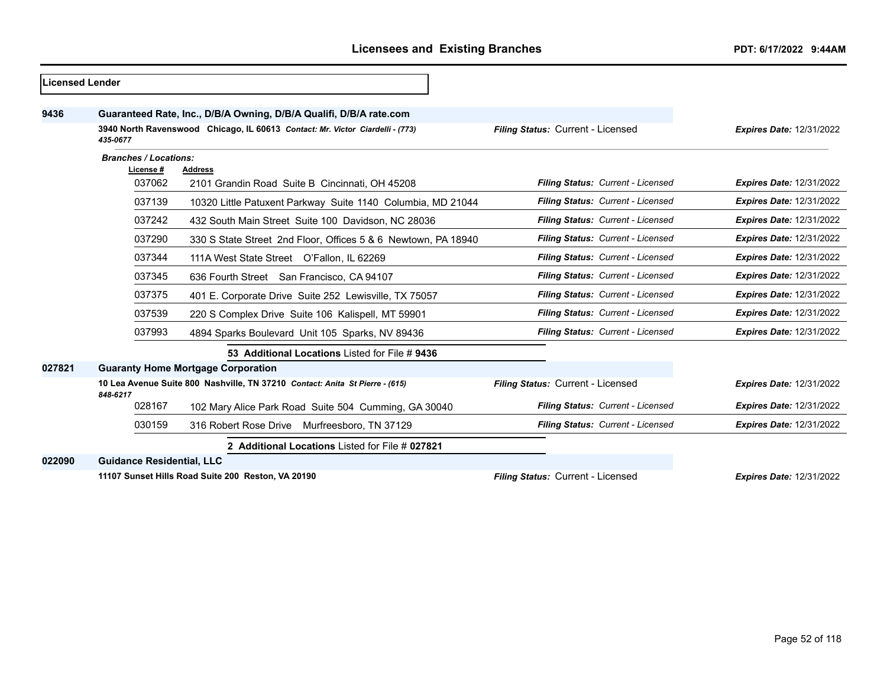| <b>Licensed Lender</b> |                                                                                          |                                                                               |                                   |                                 |
|------------------------|------------------------------------------------------------------------------------------|-------------------------------------------------------------------------------|-----------------------------------|---------------------------------|
| 9436                   |                                                                                          | Guaranteed Rate, Inc., D/B/A Owning, D/B/A Qualifi, D/B/A rate.com            |                                   |                                 |
|                        | 435-0677                                                                                 | 3940 North Ravenswood Chicago, IL 60613 Contact: Mr. Victor Ciardelli - (773) | Filing Status: Current - Licensed | <b>Expires Date: 12/31/2022</b> |
|                        | <b>Branches / Locations:</b><br>License #                                                |                                                                               |                                   |                                 |
|                        | 037062                                                                                   | <b>Address</b><br>2101 Grandin Road Suite B Cincinnati, OH 45208              | Filing Status: Current - Licensed | <b>Expires Date: 12/31/2022</b> |
|                        | 037139                                                                                   | 10320 Little Patuxent Parkway Suite 1140 Columbia, MD 21044                   | Filing Status: Current - Licensed | <b>Expires Date: 12/31/2022</b> |
|                        | 037242                                                                                   | 432 South Main Street Suite 100 Davidson, NC 28036                            | Filing Status: Current - Licensed | <b>Expires Date: 12/31/2022</b> |
|                        | 037290                                                                                   | 330 S State Street 2nd Floor, Offices 5 & 6 Newtown, PA 18940                 | Filing Status: Current - Licensed | <b>Expires Date: 12/31/2022</b> |
|                        | 037344                                                                                   | 111A West State Street O'Fallon, IL 62269                                     | Filing Status: Current - Licensed | <b>Expires Date: 12/31/2022</b> |
|                        | 037345                                                                                   | 636 Fourth Street San Francisco, CA 94107                                     | Filing Status: Current - Licensed | <b>Expires Date: 12/31/2022</b> |
|                        | 037375                                                                                   | 401 E. Corporate Drive Suite 252 Lewisville, TX 75057                         | Filing Status: Current - Licensed | <b>Expires Date: 12/31/2022</b> |
|                        | 037539                                                                                   | 220 S Complex Drive Suite 106 Kalispell, MT 59901                             | Filing Status: Current - Licensed | <b>Expires Date: 12/31/2022</b> |
|                        | 037993                                                                                   | 4894 Sparks Boulevard Unit 105 Sparks, NV 89436                               | Filing Status: Current - Licensed | <b>Expires Date: 12/31/2022</b> |
|                        |                                                                                          | 53 Additional Locations Listed for File # 9436                                |                                   |                                 |
| 027821                 |                                                                                          | <b>Guaranty Home Mortgage Corporation</b>                                     |                                   |                                 |
|                        | 10 Lea Avenue Suite 800 Nashville, TN 37210 Contact: Anita St Pierre - (615)<br>848-6217 |                                                                               | Filing Status: Current - Licensed | <b>Expires Date: 12/31/2022</b> |
|                        | 028167                                                                                   | 102 Mary Alice Park Road Suite 504 Cumming, GA 30040                          | Filing Status: Current - Licensed | <b>Expires Date: 12/31/2022</b> |
|                        | 030159                                                                                   | 316 Robert Rose Drive<br>Murfreesboro, TN 37129                               | Filing Status: Current - Licensed | <b>Expires Date: 12/31/2022</b> |
|                        |                                                                                          | 2 Additional Locations Listed for File # 027821                               |                                   |                                 |
| 022090                 | <b>Guidance Residential, LLC</b>                                                         |                                                                               |                                   |                                 |
|                        |                                                                                          | 11107 Sunset Hills Road Suite 200 Reston, VA 20190                            | Filing Status: Current - Licensed | <b>Expires Date: 12/31/2022</b> |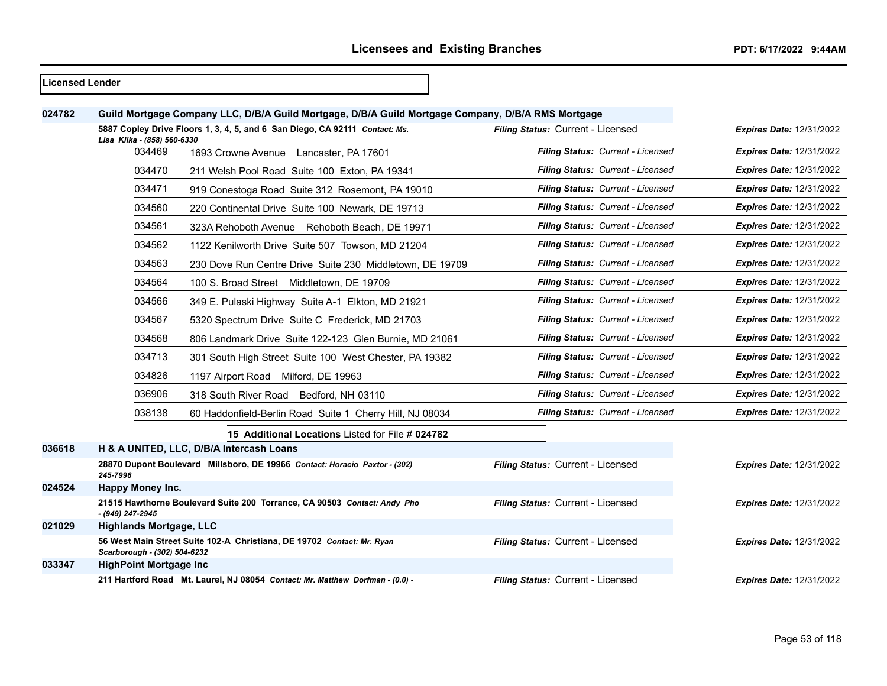#### **Licensed Lender**

| 024782 |                                | Guild Mortgage Company LLC, D/B/A Guild Mortgage, D/B/A Guild Mortgage Company, D/B/A RMS Mortgage |                                   |                                 |
|--------|--------------------------------|----------------------------------------------------------------------------------------------------|-----------------------------------|---------------------------------|
|        | Lisa Klika - (858) 560-6330    | 5887 Copley Drive Floors 1, 3, 4, 5, and 6 San Diego, CA 92111 Contact: Ms.                        | Filing Status: Current - Licensed | <b>Expires Date: 12/31/2022</b> |
|        | 034469                         | 1693 Crowne Avenue Lancaster, PA 17601                                                             | Filing Status: Current - Licensed | <b>Expires Date: 12/31/2022</b> |
|        | 034470                         | 211 Welsh Pool Road Suite 100 Exton, PA 19341                                                      | Filing Status: Current - Licensed | <b>Expires Date: 12/31/2022</b> |
|        | 034471                         | 919 Conestoga Road Suite 312 Rosemont, PA 19010                                                    | Filing Status: Current - Licensed | <b>Expires Date: 12/31/2022</b> |
|        | 034560                         | 220 Continental Drive Suite 100 Newark, DE 19713                                                   | Filing Status: Current - Licensed | <b>Expires Date: 12/31/2022</b> |
|        | 034561                         | 323A Rehoboth Avenue Rehoboth Beach, DE 19971                                                      | Filing Status: Current - Licensed | <b>Expires Date: 12/31/2022</b> |
|        | 034562                         | 1122 Kenilworth Drive Suite 507 Towson, MD 21204                                                   | Filing Status: Current - Licensed | <b>Expires Date: 12/31/2022</b> |
|        | 034563                         | 230 Dove Run Centre Drive Suite 230 Middletown, DE 19709                                           | Filing Status: Current - Licensed | <b>Expires Date: 12/31/2022</b> |
|        | 034564                         | 100 S. Broad Street Middletown, DE 19709                                                           | Filing Status: Current - Licensed | <b>Expires Date: 12/31/2022</b> |
|        | 034566                         | 349 E. Pulaski Highway Suite A-1 Elkton, MD 21921                                                  | Filing Status: Current - Licensed | <b>Expires Date: 12/31/2022</b> |
|        | 034567                         | 5320 Spectrum Drive Suite C Frederick, MD 21703                                                    | Filing Status: Current - Licensed | <b>Expires Date: 12/31/2022</b> |
|        | 034568                         | 806 Landmark Drive Suite 122-123 Glen Burnie, MD 21061                                             | Filing Status: Current - Licensed | <b>Expires Date: 12/31/2022</b> |
|        | 034713                         | 301 South High Street Suite 100 West Chester, PA 19382                                             | Filing Status: Current - Licensed | <b>Expires Date: 12/31/2022</b> |
|        | 034826                         | 1197 Airport Road Milford, DE 19963                                                                | Filing Status: Current - Licensed | <b>Expires Date: 12/31/2022</b> |
|        | 036906                         | 318 South River Road Bedford, NH 03110                                                             | Filing Status: Current - Licensed | <b>Expires Date: 12/31/2022</b> |
|        | 038138                         | 60 Haddonfield-Berlin Road Suite 1 Cherry Hill, NJ 08034                                           | Filing Status: Current - Licensed | <b>Expires Date: 12/31/2022</b> |
|        |                                | 15 Additional Locations Listed for File # 024782                                                   |                                   |                                 |
| 036618 |                                | H & A UNITED, LLC, D/B/A Intercash Loans                                                           |                                   |                                 |
|        | 245-7996                       | 28870 Dupont Boulevard Millsboro, DE 19966 Contact: Horacio Paxtor - (302)                         | Filing Status: Current - Licensed | <b>Expires Date: 12/31/2022</b> |
| 024524 | <b>Happy Money Inc.</b>        |                                                                                                    |                                   |                                 |
|        | - (949) 247-2945               | 21515 Hawthorne Boulevard Suite 200 Torrance, CA 90503 Contact: Andy Pho                           | Filing Status: Current - Licensed | <b>Expires Date: 12/31/2022</b> |
| 021029 | <b>Highlands Mortgage, LLC</b> |                                                                                                    |                                   |                                 |
|        | Scarborough - (302) 504-6232   | 56 West Main Street Suite 102-A Christiana, DE 19702 Contact: Mr. Ryan                             | Filing Status: Current - Licensed | <b>Expires Date: 12/31/2022</b> |
| 033347 | <b>HighPoint Mortgage Inc.</b> |                                                                                                    |                                   |                                 |
|        |                                | 211 Hartford Road Mt. Laurel, NJ 08054 Contact: Mr. Matthew Dorfman - (0.0) -                      | Filing Status: Current - Licensed | <b>Expires Date: 12/31/2022</b> |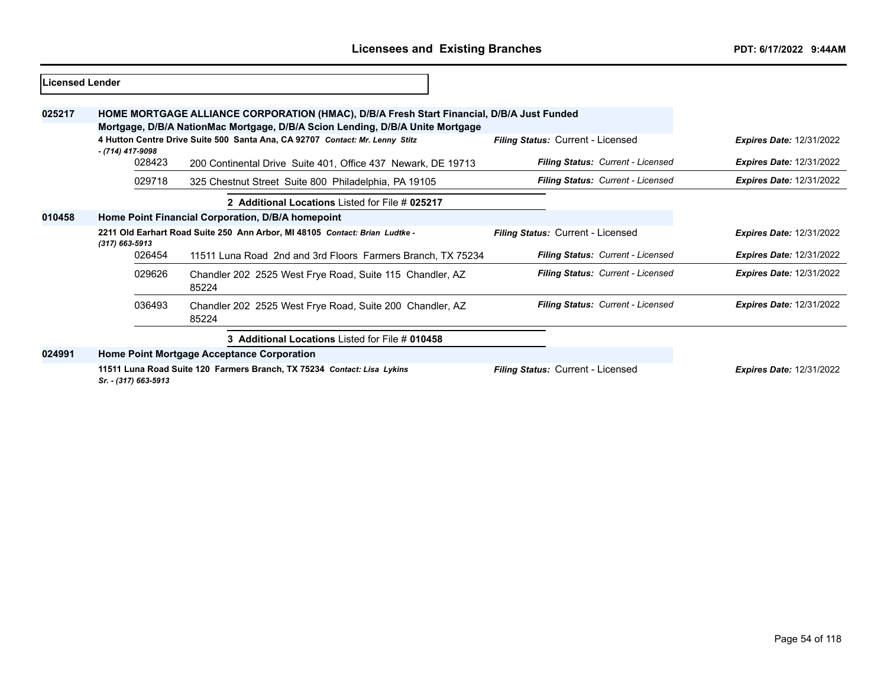| Licensed Lender |                                                                                                                                                                            |                                                                                                                                                                            |                                   |                                 |
|-----------------|----------------------------------------------------------------------------------------------------------------------------------------------------------------------------|----------------------------------------------------------------------------------------------------------------------------------------------------------------------------|-----------------------------------|---------------------------------|
| 025217          |                                                                                                                                                                            | HOME MORTGAGE ALLIANCE CORPORATION (HMAC), D/B/A Fresh Start Financial, D/B/A Just Funded<br>Mortgage, D/B/A NationMac Mortgage, D/B/A Scion Lending, D/B/A Unite Mortgage |                                   |                                 |
|                 | 4 Hutton Centre Drive Suite 500 Santa Ana, CA 92707 Contact: Mr. Lenny Stitz<br>- (714) 417-9098                                                                           |                                                                                                                                                                            | Filing Status: Current - Licensed | <b>Expires Date: 12/31/2022</b> |
|                 | 028423                                                                                                                                                                     | 200 Continental Drive Suite 401, Office 437 Newark, DE 19713                                                                                                               | Filing Status: Current - Licensed | <b>Expires Date: 12/31/2022</b> |
|                 | 029718                                                                                                                                                                     | 325 Chestnut Street Suite 800 Philadelphia, PA 19105                                                                                                                       | Filing Status: Current - Licensed | <b>Expires Date: 12/31/2022</b> |
|                 |                                                                                                                                                                            | 2 Additional Locations Listed for File # 025217                                                                                                                            |                                   |                                 |
| 010458          | Home Point Financial Corporation, D/B/A homepoint                                                                                                                          |                                                                                                                                                                            |                                   |                                 |
|                 | 2211 Old Earhart Road Suite 250 Ann Arbor, MI 48105 Contact: Brian Ludtke -<br>$(317) 663 - 5913$<br>026454<br>11511 Luna Road 2nd and 3rd Floors Farmers Branch, TX 75234 |                                                                                                                                                                            | Filing Status: Current - Licensed | <b>Expires Date: 12/31/2022</b> |
|                 |                                                                                                                                                                            |                                                                                                                                                                            | Filing Status: Current - Licensed | <b>Expires Date: 12/31/2022</b> |
|                 | 029626                                                                                                                                                                     | Chandler 202 2525 West Frye Road, Suite 115 Chandler, AZ<br>85224                                                                                                          | Filing Status: Current - Licensed | <b>Expires Date: 12/31/2022</b> |
|                 | 036493                                                                                                                                                                     | Chandler 202 2525 West Frye Road, Suite 200 Chandler, AZ<br>85224                                                                                                          | Filing Status: Current - Licensed | <b>Expires Date: 12/31/2022</b> |
|                 |                                                                                                                                                                            | 3 Additional Locations Listed for File # 010458                                                                                                                            |                                   |                                 |
| 024991          |                                                                                                                                                                            | Home Point Mortgage Acceptance Corporation                                                                                                                                 |                                   |                                 |
|                 | Sr. - (317) 663-5913                                                                                                                                                       | 11511 Luna Road Suite 120 Farmers Branch, TX 75234 Contact: Lisa Lykins                                                                                                    | Filing Status: Current - Licensed | <b>Expires Date: 12/31/2022</b> |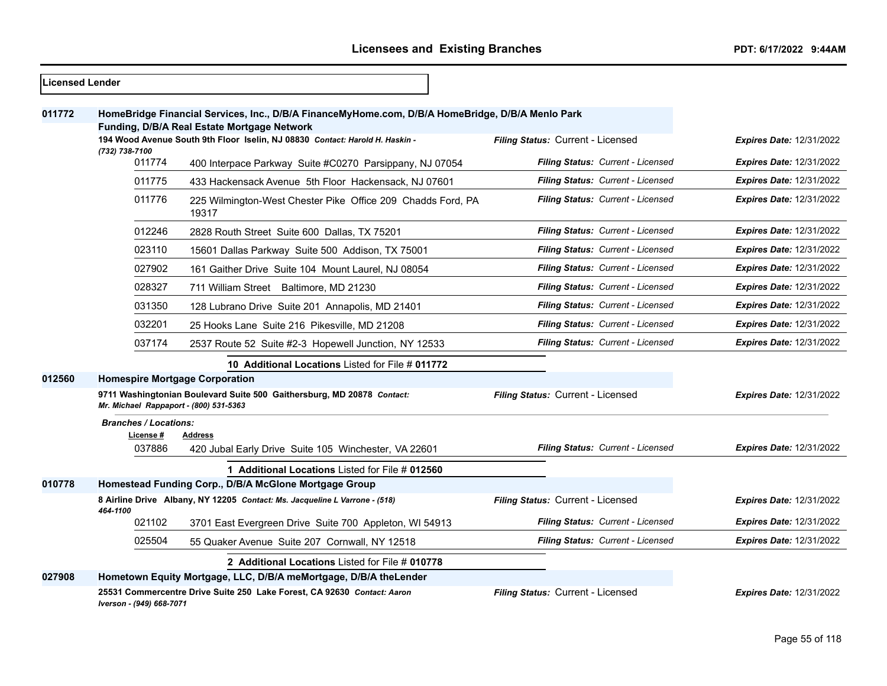$\overline{\phantom{0}}$ 

| <b>Licensed Lender</b> |                                                                   |                                                                                                                                                 |                                          |                                 |
|------------------------|-------------------------------------------------------------------|-------------------------------------------------------------------------------------------------------------------------------------------------|------------------------------------------|---------------------------------|
| 011772                 |                                                                   | HomeBridge Financial Services, Inc., D/B/A FinanceMyHome.com, D/B/A HomeBridge, D/B/A Menlo Park<br>Funding, D/B/A Real Estate Mortgage Network |                                          |                                 |
|                        | (732) 738-7100                                                    | 194 Wood Avenue South 9th Floor Iselin, NJ 08830 Contact: Harold H. Haskin -                                                                    | Filing Status: Current - Licensed        | <b>Expires Date: 12/31/2022</b> |
|                        | 011774<br>400 Interpace Parkway Suite #C0270 Parsippany, NJ 07054 |                                                                                                                                                 | Filing Status: Current - Licensed        | <b>Expires Date: 12/31/2022</b> |
|                        | 011775                                                            | 433 Hackensack Avenue 5th Floor Hackensack, NJ 07601                                                                                            | Filing Status: Current - Licensed        | Expires Date: 12/31/2022        |
|                        | 011776                                                            | 225 Wilmington-West Chester Pike Office 209 Chadds Ford, PA<br>19317                                                                            | <b>Filing Status: Current - Licensed</b> | <b>Expires Date: 12/31/2022</b> |
|                        | 012246                                                            | 2828 Routh Street Suite 600 Dallas, TX 75201                                                                                                    | <b>Filing Status: Current - Licensed</b> | <b>Expires Date: 12/31/2022</b> |
|                        | 023110                                                            | 15601 Dallas Parkway Suite 500 Addison, TX 75001                                                                                                | Filing Status: Current - Licensed        | <b>Expires Date: 12/31/2022</b> |
|                        | 027902                                                            | 161 Gaither Drive Suite 104 Mount Laurel, NJ 08054                                                                                              | Filing Status: Current - Licensed        | Expires Date: 12/31/2022        |
|                        | 028327                                                            | 711 William Street Baltimore, MD 21230                                                                                                          | Filing Status: Current - Licensed        | <b>Expires Date: 12/31/2022</b> |
|                        | 031350                                                            | 128 Lubrano Drive Suite 201 Annapolis, MD 21401                                                                                                 | Filing Status: Current - Licensed        | <b>Expires Date: 12/31/2022</b> |
|                        | 032201                                                            | 25 Hooks Lane Suite 216 Pikesville, MD 21208                                                                                                    | Filing Status: Current - Licensed        | Expires Date: 12/31/2022        |
|                        | 037174                                                            | 2537 Route 52 Suite #2-3 Hopewell Junction, NY 12533                                                                                            | Filing Status: Current - Licensed        | <b>Expires Date: 12/31/2022</b> |
|                        |                                                                   | 10 Additional Locations Listed for File # 011772                                                                                                |                                          |                                 |
| 012560                 | <b>Homespire Mortgage Corporation</b>                             |                                                                                                                                                 |                                          |                                 |
|                        | Mr. Michael Rappaport - (800) 531-5363                            | 9711 Washingtonian Boulevard Suite 500 Gaithersburg, MD 20878 Contact:                                                                          | Filing Status: Current - Licensed        | <b>Expires Date: 12/31/2022</b> |
|                        | <b>Branches / Locations:</b>                                      |                                                                                                                                                 |                                          |                                 |
|                        | License #<br>037886                                               | Address<br>420 Jubal Early Drive Suite 105 Winchester, VA 22601                                                                                 | Filing Status: Current - Licensed        | <b>Expires Date: 12/31/2022</b> |
|                        |                                                                   | 1 Additional Locations Listed for File # 012560                                                                                                 |                                          |                                 |
| 010778                 |                                                                   | Homestead Funding Corp., D/B/A McGlone Mortgage Group                                                                                           |                                          |                                 |
|                        | 464-1100                                                          | 8 Airline Drive Albany, NY 12205 Contact: Ms. Jacqueline L Varrone - (518)                                                                      | Filing Status: Current - Licensed        | <b>Expires Date: 12/31/2022</b> |
|                        | 021102                                                            | 3701 East Evergreen Drive Suite 700 Appleton, WI 54913                                                                                          | Filing Status: Current - Licensed        | <b>Expires Date: 12/31/2022</b> |
|                        | 025504                                                            | 55 Quaker Avenue Suite 207 Cornwall, NY 12518                                                                                                   | Filing Status: Current - Licensed        | <b>Expires Date: 12/31/2022</b> |
|                        |                                                                   | 2 Additional Locations Listed for File # 010778                                                                                                 |                                          |                                 |
| 027908                 |                                                                   | Hometown Equity Mortgage, LLC, D/B/A meMortgage, D/B/A theLender                                                                                |                                          |                                 |
|                        | Iverson - (949) 668-7071                                          | 25531 Commercentre Drive Suite 250 Lake Forest, CA 92630 Contact: Aaron                                                                         | Filing Status: Current - Licensed        | <b>Expires Date: 12/31/2022</b> |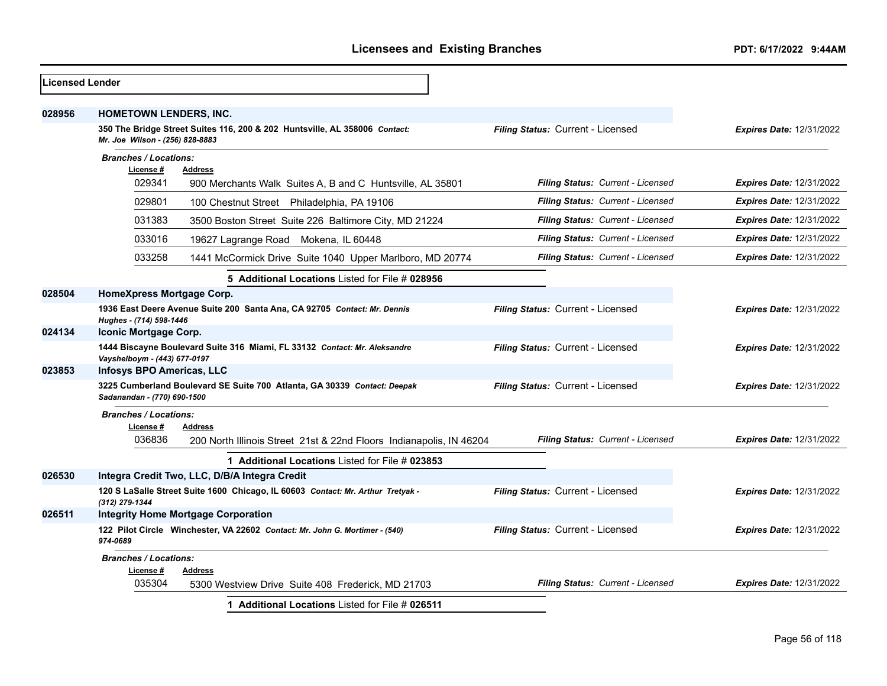| <b>Licensed Lender</b> |                                                                                                               |                                          |                                 |
|------------------------|---------------------------------------------------------------------------------------------------------------|------------------------------------------|---------------------------------|
| 028956                 | HOMETOWN LENDERS, INC.                                                                                        |                                          |                                 |
|                        | 350 The Bridge Street Suites 116, 200 & 202 Huntsville, AL 358006 Contact:<br>Mr. Joe Wilson - (256) 828-8883 | Filing Status: Current - Licensed        | <b>Expires Date: 12/31/2022</b> |
|                        | <b>Branches / Locations:</b>                                                                                  |                                          |                                 |
|                        | License #<br><b>Address</b><br>029341<br>900 Merchants Walk Suites A, B and C Huntsville, AL 35801            | Filing Status: Current - Licensed        | <b>Expires Date: 12/31/2022</b> |
|                        | 029801<br>100 Chestnut Street Philadelphia, PA 19106                                                          | Filing Status: Current - Licensed        | <b>Expires Date: 12/31/2022</b> |
|                        | 031383<br>3500 Boston Street Suite 226 Baltimore City, MD 21224                                               | Filing Status: Current - Licensed        | <b>Expires Date: 12/31/2022</b> |
|                        | 033016<br>19627 Lagrange Road Mokena, IL 60448                                                                | <b>Filing Status: Current - Licensed</b> | <b>Expires Date: 12/31/2022</b> |
|                        | 033258<br>1441 McCormick Drive Suite 1040 Upper Marlboro, MD 20774                                            | <b>Filing Status: Current - Licensed</b> | <b>Expires Date: 12/31/2022</b> |
|                        | 5 Additional Locations Listed for File # 028956                                                               |                                          |                                 |
| 028504                 | HomeXpress Mortgage Corp.                                                                                     |                                          |                                 |
|                        | 1936 East Deere Avenue Suite 200 Santa Ana, CA 92705 Contact: Mr. Dennis<br>Hughes - (714) 598-1446           | Filing Status: Current - Licensed        | <b>Expires Date: 12/31/2022</b> |
| 024134                 | Iconic Mortgage Corp.                                                                                         |                                          |                                 |
|                        | 1444 Biscayne Boulevard Suite 316 Miami, FL 33132 Contact: Mr. Aleksandre<br>Vayshelboym - (443) 677-0197     | Filing Status: Current - Licensed        | <b>Expires Date: 12/31/2022</b> |
| 023853                 | <b>Infosys BPO Americas, LLC</b>                                                                              |                                          |                                 |
|                        | 3225 Cumberland Boulevard SE Suite 700 Atlanta, GA 30339 Contact: Deepak<br>Sadanandan - (770) 690-1500       | Filing Status: Current - Licensed        | <b>Expires Date: 12/31/2022</b> |
|                        | <b>Branches / Locations:</b><br>License#<br><b>Address</b>                                                    |                                          |                                 |
|                        | 036836<br>200 North Illinois Street 21st & 22nd Floors Indianapolis, IN 46204                                 | Filing Status: Current - Licensed        | <b>Expires Date: 12/31/2022</b> |
|                        | 1 Additional Locations Listed for File # 023853                                                               |                                          |                                 |
| 026530                 | Integra Credit Two, LLC, D/B/A Integra Credit                                                                 |                                          |                                 |
|                        | 120 S LaSalle Street Suite 1600 Chicago, IL 60603 Contact: Mr. Arthur Tretyak -<br>(312) 279-1344             | Filing Status: Current - Licensed        | <b>Expires Date: 12/31/2022</b> |
| 026511                 | <b>Integrity Home Mortgage Corporation</b>                                                                    |                                          |                                 |
|                        | 122 Pilot Circle Winchester, VA 22602 Contact: Mr. John G. Mortimer - (540)<br>974-0689                       | Filing Status: Current - Licensed        | <b>Expires Date: 12/31/2022</b> |
|                        | <b>Branches / Locations:</b><br>License #<br><b>Address</b>                                                   |                                          |                                 |
|                        | 035304<br>5300 Westview Drive Suite 408 Frederick, MD 21703                                                   | Filing Status: Current - Licensed        | <b>Expires Date: 12/31/2022</b> |
|                        | 1 Additional Locations Listed for File # 026511                                                               |                                          |                                 |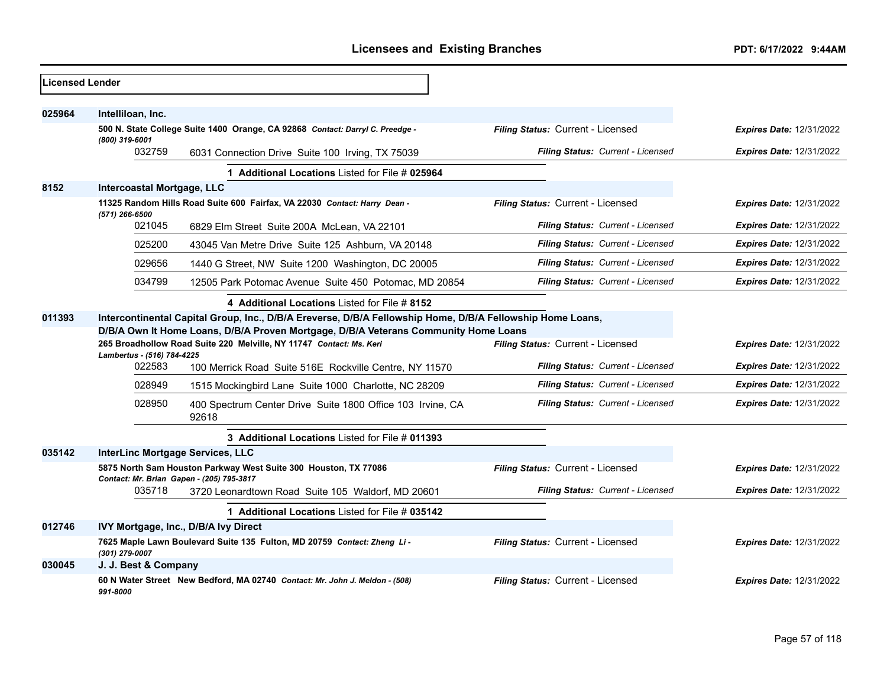| Licensed Lender |                                                                                                                                                                                                                                                                                                              |                                                                               |                                   |                                 |
|-----------------|--------------------------------------------------------------------------------------------------------------------------------------------------------------------------------------------------------------------------------------------------------------------------------------------------------------|-------------------------------------------------------------------------------|-----------------------------------|---------------------------------|
| 025964          | Intelliloan, Inc.                                                                                                                                                                                                                                                                                            |                                                                               |                                   |                                 |
|                 |                                                                                                                                                                                                                                                                                                              | 500 N. State College Suite 1400 Orange, CA 92868 Contact: Darryl C. Preedge - | Filing Status: Current - Licensed | <b>Expires Date: 12/31/2022</b> |
|                 | (800) 319-6001<br>032759                                                                                                                                                                                                                                                                                     | 6031 Connection Drive Suite 100 Irving, TX 75039                              | Filing Status: Current - Licensed | <b>Expires Date: 12/31/2022</b> |
|                 |                                                                                                                                                                                                                                                                                                              | 1 Additional Locations Listed for File # 025964                               |                                   |                                 |
| 8152            | Intercoastal Mortgage, LLC                                                                                                                                                                                                                                                                                   |                                                                               |                                   |                                 |
|                 | (571) 266-6500                                                                                                                                                                                                                                                                                               | 11325 Random Hills Road Suite 600 Fairfax, VA 22030 Contact: Harry Dean -     | Filing Status: Current - Licensed | Expires Date: 12/31/2022        |
|                 | 021045                                                                                                                                                                                                                                                                                                       | 6829 Elm Street Suite 200A McLean, VA 22101                                   | Filing Status: Current - Licensed | <b>Expires Date: 12/31/2022</b> |
|                 | 025200                                                                                                                                                                                                                                                                                                       | 43045 Van Metre Drive Suite 125 Ashburn, VA 20148                             | Filing Status: Current - Licensed | <b>Expires Date: 12/31/2022</b> |
|                 | 029656                                                                                                                                                                                                                                                                                                       | 1440 G Street, NW Suite 1200 Washington, DC 20005                             | Filing Status: Current - Licensed | <b>Expires Date: 12/31/2022</b> |
|                 | 034799                                                                                                                                                                                                                                                                                                       | 12505 Park Potomac Avenue Suite 450 Potomac, MD 20854                         | Filing Status: Current - Licensed | <b>Expires Date: 12/31/2022</b> |
|                 |                                                                                                                                                                                                                                                                                                              | 4 Additional Locations Listed for File # 8152                                 |                                   |                                 |
| 011393          | Intercontinental Capital Group, Inc., D/B/A Ereverse, D/B/A Fellowship Home, D/B/A Fellowship Home Loans,<br>D/B/A Own It Home Loans, D/B/A Proven Mortgage, D/B/A Veterans Community Home Loans<br>Filing Status: Current - Licensed<br>265 Broadhollow Road Suite 220 Melville, NY 11747 Contact: Ms. Keri |                                                                               |                                   |                                 |
|                 |                                                                                                                                                                                                                                                                                                              |                                                                               |                                   | <b>Expires Date: 12/31/2022</b> |
|                 | Lambertus - (516) 784-4225                                                                                                                                                                                                                                                                                   |                                                                               |                                   |                                 |
|                 | 022583                                                                                                                                                                                                                                                                                                       | 100 Merrick Road Suite 516E Rockville Centre, NY 11570                        | Filing Status: Current - Licensed | <b>Expires Date: 12/31/2022</b> |
|                 | 028949                                                                                                                                                                                                                                                                                                       | 1515 Mockingbird Lane Suite 1000 Charlotte, NC 28209                          | Filing Status: Current - Licensed | <b>Expires Date: 12/31/2022</b> |
|                 | 028950                                                                                                                                                                                                                                                                                                       | 400 Spectrum Center Drive Suite 1800 Office 103 Irvine, CA<br>92618           | Filing Status: Current - Licensed | <b>Expires Date: 12/31/2022</b> |
|                 |                                                                                                                                                                                                                                                                                                              | 3 Additional Locations Listed for File # 011393                               |                                   |                                 |
| 035142          | InterLinc Mortgage Services, LLC                                                                                                                                                                                                                                                                             |                                                                               |                                   |                                 |
|                 | 5875 North Sam Houston Parkway West Suite 300 Houston, TX 77086<br>Contact: Mr. Brian Gapen - (205) 795-3817                                                                                                                                                                                                 |                                                                               | Filing Status: Current - Licensed | Expires Date: 12/31/2022        |
|                 | 035718                                                                                                                                                                                                                                                                                                       | 3720 Leonardtown Road Suite 105 Waldorf, MD 20601                             | Filing Status: Current - Licensed | <b>Expires Date: 12/31/2022</b> |
|                 |                                                                                                                                                                                                                                                                                                              | 1 Additional Locations Listed for File # 035142                               |                                   |                                 |
| 012746          |                                                                                                                                                                                                                                                                                                              | IVY Mortgage, Inc., D/B/A Ivy Direct                                          |                                   |                                 |
|                 | (301) 279-0007                                                                                                                                                                                                                                                                                               | 7625 Maple Lawn Boulevard Suite 135 Fulton, MD 20759 Contact: Zheng Li-       | Filing Status: Current - Licensed | <b>Expires Date: 12/31/2022</b> |
| 030045          | J. J. Best & Company                                                                                                                                                                                                                                                                                         |                                                                               |                                   |                                 |
|                 | 991-8000                                                                                                                                                                                                                                                                                                     | 60 N Water Street New Bedford, MA 02740 Contact: Mr. John J. Meldon - (508)   | Filing Status: Current - Licensed | <b>Expires Date: 12/31/2022</b> |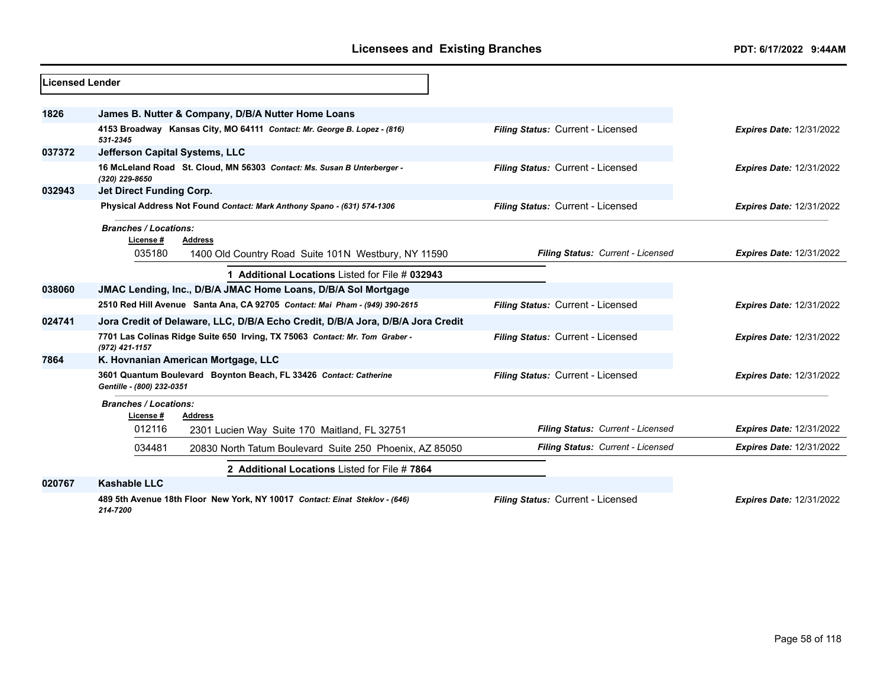| Licensed Lender |                                                                                                |                                   |                                 |
|-----------------|------------------------------------------------------------------------------------------------|-----------------------------------|---------------------------------|
| 1826            | James B. Nutter & Company, D/B/A Nutter Home Loans                                             |                                   |                                 |
|                 | 4153 Broadway Kansas City, MO 64111 Contact: Mr. George B. Lopez - (816)<br>531-2345           | Filing Status: Current - Licensed | <b>Expires Date: 12/31/2022</b> |
| 037372          | <b>Jefferson Capital Systems, LLC</b>                                                          |                                   |                                 |
|                 | 16 McLeland Road St. Cloud, MN 56303 Contact: Ms. Susan B Unterberger -<br>(320) 229-8650      | Filing Status: Current - Licensed | <b>Expires Date: 12/31/2022</b> |
| 032943          | Jet Direct Funding Corp.                                                                       |                                   |                                 |
|                 | Physical Address Not Found Contact: Mark Anthony Spano - (631) 574-1306                        | Filing Status: Current - Licensed | <b>Expires Date: 12/31/2022</b> |
|                 | <b>Branches / Locations:</b><br>License #<br><b>Address</b>                                    |                                   |                                 |
|                 | 035180<br>1400 Old Country Road Suite 101N Westbury, NY 11590                                  | Filing Status: Current - Licensed | <b>Expires Date: 12/31/2022</b> |
|                 | 1 Additional Locations Listed for File # 032943                                                |                                   |                                 |
| 038060          | JMAC Lending, Inc., D/B/A JMAC Home Loans, D/B/A Sol Mortgage                                  |                                   |                                 |
|                 | 2510 Red Hill Avenue Santa Ana, CA 92705 Contact: Mai Pham - (949) 390-2615                    | Filing Status: Current - Licensed | <b>Expires Date: 12/31/2022</b> |
| 024741          | Jora Credit of Delaware, LLC, D/B/A Echo Credit, D/B/A Jora, D/B/A Jora Credit                 |                                   |                                 |
|                 | 7701 Las Colinas Ridge Suite 650 Irving, TX 75063 Contact: Mr. Tom Graber -<br>(972) 421-1157  | Filing Status: Current - Licensed | <b>Expires Date: 12/31/2022</b> |
| 7864            | K. Hovnanian American Mortgage, LLC                                                            |                                   |                                 |
|                 | 3601 Quantum Boulevard Boynton Beach, FL 33426 Contact: Catherine<br>Gentille - (800) 232-0351 | Filing Status: Current - Licensed | <b>Expires Date: 12/31/2022</b> |
|                 | <b>Branches / Locations:</b>                                                                   |                                   |                                 |
|                 | License#<br>Address<br>012116<br>2301 Lucien Way Suite 170 Maitland, FL 32751                  | Filing Status: Current - Licensed | <b>Expires Date: 12/31/2022</b> |
|                 | 034481<br>20830 North Tatum Boulevard Suite 250 Phoenix, AZ 85050                              | Filing Status: Current - Licensed | <b>Expires Date: 12/31/2022</b> |
|                 | 2 Additional Locations Listed for File #7864                                                   |                                   |                                 |
| 020767          | <b>Kashable LLC</b>                                                                            |                                   |                                 |
|                 | 489 5th Avenue 18th Floor New York, NY 10017 Contact: Einat Steklov - (646)<br>214-7200        | Filing Status: Current - Licensed | <b>Expires Date: 12/31/2022</b> |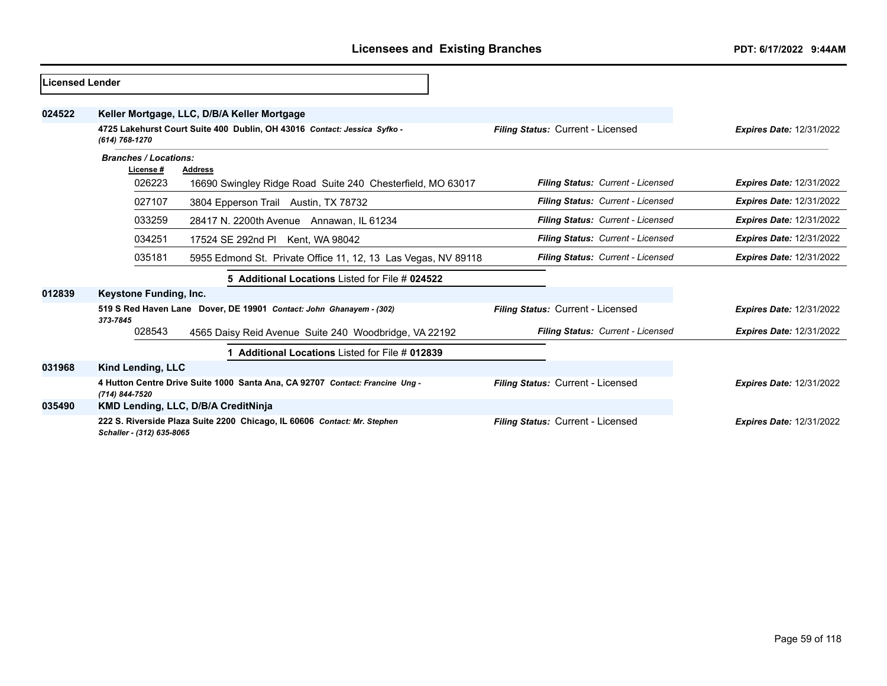| Licensed Lender |                              |                                                                              |                                   |                                 |
|-----------------|------------------------------|------------------------------------------------------------------------------|-----------------------------------|---------------------------------|
| 024522          |                              | Keller Mortgage, LLC, D/B/A Keller Mortgage                                  |                                   |                                 |
|                 | (614) 768-1270               | 4725 Lakehurst Court Suite 400 Dublin, OH 43016 Contact: Jessica Syfko -     | Filing Status: Current - Licensed | <b>Expires Date: 12/31/2022</b> |
|                 | <b>Branches / Locations:</b> |                                                                              |                                   |                                 |
|                 | License#                     | <b>Address</b>                                                               |                                   |                                 |
|                 | 026223                       | 16690 Swingley Ridge Road Suite 240 Chesterfield, MO 63017                   | Filing Status: Current - Licensed | <b>Expires Date: 12/31/2022</b> |
|                 | 027107                       | 3804 Epperson Trail Austin, TX 78732                                         | Filing Status: Current - Licensed | <b>Expires Date: 12/31/2022</b> |
|                 | 033259                       | 28417 N. 2200th Avenue Annawan, IL 61234                                     | Filing Status: Current - Licensed | <b>Expires Date: 12/31/2022</b> |
|                 | 034251                       | 17524 SE 292nd Pl Kent, WA 98042                                             | Filing Status: Current - Licensed | <b>Expires Date: 12/31/2022</b> |
|                 | 035181                       | 5955 Edmond St. Private Office 11, 12, 13 Las Vegas, NV 89118                | Filing Status: Current - Licensed | <b>Expires Date: 12/31/2022</b> |
|                 |                              | 5 Additional Locations Listed for File # 024522                              |                                   |                                 |
| 012839          | Keystone Funding, Inc.       |                                                                              |                                   |                                 |
|                 | 373-7845                     | 519 S Red Haven Lane Dover, DE 19901 Contact: John Ghanayem - (302)          | Filing Status: Current - Licensed | <b>Expires Date: 12/31/2022</b> |
|                 | 028543                       | 4565 Daisy Reid Avenue Suite 240 Woodbridge, VA 22192                        | Filing Status: Current - Licensed | <b>Expires Date: 12/31/2022</b> |
|                 |                              | Additional Locations Listed for File # 012839                                |                                   |                                 |
| 031968          | Kind Lending, LLC            |                                                                              |                                   |                                 |
|                 | (714) 844-7520               | 4 Hutton Centre Drive Suite 1000 Santa Ana, CA 92707 Contact: Francine Ung - | Filing Status: Current - Licensed | <b>Expires Date: 12/31/2022</b> |
| 035490          |                              | KMD Lending, LLC, D/B/A CreditNinja                                          |                                   |                                 |
|                 | Schaller - (312) 635-8065    | 222 S. Riverside Plaza Suite 2200 Chicago, IL 60606 Contact: Mr. Stephen     | Filing Status: Current - Licensed | <b>Expires Date: 12/31/2022</b> |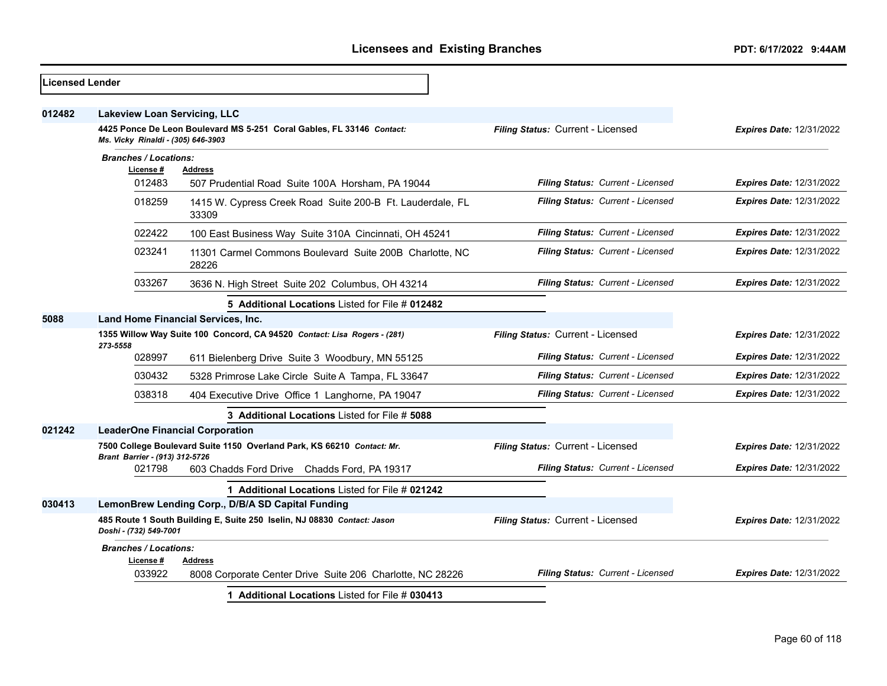| <b>Licensed Lender</b> |                                                                                                   |                                                                             |                                   |                                 |
|------------------------|---------------------------------------------------------------------------------------------------|-----------------------------------------------------------------------------|-----------------------------------|---------------------------------|
| 012482                 | <b>Lakeview Loan Servicing, LLC</b>                                                               |                                                                             |                                   |                                 |
|                        | Ms. Vicky Rinaldi - (305) 646-3903                                                                | 4425 Ponce De Leon Boulevard MS 5-251 Coral Gables, FL 33146 Contact:       | Filing Status: Current - Licensed | <b>Expires Date: 12/31/2022</b> |
|                        | <b>Branches / Locations:</b>                                                                      |                                                                             |                                   |                                 |
|                        | License #<br>012483                                                                               | Address<br>507 Prudential Road Suite 100A Horsham, PA 19044                 | Filing Status: Current - Licensed | <b>Expires Date: 12/31/2022</b> |
|                        |                                                                                                   |                                                                             |                                   |                                 |
|                        | 018259                                                                                            | 1415 W. Cypress Creek Road Suite 200-B Ft. Lauderdale, FL<br>33309          | Filing Status: Current - Licensed | <b>Expires Date: 12/31/2022</b> |
|                        | 022422                                                                                            | 100 East Business Way Suite 310A Cincinnati, OH 45241                       | Filing Status: Current - Licensed | <b>Expires Date: 12/31/2022</b> |
|                        | 023241                                                                                            | 11301 Carmel Commons Boulevard Suite 200B Charlotte, NC<br>28226            | Filing Status: Current - Licensed | <b>Expires Date: 12/31/2022</b> |
|                        | 033267                                                                                            | 3636 N. High Street Suite 202 Columbus, OH 43214                            | Filing Status: Current - Licensed | Expires Date: 12/31/2022        |
|                        |                                                                                                   | 5 Additional Locations Listed for File # 012482                             |                                   |                                 |
| 5088                   | <b>Land Home Financial Services, Inc.</b>                                                         |                                                                             |                                   |                                 |
|                        | 273-5558                                                                                          | 1355 Willow Way Suite 100 Concord, CA 94520 Contact: Lisa Rogers - (281)    | Filing Status: Current - Licensed | <b>Expires Date: 12/31/2022</b> |
|                        | 028997                                                                                            | 611 Bielenberg Drive Suite 3 Woodbury, MN 55125                             | Filing Status: Current - Licensed | <b>Expires Date: 12/31/2022</b> |
|                        | 030432                                                                                            | 5328 Primrose Lake Circle Suite A Tampa, FL 33647                           | Filing Status: Current - Licensed | Expires Date: 12/31/2022        |
|                        | 038318                                                                                            | 404 Executive Drive Office 1 Langhorne, PA 19047                            | Filing Status: Current - Licensed | <b>Expires Date: 12/31/2022</b> |
|                        |                                                                                                   | 3 Additional Locations Listed for File # 5088                               |                                   |                                 |
| 021242                 |                                                                                                   | <b>LeaderOne Financial Corporation</b>                                      |                                   |                                 |
|                        | Brant Barrier - (913) 312-5726                                                                    | 7500 College Boulevard Suite 1150 Overland Park, KS 66210 Contact: Mr.      | Filing Status: Current - Licensed | <b>Expires Date: 12/31/2022</b> |
|                        | 021798                                                                                            | 603 Chadds Ford Drive Chadds Ford, PA 19317                                 | Filing Status: Current - Licensed | <b>Expires Date: 12/31/2022</b> |
|                        |                                                                                                   | 1 Additional Locations Listed for File # 021242                             |                                   |                                 |
| 030413                 |                                                                                                   | LemonBrew Lending Corp., D/B/A SD Capital Funding                           |                                   |                                 |
|                        | 485 Route 1 South Building E, Suite 250 Iselin, NJ 08830 Contact: Jason<br>Doshi - (732) 549-7001 |                                                                             | Filing Status: Current - Licensed | <b>Expires Date: 12/31/2022</b> |
|                        | <b>Branches / Locations:</b>                                                                      |                                                                             |                                   |                                 |
|                        | License #<br>033922                                                                               | <b>Address</b><br>8008 Corporate Center Drive Suite 206 Charlotte, NC 28226 | Filing Status: Current - Licensed | <b>Expires Date: 12/31/2022</b> |
|                        |                                                                                                   | 1 Additional Locations Listed for File # 030413                             |                                   |                                 |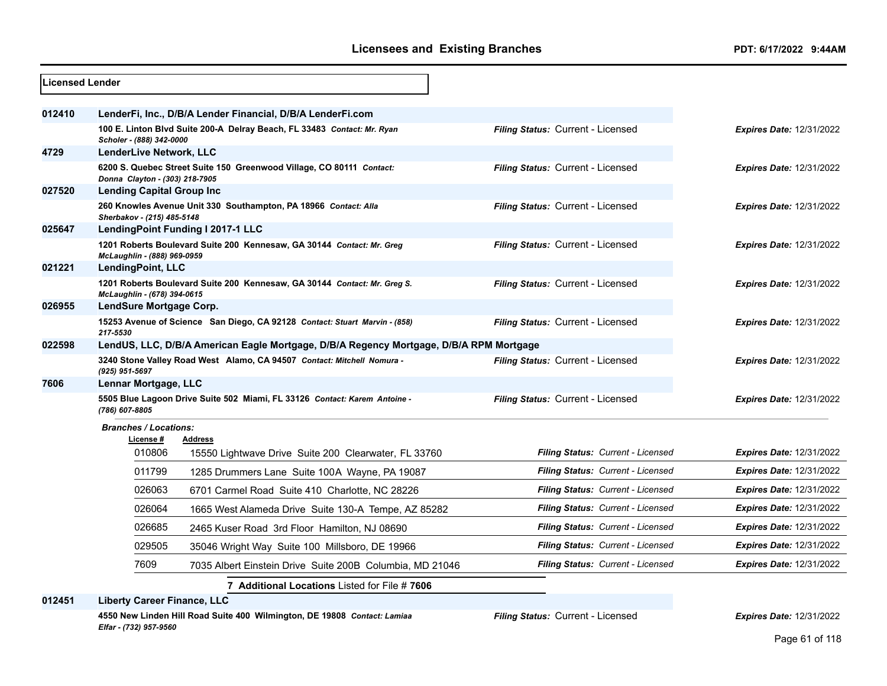| <b>Licensed Lender</b> |                                           |                                                                                        |                                   |                                 |
|------------------------|-------------------------------------------|----------------------------------------------------------------------------------------|-----------------------------------|---------------------------------|
| 012410                 |                                           | LenderFi, Inc., D/B/A Lender Financial, D/B/A LenderFi.com                             |                                   |                                 |
|                        | Scholer - (888) 342-0000                  | 100 E. Linton Blvd Suite 200-A Delray Beach, FL 33483 Contact: Mr. Ryan                | Filing Status: Current - Licensed | <b>Expires Date: 12/31/2022</b> |
| 4729                   | LenderLive Network, LLC                   |                                                                                        |                                   |                                 |
|                        | Donna Clayton - (303) 218-7905            | 6200 S. Quebec Street Suite 150 Greenwood Village, CO 80111 Contact:                   | Filing Status: Current - Licensed | <b>Expires Date: 12/31/2022</b> |
| 027520                 | <b>Lending Capital Group Inc</b>          |                                                                                        |                                   |                                 |
|                        | Sherbakov - (215) 485-5148                | 260 Knowles Avenue Unit 330 Southampton, PA 18966 Contact: Alla                        | Filing Status: Current - Licensed | <b>Expires Date: 12/31/2022</b> |
| 025647                 |                                           | LendingPoint Funding I 2017-1 LLC                                                      |                                   |                                 |
|                        | McLaughlin - (888) 969-0959               | 1201 Roberts Boulevard Suite 200 Kennesaw, GA 30144 Contact: Mr. Greg                  | Filing Status: Current - Licensed | <b>Expires Date: 12/31/2022</b> |
| 021221                 | LendingPoint, LLC                         |                                                                                        |                                   |                                 |
|                        | McLaughlin - (678) 394-0615               | 1201 Roberts Boulevard Suite 200 Kennesaw, GA 30144 Contact: Mr. Greg S.               | Filing Status: Current - Licensed | <b>Expires Date: 12/31/2022</b> |
| 026955                 | LendSure Mortgage Corp.                   |                                                                                        |                                   |                                 |
|                        | 217-5530                                  | 15253 Avenue of Science San Diego, CA 92128 Contact: Stuart Marvin - (858)             | Filing Status: Current - Licensed | <b>Expires Date: 12/31/2022</b> |
| 022598                 |                                           | LendUS, LLC, D/B/A American Eagle Mortgage, D/B/A Regency Mortgage, D/B/A RPM Mortgage |                                   |                                 |
|                        | (925) 951-5697                            | 3240 Stone Valley Road West Alamo, CA 94507 Contact: Mitchell Nomura -                 | Filing Status: Current - Licensed | <b>Expires Date: 12/31/2022</b> |
| 7606                   | Lennar Mortgage, LLC                      |                                                                                        |                                   |                                 |
|                        | (786) 607-8805                            | 5505 Blue Lagoon Drive Suite 502 Miami, FL 33126 Contact: Karem Antoine -              | Filing Status: Current - Licensed | <b>Expires Date: 12/31/2022</b> |
|                        | <b>Branches / Locations:</b><br>License # | <b>Address</b>                                                                         |                                   |                                 |
|                        | 010806                                    | 15550 Lightwave Drive Suite 200 Clearwater, FL 33760                                   | Filing Status: Current - Licensed | <b>Expires Date: 12/31/2022</b> |
|                        | 011799                                    | 1285 Drummers Lane Suite 100A Wayne, PA 19087                                          | Filing Status: Current - Licensed | <b>Expires Date: 12/31/2022</b> |
|                        | 026063                                    | 6701 Carmel Road Suite 410 Charlotte, NC 28226                                         | Filing Status: Current - Licensed | <b>Expires Date: 12/31/2022</b> |
|                        | 026064                                    | 1665 West Alameda Drive Suite 130-A Tempe, AZ 85282                                    | Filing Status: Current - Licensed | <b>Expires Date: 12/31/2022</b> |
|                        | 026685                                    | 2465 Kuser Road 3rd Floor Hamilton, NJ 08690                                           | Filing Status: Current - Licensed | <b>Expires Date: 12/31/2022</b> |
|                        | 029505                                    | 35046 Wright Way Suite 100 Millsboro, DE 19966                                         | Filing Status: Current - Licensed | <b>Expires Date: 12/31/2022</b> |
|                        | 7609                                      | 7035 Albert Einstein Drive Suite 200B Columbia, MD 21046                               | Filing Status: Current - Licensed | <b>Expires Date: 12/31/2022</b> |
|                        |                                           | 7 Additional Locations Listed for File #7606                                           |                                   |                                 |

**012451 Liberty Career Finance, LLC**

**4550 New Linden Hill Road Suite 400 Wilmington, DE 19808** *Contact: Lamiaa Elfar - (732) 957-9560*

*Filing Status:* Current - Licensed *Expires Date:* 12/31/2022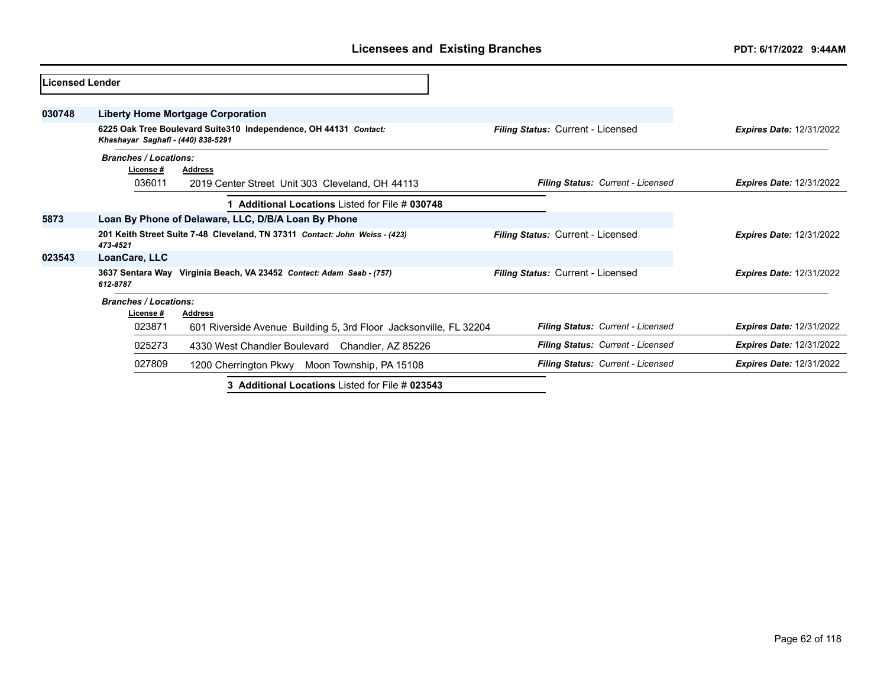| Licensed Lender |                                           |                                                                             |                                          |                                 |
|-----------------|-------------------------------------------|-----------------------------------------------------------------------------|------------------------------------------|---------------------------------|
| 030748          |                                           | <b>Liberty Home Mortgage Corporation</b>                                    |                                          |                                 |
|                 | Khashayar Saghafi - (440) 838-5291        | 6225 Oak Tree Boulevard Suite310 Independence, OH 44131 Contact:            | Filing Status: Current - Licensed        | <b>Expires Date: 12/31/2022</b> |
|                 | <b>Branches / Locations:</b>              |                                                                             |                                          |                                 |
|                 | License #<br>036011                       | <b>Address</b><br>2019 Center Street Unit 303 Cleveland, OH 44113           | Filing Status: Current - Licensed        | <b>Expires Date: 12/31/2022</b> |
|                 |                                           | <b>Additional Locations Listed for File # 030748</b>                        |                                          |                                 |
| 5873            |                                           | Loan By Phone of Delaware, LLC, D/B/A Loan By Phone                         |                                          |                                 |
|                 | 473-4521                                  | 201 Keith Street Suite 7-48 Cleveland, TN 37311 Contact: John Weiss - (423) | <b>Filing Status: Current - Licensed</b> | <b>Expires Date: 12/31/2022</b> |
| 023543          | LoanCare, LLC                             |                                                                             |                                          |                                 |
|                 | 612-8787                                  | 3637 Sentara Way Virginia Beach, VA 23452 Contact: Adam Saab - (757)        | <b>Filing Status: Current - Licensed</b> | <b>Expires Date: 12/31/2022</b> |
|                 | <b>Branches / Locations:</b><br>License # | <b>Address</b>                                                              |                                          |                                 |
|                 | 023871                                    | 601 Riverside Avenue Building 5, 3rd Floor Jacksonville, FL 32204           | Filing Status: Current - Licensed        | <b>Expires Date: 12/31/2022</b> |
|                 | 025273                                    | 4330 West Chandler Boulevard<br>Chandler, AZ 85226                          | Filing Status: Current - Licensed        | <b>Expires Date: 12/31/2022</b> |
|                 | 027809                                    | 1200 Cherrington Pkwy Moon Township, PA 15108                               | Filing Status: Current - Licensed        | <b>Expires Date: 12/31/2022</b> |
|                 |                                           | 3 Additional Locations Listed for File # 023543                             |                                          |                                 |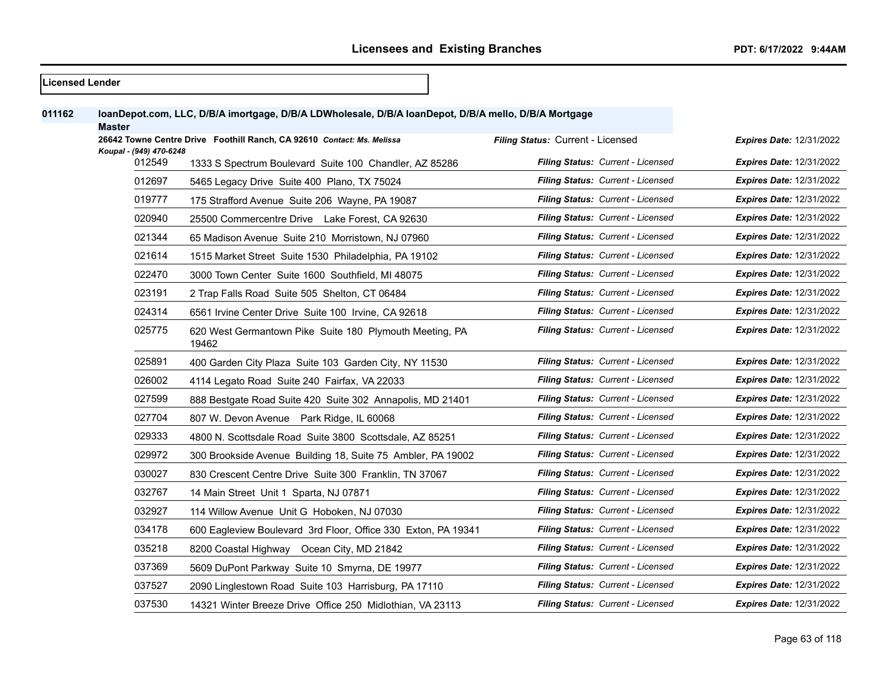| <b>Licensed Lender</b> |                         |                                                                                                      |                                          |                                 |
|------------------------|-------------------------|------------------------------------------------------------------------------------------------------|------------------------------------------|---------------------------------|
| 011162                 | <b>Master</b>           | loanDepot.com, LLC, D/B/A imortgage, D/B/A LDWholesale, D/B/A loanDepot, D/B/A mello, D/B/A Mortgage |                                          |                                 |
|                        | Koupal - (949) 470-6248 | 26642 Towne Centre Drive Foothill Ranch, CA 92610 Contact: Ms. Melissa                               | Filing Status: Current - Licensed        | <b>Expires Date: 12/31/2022</b> |
|                        | 012549                  | 1333 S Spectrum Boulevard Suite 100 Chandler, AZ 85286                                               | Filing Status: Current - Licensed        | <b>Expires Date: 12/31/2022</b> |
|                        | 012697                  | 5465 Legacy Drive Suite 400 Plano, TX 75024                                                          | Filing Status: Current - Licensed        | Expires Date: 12/31/2022        |
|                        | 019777                  | 175 Strafford Avenue Suite 206 Wayne, PA 19087                                                       | <b>Filing Status: Current - Licensed</b> | <b>Expires Date: 12/31/2022</b> |
|                        | 020940                  | 25500 Commercentre Drive Lake Forest, CA 92630                                                       | Filing Status: Current - Licensed        | <b>Expires Date: 12/31/2022</b> |
|                        | 021344                  | 65 Madison Avenue Suite 210 Morristown, NJ 07960                                                     | <b>Filing Status: Current - Licensed</b> | <b>Expires Date: 12/31/2022</b> |
|                        | 021614                  | 1515 Market Street Suite 1530 Philadelphia, PA 19102                                                 | Filing Status: Current - Licensed        | <b>Expires Date: 12/31/2022</b> |
|                        | 022470                  | 3000 Town Center Suite 1600 Southfield, MI 48075                                                     | <b>Filing Status: Current - Licensed</b> | <b>Expires Date: 12/31/2022</b> |
|                        | 023191                  | 2 Trap Falls Road Suite 505 Shelton, CT 06484                                                        | Filing Status: Current - Licensed        | <b>Expires Date: 12/31/2022</b> |
|                        | 024314                  | 6561 Irvine Center Drive Suite 100 Irvine, CA 92618                                                  | <b>Filing Status: Current - Licensed</b> | <b>Expires Date: 12/31/2022</b> |
|                        | 025775                  | 620 West Germantown Pike Suite 180 Plymouth Meeting, PA<br>19462                                     | Filing Status: Current - Licensed        | <b>Expires Date: 12/31/2022</b> |
|                        | 025891                  | 400 Garden City Plaza Suite 103 Garden City, NY 11530                                                | Filing Status: Current - Licensed        | <b>Expires Date: 12/31/2022</b> |
|                        | 026002                  | 4114 Legato Road Suite 240 Fairfax, VA 22033                                                         | Filing Status: Current - Licensed        | Expires Date: 12/31/2022        |
|                        | 027599                  | 888 Bestgate Road Suite 420 Suite 302 Annapolis, MD 21401                                            | <b>Filing Status: Current - Licensed</b> | <b>Expires Date: 12/31/2022</b> |
|                        | 027704                  | 807 W. Devon Avenue Park Ridge, IL 60068                                                             | <b>Filing Status: Current - Licensed</b> | <b>Expires Date: 12/31/2022</b> |
|                        | 029333                  | 4800 N. Scottsdale Road Suite 3800 Scottsdale, AZ 85251                                              | Filing Status: Current - Licensed        | <b>Expires Date: 12/31/2022</b> |
|                        | 029972                  | 300 Brookside Avenue Building 18, Suite 75 Ambler, PA 19002                                          | Filing Status: Current - Licensed        | <b>Expires Date: 12/31/2022</b> |
|                        | 030027                  | 830 Crescent Centre Drive Suite 300 Franklin, TN 37067                                               | Filing Status: Current - Licensed        | Expires Date: 12/31/2022        |
|                        | 032767                  | 14 Main Street Unit 1 Sparta, NJ 07871                                                               | Filing Status: Current - Licensed        | <b>Expires Date: 12/31/2022</b> |
|                        | 032927                  | 114 Willow Avenue Unit G Hoboken, NJ 07030                                                           | <b>Filing Status: Current - Licensed</b> | <b>Expires Date: 12/31/2022</b> |
|                        | 034178                  | 600 Eagleview Boulevard 3rd Floor, Office 330 Exton, PA 19341                                        | Filing Status: Current - Licensed        | <b>Expires Date: 12/31/2022</b> |
|                        | 035218                  | 8200 Coastal Highway Ocean City, MD 21842                                                            | Filing Status: Current - Licensed        | Expires Date: 12/31/2022        |
|                        | 037369                  | 5609 DuPont Parkway Suite 10 Smyrna, DE 19977                                                        | Filing Status: Current - Licensed        | Expires Date: 12/31/2022        |
|                        | 037527                  | 2090 Linglestown Road Suite 103 Harrisburg, PA 17110                                                 | Filing Status: Current - Licensed        | <b>Expires Date: 12/31/2022</b> |
|                        | 037530                  | 14321 Winter Breeze Drive Office 250 Midlothian, VA 23113                                            | <b>Filing Status: Current - Licensed</b> | <b>Expires Date: 12/31/2022</b> |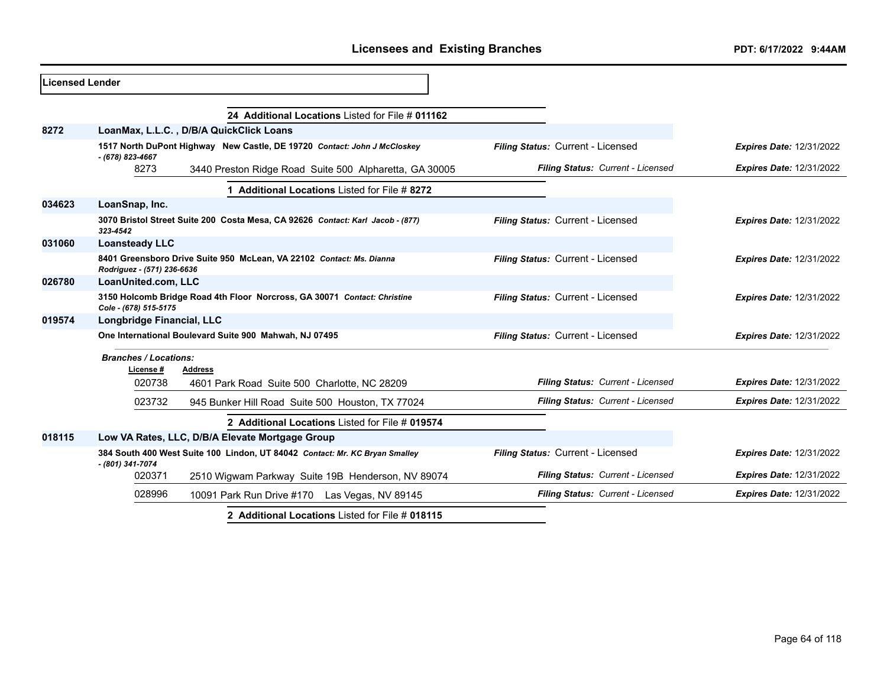| <b>ILicensed Lender</b> |                              |                                                                                                            |                                   |                                 |
|-------------------------|------------------------------|------------------------------------------------------------------------------------------------------------|-----------------------------------|---------------------------------|
|                         |                              | 24 Additional Locations Listed for File # 011162                                                           |                                   |                                 |
| 8272                    |                              | LoanMax, L.L.C., D/B/A QuickClick Loans                                                                    |                                   |                                 |
|                         | - (678) 823-4667             | 1517 North DuPont Highway New Castle, DE 19720 Contact: John J McCloskey                                   | Filing Status: Current - Licensed | <b>Expires Date: 12/31/2022</b> |
|                         | 8273                         | 3440 Preston Ridge Road Suite 500 Alpharetta, GA 30005                                                     | Filing Status: Current - Licensed | <b>Expires Date: 12/31/2022</b> |
|                         |                              | 1 Additional Locations Listed for File # 8272                                                              |                                   |                                 |
| 034623                  | LoanSnap, Inc.               |                                                                                                            |                                   |                                 |
|                         | 323-4542                     | 3070 Bristol Street Suite 200 Costa Mesa, CA 92626 Contact: Karl Jacob - (877)                             | Filing Status: Current - Licensed | <b>Expires Date: 12/31/2022</b> |
| 031060                  | <b>Loansteady LLC</b>        |                                                                                                            |                                   |                                 |
|                         | Rodriguez - (571) 236-6636   | 8401 Greensboro Drive Suite 950 McLean, VA 22102 Contact: Ms. Dianna                                       | Filing Status: Current - Licensed | <b>Expires Date: 12/31/2022</b> |
| 026780                  | LoanUnited.com, LLC          |                                                                                                            |                                   |                                 |
|                         | Cole - (678) 515-5175        | 3150 Holcomb Bridge Road 4th Floor Norcross, GA 30071 Contact: Christine                                   | Filing Status: Current - Licensed | <b>Expires Date: 12/31/2022</b> |
| 019574                  | Longbridge Financial, LLC    |                                                                                                            |                                   |                                 |
|                         |                              | One International Boulevard Suite 900 Mahwah, NJ 07495                                                     | Filing Status: Current - Licensed | <b>Expires Date: 12/31/2022</b> |
|                         | <b>Branches / Locations:</b> |                                                                                                            |                                   |                                 |
|                         | License #<br>020738          | Address<br>4601 Park Road Suite 500 Charlotte, NC 28209                                                    | Filing Status: Current - Licensed | <b>Expires Date: 12/31/2022</b> |
|                         | 023732                       | 945 Bunker Hill Road Suite 500 Houston, TX 77024                                                           | Filing Status: Current - Licensed | <b>Expires Date: 12/31/2022</b> |
|                         |                              | 2 Additional Locations Listed for File # 019574                                                            |                                   |                                 |
| 018115                  |                              | Low VA Rates, LLC, D/B/A Elevate Mortgage Group                                                            |                                   |                                 |
|                         | - (801) 341-7074             | 384 South 400 West Suite 100 Lindon, UT 84042 Contact: Mr. KC Bryan Smalley                                | Filing Status: Current - Licensed | <b>Expires Date: 12/31/2022</b> |
|                         | 020371                       | 2510 Wigwam Parkway Suite 19B Henderson, NV 89074                                                          | Filing Status: Current - Licensed | <b>Expires Date: 12/31/2022</b> |
|                         | 028996                       | 10091 Park Run Drive #170 Las Vegas, NV 89145                                                              | Filing Status: Current - Licensed | <b>Expires Date: 12/31/2022</b> |
|                         |                              | $\bullet$ $\bullet$ and the second construction of the state of $\bullet$ . If $\bullet$ and the $\bullet$ |                                   |                                 |

**2 Additional Locations** Listed for File # **018115**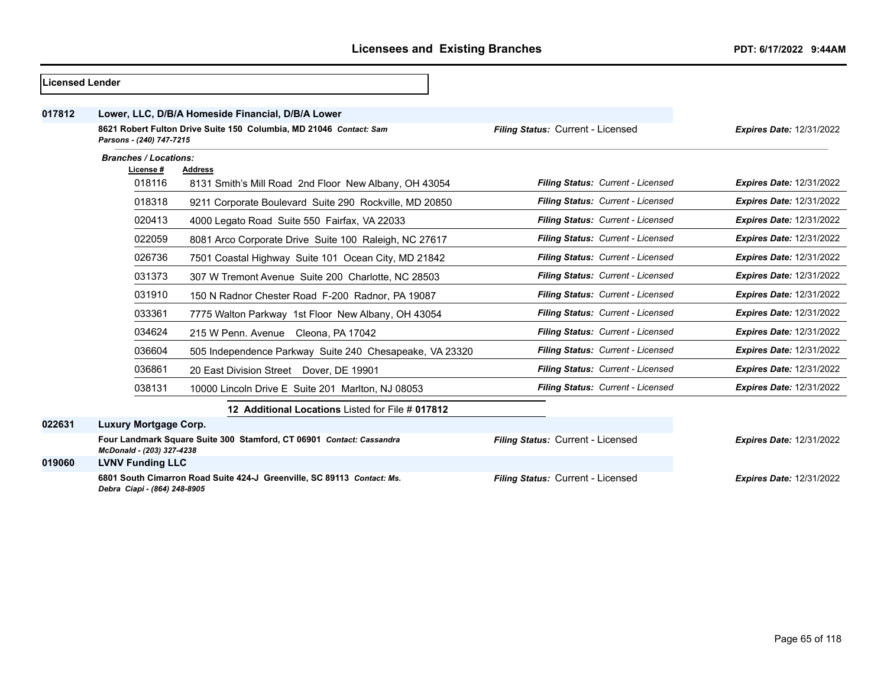| lLicensed Lender |                              |                                                                        |                                   |                                 |
|------------------|------------------------------|------------------------------------------------------------------------|-----------------------------------|---------------------------------|
| 017812           |                              | Lower, LLC, D/B/A Homeside Financial, D/B/A Lower                      |                                   |                                 |
|                  | Parsons - (240) 747-7215     | 8621 Robert Fulton Drive Suite 150 Columbia, MD 21046 Contact: Sam     | Filing Status: Current - Licensed | <b>Expires Date: 12/31/2022</b> |
|                  | <b>Branches / Locations:</b> |                                                                        |                                   |                                 |
|                  | License #<br>018116          | Address<br>8131 Smith's Mill Road 2nd Floor New Albany, OH 43054       | Filing Status: Current - Licensed | <b>Expires Date: 12/31/2022</b> |
|                  | 018318                       | 9211 Corporate Boulevard Suite 290 Rockville, MD 20850                 | Filing Status: Current - Licensed | <b>Expires Date: 12/31/2022</b> |
|                  | 020413                       | 4000 Legato Road Suite 550 Fairfax, VA 22033                           | Filing Status: Current - Licensed | <b>Expires Date: 12/31/2022</b> |
|                  | 022059                       | 8081 Arco Corporate Drive Suite 100 Raleigh, NC 27617                  | Filing Status: Current - Licensed | <b>Expires Date: 12/31/2022</b> |
|                  | 026736                       | 7501 Coastal Highway Suite 101 Ocean City, MD 21842                    | Filing Status: Current - Licensed | <b>Expires Date: 12/31/2022</b> |
|                  | 031373                       | 307 W Tremont Avenue Suite 200 Charlotte, NC 28503                     | Filing Status: Current - Licensed | <b>Expires Date: 12/31/2022</b> |
|                  | 031910                       | 150 N Radnor Chester Road F-200 Radnor, PA 19087                       | Filing Status: Current - Licensed | <b>Expires Date: 12/31/2022</b> |
|                  | 033361                       | 7775 Walton Parkway 1st Floor New Albany, OH 43054                     | Filing Status: Current - Licensed | <b>Expires Date: 12/31/2022</b> |
|                  | 034624                       | 215 W Penn. Avenue Cleona, PA 17042                                    | Filing Status: Current - Licensed | <b>Expires Date: 12/31/2022</b> |
|                  | 036604                       | 505 Independence Parkway Suite 240 Chesapeake, VA 23320                | Filing Status: Current - Licensed | <b>Expires Date: 12/31/2022</b> |
|                  | 036861                       | 20 East Division Street Dover, DE 19901                                | Filing Status: Current - Licensed | <b>Expires Date: 12/31/2022</b> |
|                  | 038131                       | 10000 Lincoln Drive E Suite 201 Marlton, NJ 08053                      | Filing Status: Current - Licensed | <b>Expires Date: 12/31/2022</b> |
|                  |                              | 12 Additional Locations Listed for File # 017812                       |                                   |                                 |
| 022631           | <b>Luxury Mortgage Corp.</b> |                                                                        |                                   |                                 |
|                  | McDonald - (203) 327-4238    | Four Landmark Square Suite 300 Stamford, CT 06901 Contact: Cassandra   | Filing Status: Current - Licensed | <b>Expires Date: 12/31/2022</b> |
| 019060           | <b>LVNV Funding LLC</b>      |                                                                        |                                   |                                 |
|                  | Debra Ciapi - (864) 248-8905 | 6801 South Cimarron Road Suite 424-J Greenville, SC 89113 Contact: Ms. | Filing Status: Current - Licensed | <b>Expires Date: 12/31/2022</b> |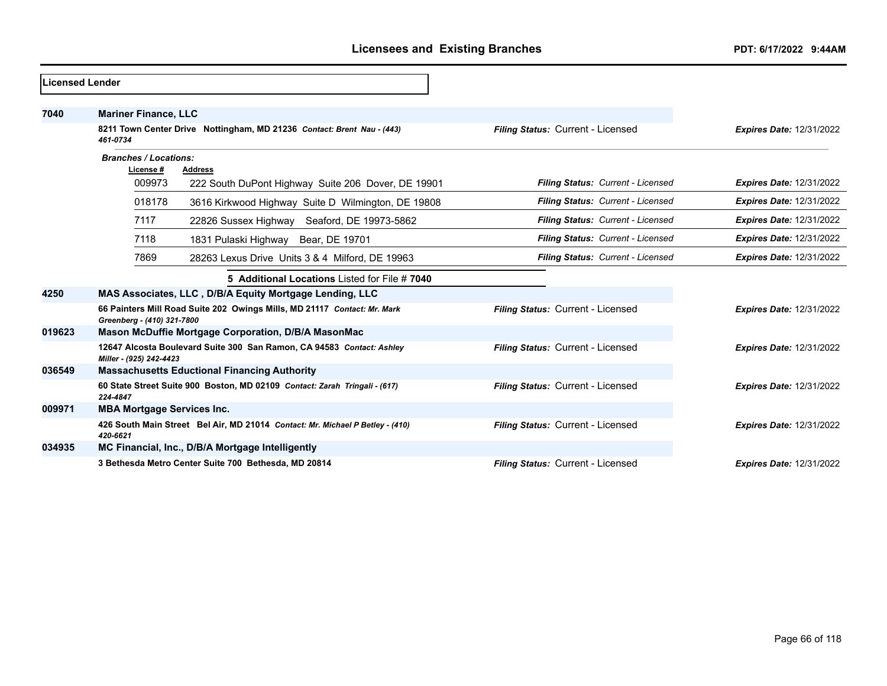| <b>Licensed Lender</b> |                                                                                                        |                                   |                                 |
|------------------------|--------------------------------------------------------------------------------------------------------|-----------------------------------|---------------------------------|
| 7040                   | <b>Mariner Finance, LLC</b>                                                                            |                                   |                                 |
|                        | 8211 Town Center Drive Nottingham, MD 21236 Contact: Brent Nau - (443)<br>461-0734                     | Filing Status: Current - Licensed | <b>Expires Date: 12/31/2022</b> |
|                        | <b>Branches / Locations:</b>                                                                           |                                   |                                 |
|                        | License #<br><b>Address</b><br>009973                                                                  | Filing Status: Current - Licensed | <b>Expires Date: 12/31/2022</b> |
|                        | 222 South DuPont Highway Suite 206 Dover, DE 19901                                                     |                                   |                                 |
|                        | 018178<br>3616 Kirkwood Highway Suite D Wilmington, DE 19808                                           | Filing Status: Current - Licensed | <b>Expires Date: 12/31/2022</b> |
|                        | 7117<br>22826 Sussex Highway Seaford, DE 19973-5862                                                    | Filing Status: Current - Licensed | <b>Expires Date: 12/31/2022</b> |
|                        | 7118<br>1831 Pulaski Highway Bear, DE 19701                                                            | Filing Status: Current - Licensed | <b>Expires Date: 12/31/2022</b> |
|                        | 7869<br>28263 Lexus Drive Units 3 & 4 Milford, DE 19963                                                | Filing Status: Current - Licensed | <b>Expires Date: 12/31/2022</b> |
|                        | 5 Additional Locations Listed for File # 7040                                                          |                                   |                                 |
| 4250                   | MAS Associates, LLC, D/B/A Equity Mortgage Lending, LLC                                                |                                   |                                 |
|                        | 66 Painters Mill Road Suite 202 Owings Mills, MD 21117 Contact: Mr. Mark<br>Greenberg - (410) 321-7800 | Filing Status: Current - Licensed | <b>Expires Date: 12/31/2022</b> |
| 019623                 | Mason McDuffie Mortgage Corporation, D/B/A MasonMac                                                    |                                   |                                 |
|                        | 12647 Alcosta Boulevard Suite 300 San Ramon, CA 94583 Contact: Ashley<br>Miller - (925) 242-4423       | Filing Status: Current - Licensed | <b>Expires Date: 12/31/2022</b> |
| 036549                 | <b>Massachusetts Eductional Financing Authority</b>                                                    |                                   |                                 |
|                        | 60 State Street Suite 900 Boston, MD 02109 Contact: Zarah Tringali - (617)<br>224-4847                 | Filing Status: Current - Licensed | <b>Expires Date: 12/31/2022</b> |
| 009971                 | <b>MBA Mortgage Services Inc.</b>                                                                      |                                   |                                 |
|                        | 426 South Main Street Bel Air, MD 21014 Contact: Mr. Michael P Betley - (410)<br>420-6621              | Filing Status: Current - Licensed | <b>Expires Date: 12/31/2022</b> |
| 034935                 | MC Financial, Inc., D/B/A Mortgage Intelligently                                                       |                                   |                                 |
|                        | 3 Bethesda Metro Center Suite 700 Bethesda, MD 20814                                                   | Filing Status: Current - Licensed | <b>Expires Date: 12/31/2022</b> |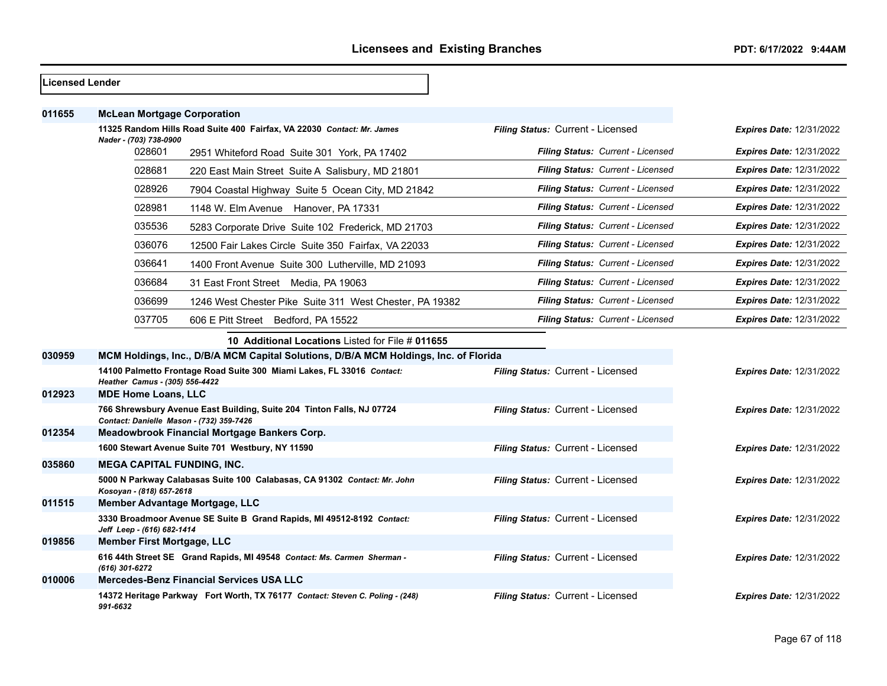| <b>Licensed Lender</b> |                                                                                                                   |                                          |                                 |
|------------------------|-------------------------------------------------------------------------------------------------------------------|------------------------------------------|---------------------------------|
| 011655                 | <b>McLean Mortgage Corporation</b>                                                                                |                                          |                                 |
|                        | 11325 Random Hills Road Suite 400 Fairfax, VA 22030 Contact: Mr. James<br>Nader - (703) 738-0900                  | Filing Status: Current - Licensed        | <b>Expires Date: 12/31/2022</b> |
|                        | 028601<br>2951 Whiteford Road Suite 301 York, PA 17402                                                            | <b>Filing Status: Current - Licensed</b> | <b>Expires Date: 12/31/2022</b> |
|                        | 028681<br>220 East Main Street Suite A Salisbury, MD 21801                                                        | Filing Status: Current - Licensed        | <b>Expires Date: 12/31/2022</b> |
|                        | 028926<br>7904 Coastal Highway Suite 5 Ocean City, MD 21842                                                       | Filing Status: Current - Licensed        | <b>Expires Date: 12/31/2022</b> |
|                        | 028981<br>1148 W. Elm Avenue Hanover, PA 17331                                                                    | Filing Status: Current - Licensed        | <b>Expires Date: 12/31/2022</b> |
|                        | 035536<br>5283 Corporate Drive Suite 102 Frederick, MD 21703                                                      | Filing Status: Current - Licensed        | <b>Expires Date: 12/31/2022</b> |
|                        | 036076<br>12500 Fair Lakes Circle Suite 350 Fairfax, VA 22033                                                     | Filing Status: Current - Licensed        | <b>Expires Date: 12/31/2022</b> |
|                        | 036641<br>1400 Front Avenue Suite 300 Lutherville, MD 21093                                                       | Filing Status: Current - Licensed        | <b>Expires Date: 12/31/2022</b> |
|                        | 036684<br>31 East Front Street Media, PA 19063                                                                    | Filing Status: Current - Licensed        | <b>Expires Date: 12/31/2022</b> |
|                        | 036699<br>1246 West Chester Pike Suite 311 West Chester, PA 19382                                                 | Filing Status: Current - Licensed        | <b>Expires Date: 12/31/2022</b> |
|                        | 037705<br>606 E Pitt Street Bedford, PA 15522                                                                     | <b>Filing Status: Current - Licensed</b> | <b>Expires Date: 12/31/2022</b> |
|                        | 10 Additional Locations Listed for File # 011655                                                                  |                                          |                                 |
| 030959                 | MCM Holdings, Inc., D/B/A MCM Capital Solutions, D/B/A MCM Holdings, Inc. of Florida                              |                                          |                                 |
|                        | 14100 Palmetto Frontage Road Suite 300 Miami Lakes, FL 33016 Contact:<br>Heather Camus - (305) 556-4422           | Filing Status: Current - Licensed        | <b>Expires Date: 12/31/2022</b> |
| 012923                 | <b>MDE Home Loans, LLC</b>                                                                                        |                                          |                                 |
|                        | 766 Shrewsbury Avenue East Building, Suite 204 Tinton Falls, NJ 07724<br>Contact: Danielle Mason - (732) 359-7426 | Filing Status: Current - Licensed        | <b>Expires Date: 12/31/2022</b> |
| 012354                 | Meadowbrook Financial Mortgage Bankers Corp.                                                                      |                                          |                                 |
|                        | 1600 Stewart Avenue Suite 701 Westbury, NY 11590                                                                  | Filing Status: Current - Licensed        | <b>Expires Date: 12/31/2022</b> |
| 035860                 | <b>MEGA CAPITAL FUNDING, INC.</b>                                                                                 |                                          |                                 |
|                        | 5000 N Parkway Calabasas Suite 100 Calabasas, CA 91302 Contact: Mr. John<br>Kosoyan - (818) 657-2618              | Filing Status: Current - Licensed        | <b>Expires Date: 12/31/2022</b> |
| 011515                 | Member Advantage Mortgage, LLC                                                                                    |                                          |                                 |
|                        | 3330 Broadmoor Avenue SE Suite B Grand Rapids, MI 49512-8192 Contact:<br>Jeff Leep - (616) 682-1414               | Filing Status: Current - Licensed        | <b>Expires Date: 12/31/2022</b> |
| 019856                 | Member First Mortgage, LLC                                                                                        |                                          |                                 |
|                        | 616 44th Street SE Grand Rapids, MI 49548 Contact: Ms. Carmen Sherman -<br>(616) 301-6272                         | Filing Status: Current - Licensed        | <b>Expires Date: 12/31/2022</b> |
| 010006                 | Mercedes-Benz Financial Services USA LLC                                                                          |                                          |                                 |
|                        | 14372 Heritage Parkway Fort Worth, TX 76177 Contact: Steven C. Poling - (248)<br>991-6632                         | Filing Status: Current - Licensed        | <b>Expires Date: 12/31/2022</b> |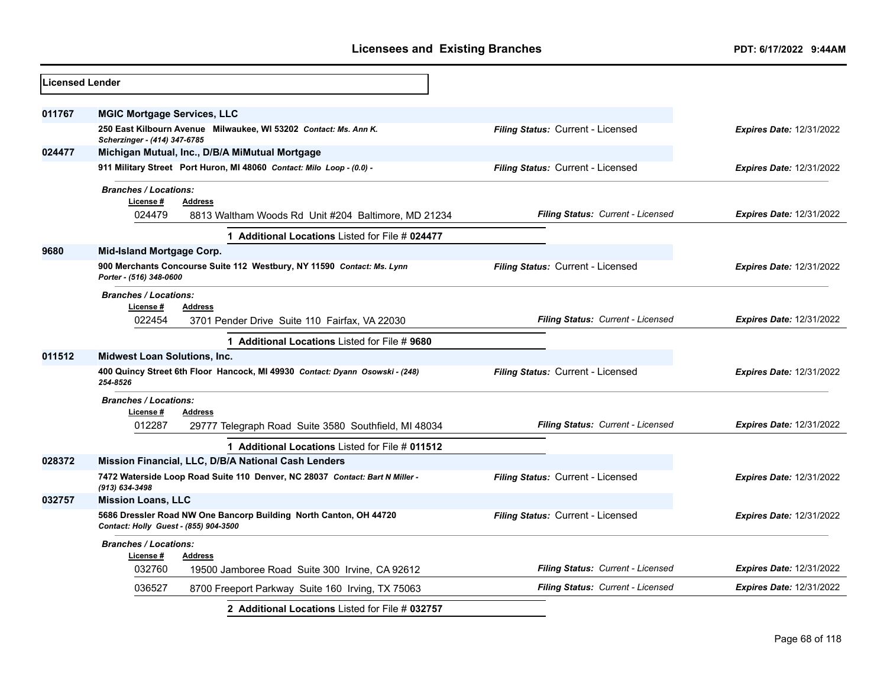| 011767<br><b>MGIC Mortgage Services, LLC</b><br>250 East Kilbourn Avenue Milwaukee, WI 53202 Contact: Ms. Ann K.<br>Filing Status: Current - Licensed<br><b>Expires Date: 12/31/2022</b><br>Scherzinger - (414) 347-6785<br>024477<br>Michigan Mutual, Inc., D/B/A MiMutual Mortgage<br>Filing Status: Current - Licensed<br>911 Military Street Port Huron, MI 48060 Contact: Milo Loop - (0.0) -<br><b>Expires Date: 12/31/2022</b><br><b>Branches / Locations:</b><br>License #<br>Address<br>024479<br>Filing Status: Current - Licensed<br><b>Expires Date: 12/31/2022</b><br>8813 Waltham Woods Rd Unit #204 Baltimore, MD 21234<br>1 Additional Locations Listed for File # 024477<br>9680<br>Mid-Island Mortgage Corp.<br>900 Merchants Concourse Suite 112 Westbury, NY 11590 Contact: Ms. Lynn<br>Filing Status: Current - Licensed<br><b>Expires Date: 12/31/2022</b><br>Porter - (516) 348-0600<br><b>Branches / Locations:</b><br>License #<br><b>Address</b><br>Filing Status: Current - Licensed<br>022454<br><b>Expires Date: 12/31/2022</b><br>3701 Pender Drive Suite 110 Fairfax, VA 22030<br>1 Additional Locations Listed for File # 9680<br>011512<br><b>Midwest Loan Solutions, Inc.</b><br>400 Quincy Street 6th Floor Hancock, MI 49930 Contact: Dyann Osowski - (248)<br>Filing Status: Current - Licensed<br><b>Expires Date: 12/31/2022</b><br>254-8526<br><b>Branches / Locations:</b><br>License#<br>Address<br>012287<br>Filing Status: Current - Licensed<br><b>Expires Date: 12/31/2022</b><br>29777 Telegraph Road Suite 3580 Southfield, MI 48034<br>1 Additional Locations Listed for File # 011512<br>028372<br>Mission Financial, LLC, D/B/A National Cash Lenders<br>7472 Waterside Loop Road Suite 110 Denver, NC 28037 Contact: Bart N Miller -<br>Filing Status: Current - Licensed<br><b>Expires Date: 12/31/2022</b><br>$(913) 634 - 3498$<br>032757<br><b>Mission Loans, LLC</b><br>Filing Status: Current - Licensed<br>5686 Dressler Road NW One Bancorp Building North Canton, OH 44720<br><b>Expires Date: 12/31/2022</b><br>Contact: Holly Guest - (855) 904-3500<br><b>Branches / Locations:</b><br>License #<br><b>Address</b><br>032760<br><b>Filing Status: Current - Licensed</b><br><b>Expires Date: 12/31/2022</b><br>19500 Jamboree Road Suite 300 Irvine, CA 92612<br>036527<br>Filing Status: Current - Licensed<br><b>Expires Date: 12/31/2022</b><br>8700 Freeport Parkway Suite 160 Irving, TX 75063<br>2 Additional Locations Listed for File # 032757 | <b>Licensed Lender</b> |  |  |  |
|------------------------------------------------------------------------------------------------------------------------------------------------------------------------------------------------------------------------------------------------------------------------------------------------------------------------------------------------------------------------------------------------------------------------------------------------------------------------------------------------------------------------------------------------------------------------------------------------------------------------------------------------------------------------------------------------------------------------------------------------------------------------------------------------------------------------------------------------------------------------------------------------------------------------------------------------------------------------------------------------------------------------------------------------------------------------------------------------------------------------------------------------------------------------------------------------------------------------------------------------------------------------------------------------------------------------------------------------------------------------------------------------------------------------------------------------------------------------------------------------------------------------------------------------------------------------------------------------------------------------------------------------------------------------------------------------------------------------------------------------------------------------------------------------------------------------------------------------------------------------------------------------------------------------------------------------------------------------------------------------------------------------------------------------------------------------------------------------------------------------------------------------------------------------------------------------------------------------------------------------------------------------------------------------------------------------------------------------------------------------------------------------------------------------------------------------------------------------------------------------------------------------|------------------------|--|--|--|
|                                                                                                                                                                                                                                                                                                                                                                                                                                                                                                                                                                                                                                                                                                                                                                                                                                                                                                                                                                                                                                                                                                                                                                                                                                                                                                                                                                                                                                                                                                                                                                                                                                                                                                                                                                                                                                                                                                                                                                                                                                                                                                                                                                                                                                                                                                                                                                                                                                                                                                                        |                        |  |  |  |
|                                                                                                                                                                                                                                                                                                                                                                                                                                                                                                                                                                                                                                                                                                                                                                                                                                                                                                                                                                                                                                                                                                                                                                                                                                                                                                                                                                                                                                                                                                                                                                                                                                                                                                                                                                                                                                                                                                                                                                                                                                                                                                                                                                                                                                                                                                                                                                                                                                                                                                                        |                        |  |  |  |
|                                                                                                                                                                                                                                                                                                                                                                                                                                                                                                                                                                                                                                                                                                                                                                                                                                                                                                                                                                                                                                                                                                                                                                                                                                                                                                                                                                                                                                                                                                                                                                                                                                                                                                                                                                                                                                                                                                                                                                                                                                                                                                                                                                                                                                                                                                                                                                                                                                                                                                                        |                        |  |  |  |
|                                                                                                                                                                                                                                                                                                                                                                                                                                                                                                                                                                                                                                                                                                                                                                                                                                                                                                                                                                                                                                                                                                                                                                                                                                                                                                                                                                                                                                                                                                                                                                                                                                                                                                                                                                                                                                                                                                                                                                                                                                                                                                                                                                                                                                                                                                                                                                                                                                                                                                                        |                        |  |  |  |
|                                                                                                                                                                                                                                                                                                                                                                                                                                                                                                                                                                                                                                                                                                                                                                                                                                                                                                                                                                                                                                                                                                                                                                                                                                                                                                                                                                                                                                                                                                                                                                                                                                                                                                                                                                                                                                                                                                                                                                                                                                                                                                                                                                                                                                                                                                                                                                                                                                                                                                                        |                        |  |  |  |
|                                                                                                                                                                                                                                                                                                                                                                                                                                                                                                                                                                                                                                                                                                                                                                                                                                                                                                                                                                                                                                                                                                                                                                                                                                                                                                                                                                                                                                                                                                                                                                                                                                                                                                                                                                                                                                                                                                                                                                                                                                                                                                                                                                                                                                                                                                                                                                                                                                                                                                                        |                        |  |  |  |
|                                                                                                                                                                                                                                                                                                                                                                                                                                                                                                                                                                                                                                                                                                                                                                                                                                                                                                                                                                                                                                                                                                                                                                                                                                                                                                                                                                                                                                                                                                                                                                                                                                                                                                                                                                                                                                                                                                                                                                                                                                                                                                                                                                                                                                                                                                                                                                                                                                                                                                                        |                        |  |  |  |
|                                                                                                                                                                                                                                                                                                                                                                                                                                                                                                                                                                                                                                                                                                                                                                                                                                                                                                                                                                                                                                                                                                                                                                                                                                                                                                                                                                                                                                                                                                                                                                                                                                                                                                                                                                                                                                                                                                                                                                                                                                                                                                                                                                                                                                                                                                                                                                                                                                                                                                                        |                        |  |  |  |
|                                                                                                                                                                                                                                                                                                                                                                                                                                                                                                                                                                                                                                                                                                                                                                                                                                                                                                                                                                                                                                                                                                                                                                                                                                                                                                                                                                                                                                                                                                                                                                                                                                                                                                                                                                                                                                                                                                                                                                                                                                                                                                                                                                                                                                                                                                                                                                                                                                                                                                                        |                        |  |  |  |
|                                                                                                                                                                                                                                                                                                                                                                                                                                                                                                                                                                                                                                                                                                                                                                                                                                                                                                                                                                                                                                                                                                                                                                                                                                                                                                                                                                                                                                                                                                                                                                                                                                                                                                                                                                                                                                                                                                                                                                                                                                                                                                                                                                                                                                                                                                                                                                                                                                                                                                                        |                        |  |  |  |
|                                                                                                                                                                                                                                                                                                                                                                                                                                                                                                                                                                                                                                                                                                                                                                                                                                                                                                                                                                                                                                                                                                                                                                                                                                                                                                                                                                                                                                                                                                                                                                                                                                                                                                                                                                                                                                                                                                                                                                                                                                                                                                                                                                                                                                                                                                                                                                                                                                                                                                                        |                        |  |  |  |
|                                                                                                                                                                                                                                                                                                                                                                                                                                                                                                                                                                                                                                                                                                                                                                                                                                                                                                                                                                                                                                                                                                                                                                                                                                                                                                                                                                                                                                                                                                                                                                                                                                                                                                                                                                                                                                                                                                                                                                                                                                                                                                                                                                                                                                                                                                                                                                                                                                                                                                                        |                        |  |  |  |
|                                                                                                                                                                                                                                                                                                                                                                                                                                                                                                                                                                                                                                                                                                                                                                                                                                                                                                                                                                                                                                                                                                                                                                                                                                                                                                                                                                                                                                                                                                                                                                                                                                                                                                                                                                                                                                                                                                                                                                                                                                                                                                                                                                                                                                                                                                                                                                                                                                                                                                                        |                        |  |  |  |
|                                                                                                                                                                                                                                                                                                                                                                                                                                                                                                                                                                                                                                                                                                                                                                                                                                                                                                                                                                                                                                                                                                                                                                                                                                                                                                                                                                                                                                                                                                                                                                                                                                                                                                                                                                                                                                                                                                                                                                                                                                                                                                                                                                                                                                                                                                                                                                                                                                                                                                                        |                        |  |  |  |
|                                                                                                                                                                                                                                                                                                                                                                                                                                                                                                                                                                                                                                                                                                                                                                                                                                                                                                                                                                                                                                                                                                                                                                                                                                                                                                                                                                                                                                                                                                                                                                                                                                                                                                                                                                                                                                                                                                                                                                                                                                                                                                                                                                                                                                                                                                                                                                                                                                                                                                                        |                        |  |  |  |
|                                                                                                                                                                                                                                                                                                                                                                                                                                                                                                                                                                                                                                                                                                                                                                                                                                                                                                                                                                                                                                                                                                                                                                                                                                                                                                                                                                                                                                                                                                                                                                                                                                                                                                                                                                                                                                                                                                                                                                                                                                                                                                                                                                                                                                                                                                                                                                                                                                                                                                                        |                        |  |  |  |
|                                                                                                                                                                                                                                                                                                                                                                                                                                                                                                                                                                                                                                                                                                                                                                                                                                                                                                                                                                                                                                                                                                                                                                                                                                                                                                                                                                                                                                                                                                                                                                                                                                                                                                                                                                                                                                                                                                                                                                                                                                                                                                                                                                                                                                                                                                                                                                                                                                                                                                                        |                        |  |  |  |
|                                                                                                                                                                                                                                                                                                                                                                                                                                                                                                                                                                                                                                                                                                                                                                                                                                                                                                                                                                                                                                                                                                                                                                                                                                                                                                                                                                                                                                                                                                                                                                                                                                                                                                                                                                                                                                                                                                                                                                                                                                                                                                                                                                                                                                                                                                                                                                                                                                                                                                                        |                        |  |  |  |
|                                                                                                                                                                                                                                                                                                                                                                                                                                                                                                                                                                                                                                                                                                                                                                                                                                                                                                                                                                                                                                                                                                                                                                                                                                                                                                                                                                                                                                                                                                                                                                                                                                                                                                                                                                                                                                                                                                                                                                                                                                                                                                                                                                                                                                                                                                                                                                                                                                                                                                                        |                        |  |  |  |
|                                                                                                                                                                                                                                                                                                                                                                                                                                                                                                                                                                                                                                                                                                                                                                                                                                                                                                                                                                                                                                                                                                                                                                                                                                                                                                                                                                                                                                                                                                                                                                                                                                                                                                                                                                                                                                                                                                                                                                                                                                                                                                                                                                                                                                                                                                                                                                                                                                                                                                                        |                        |  |  |  |
|                                                                                                                                                                                                                                                                                                                                                                                                                                                                                                                                                                                                                                                                                                                                                                                                                                                                                                                                                                                                                                                                                                                                                                                                                                                                                                                                                                                                                                                                                                                                                                                                                                                                                                                                                                                                                                                                                                                                                                                                                                                                                                                                                                                                                                                                                                                                                                                                                                                                                                                        |                        |  |  |  |
|                                                                                                                                                                                                                                                                                                                                                                                                                                                                                                                                                                                                                                                                                                                                                                                                                                                                                                                                                                                                                                                                                                                                                                                                                                                                                                                                                                                                                                                                                                                                                                                                                                                                                                                                                                                                                                                                                                                                                                                                                                                                                                                                                                                                                                                                                                                                                                                                                                                                                                                        |                        |  |  |  |
|                                                                                                                                                                                                                                                                                                                                                                                                                                                                                                                                                                                                                                                                                                                                                                                                                                                                                                                                                                                                                                                                                                                                                                                                                                                                                                                                                                                                                                                                                                                                                                                                                                                                                                                                                                                                                                                                                                                                                                                                                                                                                                                                                                                                                                                                                                                                                                                                                                                                                                                        |                        |  |  |  |
|                                                                                                                                                                                                                                                                                                                                                                                                                                                                                                                                                                                                                                                                                                                                                                                                                                                                                                                                                                                                                                                                                                                                                                                                                                                                                                                                                                                                                                                                                                                                                                                                                                                                                                                                                                                                                                                                                                                                                                                                                                                                                                                                                                                                                                                                                                                                                                                                                                                                                                                        |                        |  |  |  |
|                                                                                                                                                                                                                                                                                                                                                                                                                                                                                                                                                                                                                                                                                                                                                                                                                                                                                                                                                                                                                                                                                                                                                                                                                                                                                                                                                                                                                                                                                                                                                                                                                                                                                                                                                                                                                                                                                                                                                                                                                                                                                                                                                                                                                                                                                                                                                                                                                                                                                                                        |                        |  |  |  |
|                                                                                                                                                                                                                                                                                                                                                                                                                                                                                                                                                                                                                                                                                                                                                                                                                                                                                                                                                                                                                                                                                                                                                                                                                                                                                                                                                                                                                                                                                                                                                                                                                                                                                                                                                                                                                                                                                                                                                                                                                                                                                                                                                                                                                                                                                                                                                                                                                                                                                                                        |                        |  |  |  |
|                                                                                                                                                                                                                                                                                                                                                                                                                                                                                                                                                                                                                                                                                                                                                                                                                                                                                                                                                                                                                                                                                                                                                                                                                                                                                                                                                                                                                                                                                                                                                                                                                                                                                                                                                                                                                                                                                                                                                                                                                                                                                                                                                                                                                                                                                                                                                                                                                                                                                                                        |                        |  |  |  |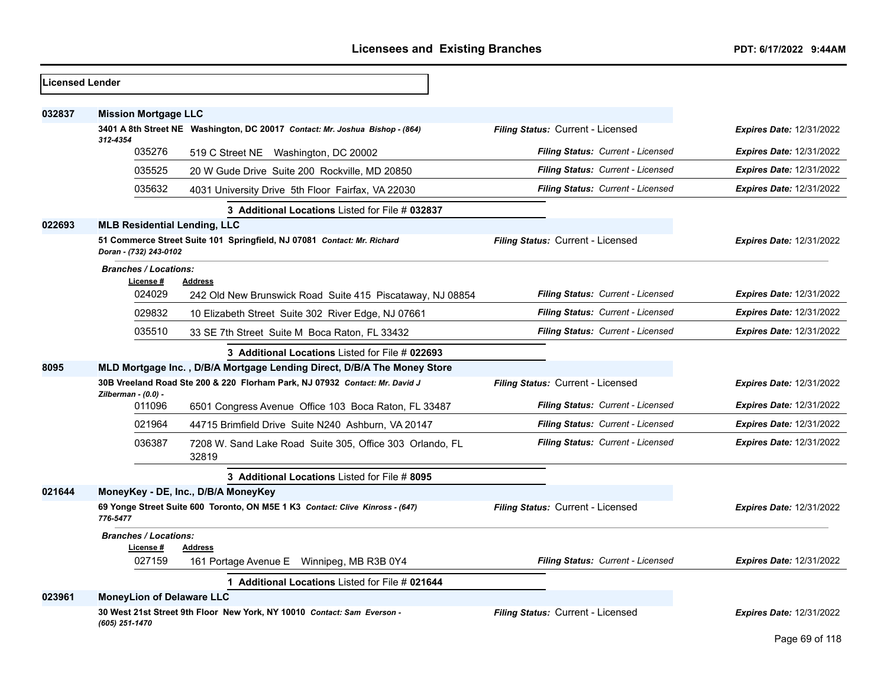| Licensed Lender |                                           |                                                                               |                                          |                                 |
|-----------------|-------------------------------------------|-------------------------------------------------------------------------------|------------------------------------------|---------------------------------|
| 032837          | <b>Mission Mortgage LLC</b>               |                                                                               |                                          |                                 |
|                 |                                           | 3401 A 8th Street NE Washington, DC 20017 Contact: Mr. Joshua Bishop - (864)  | Filing Status: Current - Licensed        | <b>Expires Date: 12/31/2022</b> |
|                 | 312-4354<br>035276                        | 519 C Street NE Washington, DC 20002                                          | <b>Filing Status: Current - Licensed</b> | <b>Expires Date: 12/31/2022</b> |
|                 | 035525                                    | 20 W Gude Drive Suite 200 Rockville, MD 20850                                 | <b>Filing Status: Current - Licensed</b> | <b>Expires Date: 12/31/2022</b> |
|                 | 035632                                    | 4031 University Drive 5th Floor Fairfax, VA 22030                             | <b>Filing Status: Current - Licensed</b> | <b>Expires Date: 12/31/2022</b> |
|                 |                                           | 3 Additional Locations Listed for File # 032837                               |                                          |                                 |
| 022693          | <b>MLB Residential Lending, LLC</b>       |                                                                               |                                          |                                 |
|                 | Doran - (732) 243-0102                    | 51 Commerce Street Suite 101 Springfield, NJ 07081 Contact: Mr. Richard       | Filing Status: Current - Licensed        | <b>Expires Date: 12/31/2022</b> |
|                 | <b>Branches / Locations:</b><br>License # | <b>Address</b>                                                                |                                          |                                 |
|                 | 024029                                    | 242 Old New Brunswick Road Suite 415 Piscataway, NJ 08854                     | Filing Status: Current - Licensed        | <b>Expires Date: 12/31/2022</b> |
|                 | 029832                                    | 10 Elizabeth Street Suite 302 River Edge, NJ 07661                            | Filing Status: Current - Licensed        | <b>Expires Date: 12/31/2022</b> |
|                 | 035510                                    | 33 SE 7th Street Suite M Boca Raton, FL 33432                                 | Filing Status: Current - Licensed        | <b>Expires Date: 12/31/2022</b> |
|                 |                                           | 3 Additional Locations Listed for File # 022693                               |                                          |                                 |
| 8095            |                                           | MLD Mortgage Inc., D/B/A Mortgage Lending Direct, D/B/A The Money Store       |                                          |                                 |
|                 | Zilberman - (0.0) -                       | 30B Vreeland Road Ste 200 & 220 Florham Park, NJ 07932 Contact: Mr. David J   | Filing Status: Current - Licensed        | <b>Expires Date: 12/31/2022</b> |
|                 | 011096                                    | 6501 Congress Avenue Office 103 Boca Raton, FL 33487                          | <b>Filing Status: Current - Licensed</b> | <b>Expires Date: 12/31/2022</b> |
|                 | 021964                                    | 44715 Brimfield Drive Suite N240 Ashburn, VA 20147                            | Filing Status: Current - Licensed        | <b>Expires Date: 12/31/2022</b> |
|                 | 036387                                    | 7208 W. Sand Lake Road Suite 305, Office 303 Orlando, FL<br>32819             | Filing Status: Current - Licensed        | <b>Expires Date: 12/31/2022</b> |
|                 |                                           | 3 Additional Locations Listed for File # 8095                                 |                                          |                                 |
| 021644          |                                           | MoneyKey - DE, Inc., D/B/A MoneyKey                                           |                                          |                                 |
|                 | 776-5477                                  | 69 Yonge Street Suite 600 Toronto, ON M5E 1 K3 Contact: Clive Kinross - (647) | Filing Status: Current - Licensed        | <b>Expires Date: 12/31/2022</b> |
|                 | <b>Branches / Locations:</b>              |                                                                               |                                          |                                 |
|                 | License #<br>027159                       | <b>Address</b><br>161 Portage Avenue E Winnipeg, MB R3B 0Y4                   | Filing Status: Current - Licensed        | <b>Expires Date: 12/31/2022</b> |
|                 |                                           | 1 Additional Locations Listed for File # 021644                               |                                          |                                 |
| 023961          | <b>MoneyLion of Delaware LLC</b>          |                                                                               |                                          |                                 |
|                 | (605) 251-1470                            | 30 West 21st Street 9th Floor New York, NY 10010 Contact: Sam Everson -       | Filing Status: Current - Licensed        | <b>Expires Date: 12/31/2022</b> |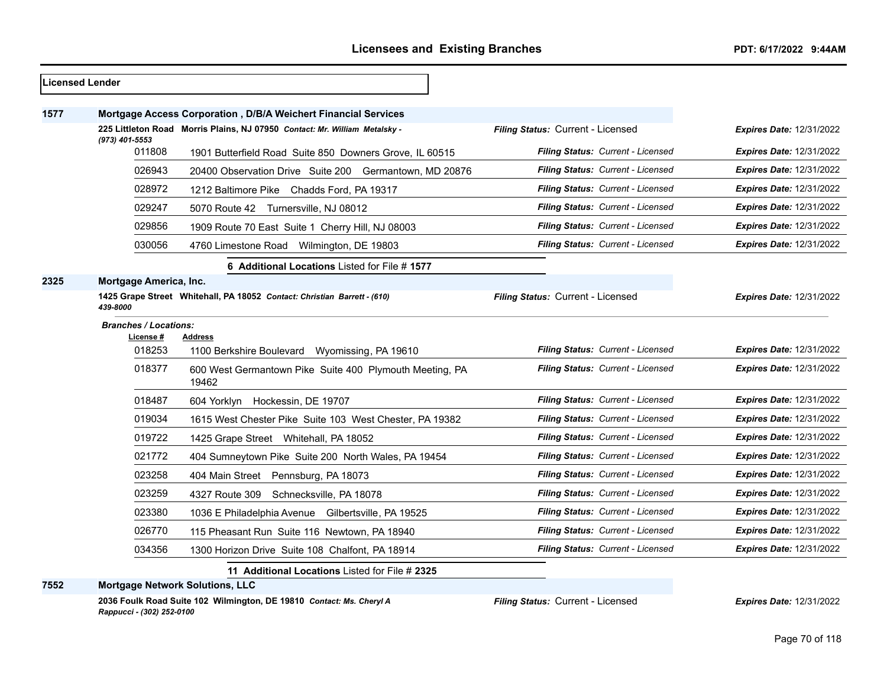|      | <b>Licensed Lender</b>       |                                                                            |                                          |                                 |
|------|------------------------------|----------------------------------------------------------------------------|------------------------------------------|---------------------------------|
| 1577 |                              | Mortgage Access Corporation, D/B/A Weichert Financial Services             |                                          |                                 |
|      |                              | 225 Littleton Road Morris Plains, NJ 07950 Contact: Mr. William Metalsky - | Filing Status: Current - Licensed        | Expires Date: 12/31/2022        |
|      | (973) 401-5553<br>011808     | 1901 Butterfield Road Suite 850 Downers Grove, IL 60515                    | <b>Filing Status: Current - Licensed</b> | <b>Expires Date: 12/31/2022</b> |
|      | 026943                       | 20400 Observation Drive Suite 200 Germantown, MD 20876                     | Filing Status: Current - Licensed        | <b>Expires Date: 12/31/2022</b> |
|      | 028972                       | 1212 Baltimore Pike Chadds Ford, PA 19317                                  | Filing Status: Current - Licensed        | <b>Expires Date: 12/31/2022</b> |
|      | 029247                       | 5070 Route 42 Turnersville, NJ 08012                                       | Filing Status: Current - Licensed        | <b>Expires Date: 12/31/2022</b> |
|      | 029856                       | 1909 Route 70 East Suite 1 Cherry Hill, NJ 08003                           | Filing Status: Current - Licensed        | Expires Date: 12/31/2022        |
|      | 030056                       | 4760 Limestone Road Wilmington, DE 19803                                   | Filing Status: Current - Licensed        | Expires Date: 12/31/2022        |
|      |                              | 6 Additional Locations Listed for File # 1577                              |                                          |                                 |
| 2325 | Mortgage America, Inc.       |                                                                            |                                          |                                 |
|      | 439-8000                     | 1425 Grape Street Whitehall, PA 18052 Contact: Christian Barrett - (610)   | Filing Status: Current - Licensed        | <b>Expires Date: 12/31/2022</b> |
|      | <b>Branches / Locations:</b> |                                                                            |                                          |                                 |
|      | License #<br>018253          | <b>Address</b><br>1100 Berkshire Boulevard Wyomissing, PA 19610            | Filing Status: Current - Licensed        | Expires Date: 12/31/2022        |
|      | 018377                       | 600 West Germantown Pike Suite 400 Plymouth Meeting, PA<br>19462           | Filing Status: Current - Licensed        | <b>Expires Date: 12/31/2022</b> |
|      | 018487                       | 604 Yorklyn Hockessin, DE 19707                                            | Filing Status: Current - Licensed        | <b>Expires Date: 12/31/2022</b> |
|      | 019034                       | 1615 West Chester Pike Suite 103 West Chester, PA 19382                    | Filing Status: Current - Licensed        | <b>Expires Date: 12/31/2022</b> |
|      | 019722                       | 1425 Grape Street Whitehall, PA 18052                                      | Filing Status: Current - Licensed        | <b>Expires Date: 12/31/2022</b> |
|      | 021772                       | 404 Sumneytown Pike Suite 200 North Wales, PA 19454                        | Filing Status: Current - Licensed        | Expires Date: 12/31/2022        |
|      | 023258                       | 404 Main Street Pennsburg, PA 18073                                        | Filing Status: Current - Licensed        | Expires Date: 12/31/2022        |
|      | 023259                       | 4327 Route 309 Schnecksville, PA 18078                                     | Filing Status: Current - Licensed        | <b>Expires Date: 12/31/2022</b> |
|      | 023380                       | 1036 E Philadelphia Avenue Gilbertsville, PA 19525                         | Filing Status: Current - Licensed        | Expires Date: 12/31/2022        |
|      | 026770                       | 115 Pheasant Run Suite 116 Newtown, PA 18940                               | Filing Status: Current - Licensed        | <b>Expires Date: 12/31/2022</b> |
|      | 034356                       | 1300 Horizon Drive Suite 108 Chalfont, PA 18914                            | Filing Status: Current - Licensed        | Expires Date: 12/31/2022        |
|      |                              | 11 Additional Locations Listed for File # 2325                             |                                          |                                 |
| 7552 |                              | <b>Mortgage Network Solutions, LLC</b>                                     |                                          |                                 |

**2036 Foulk Road Suite 102 Wilmington, DE 19810** *Contact: Ms. Cheryl A Rappucci - (302) 252-0100*

*Filing Status:* Current - Licensed *Expires Date:* 12/31/2022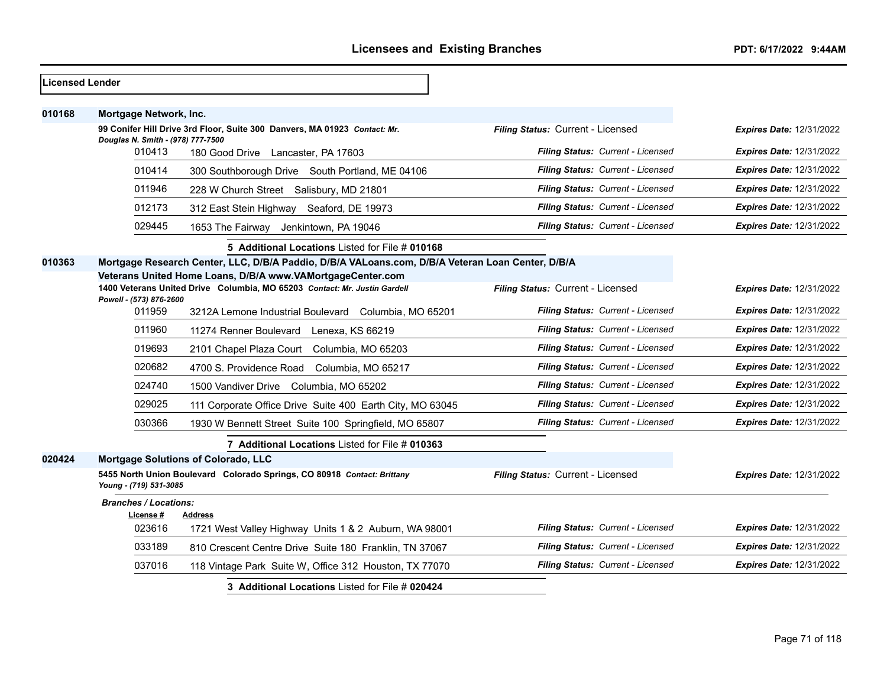| lLicensed Lender |                                             |                                                                                                                                         |                                   |                                 |
|------------------|---------------------------------------------|-----------------------------------------------------------------------------------------------------------------------------------------|-----------------------------------|---------------------------------|
| 010168           | Mortgage Network, Inc.                      |                                                                                                                                         |                                   |                                 |
|                  |                                             | 99 Conifer Hill Drive 3rd Floor, Suite 300 Danvers, MA 01923 Contact: Mr.                                                               | Filing Status: Current - Licensed | <b>Expires Date: 12/31/2022</b> |
|                  | Douglas N. Smith - (978) 777-7500<br>010413 | 180 Good Drive Lancaster, PA 17603                                                                                                      | Filing Status: Current - Licensed | <b>Expires Date: 12/31/2022</b> |
|                  | 010414                                      | 300 Southborough Drive South Portland, ME 04106                                                                                         | Filing Status: Current - Licensed | <b>Expires Date: 12/31/2022</b> |
|                  | 011946                                      | 228 W Church Street Salisbury, MD 21801                                                                                                 | Filing Status: Current - Licensed | <b>Expires Date: 12/31/2022</b> |
|                  | 012173                                      | 312 East Stein Highway Seaford, DE 19973                                                                                                | Filing Status: Current - Licensed | <b>Expires Date: 12/31/2022</b> |
|                  | 029445                                      | 1653 The Fairway Jenkintown, PA 19046                                                                                                   | Filing Status: Current - Licensed | <b>Expires Date: 12/31/2022</b> |
|                  |                                             | 5 Additional Locations Listed for File # 010168                                                                                         |                                   |                                 |
| 010363           |                                             | Mortgage Research Center, LLC, D/B/A Paddio, D/B/A VALoans.com, D/B/A Veteran Loan Center, D/B/A                                        |                                   |                                 |
|                  | Powell - (573) 876-2600                     | Veterans United Home Loans, D/B/A www.VAMortgageCenter.com<br>1400 Veterans United Drive Columbia, MO 65203 Contact: Mr. Justin Gardell | Filing Status: Current - Licensed | <b>Expires Date: 12/31/2022</b> |
|                  | 011959                                      | 3212A Lemone Industrial Boulevard Columbia, MO 65201                                                                                    | Filing Status: Current - Licensed | <b>Expires Date: 12/31/2022</b> |
|                  | 011960                                      | 11274 Renner Boulevard Lenexa, KS 66219                                                                                                 | Filing Status: Current - Licensed | <b>Expires Date: 12/31/2022</b> |
|                  | 019693                                      | 2101 Chapel Plaza Court Columbia, MO 65203                                                                                              | Filing Status: Current - Licensed | <b>Expires Date: 12/31/2022</b> |
|                  | 020682                                      | 4700 S. Providence Road Columbia, MO 65217                                                                                              | Filing Status: Current - Licensed | <b>Expires Date: 12/31/2022</b> |
|                  | 024740                                      | 1500 Vandiver Drive Columbia, MO 65202                                                                                                  | Filing Status: Current - Licensed | <b>Expires Date: 12/31/2022</b> |
|                  | 029025                                      | 111 Corporate Office Drive Suite 400 Earth City, MO 63045                                                                               | Filing Status: Current - Licensed | <b>Expires Date: 12/31/2022</b> |
|                  | 030366                                      | 1930 W Bennett Street Suite 100 Springfield, MO 65807                                                                                   | Filing Status: Current - Licensed | <b>Expires Date: 12/31/2022</b> |
|                  |                                             | 7 Additional Locations Listed for File # 010363                                                                                         |                                   |                                 |
| 020424           |                                             | Mortgage Solutions of Colorado, LLC                                                                                                     |                                   |                                 |
|                  | Young - (719) 531-3085                      | 5455 North Union Boulevard Colorado Springs, CO 80918 Contact: Brittany                                                                 | Filing Status: Current - Licensed | <b>Expires Date: 12/31/2022</b> |
|                  | <b>Branches / Locations:</b>                |                                                                                                                                         |                                   |                                 |
|                  | License #<br>023616                         | <b>Address</b><br>1721 West Valley Highway Units 1 & 2 Auburn, WA 98001                                                                 | Filing Status: Current - Licensed | <b>Expires Date: 12/31/2022</b> |
|                  | 033189                                      | 810 Crescent Centre Drive Suite 180 Franklin, TN 37067                                                                                  | Filing Status: Current - Licensed | <b>Expires Date: 12/31/2022</b> |
|                  | 037016                                      | 118 Vintage Park Suite W, Office 312 Houston, TX 77070                                                                                  | Filing Status: Current - Licensed | Expires Date: 12/31/2022        |
|                  |                                             | 3 Additional Locations Listed for File # 020424                                                                                         |                                   |                                 |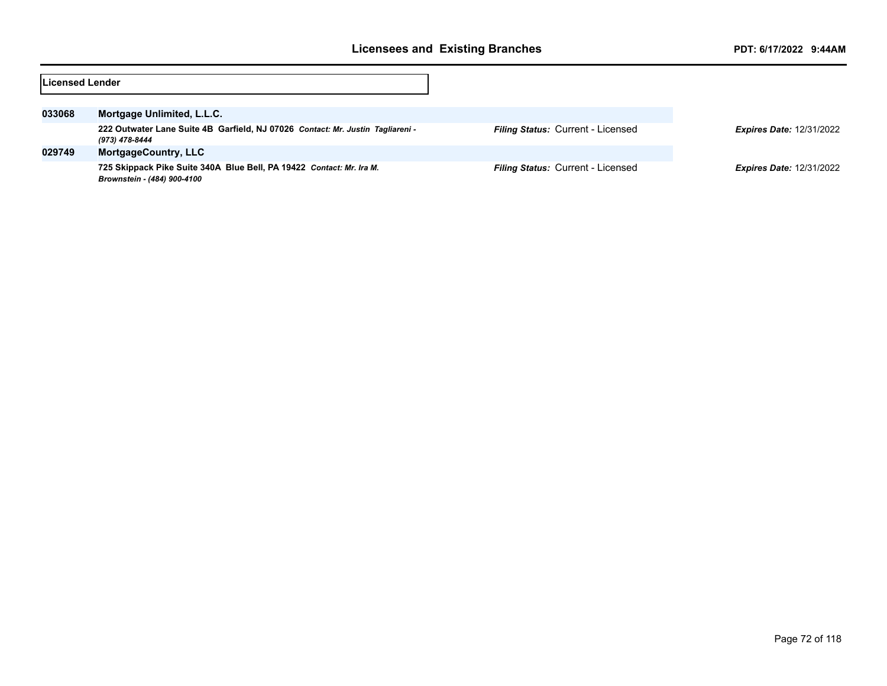| Licensed Lender |                                                                                                     |                                   |                                 |
|-----------------|-----------------------------------------------------------------------------------------------------|-----------------------------------|---------------------------------|
|                 |                                                                                                     |                                   |                                 |
| 033068          | Mortgage Unlimited, L.L.C.                                                                          |                                   |                                 |
|                 | 222 Outwater Lane Suite 4B Garfield, NJ 07026 Contact: Mr. Justin Tagliareni -<br>(973) 478-8444    | Filing Status: Current - Licensed | <b>Expires Date: 12/31/2022</b> |
| 029749          | <b>MortgageCountry, LLC</b>                                                                         |                                   |                                 |
|                 | 725 Skippack Pike Suite 340A Blue Bell, PA 19422 Contact: Mr. Ira M.<br>Brownstein - (484) 900-4100 | Filing Status: Current - Licensed | <b>Expires Date: 12/31/2022</b> |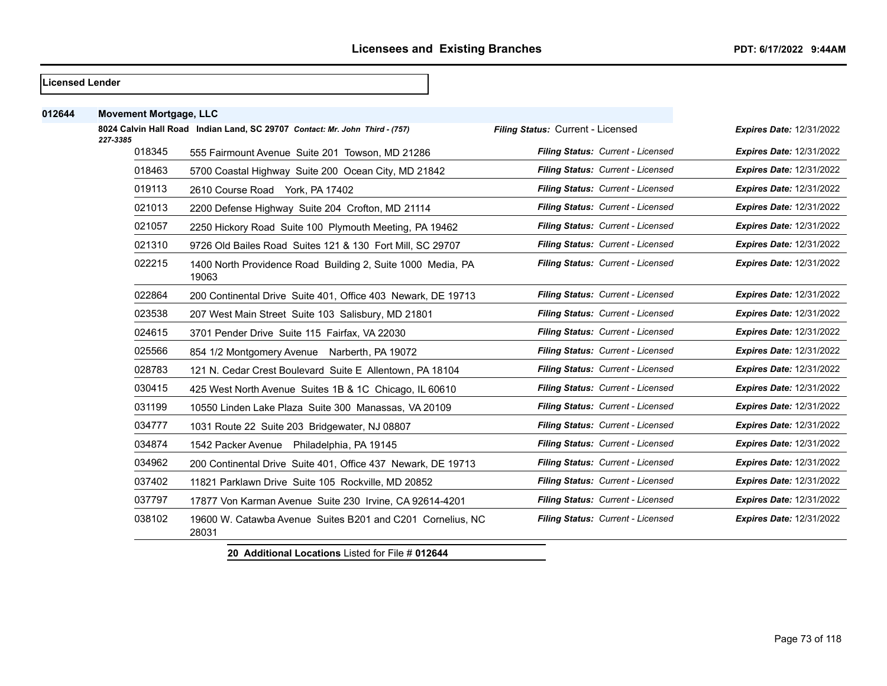#### **Licensed Lender**

| 012644 | <b>Movement Mortgage, LLC</b> |                                                                             |                                   |                                 |
|--------|-------------------------------|-----------------------------------------------------------------------------|-----------------------------------|---------------------------------|
|        | 227-3385                      | 8024 Calvin Hall Road Indian Land, SC 29707 Contact: Mr. John Third - (757) | Filing Status: Current - Licensed | <b>Expires Date: 12/31/2022</b> |
|        | 018345                        | 555 Fairmount Avenue Suite 201 Towson, MD 21286                             | Filing Status: Current - Licensed | Expires Date: 12/31/2022        |
|        | 018463                        | 5700 Coastal Highway Suite 200 Ocean City, MD 21842                         | Filing Status: Current - Licensed | <b>Expires Date: 12/31/2022</b> |
|        | 019113                        | 2610 Course Road York, PA 17402                                             | Filing Status: Current - Licensed | <b>Expires Date: 12/31/2022</b> |
|        | 021013                        | 2200 Defense Highway Suite 204 Crofton, MD 21114                            | Filing Status: Current - Licensed | <b>Expires Date: 12/31/2022</b> |
|        | 021057                        | 2250 Hickory Road Suite 100 Plymouth Meeting, PA 19462                      | Filing Status: Current - Licensed | <b>Expires Date: 12/31/2022</b> |
|        | 021310                        | 9726 Old Bailes Road Suites 121 & 130 Fort Mill, SC 29707                   | Filing Status: Current - Licensed | <b>Expires Date: 12/31/2022</b> |
|        | 022215                        | 1400 North Providence Road Building 2, Suite 1000 Media, PA<br>19063        | Filing Status: Current - Licensed | Expires Date: 12/31/2022        |
|        | 022864                        | 200 Continental Drive Suite 401, Office 403 Newark, DE 19713                | Filing Status: Current - Licensed | <b>Expires Date: 12/31/2022</b> |
|        | 023538                        | 207 West Main Street Suite 103 Salisbury, MD 21801                          | Filing Status: Current - Licensed | Expires Date: 12/31/2022        |
|        | 024615                        | 3701 Pender Drive Suite 115 Fairfax, VA 22030                               | Filing Status: Current - Licensed | <b>Expires Date: 12/31/2022</b> |
|        | 025566                        | 854 1/2 Montgomery Avenue Narberth, PA 19072                                | Filing Status: Current - Licensed | <b>Expires Date: 12/31/2022</b> |
|        | 028783                        | 121 N. Cedar Crest Boulevard Suite E Allentown, PA 18104                    | Filing Status: Current - Licensed | <b>Expires Date: 12/31/2022</b> |
|        | 030415                        | 425 West North Avenue Suites 1B & 1C Chicago, IL 60610                      | Filing Status: Current - Licensed | <b>Expires Date: 12/31/2022</b> |
|        | 031199                        | 10550 Linden Lake Plaza Suite 300 Manassas, VA 20109                        | Filing Status: Current - Licensed | <b>Expires Date: 12/31/2022</b> |
|        | 034777                        | 1031 Route 22 Suite 203 Bridgewater, NJ 08807                               | Filing Status: Current - Licensed | <b>Expires Date: 12/31/2022</b> |
|        | 034874                        | 1542 Packer Avenue Philadelphia, PA 19145                                   | Filing Status: Current - Licensed | <b>Expires Date: 12/31/2022</b> |
|        | 034962                        | 200 Continental Drive Suite 401, Office 437 Newark, DE 19713                | Filing Status: Current - Licensed | Expires Date: 12/31/2022        |
|        | 037402                        | 11821 Parklawn Drive Suite 105 Rockville, MD 20852                          | Filing Status: Current - Licensed | <b>Expires Date: 12/31/2022</b> |
|        | 037797                        | 17877 Von Karman Avenue Suite 230 Irvine, CA 92614-4201                     | Filing Status: Current - Licensed | <b>Expires Date: 12/31/2022</b> |
|        | 038102                        | 19600 W. Catawba Avenue Suites B201 and C201 Cornelius, NC<br>28031         | Filing Status: Current - Licensed | <b>Expires Date: 12/31/2022</b> |
|        |                               |                                                                             |                                   |                                 |

**20 Additional Locations** Listed for File # **012644**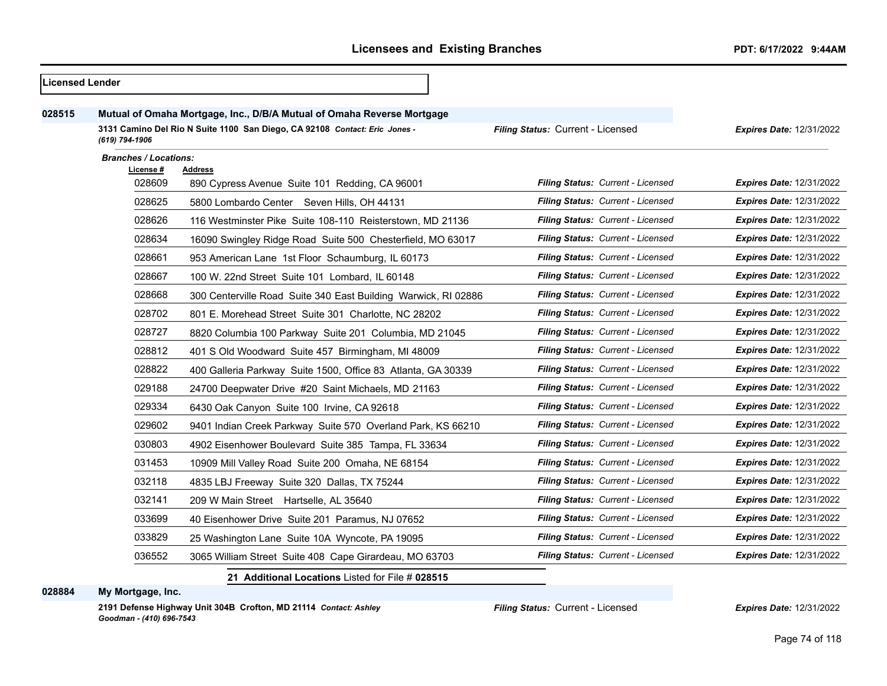| Licensed Lender |                              |                                                                            |                                   |                                 |
|-----------------|------------------------------|----------------------------------------------------------------------------|-----------------------------------|---------------------------------|
| 028515          |                              | Mutual of Omaha Mortgage, Inc., D/B/A Mutual of Omaha Reverse Mortgage     |                                   |                                 |
|                 | (619) 794-1906               | 3131 Camino Del Rio N Suite 1100 San Diego, CA 92108 Contact: Eric Jones - | Filing Status: Current - Licensed | <b>Expires Date: 12/31/2022</b> |
|                 | <b>Branches / Locations:</b> |                                                                            |                                   |                                 |
|                 | <u>License #</u><br>028609   | Address<br>890 Cypress Avenue Suite 101 Redding, CA 96001                  | Filing Status: Current - Licensed | <b>Expires Date: 12/31/2022</b> |
|                 | 028625                       | 5800 Lombardo Center Seven Hills, OH 44131                                 | Filing Status: Current - Licensed | <b>Expires Date: 12/31/2022</b> |
|                 | 028626                       | 116 Westminster Pike Suite 108-110 Reisterstown, MD 21136                  | Filing Status: Current - Licensed | <b>Expires Date: 12/31/2022</b> |
|                 | 028634                       | 16090 Swingley Ridge Road Suite 500 Chesterfield, MO 63017                 | Filing Status: Current - Licensed | <b>Expires Date: 12/31/2022</b> |
|                 | 028661                       |                                                                            | Filing Status: Current - Licensed | <b>Expires Date: 12/31/2022</b> |
|                 | 028667                       | 953 American Lane 1st Floor Schaumburg, IL 60173                           | Filing Status: Current - Licensed | <b>Expires Date: 12/31/2022</b> |
|                 |                              | 100 W. 22nd Street Suite 101 Lombard, IL 60148                             |                                   |                                 |
|                 | 028668                       | 300 Centerville Road Suite 340 East Building Warwick, RI 02886             | Filing Status: Current - Licensed | <b>Expires Date: 12/31/2022</b> |
|                 | 028702                       | 801 E. Morehead Street Suite 301 Charlotte, NC 28202                       | Filing Status: Current - Licensed | <b>Expires Date: 12/31/2022</b> |
|                 | 028727                       | 8820 Columbia 100 Parkway Suite 201 Columbia, MD 21045                     | Filing Status: Current - Licensed | <b>Expires Date: 12/31/2022</b> |
|                 | 028812                       | 401 S Old Woodward Suite 457 Birmingham, MI 48009                          | Filing Status: Current - Licensed | <b>Expires Date: 12/31/2022</b> |
|                 | 028822                       | 400 Galleria Parkway Suite 1500, Office 83 Atlanta, GA 30339               | Filing Status: Current - Licensed | <b>Expires Date: 12/31/2022</b> |
|                 | 029188                       | 24700 Deepwater Drive #20 Saint Michaels, MD 21163                         | Filing Status: Current - Licensed | <b>Expires Date: 12/31/2022</b> |
|                 | 029334                       | 6430 Oak Canyon Suite 100 Irvine, CA 92618                                 | Filing Status: Current - Licensed | <b>Expires Date: 12/31/2022</b> |
|                 | 029602                       | 9401 Indian Creek Parkway Suite 570 Overland Park, KS 66210                | Filing Status: Current - Licensed | <b>Expires Date: 12/31/2022</b> |
|                 | 030803                       | 4902 Eisenhower Boulevard Suite 385 Tampa, FL 33634                        | Filing Status: Current - Licensed | <b>Expires Date: 12/31/2022</b> |
|                 | 031453                       | 10909 Mill Valley Road Suite 200 Omaha, NE 68154                           | Filing Status: Current - Licensed | <b>Expires Date: 12/31/2022</b> |
|                 | 032118                       | 4835 LBJ Freeway Suite 320 Dallas, TX 75244                                | Filing Status: Current - Licensed | <b>Expires Date: 12/31/2022</b> |
|                 | 032141                       | 209 W Main Street Hartselle, AL 35640                                      | Filing Status: Current - Licensed | <b>Expires Date: 12/31/2022</b> |
|                 | 033699                       | 40 Eisenhower Drive Suite 201 Paramus, NJ 07652                            | Filing Status: Current - Licensed | <b>Expires Date: 12/31/2022</b> |
|                 | 033829                       | 25 Washington Lane Suite 10A Wyncote, PA 19095                             | Filing Status: Current - Licensed | <b>Expires Date: 12/31/2022</b> |
|                 | 036552                       | 3065 William Street Suite 408 Cape Girardeau, MO 63703                     | Filing Status: Current - Licensed | <b>Expires Date: 12/31/2022</b> |
|                 |                              | 21 Additional Locations Listed for File # 028515                           |                                   |                                 |

#### **My Mortgage, Inc.**

**2191 Defense Highway Unit 304B Crofton, MD 21114** *Contact: Ashley Goodman - (410) 696-7543*

*Filing Status:* Current - Licensed *Expires Date:* 12/31/2022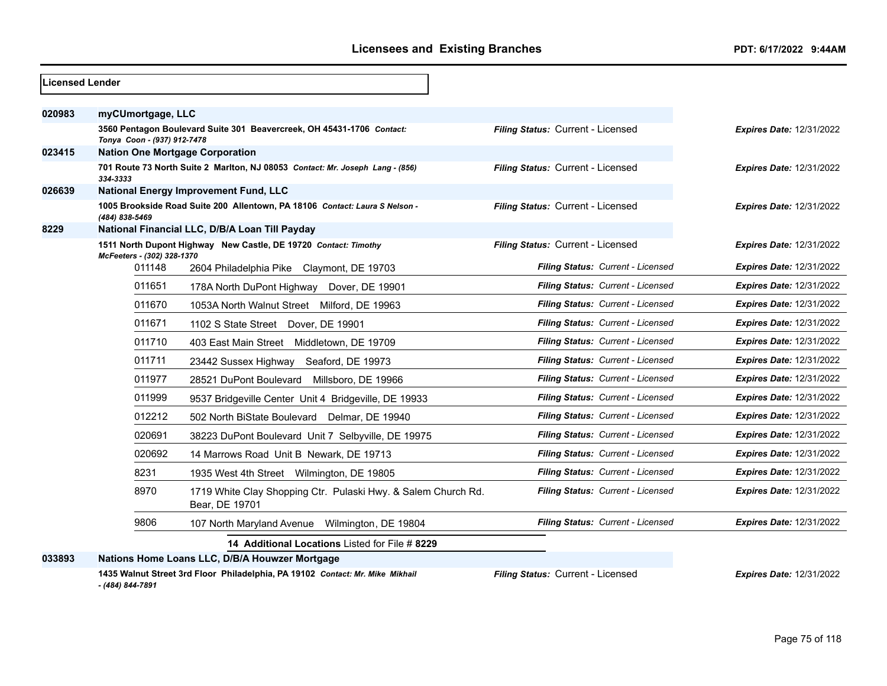| <b>Licensed Lender</b> |                                        |                                                                                 |                                   |                                 |
|------------------------|----------------------------------------|---------------------------------------------------------------------------------|-----------------------------------|---------------------------------|
| 020983                 | myCUmortgage, LLC                      |                                                                                 |                                   |                                 |
|                        | Tonya Coon - (937) 912-7478            | 3560 Pentagon Boulevard Suite 301 Beavercreek, OH 45431-1706 Contact:           | Filing Status: Current - Licensed | <b>Expires Date: 12/31/2022</b> |
| 023415                 | <b>Nation One Mortgage Corporation</b> |                                                                                 |                                   |                                 |
|                        | 334-3333                               | 701 Route 73 North Suite 2 Marlton, NJ 08053 Contact: Mr. Joseph Lang - (856)   | Filing Status: Current - Licensed | <b>Expires Date: 12/31/2022</b> |
| 026639                 |                                        | <b>National Energy Improvement Fund, LLC</b>                                    |                                   |                                 |
|                        | (484) 838-5469                         | 1005 Brookside Road Suite 200 Allentown, PA 18106 Contact: Laura S Nelson -     | Filing Status: Current - Licensed | <b>Expires Date: 12/31/2022</b> |
| 8229                   |                                        | National Financial LLC, D/B/A Loan Till Payday                                  |                                   |                                 |
|                        | McFeeters - (302) 328-1370             | 1511 North Dupont Highway New Castle, DE 19720 Contact: Timothy                 | Filing Status: Current - Licensed | <b>Expires Date: 12/31/2022</b> |
|                        | 011148                                 | 2604 Philadelphia Pike Claymont, DE 19703                                       | Filing Status: Current - Licensed | <b>Expires Date: 12/31/2022</b> |
|                        | 011651                                 | 178A North DuPont Highway Dover, DE 19901                                       | Filing Status: Current - Licensed | <b>Expires Date: 12/31/2022</b> |
|                        | 011670                                 | 1053A North Walnut Street Milford, DE 19963                                     | Filing Status: Current - Licensed | <b>Expires Date: 12/31/2022</b> |
|                        | 011671                                 | 1102 S State Street Dover, DE 19901                                             | Filing Status: Current - Licensed | <b>Expires Date: 12/31/2022</b> |
|                        | 011710                                 | 403 East Main Street Middletown, DE 19709                                       | Filing Status: Current - Licensed | <b>Expires Date: 12/31/2022</b> |
|                        | 011711                                 | 23442 Sussex Highway Seaford, DE 19973                                          | Filing Status: Current - Licensed | <b>Expires Date: 12/31/2022</b> |
|                        | 011977                                 | 28521 DuPont Boulevard Millsboro, DE 19966                                      | Filing Status: Current - Licensed | <b>Expires Date: 12/31/2022</b> |
|                        | 011999                                 | 9537 Bridgeville Center Unit 4 Bridgeville, DE 19933                            | Filing Status: Current - Licensed | <b>Expires Date: 12/31/2022</b> |
|                        | 012212                                 | 502 North BiState Boulevard<br>Delmar, DE 19940                                 | Filing Status: Current - Licensed | <b>Expires Date: 12/31/2022</b> |
|                        | 020691                                 | 38223 DuPont Boulevard Unit 7 Selbyville, DE 19975                              | Filing Status: Current - Licensed | <b>Expires Date: 12/31/2022</b> |
|                        | 020692                                 | 14 Marrows Road Unit B Newark, DE 19713                                         | Filing Status: Current - Licensed | <b>Expires Date: 12/31/2022</b> |
|                        | 8231                                   | 1935 West 4th Street Wilmington, DE 19805                                       | Filing Status: Current - Licensed | <b>Expires Date: 12/31/2022</b> |
|                        | 8970                                   | 1719 White Clay Shopping Ctr. Pulaski Hwy. & Salem Church Rd.<br>Bear, DE 19701 | Filing Status: Current - Licensed | <b>Expires Date: 12/31/2022</b> |
|                        | 9806                                   | 107 North Maryland Avenue Wilmington, DE 19804                                  | Filing Status: Current - Licensed | <b>Expires Date: 12/31/2022</b> |
|                        |                                        | 14 Additional Locations Listed for File # 8229                                  |                                   |                                 |
| 033893                 |                                        | Nations Home Loans LLC, D/B/A Houwzer Mortgage                                  |                                   |                                 |

**1435 Walnut Street 3rd Floor Philadelphia, PA 19102** *Contact: Mr. Mike Mikhail - (484) 844-7891*

*Filing Status:* Current - Licensed *Expires Date:* 12/31/2022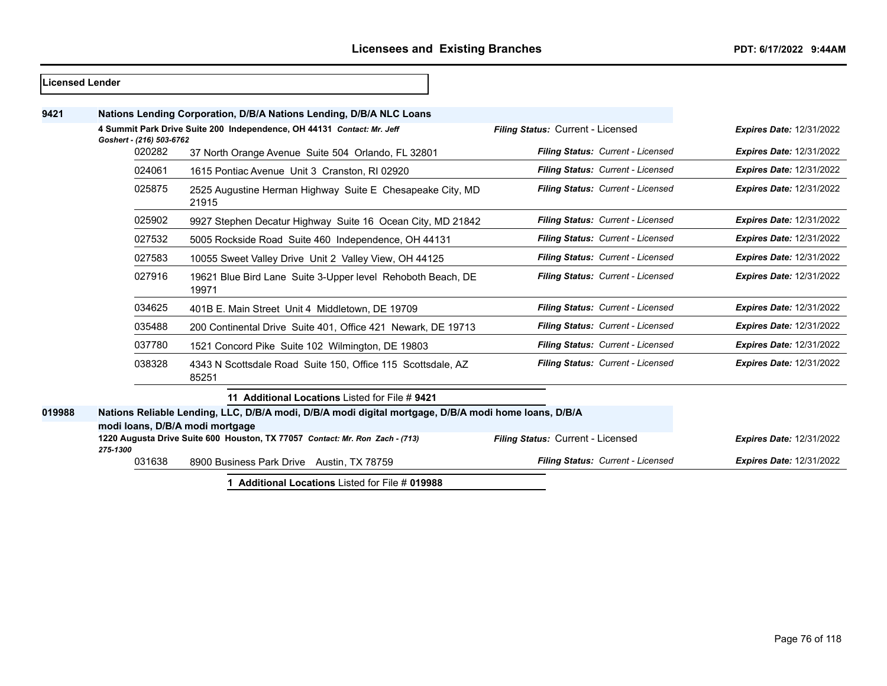| Licensed Lender |                                                                                                                               |                                                                                                                                         |                                   |                                 |
|-----------------|-------------------------------------------------------------------------------------------------------------------------------|-----------------------------------------------------------------------------------------------------------------------------------------|-----------------------------------|---------------------------------|
| 9421            |                                                                                                                               | Nations Lending Corporation, D/B/A Nations Lending, D/B/A NLC Loans                                                                     |                                   |                                 |
|                 | Goshert - (216) 503-6762                                                                                                      | 4 Summit Park Drive Suite 200 Independence, OH 44131 Contact: Mr. Jeff                                                                  | Filing Status: Current - Licensed | <b>Expires Date: 12/31/2022</b> |
|                 | 020282                                                                                                                        | 37 North Orange Avenue Suite 504 Orlando, FL 32801                                                                                      | Filing Status: Current - Licensed | <b>Expires Date: 12/31/2022</b> |
|                 | 024061                                                                                                                        | 1615 Pontiac Avenue Unit 3 Cranston, RI 02920                                                                                           | Filing Status: Current - Licensed | <b>Expires Date: 12/31/2022</b> |
|                 | 025875                                                                                                                        | 2525 Augustine Herman Highway Suite E Chesapeake City, MD<br>21915                                                                      | Filing Status: Current - Licensed | <b>Expires Date: 12/31/2022</b> |
|                 | 025902                                                                                                                        | 9927 Stephen Decatur Highway Suite 16 Ocean City, MD 21842                                                                              | Filing Status: Current - Licensed | <b>Expires Date: 12/31/2022</b> |
|                 | 027532                                                                                                                        | 5005 Rockside Road Suite 460 Independence, OH 44131                                                                                     | Filing Status: Current - Licensed | <b>Expires Date: 12/31/2022</b> |
|                 | 027583                                                                                                                        | 10055 Sweet Valley Drive Unit 2 Valley View, OH 44125                                                                                   | Filing Status: Current - Licensed | <b>Expires Date: 12/31/2022</b> |
|                 | 027916                                                                                                                        | 19621 Blue Bird Lane Suite 3-Upper level Rehoboth Beach, DE<br>19971                                                                    | Filing Status: Current - Licensed | <b>Expires Date: 12/31/2022</b> |
|                 | 034625                                                                                                                        | 401B E. Main Street Unit 4 Middletown, DE 19709                                                                                         | Filing Status: Current - Licensed | <b>Expires Date: 12/31/2022</b> |
|                 | 035488                                                                                                                        | 200 Continental Drive Suite 401, Office 421 Newark, DE 19713                                                                            | Filing Status: Current - Licensed | <b>Expires Date: 12/31/2022</b> |
|                 | 037780                                                                                                                        | 1521 Concord Pike Suite 102 Wilmington, DE 19803                                                                                        | Filing Status: Current - Licensed | <b>Expires Date: 12/31/2022</b> |
|                 | 038328                                                                                                                        | 4343 N Scottsdale Road Suite 150, Office 115 Scottsdale, AZ<br>85251                                                                    | Filing Status: Current - Licensed | <b>Expires Date: 12/31/2022</b> |
|                 |                                                                                                                               | 11 Additional Locations Listed for File #9421                                                                                           |                                   |                                 |
| 019988          |                                                                                                                               | Nations Reliable Lending, LLC, D/B/A modi, D/B/A modi digital mortgage, D/B/A modi home loans, D/B/A<br>modi Ioans, D/B/A modi mortgage |                                   |                                 |
|                 | Filing Status: Current - Licensed<br>1220 Augusta Drive Suite 600 Houston, TX 77057 Contact: Mr. Ron Zach - (713)<br>275-1300 |                                                                                                                                         |                                   | <b>Expires Date: 12/31/2022</b> |
|                 | 031638                                                                                                                        | 8900 Business Park Drive Austin, TX 78759                                                                                               | Filing Status: Current - Licensed | <b>Expires Date: 12/31/2022</b> |
|                 |                                                                                                                               |                                                                                                                                         |                                   |                                 |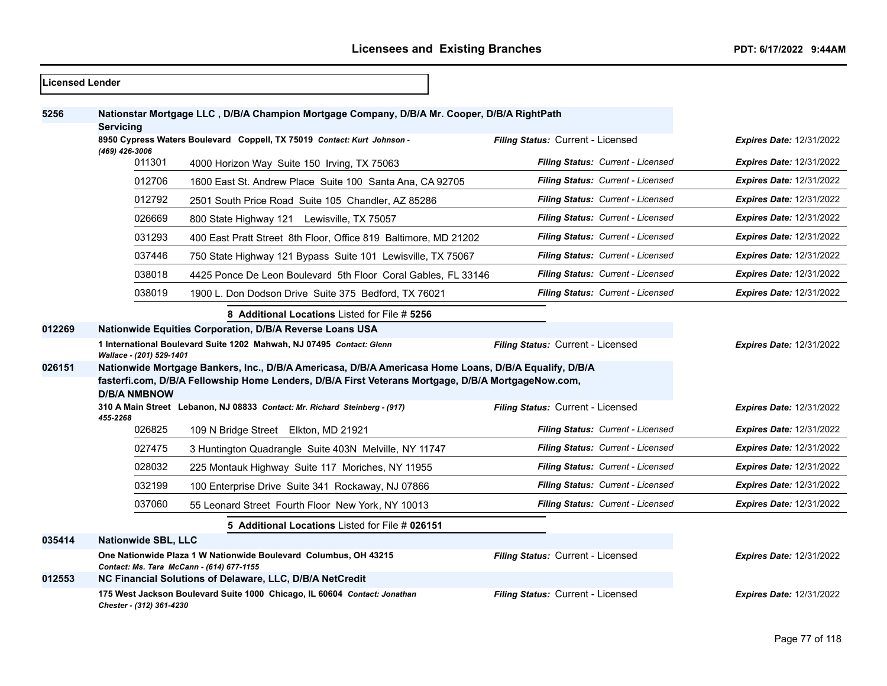$\overline{\phantom{a}}$ 

| <b>Licensed Lender</b> |                                                                                                       |                                                                                                               |                                          |                                 |
|------------------------|-------------------------------------------------------------------------------------------------------|---------------------------------------------------------------------------------------------------------------|------------------------------------------|---------------------------------|
| 5256                   | <b>Servicing</b>                                                                                      | Nationstar Mortgage LLC, D/B/A Champion Mortgage Company, D/B/A Mr. Cooper, D/B/A RightPath                   |                                          |                                 |
|                        | (469) 426-3006                                                                                        | 8950 Cypress Waters Boulevard Coppell, TX 75019 Contact: Kurt Johnson -                                       | Filing Status: Current - Licensed        | <b>Expires Date: 12/31/2022</b> |
|                        | 011301                                                                                                | 4000 Horizon Way Suite 150 Irving, TX 75063                                                                   | Filing Status: Current - Licensed        | <b>Expires Date: 12/31/2022</b> |
|                        | 012706                                                                                                | 1600 East St. Andrew Place Suite 100 Santa Ana, CA 92705                                                      | <b>Filing Status: Current - Licensed</b> | <b>Expires Date: 12/31/2022</b> |
|                        | 012792                                                                                                | 2501 South Price Road Suite 105 Chandler, AZ 85286                                                            | Filing Status: Current - Licensed        | <b>Expires Date: 12/31/2022</b> |
|                        | 026669                                                                                                | 800 State Highway 121 Lewisville, TX 75057                                                                    | Filing Status: Current - Licensed        | <b>Expires Date: 12/31/2022</b> |
|                        | 031293                                                                                                | 400 East Pratt Street 8th Floor, Office 819 Baltimore, MD 21202                                               | Filing Status: Current - Licensed        | <b>Expires Date: 12/31/2022</b> |
|                        | 037446                                                                                                | 750 State Highway 121 Bypass Suite 101 Lewisville, TX 75067                                                   | Filing Status: Current - Licensed        | <b>Expires Date: 12/31/2022</b> |
|                        | 038018                                                                                                | 4425 Ponce De Leon Boulevard 5th Floor Coral Gables, FL 33146                                                 | Filing Status: Current - Licensed        | Expires Date: 12/31/2022        |
|                        | 038019                                                                                                | 1900 L. Don Dodson Drive Suite 375 Bedford, TX 76021                                                          | Filing Status: Current - Licensed        | <b>Expires Date: 12/31/2022</b> |
|                        |                                                                                                       | 8 Additional Locations Listed for File # 5256                                                                 |                                          |                                 |
| 012269                 |                                                                                                       | Nationwide Equities Corporation, D/B/A Reverse Loans USA                                                      |                                          |                                 |
|                        | Wallace - (201) 529-1401                                                                              | 1 International Boulevard Suite 1202 Mahwah, NJ 07495 Contact: Glenn                                          | Filing Status: Current - Licensed        | <b>Expires Date: 12/31/2022</b> |
| 026151                 | Nationwide Mortgage Bankers, Inc., D/B/A Americasa, D/B/A Americasa Home Loans, D/B/A Equalify, D/B/A |                                                                                                               |                                          |                                 |
|                        | <b>D/B/A NMBNOW</b>                                                                                   | fasterfi.com, D/B/A Fellowship Home Lenders, D/B/A First Veterans Mortgage, D/B/A MortgageNow.com,            |                                          |                                 |
|                        |                                                                                                       | 310 A Main Street Lebanon, NJ 08833 Contact: Mr. Richard Steinberg - (917)                                    | Filing Status: Current - Licensed        | <b>Expires Date: 12/31/2022</b> |
|                        | 455-2268<br>026825                                                                                    | 109 N Bridge Street Elkton, MD 21921                                                                          | Filing Status: Current - Licensed        | <b>Expires Date: 12/31/2022</b> |
|                        | 027475                                                                                                | 3 Huntington Quadrangle Suite 403N Melville, NY 11747                                                         | Filing Status: Current - Licensed        | <b>Expires Date: 12/31/2022</b> |
|                        | 028032                                                                                                | 225 Montauk Highway Suite 117 Moriches, NY 11955                                                              | Filing Status: Current - Licensed        | Expires Date: 12/31/2022        |
|                        | 032199                                                                                                | 100 Enterprise Drive Suite 341 Rockaway, NJ 07866                                                             | Filing Status: Current - Licensed        | <b>Expires Date: 12/31/2022</b> |
|                        | 037060                                                                                                | 55 Leonard Street Fourth Floor New York, NY 10013                                                             | Filing Status: Current - Licensed        | <b>Expires Date: 12/31/2022</b> |
|                        |                                                                                                       | 5 Additional Locations Listed for File # 026151                                                               |                                          |                                 |
| 035414                 | <b>Nationwide SBL, LLC</b>                                                                            |                                                                                                               |                                          |                                 |
|                        |                                                                                                       | One Nationwide Plaza 1 W Nationwide Boulevard Columbus, OH 43215<br>Contact: Ms. Tara McCann - (614) 677-1155 | Filing Status: Current - Licensed        | <b>Expires Date: 12/31/2022</b> |
| 012553                 |                                                                                                       | NC Financial Solutions of Delaware, LLC, D/B/A NetCredit                                                      |                                          |                                 |
|                        | Chester - (312) 361-4230                                                                              | 175 West Jackson Boulevard Suite 1000 Chicago, IL 60604 Contact: Jonathan                                     | Filing Status: Current - Licensed        | <b>Expires Date: 12/31/2022</b> |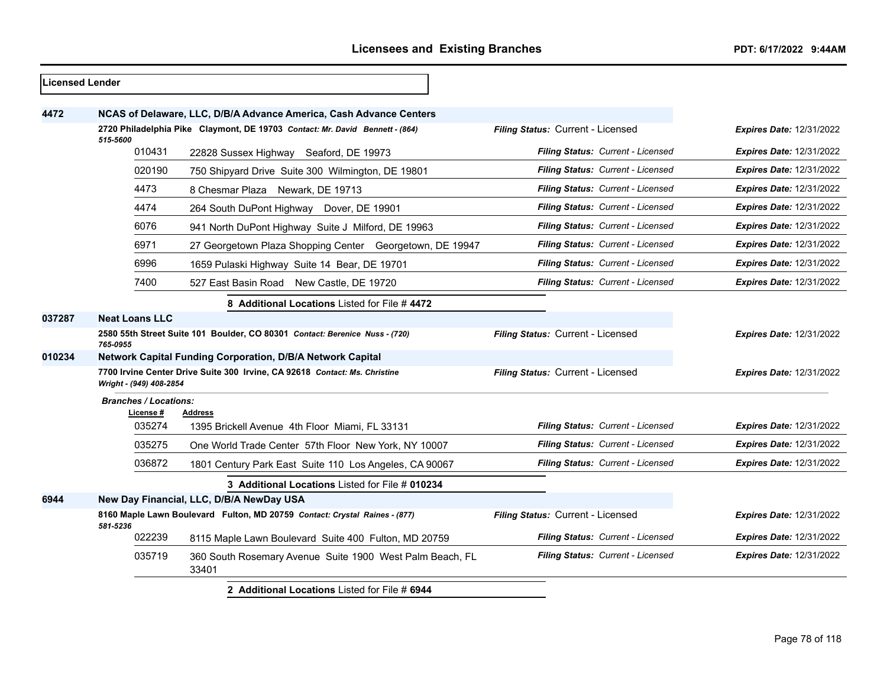| <b>Licensed Lender</b> |                              |                                                                              |                                   |                                 |
|------------------------|------------------------------|------------------------------------------------------------------------------|-----------------------------------|---------------------------------|
| 4472                   |                              | NCAS of Delaware, LLC, D/B/A Advance America, Cash Advance Centers           |                                   |                                 |
|                        |                              | 2720 Philadelphia Pike Claymont, DE 19703 Contact: Mr. David Bennett - (864) | Filing Status: Current - Licensed | Expires Date: 12/31/2022        |
|                        | 515-5600<br>010431           | 22828 Sussex Highway Seaford, DE 19973                                       | Filing Status: Current - Licensed | <b>Expires Date: 12/31/2022</b> |
|                        | 020190                       | 750 Shipyard Drive Suite 300 Wilmington, DE 19801                            | Filing Status: Current - Licensed | <b>Expires Date: 12/31/2022</b> |
|                        | 4473                         | 8 Chesmar Plaza Newark, DE 19713                                             | Filing Status: Current - Licensed | Expires Date: 12/31/2022        |
|                        | 4474                         | 264 South DuPont Highway Dover, DE 19901                                     | Filing Status: Current - Licensed | <b>Expires Date: 12/31/2022</b> |
|                        | 6076                         | 941 North DuPont Highway Suite J Milford, DE 19963                           | Filing Status: Current - Licensed | <b>Expires Date: 12/31/2022</b> |
|                        | 6971                         | 27 Georgetown Plaza Shopping Center Georgetown, DE 19947                     | Filing Status: Current - Licensed | Expires Date: 12/31/2022        |
|                        | 6996                         | 1659 Pulaski Highway Suite 14 Bear, DE 19701                                 | Filing Status: Current - Licensed | <b>Expires Date: 12/31/2022</b> |
|                        | 7400                         | 527 East Basin Road New Castle, DE 19720                                     | Filing Status: Current - Licensed | <b>Expires Date: 12/31/2022</b> |
|                        |                              | 8 Additional Locations Listed for File #4472                                 |                                   |                                 |
| 037287                 | <b>Neat Loans LLC</b>        |                                                                              |                                   |                                 |
|                        | 765-0955                     | 2580 55th Street Suite 101 Boulder, CO 80301 Contact: Berenice Nuss - (720)  | Filing Status: Current - Licensed | Expires Date: 12/31/2022        |
| 010234                 |                              | <b>Network Capital Funding Corporation, D/B/A Network Capital</b>            |                                   |                                 |
|                        | Wright - (949) 408-2854      | 7700 Irvine Center Drive Suite 300 Irvine, CA 92618 Contact: Ms. Christine   | Filing Status: Current - Licensed | <b>Expires Date: 12/31/2022</b> |
|                        | <b>Branches / Locations:</b> |                                                                              |                                   |                                 |
|                        | License #<br>035274          | <b>Address</b><br>1395 Brickell Avenue 4th Floor Miami, FL 33131             | Filing Status: Current - Licensed | Expires Date: 12/31/2022        |
|                        | 035275                       |                                                                              | Filing Status: Current - Licensed | <b>Expires Date: 12/31/2022</b> |
|                        | 036872                       | One World Trade Center 57th Floor New York, NY 10007                         | Filing Status: Current - Licensed | <b>Expires Date: 12/31/2022</b> |
|                        |                              | 1801 Century Park East Suite 110 Los Angeles, CA 90067                       |                                   |                                 |
|                        |                              | 3 Additional Locations Listed for File # 010234                              |                                   |                                 |
| 6944                   |                              | New Day Financial, LLC, D/B/A NewDay USA                                     |                                   |                                 |
|                        | 581-5236                     | 8160 Maple Lawn Boulevard Fulton, MD 20759 Contact: Crystal Raines - (877)   | Filing Status: Current - Licensed | Expires Date: 12/31/2022        |
|                        | 022239                       | 8115 Maple Lawn Boulevard Suite 400 Fulton, MD 20759                         | Filing Status: Current - Licensed | <b>Expires Date: 12/31/2022</b> |
|                        | 035719                       | 360 South Rosemary Avenue Suite 1900 West Palm Beach, FL<br>33401            | Filing Status: Current - Licensed | <b>Expires Date: 12/31/2022</b> |
|                        |                              | 2 Additional Locations Listed for File # 6944                                |                                   |                                 |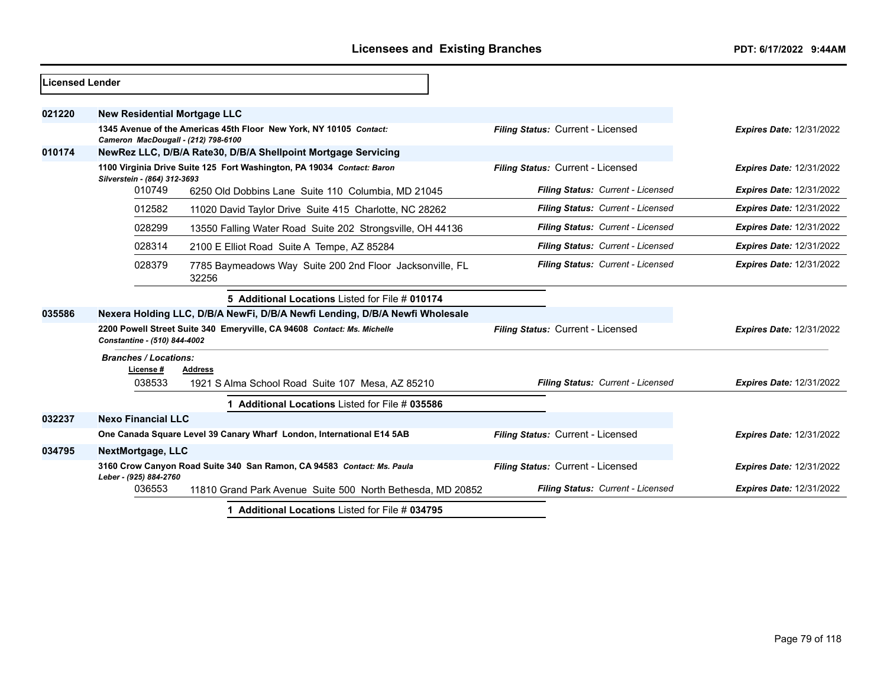| <b>Licensed Lender</b> |                                                 |                                                                             |                                   |                                 |  |  |
|------------------------|-------------------------------------------------|-----------------------------------------------------------------------------|-----------------------------------|---------------------------------|--|--|
| 021220                 | <b>New Residential Mortgage LLC</b>             |                                                                             |                                   |                                 |  |  |
|                        | Cameron MacDougall - (212) 798-6100             | 1345 Avenue of the Americas 45th Floor New York, NY 10105 Contact:          | Filing Status: Current - Licensed | <b>Expires Date: 12/31/2022</b> |  |  |
| 010174                 |                                                 | NewRez LLC, D/B/A Rate30, D/B/A Shellpoint Mortgage Servicing               |                                   |                                 |  |  |
|                        | Silverstein - (864) 312-3693                    | 1100 Virginia Drive Suite 125 Fort Washington, PA 19034 Contact: Baron      | Filing Status: Current - Licensed | <b>Expires Date: 12/31/2022</b> |  |  |
|                        | 010749                                          | 6250 Old Dobbins Lane Suite 110 Columbia, MD 21045                          | Filing Status: Current - Licensed | <b>Expires Date: 12/31/2022</b> |  |  |
|                        | 012582                                          | 11020 David Taylor Drive Suite 415 Charlotte, NC 28262                      | Filing Status: Current - Licensed | <b>Expires Date: 12/31/2022</b> |  |  |
|                        | 028299                                          | 13550 Falling Water Road Suite 202 Strongsville, OH 44136                   | Filing Status: Current - Licensed | <b>Expires Date: 12/31/2022</b> |  |  |
|                        | 028314                                          | 2100 E Elliot Road Suite A Tempe, AZ 85284                                  | Filing Status: Current - Licensed | <b>Expires Date: 12/31/2022</b> |  |  |
|                        | 028379                                          | 7785 Baymeadows Way Suite 200 2nd Floor Jacksonville, FL<br>32256           | Filing Status: Current - Licensed | <b>Expires Date: 12/31/2022</b> |  |  |
|                        |                                                 | 5 Additional Locations Listed for File # 010174                             |                                   |                                 |  |  |
| 035586                 |                                                 | Nexera Holding LLC, D/B/A NewFi, D/B/A Newfi Lending, D/B/A Newfi Wholesale |                                   |                                 |  |  |
|                        | Constantine - (510) 844-4002                    | 2200 Powell Street Suite 340 Emeryville, CA 94608 Contact: Ms. Michelle     | Filing Status: Current - Licensed | <b>Expires Date: 12/31/2022</b> |  |  |
|                        | <b>Branches / Locations:</b><br>License#        | <b>Address</b>                                                              |                                   |                                 |  |  |
|                        | 038533                                          | 1921 S Alma School Road Suite 107 Mesa, AZ 85210                            | Filing Status: Current - Licensed | <b>Expires Date: 12/31/2022</b> |  |  |
|                        |                                                 | Additional Locations Listed for File # 035586                               |                                   |                                 |  |  |
| 032237                 | <b>Nexo Financial LLC</b>                       |                                                                             |                                   |                                 |  |  |
|                        |                                                 | One Canada Square Level 39 Canary Wharf London, International E14 5AB       | Filing Status: Current - Licensed | <b>Expires Date: 12/31/2022</b> |  |  |
| 034795                 | <b>NextMortgage, LLC</b>                        |                                                                             |                                   |                                 |  |  |
|                        | Leber - (925) 884-2760                          | 3160 Crow Canyon Road Suite 340 San Ramon, CA 94583 Contact: Ms. Paula      | Filing Status: Current - Licensed | <b>Expires Date: 12/31/2022</b> |  |  |
|                        | 036553                                          | 11810 Grand Park Avenue Suite 500 North Bethesda, MD 20852                  | Filing Status: Current - Licensed | <b>Expires Date: 12/31/2022</b> |  |  |
|                        | 1 Additional Locations Listed for File # 034795 |                                                                             |                                   |                                 |  |  |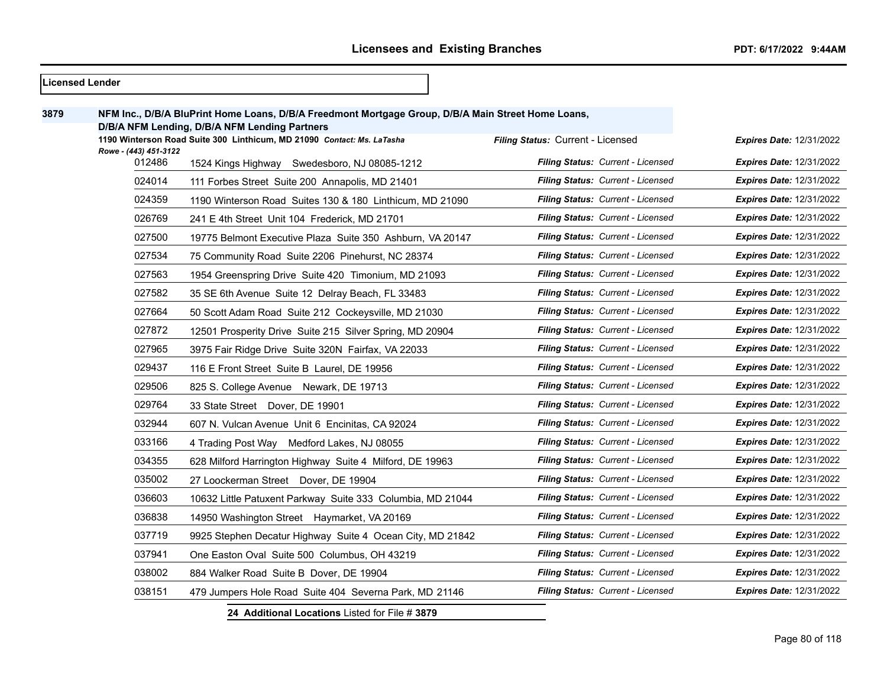|      | <b>Licensed Lender</b> |                                                                                                    |                                   |                                 |
|------|------------------------|----------------------------------------------------------------------------------------------------|-----------------------------------|---------------------------------|
| 3879 |                        | NFM Inc., D/B/A BluPrint Home Loans, D/B/A Freedmont Mortgage Group, D/B/A Main Street Home Loans, |                                   |                                 |
|      |                        | D/B/A NFM Lending, D/B/A NFM Lending Partners                                                      |                                   |                                 |
|      | Rowe - (443) 451-3122  | 1190 Winterson Road Suite 300 Linthicum, MD 21090 Contact: Ms. LaTasha                             | Filing Status: Current - Licensed | <b>Expires Date: 12/31/2022</b> |
|      | 012486                 | 1524 Kings Highway Swedesboro, NJ 08085-1212                                                       | Filing Status: Current - Licensed | <b>Expires Date: 12/31/2022</b> |
|      | 024014                 | 111 Forbes Street Suite 200 Annapolis, MD 21401                                                    | Filing Status: Current - Licensed | <b>Expires Date: 12/31/2022</b> |
|      | 024359                 | 1190 Winterson Road Suites 130 & 180 Linthicum, MD 21090                                           | Filing Status: Current - Licensed | <b>Expires Date: 12/31/2022</b> |
|      | 026769                 | 241 E 4th Street Unit 104 Frederick, MD 21701                                                      | Filing Status: Current - Licensed | <b>Expires Date: 12/31/2022</b> |
|      | 027500                 | 19775 Belmont Executive Plaza Suite 350 Ashburn, VA 20147                                          | Filing Status: Current - Licensed | <b>Expires Date: 12/31/2022</b> |
|      | 027534                 | 75 Community Road Suite 2206 Pinehurst, NC 28374                                                   | Filing Status: Current - Licensed | <b>Expires Date: 12/31/2022</b> |
|      | 027563                 | 1954 Greenspring Drive Suite 420 Timonium, MD 21093                                                | Filing Status: Current - Licensed | <b>Expires Date: 12/31/2022</b> |
|      | 027582                 | 35 SE 6th Avenue Suite 12 Delray Beach, FL 33483                                                   | Filing Status: Current - Licensed | <b>Expires Date: 12/31/2022</b> |
|      | 027664                 | 50 Scott Adam Road Suite 212 Cockeysville, MD 21030                                                | Filing Status: Current - Licensed | <b>Expires Date: 12/31/2022</b> |
|      | 027872                 | 12501 Prosperity Drive Suite 215 Silver Spring, MD 20904                                           | Filing Status: Current - Licensed | <b>Expires Date: 12/31/2022</b> |
|      | 027965                 | 3975 Fair Ridge Drive Suite 320N Fairfax, VA 22033                                                 | Filing Status: Current - Licensed | <b>Expires Date: 12/31/2022</b> |
|      | 029437                 | 116 E Front Street Suite B Laurel, DE 19956                                                        | Filing Status: Current - Licensed | <b>Expires Date: 12/31/2022</b> |
|      | 029506                 | 825 S. College Avenue Newark, DE 19713                                                             | Filing Status: Current - Licensed | <b>Expires Date: 12/31/2022</b> |
|      | 029764                 | 33 State Street Dover, DE 19901                                                                    | Filing Status: Current - Licensed | <b>Expires Date: 12/31/2022</b> |
|      | 032944                 | 607 N. Vulcan Avenue Unit 6 Encinitas, CA 92024                                                    | Filing Status: Current - Licensed | <b>Expires Date: 12/31/2022</b> |
|      | 033166                 | 4 Trading Post Way Medford Lakes, NJ 08055                                                         | Filing Status: Current - Licensed | <b>Expires Date: 12/31/2022</b> |
|      | 034355                 | 628 Milford Harrington Highway Suite 4 Milford, DE 19963                                           | Filing Status: Current - Licensed | <b>Expires Date: 12/31/2022</b> |
|      | 035002                 | 27 Loockerman Street Dover, DE 19904                                                               | Filing Status: Current - Licensed | <b>Expires Date: 12/31/2022</b> |
|      | 036603                 | 10632 Little Patuxent Parkway Suite 333 Columbia, MD 21044                                         | Filing Status: Current - Licensed | <b>Expires Date: 12/31/2022</b> |
|      | 036838                 | 14950 Washington Street Haymarket, VA 20169                                                        | Filing Status: Current - Licensed | <b>Expires Date: 12/31/2022</b> |
|      | 037719                 | 9925 Stephen Decatur Highway Suite 4 Ocean City, MD 21842                                          | Filing Status: Current - Licensed | <b>Expires Date: 12/31/2022</b> |
|      | 037941                 | One Easton Oval Suite 500 Columbus, OH 43219                                                       | Filing Status: Current - Licensed | <b>Expires Date: 12/31/2022</b> |
|      | 038002                 | 884 Walker Road Suite B Dover, DE 19904                                                            | Filing Status: Current - Licensed | <b>Expires Date: 12/31/2022</b> |
|      | 038151                 | 479 Jumpers Hole Road Suite 404 Severna Park, MD 21146                                             | Filing Status: Current - Licensed | <b>Expires Date: 12/31/2022</b> |
|      |                        | 24 Additional Locations Listed for File # 3879                                                     |                                   |                                 |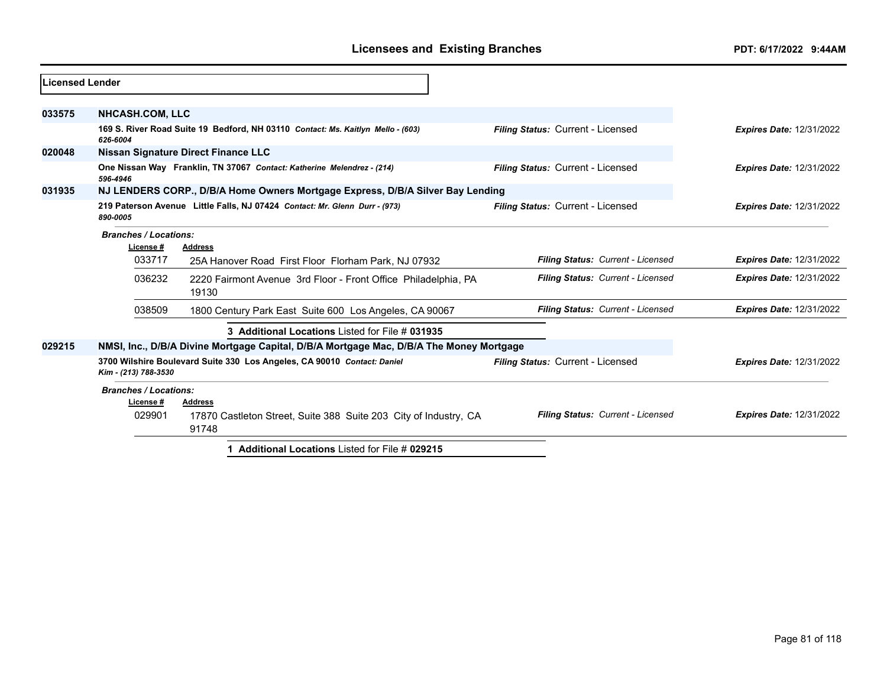| Licensed Lender |                                          |                                                                                         |                                   |                                 |
|-----------------|------------------------------------------|-----------------------------------------------------------------------------------------|-----------------------------------|---------------------------------|
|                 |                                          |                                                                                         |                                   |                                 |
| 033575          | <b>NHCASH.COM, LLC</b>                   |                                                                                         |                                   |                                 |
|                 | 626-6004                                 | 169 S. River Road Suite 19 Bedford, NH 03110 Contact: Ms. Kaitlyn Mello - (603)         | Filing Status: Current - Licensed | <b>Expires Date: 12/31/2022</b> |
| 020048          |                                          | Nissan Signature Direct Finance LLC                                                     |                                   |                                 |
|                 | 596-4946                                 | One Nissan Way Franklin, TN 37067 Contact: Katherine Melendrez - (214)                  | Filing Status: Current - Licensed | <b>Expires Date: 12/31/2022</b> |
| 031935          |                                          | NJ LENDERS CORP., D/B/A Home Owners Mortgage Express, D/B/A Silver Bay Lending          |                                   |                                 |
|                 | 890-0005                                 | 219 Paterson Avenue Little Falls, NJ 07424 Contact: Mr. Glenn Durr - (973)              | Filing Status: Current - Licensed | <b>Expires Date: 12/31/2022</b> |
|                 | <b>Branches / Locations:</b><br>License# | <b>Address</b>                                                                          |                                   |                                 |
|                 | 033717                                   | 25A Hanover Road First Floor Florham Park, NJ 07932                                     | Filing Status: Current - Licensed | <b>Expires Date: 12/31/2022</b> |
|                 | 036232                                   | 2220 Fairmont Avenue 3rd Floor - Front Office Philadelphia, PA<br>19130                 | Filing Status: Current - Licensed | <b>Expires Date: 12/31/2022</b> |
|                 | 038509                                   | 1800 Century Park East Suite 600 Los Angeles, CA 90067                                  | Filing Status: Current - Licensed | <b>Expires Date: 12/31/2022</b> |
|                 |                                          | 3 Additional Locations Listed for File # 031935                                         |                                   |                                 |
| 029215          |                                          | NMSI, Inc., D/B/A Divine Mortgage Capital, D/B/A Mortgage Mac, D/B/A The Money Mortgage |                                   |                                 |
|                 | Kim - (213) 788-3530                     | 3700 Wilshire Boulevard Suite 330 Los Angeles, CA 90010 Contact: Daniel                 | Filing Status: Current - Licensed | <b>Expires Date: 12/31/2022</b> |
|                 | <b>Branches / Locations:</b>             |                                                                                         |                                   |                                 |
|                 | License#                                 | <b>Address</b>                                                                          |                                   |                                 |
|                 | 029901                                   | 17870 Castleton Street, Suite 388 Suite 203 City of Industry, CA<br>91748               | Filing Status: Current - Licensed | <b>Expires Date: 12/31/2022</b> |
|                 |                                          | 1 Additional Locations Listed for File # 029215                                         |                                   |                                 |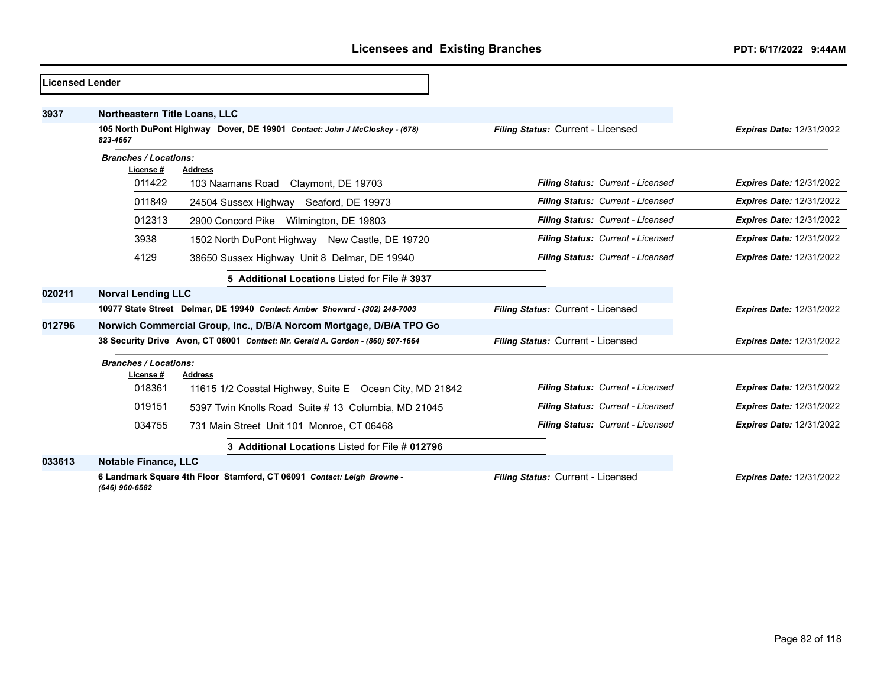| Licensed Lender |                                                                                        |                                                                                 |                                   |                                 |
|-----------------|----------------------------------------------------------------------------------------|---------------------------------------------------------------------------------|-----------------------------------|---------------------------------|
| 3937            | Northeastern Title Loans, LLC                                                          |                                                                                 |                                   |                                 |
|                 | 105 North DuPont Highway Dover, DE 19901 Contact: John J McCloskey - (678)<br>823-4667 |                                                                                 | Filing Status: Current - Licensed | <b>Expires Date: 12/31/2022</b> |
|                 | <b>Branches / Locations:</b><br>License #                                              | <b>Address</b>                                                                  |                                   |                                 |
|                 | 011422                                                                                 | 103 Naamans Road Claymont, DE 19703                                             | Filing Status: Current - Licensed | <b>Expires Date: 12/31/2022</b> |
|                 | 011849                                                                                 | 24504 Sussex Highway Seaford, DE 19973                                          | Filing Status: Current - Licensed | <b>Expires Date: 12/31/2022</b> |
|                 | 012313                                                                                 | 2900 Concord Pike<br>Wilmington, DE 19803                                       | Filing Status: Current - Licensed | <b>Expires Date: 12/31/2022</b> |
|                 | 3938                                                                                   | 1502 North DuPont Highway New Castle, DE 19720                                  | Filing Status: Current - Licensed | <b>Expires Date: 12/31/2022</b> |
|                 | 4129                                                                                   | 38650 Sussex Highway Unit 8 Delmar, DE 19940                                    | Filing Status: Current - Licensed | <b>Expires Date: 12/31/2022</b> |
|                 |                                                                                        | 5 Additional Locations Listed for File # 3937                                   |                                   |                                 |
| 020211          | <b>Norval Lending LLC</b>                                                              |                                                                                 |                                   |                                 |
|                 |                                                                                        | 10977 State Street Delmar, DE 19940 Contact: Amber Showard - (302) 248-7003     | Filing Status: Current - Licensed | <b>Expires Date: 12/31/2022</b> |
| 012796          | Norwich Commercial Group, Inc., D/B/A Norcom Mortgage, D/B/A TPO Go                    |                                                                                 |                                   |                                 |
|                 |                                                                                        | 38 Security Drive Avon, CT 06001 Contact: Mr. Gerald A. Gordon - (860) 507-1664 | Filing Status: Current - Licensed | <b>Expires Date: 12/31/2022</b> |
|                 | <b>Branches / Locations:</b><br>License #                                              | Address                                                                         |                                   |                                 |
|                 | 018361                                                                                 | 11615 1/2 Coastal Highway, Suite E Ocean City, MD 21842                         | Filing Status: Current - Licensed | <b>Expires Date: 12/31/2022</b> |
|                 | 019151                                                                                 | 5397 Twin Knolls Road Suite #13 Columbia, MD 21045                              | Filing Status: Current - Licensed | <b>Expires Date: 12/31/2022</b> |
|                 | 034755                                                                                 | 731 Main Street Unit 101 Monroe, CT 06468                                       | Filing Status: Current - Licensed | <b>Expires Date: 12/31/2022</b> |
|                 |                                                                                        | 3 Additional Locations Listed for File # 012796                                 |                                   |                                 |
| 033613          | <b>Notable Finance, LLC</b>                                                            |                                                                                 |                                   |                                 |
|                 | (646) 960-6582                                                                         | 6 Landmark Square 4th Floor Stamford, CT 06091 Contact: Leigh Browne -          | Filing Status: Current - Licensed | <b>Expires Date: 12/31/2022</b> |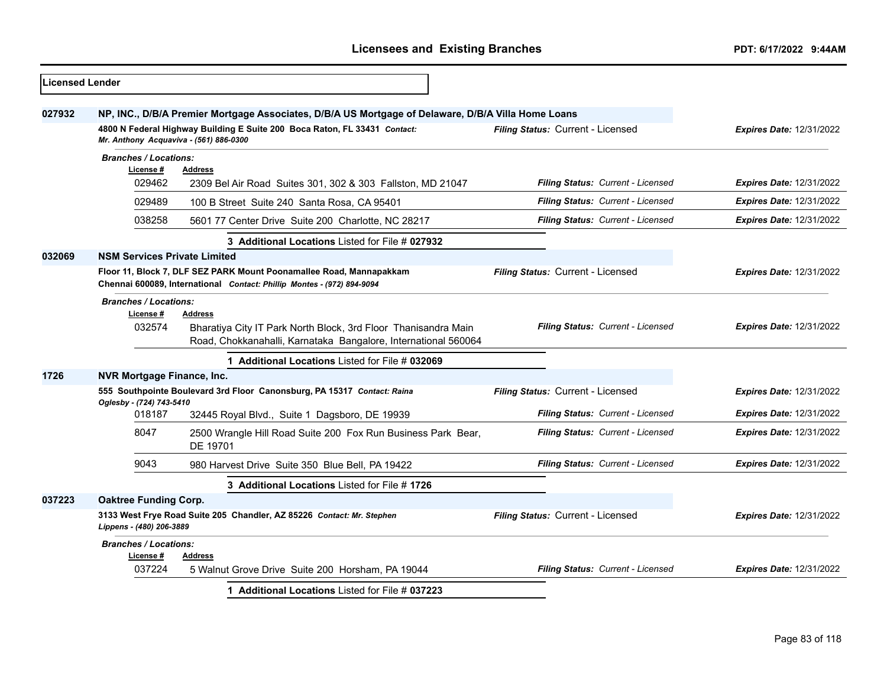| <b>Licensed Lender</b> |                                           |                                                                                                                                               |                                   |                                 |
|------------------------|-------------------------------------------|-----------------------------------------------------------------------------------------------------------------------------------------------|-----------------------------------|---------------------------------|
| 027932                 |                                           | NP, INC., D/B/A Premier Mortgage Associates, D/B/A US Mortgage of Delaware, D/B/A Villa Home Loans                                            |                                   |                                 |
|                        |                                           | 4800 N Federal Highway Building E Suite 200 Boca Raton, FL 33431 Contact:<br>Mr. Anthony Acquaviva - (561) 886-0300                           | Filing Status: Current - Licensed | <b>Expires Date: 12/31/2022</b> |
|                        | <b>Branches / Locations:</b>              |                                                                                                                                               |                                   |                                 |
|                        | License #<br>029462                       | <b>Address</b><br>2309 Bel Air Road Suites 301, 302 & 303 Fallston, MD 21047                                                                  | Filing Status: Current - Licensed | <b>Expires Date: 12/31/2022</b> |
|                        | 029489                                    | 100 B Street Suite 240 Santa Rosa, CA 95401                                                                                                   | Filing Status: Current - Licensed | <b>Expires Date: 12/31/2022</b> |
|                        | 038258                                    | 5601 77 Center Drive Suite 200 Charlotte, NC 28217                                                                                            | Filing Status: Current - Licensed | <b>Expires Date: 12/31/2022</b> |
|                        |                                           | 3 Additional Locations Listed for File # 027932                                                                                               |                                   |                                 |
| 032069                 | <b>NSM Services Private Limited</b>       |                                                                                                                                               |                                   |                                 |
|                        |                                           | Floor 11, Block 7, DLF SEZ PARK Mount Poonamallee Road, Mannapakkam<br>Chennai 600089, International Contact: Phillip Montes - (972) 894-9094 | Filing Status: Current - Licensed | <b>Expires Date: 12/31/2022</b> |
|                        | <b>Branches / Locations:</b>              |                                                                                                                                               |                                   |                                 |
|                        | License #<br>032574                       | <b>Address</b><br>Bharatiya City IT Park North Block, 3rd Floor Thanisandra Main                                                              | Filing Status: Current - Licensed | <b>Expires Date: 12/31/2022</b> |
|                        |                                           | Road, Chokkanahalli, Karnataka Bangalore, International 560064                                                                                |                                   |                                 |
|                        |                                           | <b>Additional Locations Listed for File # 032069</b>                                                                                          |                                   |                                 |
| 1726                   | <b>NVR Mortgage Finance, Inc.</b>         |                                                                                                                                               |                                   |                                 |
|                        | Oglesby - (724) 743-5410                  | 555 Southpointe Boulevard 3rd Floor Canonsburg, PA 15317 Contact: Raina                                                                       | Filing Status: Current - Licensed | <b>Expires Date: 12/31/2022</b> |
|                        | 018187                                    | 32445 Royal Blvd., Suite 1 Dagsboro, DE 19939                                                                                                 | Filing Status: Current - Licensed | <b>Expires Date: 12/31/2022</b> |
|                        | 8047                                      | 2500 Wrangle Hill Road Suite 200 Fox Run Business Park Bear,<br>DE 19701                                                                      | Filing Status: Current - Licensed | <b>Expires Date: 12/31/2022</b> |
|                        | 9043                                      | 980 Harvest Drive Suite 350 Blue Bell, PA 19422                                                                                               | Filing Status: Current - Licensed | <b>Expires Date: 12/31/2022</b> |
|                        |                                           | 3 Additional Locations Listed for File #1726                                                                                                  |                                   |                                 |
| 037223                 | <b>Oaktree Funding Corp.</b>              |                                                                                                                                               |                                   |                                 |
|                        | Lippens - (480) 206-3889                  | 3133 West Frye Road Suite 205 Chandler, AZ 85226 Contact: Mr. Stephen                                                                         | Filing Status: Current - Licensed | <b>Expires Date: 12/31/2022</b> |
|                        | <b>Branches / Locations:</b><br>License # | <b>Address</b>                                                                                                                                |                                   |                                 |
|                        | 037224                                    | 5 Walnut Grove Drive Suite 200 Horsham, PA 19044                                                                                              | Filing Status: Current - Licensed | <b>Expires Date: 12/31/2022</b> |
|                        |                                           | 1 Additional Locations Listed for File # 037223                                                                                               |                                   |                                 |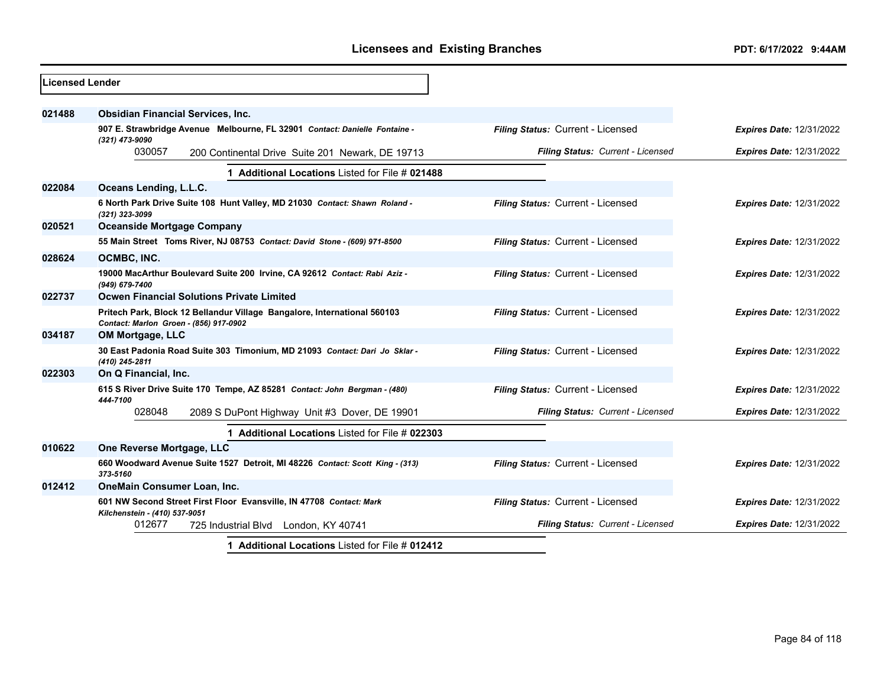| <b>Licensed Lender</b> |                                                                                                                    |                                   |                                 |
|------------------------|--------------------------------------------------------------------------------------------------------------------|-----------------------------------|---------------------------------|
| 021488                 | <b>Obsidian Financial Services, Inc.</b>                                                                           |                                   |                                 |
|                        | 907 E. Strawbridge Avenue Melbourne, FL 32901 Contact: Danielle Fontaine -<br>(321) 473-9090                       | Filing Status: Current - Licensed | <b>Expires Date: 12/31/2022</b> |
|                        | 030057<br>200 Continental Drive Suite 201 Newark, DE 19713                                                         | Filing Status: Current - Licensed | <b>Expires Date: 12/31/2022</b> |
|                        | 1 Additional Locations Listed for File # 021488                                                                    |                                   |                                 |
| 022084                 | Oceans Lending, L.L.C.                                                                                             |                                   |                                 |
|                        | 6 North Park Drive Suite 108 Hunt Valley, MD 21030 Contact: Shawn Roland -<br>(321) 323-3099                       | Filing Status: Current - Licensed | <b>Expires Date: 12/31/2022</b> |
| 020521                 | <b>Oceanside Mortgage Company</b>                                                                                  |                                   |                                 |
|                        | 55 Main Street Toms River, NJ 08753 Contact: David Stone - (609) 971-8500                                          | Filing Status: Current - Licensed | <b>Expires Date: 12/31/2022</b> |
| 028624                 | OCMBC, INC.                                                                                                        |                                   |                                 |
|                        | 19000 MacArthur Boulevard Suite 200 Irvine, CA 92612 Contact: Rabi Aziz -<br>(949) 679-7400                        | Filing Status: Current - Licensed | <b>Expires Date: 12/31/2022</b> |
| 022737                 | <b>Ocwen Financial Solutions Private Limited</b>                                                                   |                                   |                                 |
|                        | Pritech Park, Block 12 Bellandur Village Bangalore, International 560103<br>Contact: Marlon Groen - (856) 917-0902 | Filing Status: Current - Licensed | <b>Expires Date: 12/31/2022</b> |
| 034187                 | OM Mortgage, LLC                                                                                                   |                                   |                                 |
|                        | 30 East Padonia Road Suite 303 Timonium, MD 21093 Contact: Dari Jo Sklar -<br>(410) 245-2811                       | Filing Status: Current - Licensed | <b>Expires Date: 12/31/2022</b> |
| 022303                 | On Q Financial, Inc.                                                                                               |                                   |                                 |
|                        | 615 S River Drive Suite 170 Tempe, AZ 85281 Contact: John Bergman - (480)<br>444-7100                              | Filing Status: Current - Licensed | <b>Expires Date: 12/31/2022</b> |
|                        | 028048<br>2089 S DuPont Highway Unit #3 Dover, DE 19901                                                            | Filing Status: Current - Licensed | <b>Expires Date: 12/31/2022</b> |
|                        | 1 Additional Locations Listed for File # 022303                                                                    |                                   |                                 |
| 010622                 | One Reverse Mortgage, LLC                                                                                          |                                   |                                 |
|                        | 660 Woodward Avenue Suite 1527 Detroit, MI 48226 Contact: Scott King - (313)<br>373-5160                           | Filing Status: Current - Licensed | <b>Expires Date: 12/31/2022</b> |
| 012412                 | OneMain Consumer Loan, Inc.                                                                                        |                                   |                                 |
|                        | 601 NW Second Street First Floor Evansville, IN 47708 Contact: Mark                                                | Filing Status: Current - Licensed | <b>Expires Date: 12/31/2022</b> |
|                        | Kilchenstein - (410) 537-9051<br>012677<br>725 Industrial Blvd<br>London, KY 40741                                 | Filing Status: Current - Licensed | <b>Expires Date: 12/31/2022</b> |
|                        | $-4!$ $-1!$ $-1 \leq i$ $-1!$ $-1!$ $-11 \leq i \leq n$                                                            |                                   |                                 |

**1 Additional Locations** Listed for File # **012412**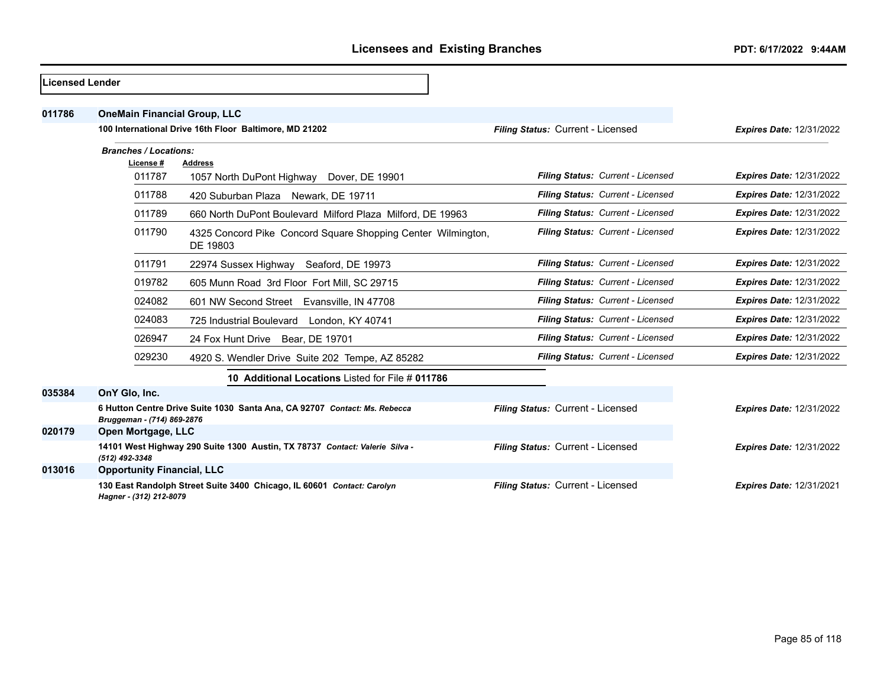| Licensed Lender |                                     |                                                                             |                                   |                                   |                                 |
|-----------------|-------------------------------------|-----------------------------------------------------------------------------|-----------------------------------|-----------------------------------|---------------------------------|
| 011786          | <b>OneMain Financial Group, LLC</b> |                                                                             |                                   |                                   |                                 |
|                 |                                     | 100 International Drive 16th Floor Baltimore, MD 21202                      | Filing Status: Current - Licensed |                                   | <b>Expires Date: 12/31/2022</b> |
|                 | <b>Branches / Locations:</b>        |                                                                             |                                   |                                   |                                 |
|                 | License #<br>011787                 | <b>Address</b><br>1057 North DuPont Highway Dover, DE 19901                 |                                   | Filing Status: Current - Licensed | <b>Expires Date: 12/31/2022</b> |
|                 | 011788                              | 420 Suburban Plaza Newark, DE 19711                                         |                                   | Filing Status: Current - Licensed | <b>Expires Date: 12/31/2022</b> |
|                 | 011789                              | 660 North DuPont Boulevard Milford Plaza Milford, DE 19963                  |                                   | Filing Status: Current - Licensed | <b>Expires Date: 12/31/2022</b> |
|                 | 011790                              | 4325 Concord Pike Concord Square Shopping Center Wilmington,<br>DE 19803    |                                   | Filing Status: Current - Licensed | <b>Expires Date: 12/31/2022</b> |
|                 | 011791                              | 22974 Sussex Highway Seaford, DE 19973                                      |                                   | Filing Status: Current - Licensed | <b>Expires Date: 12/31/2022</b> |
|                 | 019782                              | 605 Munn Road 3rd Floor Fort Mill, SC 29715                                 |                                   | Filing Status: Current - Licensed | <b>Expires Date: 12/31/2022</b> |
|                 | 024082                              | 601 NW Second Street Evansville, IN 47708                                   |                                   | Filing Status: Current - Licensed | <b>Expires Date: 12/31/2022</b> |
|                 | 024083                              | 725 Industrial Boulevard London, KY 40741                                   |                                   | Filing Status: Current - Licensed | <b>Expires Date: 12/31/2022</b> |
|                 | 026947                              | 24 Fox Hunt Drive Bear, DE 19701                                            |                                   | Filing Status: Current - Licensed | <b>Expires Date: 12/31/2022</b> |
|                 | 029230                              | 4920 S. Wendler Drive Suite 202 Tempe, AZ 85282                             |                                   | Filing Status: Current - Licensed | <b>Expires Date: 12/31/2022</b> |
|                 |                                     | 10 Additional Locations Listed for File # 011786                            |                                   |                                   |                                 |
| 035384          | OnY Glo, Inc.                       |                                                                             |                                   |                                   |                                 |
|                 | Bruggeman - (714) 869-2876          | 6 Hutton Centre Drive Suite 1030 Santa Ana, CA 92707 Contact: Ms. Rebecca   | Filing Status: Current - Licensed |                                   | <b>Expires Date: 12/31/2022</b> |
| 020179          | Open Mortgage, LLC                  |                                                                             |                                   |                                   |                                 |
|                 | (512) 492-3348                      | 14101 West Highway 290 Suite 1300 Austin, TX 78737 Contact: Valerie Silva - | Filing Status: Current - Licensed |                                   | <b>Expires Date: 12/31/2022</b> |
| 013016          | <b>Opportunity Financial, LLC</b>   |                                                                             |                                   |                                   |                                 |
|                 | Hagner - (312) 212-8079             | 130 East Randolph Street Suite 3400 Chicago, IL 60601 Contact: Carolyn      | Filing Status: Current - Licensed |                                   | <b>Expires Date: 12/31/2021</b> |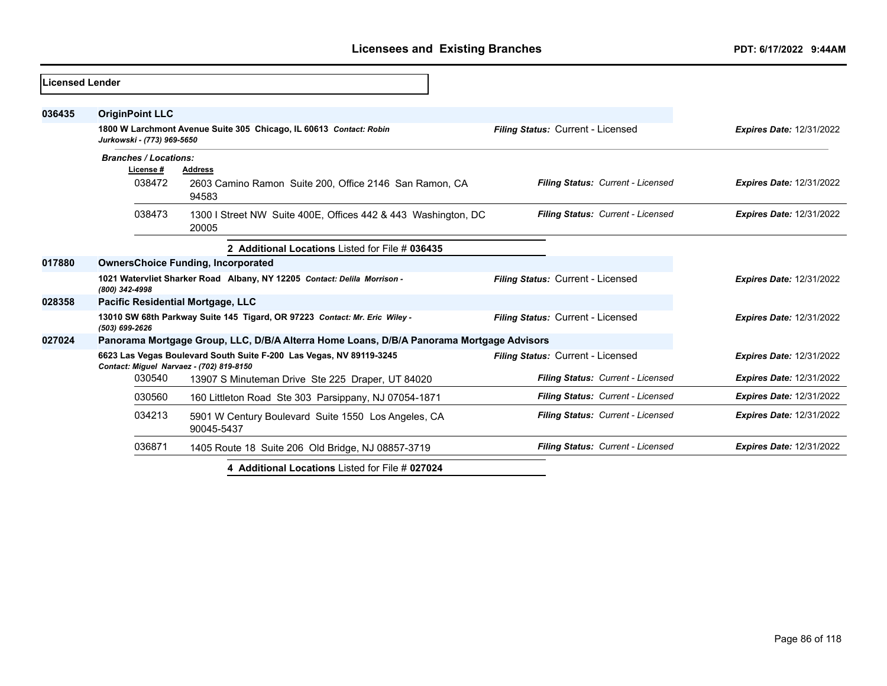| Licensed Lender |                              |                                                                                                                 |                                   |                                 |
|-----------------|------------------------------|-----------------------------------------------------------------------------------------------------------------|-----------------------------------|---------------------------------|
| 036435          | <b>OriginPoint LLC</b>       |                                                                                                                 |                                   |                                 |
|                 | Jurkowski - (773) 969-5650   | 1800 W Larchmont Avenue Suite 305 Chicago, IL 60613 Contact: Robin                                              | Filing Status: Current - Licensed | <b>Expires Date: 12/31/2022</b> |
|                 | <b>Branches / Locations:</b> |                                                                                                                 |                                   |                                 |
|                 | License #                    | <b>Address</b>                                                                                                  |                                   |                                 |
|                 | 038472                       | 2603 Camino Ramon Suite 200, Office 2146 San Ramon, CA<br>94583                                                 | Filing Status: Current - Licensed | <b>Expires Date: 12/31/2022</b> |
|                 | 038473                       | 1300 I Street NW Suite 400E, Offices 442 & 443 Washington, DC<br>20005                                          | Filing Status: Current - Licensed | <b>Expires Date: 12/31/2022</b> |
|                 |                              | 2 Additional Locations Listed for File # 036435                                                                 |                                   |                                 |
| 017880          |                              | <b>OwnersChoice Funding, Incorporated</b>                                                                       |                                   |                                 |
|                 | (800) 342-4998               | 1021 Watervliet Sharker Road Albany, NY 12205 Contact: Delila Morrison -                                        | Filing Status: Current - Licensed | <b>Expires Date: 12/31/2022</b> |
| 028358          |                              | Pacific Residential Mortgage, LLC                                                                               |                                   |                                 |
|                 | (503) 699-2626               | 13010 SW 68th Parkway Suite 145 Tigard, OR 97223 Contact: Mr. Eric Wiley -                                      | Filing Status: Current - Licensed | <b>Expires Date: 12/31/2022</b> |
| 027024          |                              | Panorama Mortgage Group, LLC, D/B/A Alterra Home Loans, D/B/A Panorama Mortgage Advisors                        |                                   |                                 |
|                 |                              | 6623 Las Vegas Boulevard South Suite F-200 Las Vegas, NV 89119-3245<br>Contact: Miguel Narvaez - (702) 819-8150 | Filing Status: Current - Licensed | <b>Expires Date: 12/31/2022</b> |
|                 | 030540                       | 13907 S Minuteman Drive Ste 225 Draper, UT 84020                                                                | Filing Status: Current - Licensed | <b>Expires Date: 12/31/2022</b> |
|                 | 030560                       | 160 Littleton Road Ste 303 Parsippany, NJ 07054-1871                                                            | Filing Status: Current - Licensed | <b>Expires Date: 12/31/2022</b> |
|                 | 034213                       | 5901 W Century Boulevard Suite 1550 Los Angeles, CA<br>90045-5437                                               | Filing Status: Current - Licensed | <b>Expires Date: 12/31/2022</b> |
|                 | 036871                       | 1405 Route 18 Suite 206 Old Bridge, NJ 08857-3719                                                               | Filing Status: Current - Licensed | <b>Expires Date: 12/31/2022</b> |
|                 |                              | 4 Additional Locations Listed for File # 027024                                                                 |                                   |                                 |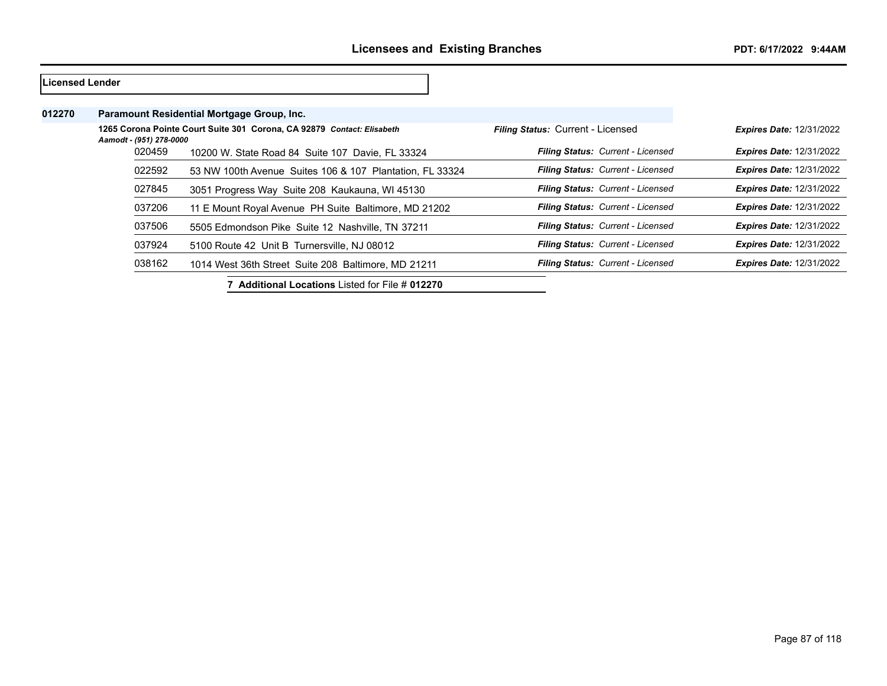| lLicensed Lender |                         |                                                                        |                                          |                                 |
|------------------|-------------------------|------------------------------------------------------------------------|------------------------------------------|---------------------------------|
| 012270           |                         | Paramount Residential Mortgage Group, Inc.                             |                                          |                                 |
|                  | Aamodt - (951) 278-0000 | 1265 Corona Pointe Court Suite 301 Corona, CA 92879 Contact: Elisabeth | Filing Status: Current - Licensed        | <b>Expires Date: 12/31/2022</b> |
|                  | 020459                  | 10200 W. State Road 84 Suite 107 Davie, FL 33324                       | <b>Filing Status: Current - Licensed</b> | <b>Expires Date: 12/31/2022</b> |
|                  | 022592                  | 53 NW 100th Avenue Suites 106 & 107 Plantation, FL 33324               | Filing Status: Current - Licensed        | <b>Expires Date: 12/31/2022</b> |
|                  | 027845                  | 3051 Progress Way Suite 208 Kaukauna, WI 45130                         | Filing Status: Current - Licensed        | <b>Expires Date: 12/31/2022</b> |
|                  | 037206                  | 11 E Mount Royal Avenue PH Suite Baltimore, MD 21202                   | Filing Status: Current - Licensed        | <b>Expires Date: 12/31/2022</b> |
|                  | 037506                  | 5505 Edmondson Pike Suite 12 Nashville, TN 37211                       | Filing Status: Current - Licensed        | <b>Expires Date: 12/31/2022</b> |
|                  | 037924                  | 5100 Route 42 Unit B Turnersville, NJ 08012                            | <b>Filing Status: Current - Licensed</b> | <b>Expires Date: 12/31/2022</b> |
|                  | 038162                  | 1014 West 36th Street Suite 208 Baltimore, MD 21211                    | Filing Status: Current - Licensed        | <b>Expires Date: 12/31/2022</b> |
|                  |                         | 7 Additional Locations Listed for File # 012270                        |                                          |                                 |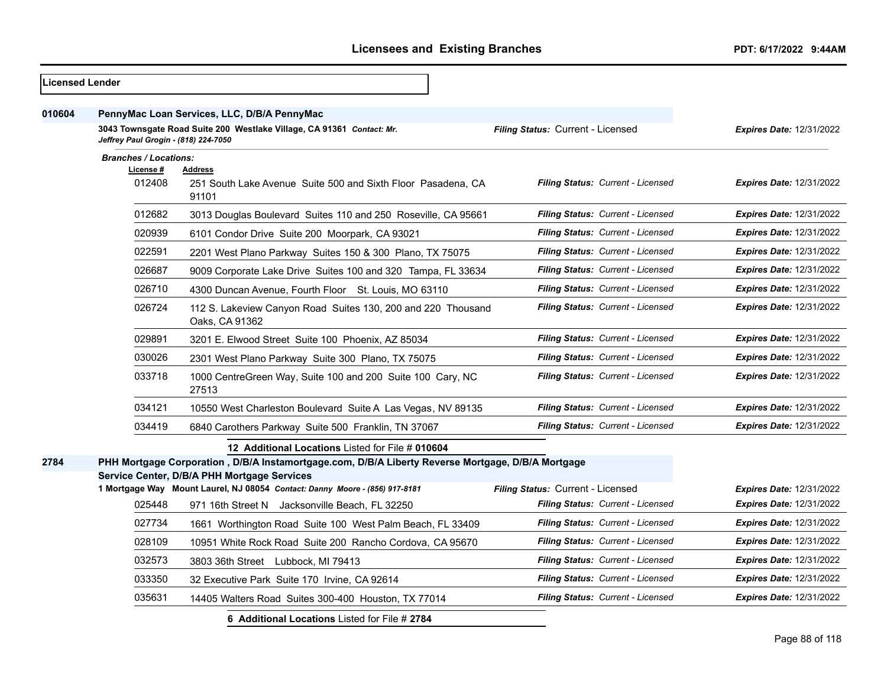| Licensed Lender |                                                    |                                                                                                                            |                                   |                                 |
|-----------------|----------------------------------------------------|----------------------------------------------------------------------------------------------------------------------------|-----------------------------------|---------------------------------|
| 010604          |                                                    | PennyMac Loan Services, LLC, D/B/A PennyMac<br>3043 Townsgate Road Suite 200 Westlake Village, CA 91361 Contact: Mr.       | Filing Status: Current - Licensed | <b>Expires Date: 12/31/2022</b> |
|                 | Jeffrey Paul Grogin - (818) 224-7050               |                                                                                                                            |                                   |                                 |
|                 | <b>Branches / Locations:</b><br>License#<br>012408 | <b>Address</b><br>251 South Lake Avenue Suite 500 and Sixth Floor Pasadena, CA<br>91101                                    | Filing Status: Current - Licensed | <b>Expires Date: 12/31/2022</b> |
|                 | 012682                                             | 3013 Douglas Boulevard Suites 110 and 250 Roseville, CA 95661                                                              | Filing Status: Current - Licensed | <b>Expires Date: 12/31/2022</b> |
|                 | 020939                                             | 6101 Condor Drive Suite 200 Moorpark, CA 93021                                                                             | Filing Status: Current - Licensed | <b>Expires Date: 12/31/2022</b> |
|                 | 022591                                             | 2201 West Plano Parkway Suites 150 & 300 Plano, TX 75075                                                                   | Filing Status: Current - Licensed | Expires Date: 12/31/2022        |
|                 | 026687                                             | 9009 Corporate Lake Drive Suites 100 and 320 Tampa, FL 33634                                                               | Filing Status: Current - Licensed | <b>Expires Date: 12/31/2022</b> |
|                 | 026710                                             | 4300 Duncan Avenue, Fourth Floor St. Louis, MO 63110                                                                       | Filing Status: Current - Licensed | Expires Date: 12/31/2022        |
|                 | 026724                                             | 112 S. Lakeview Canyon Road Suites 130, 200 and 220 Thousand<br>Oaks, CA 91362                                             | Filing Status: Current - Licensed | <b>Expires Date: 12/31/2022</b> |
|                 | 029891                                             | 3201 E. Elwood Street Suite 100 Phoenix, AZ 85034                                                                          | Filing Status: Current - Licensed | Expires Date: 12/31/2022        |
|                 | 030026                                             | 2301 West Plano Parkway Suite 300 Plano, TX 75075                                                                          | Filing Status: Current - Licensed | <b>Expires Date: 12/31/2022</b> |
|                 | 033718                                             | 1000 CentreGreen Way, Suite 100 and 200 Suite 100 Cary, NC<br>27513                                                        | Filing Status: Current - Licensed | <b>Expires Date: 12/31/2022</b> |
|                 | 034121                                             | 10550 West Charleston Boulevard Suite A Las Vegas, NV 89135                                                                | Filing Status: Current - Licensed | Expires Date: 12/31/2022        |
|                 | 034419                                             | 6840 Carothers Parkway Suite 500 Franklin, TN 37067                                                                        | Filing Status: Current - Licensed | <b>Expires Date: 12/31/2022</b> |
|                 |                                                    | 12 Additional Locations Listed for File # 010604                                                                           |                                   |                                 |
| 2784            |                                                    | PHH Mortgage Corporation, D/B/A Instamortgage.com, D/B/A Liberty Reverse Mortgage, D/B/A Mortgage                          |                                   |                                 |
|                 |                                                    | Service Center, D/B/A PHH Mortgage Services<br>1 Mortgage Way Mount Laurel, NJ 08054 Contact: Danny Moore - (856) 917-8181 | Filing Status: Current - Licensed | <b>Expires Date: 12/31/2022</b> |
|                 | 025448                                             | 971 16th Street N Jacksonville Beach, FL 32250                                                                             | Filing Status: Current - Licensed | <b>Expires Date: 12/31/2022</b> |
|                 | 027734                                             | 1661 Worthington Road Suite 100 West Palm Beach, FL 33409                                                                  | Filing Status: Current - Licensed | <b>Expires Date: 12/31/2022</b> |
|                 | 028109                                             | 10951 White Rock Road Suite 200 Rancho Cordova, CA 95670                                                                   | Filing Status: Current - Licensed | <b>Expires Date: 12/31/2022</b> |
|                 | 032573                                             | 3803 36th Street Lubbock, MI 79413                                                                                         | Filing Status: Current - Licensed | <b>Expires Date: 12/31/2022</b> |
|                 | 033350                                             | 32 Executive Park Suite 170 Irvine, CA 92614                                                                               | Filing Status: Current - Licensed | <b>Expires Date: 12/31/2022</b> |
|                 | 035631                                             | 14405 Walters Road Suites 300-400 Houston, TX 77014                                                                        | Filing Status: Current - Licensed | <b>Expires Date: 12/31/2022</b> |
|                 |                                                    | <b>6 Additional Locations</b> Listed for File # 2784                                                                       |                                   |                                 |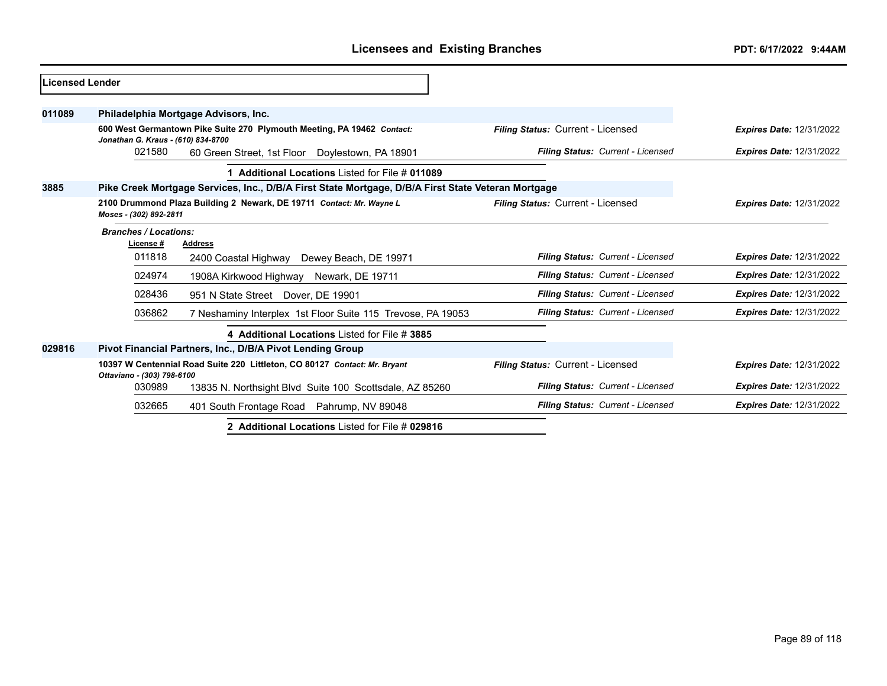| <b>Licensed Lender</b> |                                           |                                                                                                    |                                   |                                 |
|------------------------|-------------------------------------------|----------------------------------------------------------------------------------------------------|-----------------------------------|---------------------------------|
| 011089                 |                                           | Philadelphia Mortgage Advisors, Inc.                                                               |                                   |                                 |
|                        | Jonathan G. Kraus - (610) 834-8700        | 600 West Germantown Pike Suite 270 Plymouth Meeting, PA 19462 Contact:                             | Filing Status: Current - Licensed | <b>Expires Date: 12/31/2022</b> |
|                        | 021580                                    | 60 Green Street, 1st Floor Doylestown, PA 18901                                                    | Filing Status: Current - Licensed | <b>Expires Date: 12/31/2022</b> |
|                        |                                           | 1 Additional Locations Listed for File # 011089                                                    |                                   |                                 |
| 3885                   |                                           | Pike Creek Mortgage Services, Inc., D/B/A First State Mortgage, D/B/A First State Veteran Mortgage |                                   |                                 |
|                        | Moses - (302) 892-2811                    | 2100 Drummond Plaza Building 2 Newark, DE 19711 Contact: Mr. Wayne L                               | Filing Status: Current - Licensed | <b>Expires Date: 12/31/2022</b> |
|                        | <b>Branches / Locations:</b><br>License # | <b>Address</b>                                                                                     |                                   |                                 |
|                        | 011818                                    | 2400 Coastal Highway Dewey Beach, DE 19971                                                         | Filing Status: Current - Licensed | <b>Expires Date: 12/31/2022</b> |
|                        | 024974                                    | 1908A Kirkwood Highway Newark, DE 19711                                                            | Filing Status: Current - Licensed | <b>Expires Date: 12/31/2022</b> |
|                        | 028436                                    | 951 N State Street Dover, DE 19901                                                                 | Filing Status: Current - Licensed | <b>Expires Date: 12/31/2022</b> |
|                        | 036862                                    | 7 Neshaminy Interplex 1st Floor Suite 115 Trevose, PA 19053                                        | Filing Status: Current - Licensed | <b>Expires Date: 12/31/2022</b> |
|                        |                                           | 4 Additional Locations Listed for File # 3885                                                      |                                   |                                 |
| 029816                 |                                           | Pivot Financial Partners, Inc., D/B/A Pivot Lending Group                                          |                                   |                                 |
|                        | Ottaviano - (303) 798-6100                | 10397 W Centennial Road Suite 220 Littleton, CO 80127 Contact: Mr. Bryant                          | Filing Status: Current - Licensed | <b>Expires Date: 12/31/2022</b> |
|                        | 030989                                    | 13835 N. Northsight Blvd Suite 100 Scottsdale, AZ 85260                                            | Filing Status: Current - Licensed | <b>Expires Date: 12/31/2022</b> |
|                        | 032665                                    | 401 South Frontage Road Pahrump, NV 89048                                                          | Filing Status: Current - Licensed | <b>Expires Date: 12/31/2022</b> |
|                        |                                           | 2 Additional Locations Listed for File # 029816                                                    |                                   |                                 |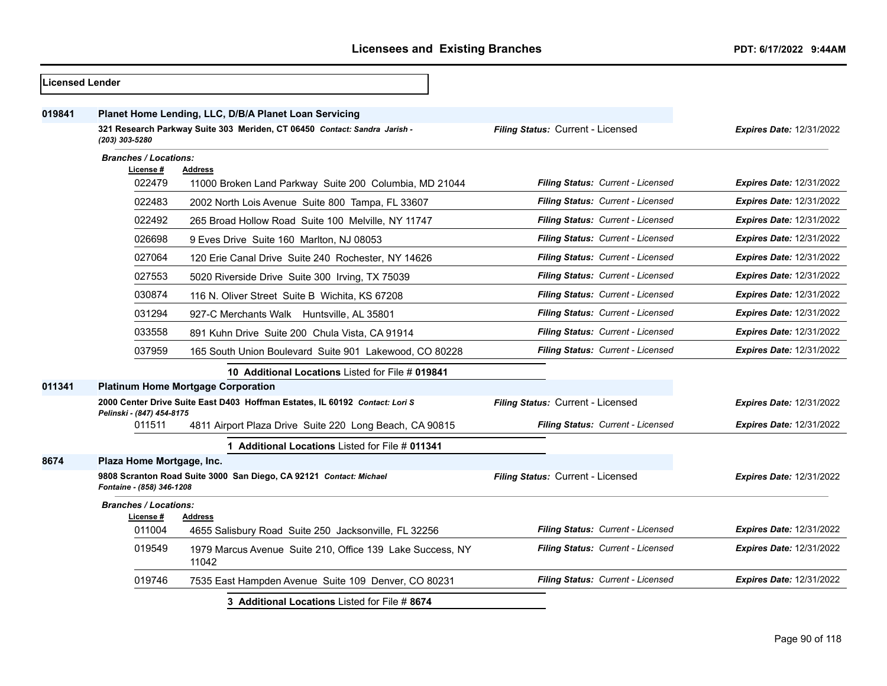| Licensed Lender |                                           |                                                                                                                                    |                                   |                                 |
|-----------------|-------------------------------------------|------------------------------------------------------------------------------------------------------------------------------------|-----------------------------------|---------------------------------|
| 019841          | (203) 303-5280                            | Planet Home Lending, LLC, D/B/A Planet Loan Servicing<br>321 Research Parkway Suite 303 Meriden, CT 06450 Contact: Sandra Jarish - | Filing Status: Current - Licensed | Expires Date: 12/31/2022        |
|                 | <b>Branches / Locations:</b>              |                                                                                                                                    |                                   |                                 |
|                 | License #                                 | <b>Address</b>                                                                                                                     |                                   |                                 |
|                 | 022479                                    | 11000 Broken Land Parkway Suite 200 Columbia, MD 21044                                                                             | Filing Status: Current - Licensed | <b>Expires Date: 12/31/2022</b> |
|                 | 022483                                    | 2002 North Lois Avenue Suite 800 Tampa, FL 33607                                                                                   | Filing Status: Current - Licensed | <b>Expires Date: 12/31/2022</b> |
|                 | 022492                                    | 265 Broad Hollow Road Suite 100 Melville, NY 11747                                                                                 | Filing Status: Current - Licensed | <b>Expires Date: 12/31/2022</b> |
|                 | 026698                                    | 9 Eves Drive Suite 160 Marlton, NJ 08053                                                                                           | Filing Status: Current - Licensed | <b>Expires Date: 12/31/2022</b> |
|                 | 027064                                    | 120 Erie Canal Drive Suite 240 Rochester, NY 14626                                                                                 | Filing Status: Current - Licensed | <b>Expires Date: 12/31/2022</b> |
|                 | 027553                                    | 5020 Riverside Drive Suite 300 Irving, TX 75039                                                                                    | Filing Status: Current - Licensed | <b>Expires Date: 12/31/2022</b> |
|                 | 030874                                    | 116 N. Oliver Street Suite B Wichita, KS 67208                                                                                     | Filing Status: Current - Licensed | <b>Expires Date: 12/31/2022</b> |
|                 | 031294                                    | 927-C Merchants Walk Huntsville, AL 35801                                                                                          | Filing Status: Current - Licensed | <b>Expires Date: 12/31/2022</b> |
|                 | 033558                                    | 891 Kuhn Drive Suite 200 Chula Vista, CA 91914                                                                                     | Filing Status: Current - Licensed | <b>Expires Date: 12/31/2022</b> |
|                 | 037959                                    | 165 South Union Boulevard Suite 901 Lakewood, CO 80228                                                                             | Filing Status: Current - Licensed | <b>Expires Date: 12/31/2022</b> |
|                 |                                           | 10 Additional Locations Listed for File # 019841                                                                                   |                                   |                                 |
| 011341          |                                           | <b>Platinum Home Mortgage Corporation</b>                                                                                          |                                   |                                 |
|                 | Pelinski - (847) 454-8175                 | 2000 Center Drive Suite East D403 Hoffman Estates, IL 60192 Contact: Lori S                                                        | Filing Status: Current - Licensed | <b>Expires Date: 12/31/2022</b> |
|                 | 011511                                    | 4811 Airport Plaza Drive Suite 220 Long Beach, CA 90815                                                                            | Filing Status: Current - Licensed | <b>Expires Date: 12/31/2022</b> |
|                 |                                           | 1 Additional Locations Listed for File # 011341                                                                                    |                                   |                                 |
| 8674            | Plaza Home Mortgage, Inc.                 |                                                                                                                                    |                                   |                                 |
|                 | Fontaine - (858) 346-1208                 | 9808 Scranton Road Suite 3000 San Diego, CA 92121 Contact: Michael                                                                 | Filing Status: Current - Licensed | <b>Expires Date: 12/31/2022</b> |
|                 | <b>Branches / Locations:</b><br>License # | <b>Address</b>                                                                                                                     |                                   |                                 |
|                 | 011004                                    | 4655 Salisbury Road Suite 250 Jacksonville, FL 32256                                                                               | Filing Status: Current - Licensed | <b>Expires Date: 12/31/2022</b> |
|                 | 019549                                    | 1979 Marcus Avenue Suite 210, Office 139 Lake Success, NY<br>11042                                                                 | Filing Status: Current - Licensed | <b>Expires Date: 12/31/2022</b> |
|                 | 019746                                    | 7535 East Hampden Avenue Suite 109 Denver, CO 80231                                                                                | Filing Status: Current - Licensed | Expires Date: 12/31/2022        |
|                 |                                           | 3 Additional Locations Listed for File # 8674                                                                                      |                                   |                                 |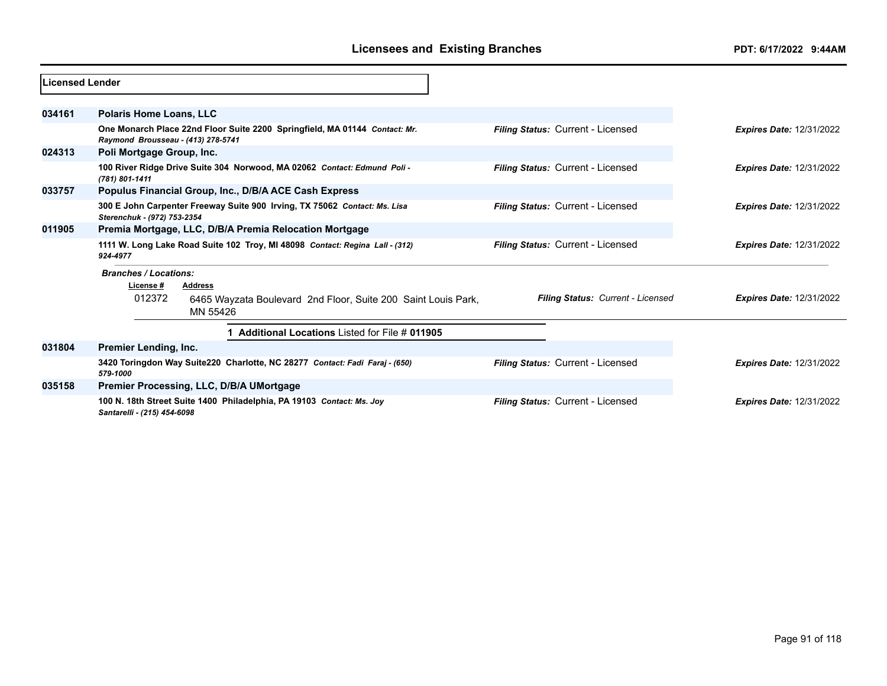| Licensed Lender |                                    |                                                                              |                                          |                                 |
|-----------------|------------------------------------|------------------------------------------------------------------------------|------------------------------------------|---------------------------------|
| 034161          | <b>Polaris Home Loans, LLC</b>     |                                                                              |                                          |                                 |
|                 | Raymond Brousseau - (413) 278-5741 | One Monarch Place 22nd Floor Suite 2200 Springfield, MA 01144 Contact: Mr.   | Filing Status: Current - Licensed        | <b>Expires Date: 12/31/2022</b> |
| 024313          | Poli Mortgage Group, Inc.          |                                                                              |                                          |                                 |
|                 | (781) 801-1411                     | 100 River Ridge Drive Suite 304 Norwood, MA 02062 Contact: Edmund Poli -     | <b>Filing Status: Current - Licensed</b> | <b>Expires Date: 12/31/2022</b> |
| 033757          |                                    | Populus Financial Group, Inc., D/B/A ACE Cash Express                        |                                          |                                 |
|                 | Sterenchuk - (972) 753-2354        | 300 E John Carpenter Freeway Suite 900 Irving, TX 75062 Contact: Ms. Lisa    | <b>Filing Status: Current - Licensed</b> | <b>Expires Date: 12/31/2022</b> |
| 011905          |                                    | Premia Mortgage, LLC, D/B/A Premia Relocation Mortgage                       |                                          |                                 |
|                 | 924-4977                           | 1111 W. Long Lake Road Suite 102 Troy, MI 48098 Contact: Regina Lall - (312) | Filing Status: Current - Licensed        | <b>Expires Date: 12/31/2022</b> |
|                 | <b>Branches / Locations:</b>       |                                                                              |                                          |                                 |
|                 | License #                          | <b>Address</b>                                                               |                                          |                                 |
|                 | 012372                             | 6465 Wayzata Boulevard 2nd Floor, Suite 200 Saint Louis Park,<br>MN 55426    | Filing Status: Current - Licensed        | <b>Expires Date: 12/31/2022</b> |
|                 |                                    | Additional Locations Listed for File # 011905                                |                                          |                                 |
| 031804          | Premier Lending, Inc.              |                                                                              |                                          |                                 |
|                 | 579-1000                           | 3420 Toringdon Way Suite220 Charlotte, NC 28277 Contact: Fadi Faraj - (650)  | Filing Status: Current - Licensed        | <b>Expires Date: 12/31/2022</b> |
| 035158          |                                    | Premier Processing, LLC, D/B/A UMortgage                                     |                                          |                                 |
|                 | Santarelli - (215) 454-6098        | 100 N. 18th Street Suite 1400 Philadelphia, PA 19103 Contact: Ms. Joy        | <b>Filing Status: Current - Licensed</b> | <b>Expires Date: 12/31/2022</b> |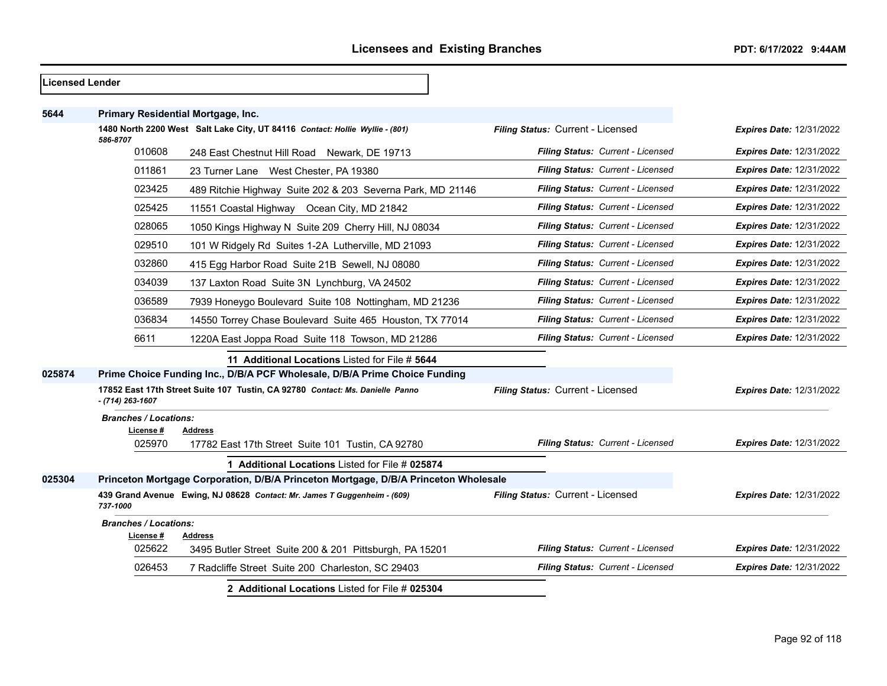| <b>Licensed Lender</b> |                              |                                                                                     |                                          |                                 |
|------------------------|------------------------------|-------------------------------------------------------------------------------------|------------------------------------------|---------------------------------|
| 5644                   |                              | Primary Residential Mortgage, Inc.                                                  |                                          |                                 |
|                        | 586-8707                     | 1480 North 2200 West Salt Lake City, UT 84116 Contact: Hollie Wyllie - (801)        | Filing Status: Current - Licensed        | <b>Expires Date: 12/31/2022</b> |
|                        | 010608                       | 248 East Chestnut Hill Road Newark, DE 19713                                        | <b>Filing Status: Current - Licensed</b> | <b>Expires Date: 12/31/2022</b> |
|                        | 011861                       | 23 Turner Lane West Chester, PA 19380                                               | Filing Status: Current - Licensed        | <b>Expires Date: 12/31/2022</b> |
|                        | 023425                       | 489 Ritchie Highway Suite 202 & 203 Severna Park, MD 21146                          | Filing Status: Current - Licensed        | <b>Expires Date: 12/31/2022</b> |
|                        | 025425                       | 11551 Coastal Highway Ocean City, MD 21842                                          | Filing Status: Current - Licensed        | <b>Expires Date: 12/31/2022</b> |
|                        | 028065                       | 1050 Kings Highway N Suite 209 Cherry Hill, NJ 08034                                | Filing Status: Current - Licensed        | <b>Expires Date: 12/31/2022</b> |
|                        | 029510                       | 101 W Ridgely Rd Suites 1-2A Lutherville, MD 21093                                  | Filing Status: Current - Licensed        | <b>Expires Date: 12/31/2022</b> |
|                        | 032860                       | 415 Egg Harbor Road Suite 21B Sewell, NJ 08080                                      | <b>Filing Status: Current - Licensed</b> | <b>Expires Date: 12/31/2022</b> |
|                        | 034039                       | 137 Laxton Road Suite 3N Lynchburg, VA 24502                                        | Filing Status: Current - Licensed        | <b>Expires Date: 12/31/2022</b> |
|                        | 036589                       | 7939 Honeygo Boulevard Suite 108 Nottingham, MD 21236                               | Filing Status: Current - Licensed        | <b>Expires Date: 12/31/2022</b> |
|                        | 036834                       | 14550 Torrey Chase Boulevard Suite 465 Houston, TX 77014                            | Filing Status: Current - Licensed        | <b>Expires Date: 12/31/2022</b> |
|                        | 6611                         | 1220A East Joppa Road Suite 118 Towson, MD 21286                                    | Filing Status: Current - Licensed        | <b>Expires Date: 12/31/2022</b> |
|                        |                              | 11 Additional Locations Listed for File # 5644                                      |                                          |                                 |
| 025874                 |                              | Prime Choice Funding Inc., D/B/A PCF Wholesale, D/B/A Prime Choice Funding          |                                          |                                 |
|                        | $- (714) 263 - 1607$         | 17852 East 17th Street Suite 107 Tustin, CA 92780 Contact: Ms. Danielle Panno       | Filing Status: Current - Licensed        | <b>Expires Date: 12/31/2022</b> |
|                        | <b>Branches / Locations:</b> |                                                                                     |                                          |                                 |
|                        | License #<br>025970          | Address<br>17782 East 17th Street Suite 101 Tustin, CA 92780                        | Filing Status: Current - Licensed        | <b>Expires Date: 12/31/2022</b> |
|                        |                              | 1 Additional Locations Listed for File # 025874                                     |                                          |                                 |
| 025304                 |                              | Princeton Mortgage Corporation, D/B/A Princeton Mortgage, D/B/A Princeton Wholesale |                                          |                                 |
|                        | 737-1000                     | 439 Grand Avenue Ewing, NJ 08628 Contact: Mr. James T Guggenheim - (609)            | Filing Status: Current - Licensed        | <b>Expires Date: 12/31/2022</b> |
|                        | <b>Branches / Locations:</b> |                                                                                     |                                          |                                 |
|                        | License #<br>025622          | Address<br>3495 Butler Street Suite 200 & 201 Pittsburgh, PA 15201                  | Filing Status: Current - Licensed        | <b>Expires Date: 12/31/2022</b> |
|                        | 026453                       | 7 Radcliffe Street Suite 200 Charleston, SC 29403                                   | Filing Status: Current - Licensed        | <b>Expires Date: 12/31/2022</b> |
|                        |                              | 2 Additional Locations Listed for File # 025304                                     |                                          |                                 |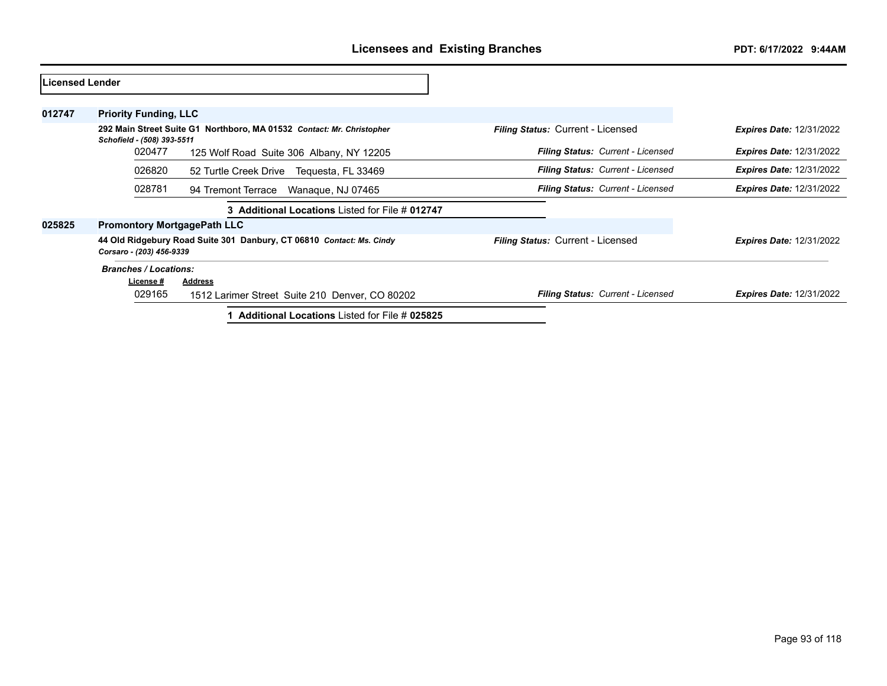| lLicensed Lender |                                    |                                                                       |                                          |                                 |
|------------------|------------------------------------|-----------------------------------------------------------------------|------------------------------------------|---------------------------------|
| 012747           | <b>Priority Funding, LLC</b>       |                                                                       |                                          |                                 |
|                  | Schofield - (508) 393-5511         | 292 Main Street Suite G1 Northboro, MA 01532 Contact: Mr. Christopher | <b>Filing Status: Current - Licensed</b> | <b>Expires Date: 12/31/2022</b> |
|                  | 020477                             | 125 Wolf Road Suite 306 Albany, NY 12205                              | Filing Status: Current - Licensed        | <b>Expires Date: 12/31/2022</b> |
|                  | 026820                             | 52 Turtle Creek Drive<br>Tequesta, FL 33469                           | <b>Filing Status: Current - Licensed</b> | <b>Expires Date: 12/31/2022</b> |
|                  | 028781                             | 94 Tremont Terrace<br>Wanaque, NJ 07465                               | Filing Status: Current - Licensed        | <b>Expires Date: 12/31/2022</b> |
|                  |                                    | 3 Additional Locations Listed for File # 012747                       |                                          |                                 |
| 025825           | <b>Promontory MortgagePath LLC</b> |                                                                       |                                          |                                 |
|                  | Corsaro - (203) 456-9339           | 44 Old Ridgebury Road Suite 301 Danbury, CT 06810 Contact: Ms. Cindy  | <b>Filing Status: Current - Licensed</b> | <b>Expires Date: 12/31/2022</b> |
|                  | <b>Branches / Locations:</b>       |                                                                       |                                          |                                 |
|                  | License #                          | <b>Address</b>                                                        |                                          |                                 |
|                  | 029165                             | 1512 Larimer Street Suite 210 Denver, CO 80202                        | <b>Filing Status: Current - Licensed</b> | <b>Expires Date: 12/31/2022</b> |
|                  |                                    | <b>Additional Locations Listed for File # 025825</b>                  |                                          |                                 |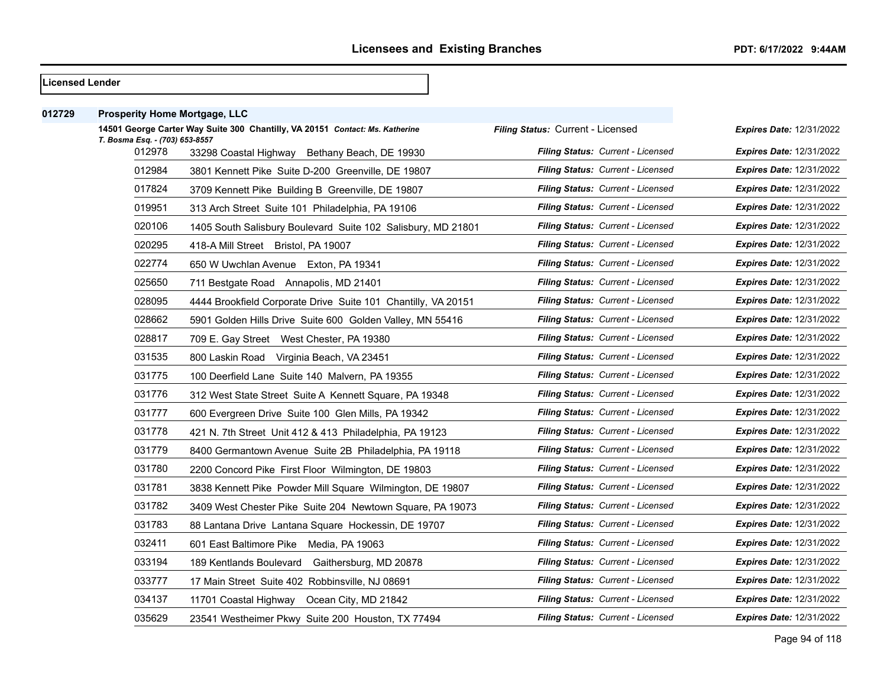| <b>ILicensed Lender</b> |                                      |  |  |  |
|-------------------------|--------------------------------------|--|--|--|
|                         |                                      |  |  |  |
| 012729                  | <b>Prosperity Home Mortgage, LLC</b> |  |  |  |

| T. Bosma Esq. - (703) 653-8557 | 14501 George Carter Way Suite 300 Chantilly, VA 20151 Contact: Ms. Katherine | Filing Status: Current - Licensed        | <b>Expires Date: 12/31/2022</b> |
|--------------------------------|------------------------------------------------------------------------------|------------------------------------------|---------------------------------|
| 012978                         | 33298 Coastal Highway Bethany Beach, DE 19930                                | Filing Status: Current - Licensed        | <b>Expires Date: 12/31/2022</b> |
| 012984                         | 3801 Kennett Pike Suite D-200 Greenville, DE 19807                           | Filing Status: Current - Licensed        | <b>Expires Date: 12/31/2022</b> |
| 017824                         | 3709 Kennett Pike Building B Greenville, DE 19807                            | Filing Status: Current - Licensed        | <b>Expires Date: 12/31/2022</b> |
| 019951                         | 313 Arch Street Suite 101 Philadelphia, PA 19106                             | Filing Status: Current - Licensed        | <b>Expires Date: 12/31/2022</b> |
| 020106                         | 1405 South Salisbury Boulevard Suite 102 Salisbury, MD 21801                 | Filing Status: Current - Licensed        | <b>Expires Date: 12/31/2022</b> |
| 020295                         | 418-A Mill Street Bristol, PA 19007                                          | Filing Status: Current - Licensed        | <b>Expires Date: 12/31/2022</b> |
| 022774                         | 650 W Uwchlan Avenue Exton, PA 19341                                         | Filing Status: Current - Licensed        | <b>Expires Date: 12/31/2022</b> |
| 025650                         | 711 Bestgate Road Annapolis, MD 21401                                        | Filing Status: Current - Licensed        | <b>Expires Date: 12/31/2022</b> |
| 028095                         | 4444 Brookfield Corporate Drive Suite 101 Chantilly, VA 20151                | Filing Status: Current - Licensed        | <b>Expires Date: 12/31/2022</b> |
| 028662                         | 5901 Golden Hills Drive Suite 600 Golden Valley, MN 55416                    | Filing Status: Current - Licensed        | <b>Expires Date: 12/31/2022</b> |
| 028817                         | 709 E. Gay Street West Chester, PA 19380                                     | Filing Status: Current - Licensed        | <b>Expires Date: 12/31/2022</b> |
| 031535                         | 800 Laskin Road Virginia Beach, VA 23451                                     | Filing Status: Current - Licensed        | <b>Expires Date: 12/31/2022</b> |
| 031775                         | 100 Deerfield Lane Suite 140 Malvern, PA 19355                               | Filing Status: Current - Licensed        | <b>Expires Date: 12/31/2022</b> |
| 031776                         | 312 West State Street Suite A Kennett Square, PA 19348                       | Filing Status: Current - Licensed        | <b>Expires Date: 12/31/2022</b> |
| 031777                         | 600 Evergreen Drive Suite 100 Glen Mills, PA 19342                           | Filing Status: Current - Licensed        | <b>Expires Date: 12/31/2022</b> |
| 031778                         | 421 N. 7th Street Unit 412 & 413 Philadelphia, PA 19123                      | Filing Status: Current - Licensed        | <b>Expires Date: 12/31/2022</b> |
| 031779                         | 8400 Germantown Avenue Suite 2B Philadelphia, PA 19118                       | Filing Status: Current - Licensed        | <b>Expires Date: 12/31/2022</b> |
| 031780                         | 2200 Concord Pike First Floor Wilmington, DE 19803                           | Filing Status: Current - Licensed        | <b>Expires Date: 12/31/2022</b> |
| 031781                         | 3838 Kennett Pike Powder Mill Square Wilmington, DE 19807                    | Filing Status: Current - Licensed        | <b>Expires Date: 12/31/2022</b> |
| 031782                         | 3409 West Chester Pike Suite 204 Newtown Square, PA 19073                    | Filing Status: Current - Licensed        | <b>Expires Date: 12/31/2022</b> |
| 031783                         | 88 Lantana Drive Lantana Square Hockessin, DE 19707                          | Filing Status: Current - Licensed        | <b>Expires Date: 12/31/2022</b> |
| 032411                         | 601 East Baltimore Pike Media, PA 19063                                      | Filing Status: Current - Licensed        | <b>Expires Date: 12/31/2022</b> |
| 033194                         | 189 Kentlands Boulevard Gaithersburg, MD 20878                               | Filing Status: Current - Licensed        | <b>Expires Date: 12/31/2022</b> |
| 033777                         | 17 Main Street Suite 402 Robbinsville, NJ 08691                              | Filing Status: Current - Licensed        | <b>Expires Date: 12/31/2022</b> |
| 034137                         | 11701 Coastal Highway Ocean City, MD 21842                                   | Filing Status: Current - Licensed        | <b>Expires Date: 12/31/2022</b> |
| 035629                         | 23541 Westheimer Pkwy Suite 200 Houston, TX 77494                            | <b>Filing Status: Current - Licensed</b> | <b>Expires Date: 12/31/2022</b> |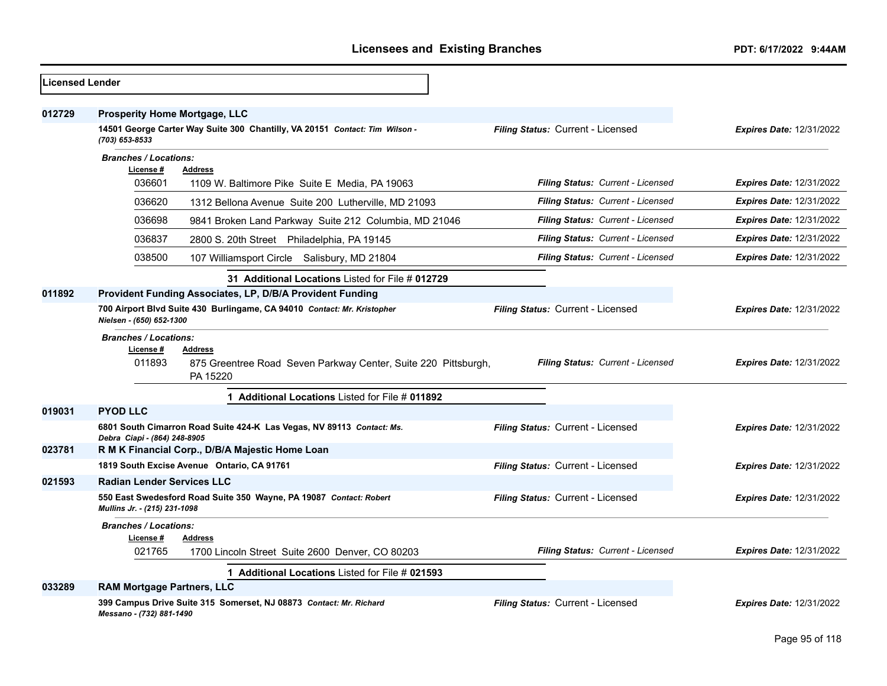| <b>Licensed Lender</b> |                                                                                                                                                     |                                   |                                 |
|------------------------|-----------------------------------------------------------------------------------------------------------------------------------------------------|-----------------------------------|---------------------------------|
| 012729                 | <b>Prosperity Home Mortgage, LLC</b><br>14501 George Carter Way Suite 300 Chantilly, VA 20151 Contact: Tim Wilson -<br>(703) 653-8533               | Filing Status: Current - Licensed | <b>Expires Date: 12/31/2022</b> |
|                        | <b>Branches / Locations:</b><br>License #<br><b>Address</b><br>036601<br>1109 W. Baltimore Pike Suite E Media, PA 19063                             | Filing Status: Current - Licensed | Expires Date: 12/31/2022        |
|                        | 036620<br>1312 Bellona Avenue Suite 200 Lutherville, MD 21093                                                                                       | Filing Status: Current - Licensed | <b>Expires Date: 12/31/2022</b> |
|                        | 036698<br>9841 Broken Land Parkway Suite 212 Columbia, MD 21046                                                                                     | Filing Status: Current - Licensed | Expires Date: 12/31/2022        |
|                        | 036837<br>2800 S. 20th Street Philadelphia, PA 19145                                                                                                | Filing Status: Current - Licensed | <b>Expires Date: 12/31/2022</b> |
|                        | 038500<br>107 Williamsport Circle Salisbury, MD 21804                                                                                               | Filing Status: Current - Licensed | <b>Expires Date: 12/31/2022</b> |
|                        | 31 Additional Locations Listed for File # 012729                                                                                                    |                                   |                                 |
| 011892                 | Provident Funding Associates, LP, D/B/A Provident Funding                                                                                           |                                   |                                 |
|                        | 700 Airport Blvd Suite 430 Burlingame, CA 94010 Contact: Mr. Kristopher<br>Nielsen - (650) 652-1300                                                 | Filing Status: Current - Licensed | <b>Expires Date: 12/31/2022</b> |
|                        | <b>Branches / Locations:</b><br>License #<br><b>Address</b><br>011893<br>875 Greentree Road Seven Parkway Center, Suite 220 Pittsburgh,<br>PA 15220 | Filing Status: Current - Licensed | <b>Expires Date: 12/31/2022</b> |
|                        | 1 Additional Locations Listed for File # 011892                                                                                                     |                                   |                                 |
| 019031                 | <b>PYOD LLC</b>                                                                                                                                     |                                   |                                 |
|                        | 6801 South Cimarron Road Suite 424-K Las Vegas, NV 89113 Contact: Ms.<br>Debra Ciapi - (864) 248-8905                                               | Filing Status: Current - Licensed | <b>Expires Date: 12/31/2022</b> |
| 023781                 | R M K Financial Corp., D/B/A Majestic Home Loan                                                                                                     |                                   |                                 |
|                        | 1819 South Excise Avenue Ontario, CA 91761                                                                                                          | Filing Status: Current - Licensed | <b>Expires Date: 12/31/2022</b> |
| 021593                 | <b>Radian Lender Services LLC</b>                                                                                                                   |                                   |                                 |
|                        | 550 East Swedesford Road Suite 350 Wayne, PA 19087 Contact: Robert<br>Mullins Jr. - (215) 231-1098                                                  | Filing Status: Current - Licensed | <b>Expires Date: 12/31/2022</b> |
|                        | <b>Branches / Locations:</b><br>License #<br><b>Address</b><br>021765<br>1700 Lincoln Street Suite 2600 Denver, CO 80203                            | Filing Status: Current - Licensed | <b>Expires Date: 12/31/2022</b> |
|                        | 1 Additional Locations Listed for File # 021593                                                                                                     |                                   |                                 |
| 033289                 | <b>RAM Mortgage Partners, LLC</b>                                                                                                                   |                                   |                                 |
|                        | 399 Campus Drive Suite 315 Somerset, NJ 08873 Contact: Mr. Richard<br>Messano - (732) 881-1490                                                      | Filing Status: Current - Licensed | <b>Expires Date: 12/31/2022</b> |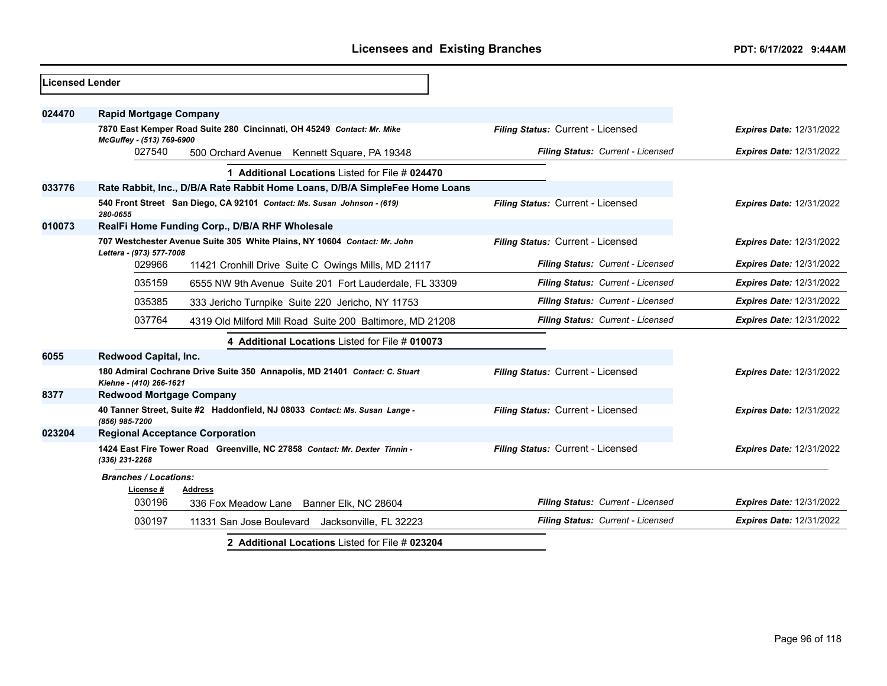| <b>Licensed Lender</b> |                                                                                                        |                                   |                                 |
|------------------------|--------------------------------------------------------------------------------------------------------|-----------------------------------|---------------------------------|
| 024470                 | <b>Rapid Mortgage Company</b>                                                                          |                                   |                                 |
|                        | 7870 East Kemper Road Suite 280 Cincinnati, OH 45249 Contact: Mr. Mike<br>McGuffey - (513) 769-6900    | Filing Status: Current - Licensed | <b>Expires Date: 12/31/2022</b> |
|                        | 027540<br>500 Orchard Avenue Kennett Square, PA 19348                                                  | Filing Status: Current - Licensed | <b>Expires Date: 12/31/2022</b> |
|                        | 1 Additional Locations Listed for File # 024470                                                        |                                   |                                 |
| 033776                 | Rate Rabbit, Inc., D/B/A Rate Rabbit Home Loans, D/B/A SimpleFee Home Loans                            |                                   |                                 |
|                        | 540 Front Street San Diego, CA 92101 Contact: Ms. Susan Johnson - (619)<br>280-0655                    | Filing Status: Current - Licensed | <b>Expires Date: 12/31/2022</b> |
| 010073                 | RealFi Home Funding Corp., D/B/A RHF Wholesale                                                         |                                   |                                 |
|                        | 707 Westchester Avenue Suite 305 White Plains, NY 10604 Contact: Mr. John<br>Lettera - (973) 577-7008  | Filing Status: Current - Licensed | Expires Date: 12/31/2022        |
|                        | 029966<br>11421 Cronhill Drive Suite C Owings Mills, MD 21117                                          | Filing Status: Current - Licensed | Expires Date: 12/31/2022        |
|                        | 035159<br>6555 NW 9th Avenue Suite 201 Fort Lauderdale, FL 33309                                       | Filing Status: Current - Licensed | <b>Expires Date: 12/31/2022</b> |
|                        | 035385<br>333 Jericho Turnpike Suite 220 Jericho, NY 11753                                             | Filing Status: Current - Licensed | <b>Expires Date: 12/31/2022</b> |
|                        | 037764<br>4319 Old Milford Mill Road Suite 200 Baltimore, MD 21208                                     | Filing Status: Current - Licensed | <b>Expires Date: 12/31/2022</b> |
|                        | 4 Additional Locations Listed for File # 010073                                                        |                                   |                                 |
| 6055                   | Redwood Capital, Inc.                                                                                  |                                   |                                 |
|                        | 180 Admiral Cochrane Drive Suite 350 Annapolis, MD 21401 Contact: C. Stuart<br>Kiehne - (410) 266-1621 | Filing Status: Current - Licensed | <b>Expires Date: 12/31/2022</b> |
| 8377                   | <b>Redwood Mortgage Company</b>                                                                        |                                   |                                 |
|                        | 40 Tanner Street, Suite #2 Haddonfield, NJ 08033 Contact: Ms. Susan Lange -<br>(856) 985-7200          | Filing Status: Current - Licensed | <b>Expires Date: 12/31/2022</b> |
| 023204                 | <b>Regional Acceptance Corporation</b>                                                                 |                                   |                                 |
|                        | 1424 East Fire Tower Road Greenville, NC 27858 Contact: Mr. Dexter Tinnin -<br>$(336)$ 231-2268        | Filing Status: Current - Licensed | <b>Expires Date: 12/31/2022</b> |
|                        | <b>Branches / Locations:</b>                                                                           |                                   |                                 |
|                        | License #<br><b>Address</b><br>030196<br>336 Fox Meadow Lane<br>Banner Elk, NC 28604                   | Filing Status: Current - Licensed | <b>Expires Date: 12/31/2022</b> |
|                        | 030197<br>11331 San Jose Boulevard Jacksonville, FL 32223                                              | Filing Status: Current - Licensed | <b>Expires Date: 12/31/2022</b> |
|                        | 2 Additional Locations Listed for File # 023204                                                        |                                   |                                 |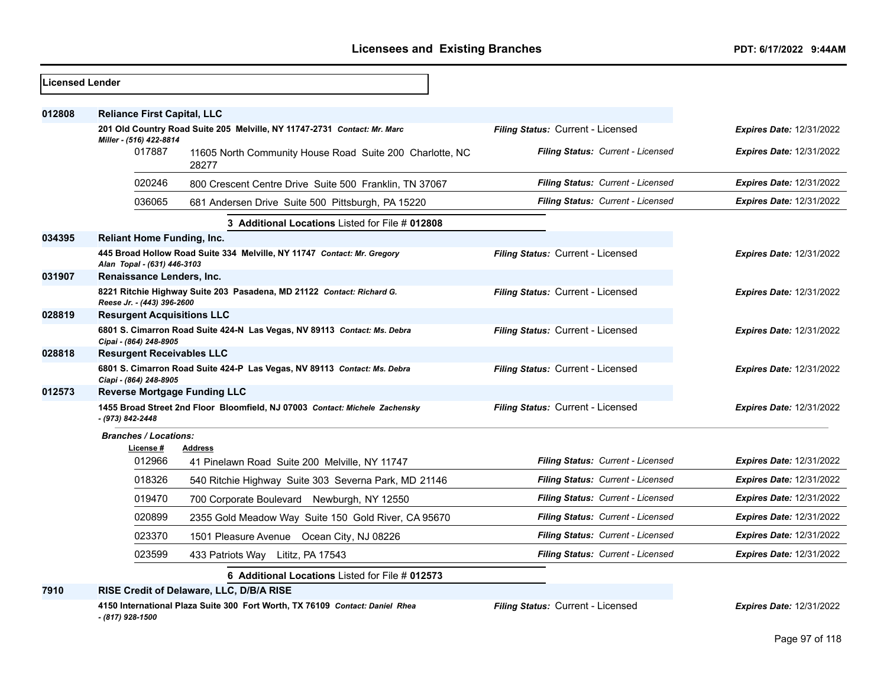| <b>Licensed Lender</b> |                                     |                                                                              |                                   |                                 |
|------------------------|-------------------------------------|------------------------------------------------------------------------------|-----------------------------------|---------------------------------|
| 012808                 | <b>Reliance First Capital, LLC</b>  |                                                                              |                                   |                                 |
|                        |                                     | 201 Old Country Road Suite 205 Melville, NY 11747-2731 Contact: Mr. Marc     | Filing Status: Current - Licensed | <b>Expires Date: 12/31/2022</b> |
|                        | Miller - (516) 422-8814<br>017887   | 11605 North Community House Road Suite 200 Charlotte, NC<br>28277            | Filing Status: Current - Licensed | <b>Expires Date: 12/31/2022</b> |
|                        | 020246                              | 800 Crescent Centre Drive Suite 500 Franklin, TN 37067                       | Filing Status: Current - Licensed | <b>Expires Date: 12/31/2022</b> |
|                        | 036065                              | 681 Andersen Drive Suite 500 Pittsburgh, PA 15220                            | Filing Status: Current - Licensed | <b>Expires Date: 12/31/2022</b> |
|                        |                                     | 3 Additional Locations Listed for File # 012808                              |                                   |                                 |
| 034395                 | <b>Reliant Home Funding, Inc.</b>   |                                                                              |                                   |                                 |
|                        | Alan Topal - (631) 446-3103         | 445 Broad Hollow Road Suite 334 Melville, NY 11747 Contact: Mr. Gregory      | Filing Status: Current - Licensed | <b>Expires Date: 12/31/2022</b> |
| 031907                 | Renaissance Lenders, Inc.           |                                                                              |                                   |                                 |
|                        | Reese Jr. - (443) 396-2600          | 8221 Ritchie Highway Suite 203 Pasadena, MD 21122 Contact: Richard G.        | Filing Status: Current - Licensed | <b>Expires Date: 12/31/2022</b> |
| 028819                 | <b>Resurgent Acquisitions LLC</b>   |                                                                              |                                   |                                 |
|                        | Cipai - (864) 248-8905              | 6801 S. Cimarron Road Suite 424-N Las Vegas, NV 89113 Contact: Ms. Debra     | Filing Status: Current - Licensed | <b>Expires Date: 12/31/2022</b> |
| 028818                 | <b>Resurgent Receivables LLC</b>    |                                                                              |                                   |                                 |
|                        | Ciapi - (864) 248-8905              | 6801 S. Cimarron Road Suite 424-P Las Vegas, NV 89113 Contact: Ms. Debra     | Filing Status: Current - Licensed | <b>Expires Date: 12/31/2022</b> |
| 012573                 | <b>Reverse Mortgage Funding LLC</b> |                                                                              |                                   |                                 |
|                        | - (973) 842-2448                    | 1455 Broad Street 2nd Floor Bloomfield, NJ 07003 Contact: Michele Zachensky  | Filing Status: Current - Licensed | <b>Expires Date: 12/31/2022</b> |
|                        | <b>Branches / Locations:</b>        |                                                                              |                                   |                                 |
|                        | License #                           | <b>Address</b>                                                               |                                   |                                 |
|                        | 012966                              | 41 Pinelawn Road Suite 200 Melville, NY 11747                                | Filing Status: Current - Licensed | <b>Expires Date: 12/31/2022</b> |
|                        | 018326                              | 540 Ritchie Highway Suite 303 Severna Park, MD 21146                         | Filing Status: Current - Licensed | <b>Expires Date: 12/31/2022</b> |
|                        | 019470                              | 700 Corporate Boulevard Newburgh, NY 12550                                   | Filing Status: Current - Licensed | <b>Expires Date: 12/31/2022</b> |
|                        | 020899                              | 2355 Gold Meadow Way Suite 150 Gold River, CA 95670                          | Filing Status: Current - Licensed | <b>Expires Date: 12/31/2022</b> |
|                        | 023370                              | 1501 Pleasure Avenue Ocean City, NJ 08226                                    | Filing Status: Current - Licensed | <b>Expires Date: 12/31/2022</b> |
|                        | 023599                              | 433 Patriots Way Lititz, PA 17543                                            | Filing Status: Current - Licensed | <b>Expires Date: 12/31/2022</b> |
|                        |                                     | 6 Additional Locations Listed for File # 012573                              |                                   |                                 |
| 7910                   |                                     | RISE Credit of Delaware, LLC, D/B/A RISE                                     |                                   |                                 |
|                        | - (817) 928-1500                    | 4150 International Plaza Suite 300 Fort Worth, TX 76109 Contact: Daniel Rhea | Filing Status: Current - Licensed | <b>Expires Date: 12/31/2022</b> |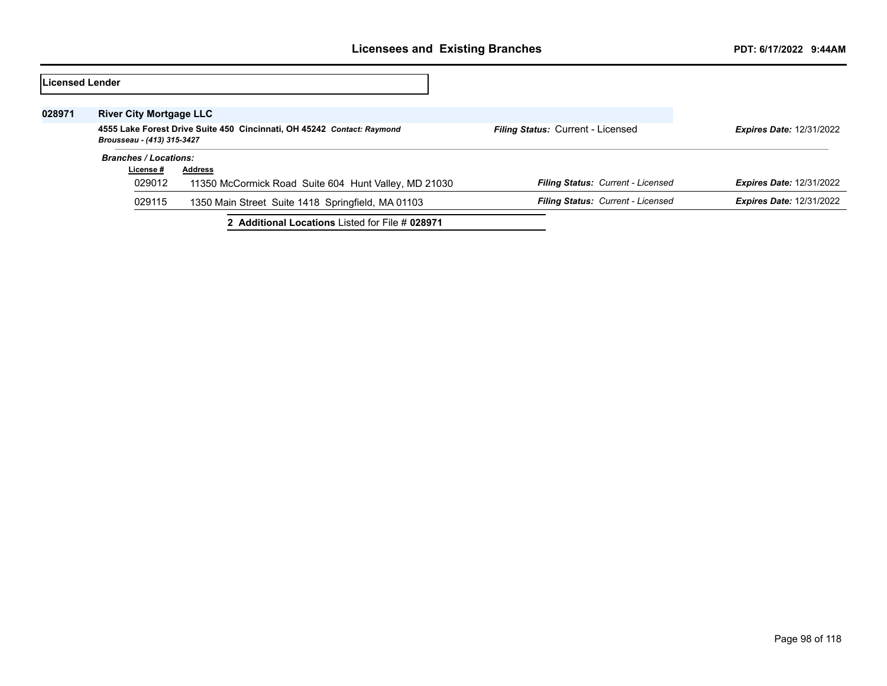| Licensed Lender |                                                                                                      |                                                      |                                          |                                 |
|-----------------|------------------------------------------------------------------------------------------------------|------------------------------------------------------|------------------------------------------|---------------------------------|
| 028971          | <b>River City Mortgage LLC</b>                                                                       |                                                      |                                          |                                 |
|                 | 4555 Lake Forest Drive Suite 450 Cincinnati, OH 45242 Contact: Raymond<br>Brousseau - (413) 315-3427 |                                                      | <b>Filing Status: Current - Licensed</b> | <b>Expires Date: 12/31/2022</b> |
|                 | <b>Branches / Locations:</b>                                                                         |                                                      |                                          |                                 |
|                 | License #                                                                                            | <b>Address</b>                                       |                                          |                                 |
|                 | 029012                                                                                               | 11350 McCormick Road Suite 604 Hunt Valley, MD 21030 | Filing Status: Current - Licensed        | <b>Expires Date: 12/31/2022</b> |
|                 | 029115                                                                                               | 1350 Main Street Suite 1418 Springfield, MA 01103    | Filing Status: Current - Licensed        | <b>Expires Date: 12/31/2022</b> |
|                 |                                                                                                      | 2 Additional Locations Listed for File # 028971      |                                          |                                 |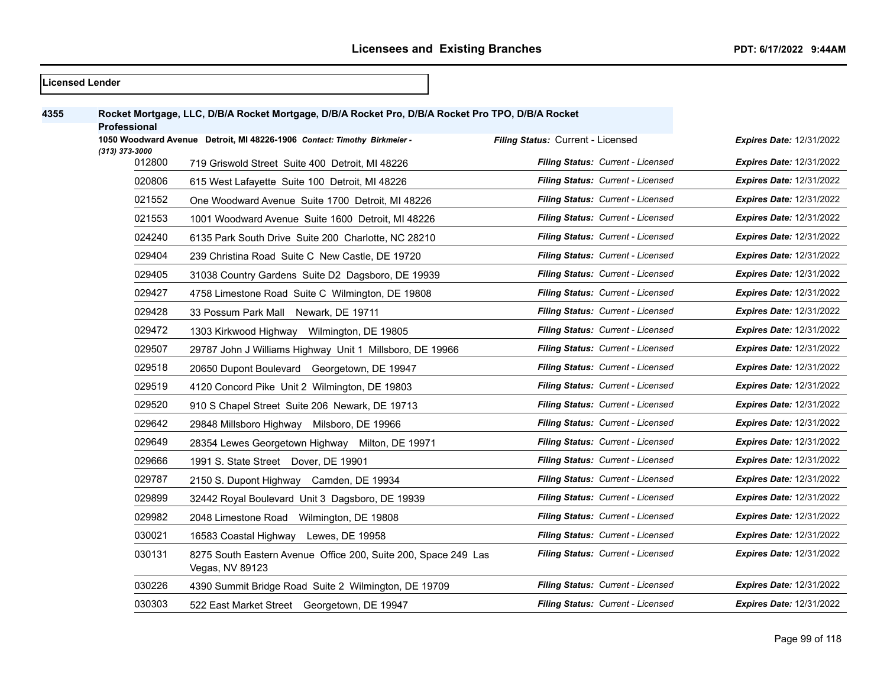|      | <b>Licensed Lender</b> |                                                                                                   |                                          |                                 |
|------|------------------------|---------------------------------------------------------------------------------------------------|------------------------------------------|---------------------------------|
| 4355 |                        | Rocket Mortgage, LLC, D/B/A Rocket Mortgage, D/B/A Rocket Pro, D/B/A Rocket Pro TPO, D/B/A Rocket |                                          |                                 |
|      | <b>Professional</b>    |                                                                                                   |                                          |                                 |
|      | (313) 373-3000         | 1050 Woodward Avenue Detroit, MI 48226-1906 Contact: Timothy Birkmeier -                          | Filing Status: Current - Licensed        | <b>Expires Date: 12/31/2022</b> |
|      | 012800                 | 719 Griswold Street Suite 400 Detroit, MI 48226                                                   | Filing Status: Current - Licensed        | <b>Expires Date: 12/31/2022</b> |
|      | 020806                 | 615 West Lafayette Suite 100 Detroit, MI 48226                                                    | Filing Status: Current - Licensed        | <b>Expires Date: 12/31/2022</b> |
|      | 021552                 | One Woodward Avenue Suite 1700 Detroit, MI 48226                                                  | Filing Status: Current - Licensed        | Expires Date: 12/31/2022        |
|      | 021553                 | 1001 Woodward Avenue Suite 1600 Detroit, MI 48226                                                 | Filing Status: Current - Licensed        | <b>Expires Date: 12/31/2022</b> |
|      | 024240                 | 6135 Park South Drive Suite 200 Charlotte, NC 28210                                               | <b>Filing Status: Current - Licensed</b> | <b>Expires Date: 12/31/2022</b> |
|      | 029404                 | 239 Christina Road Suite C New Castle, DE 19720                                                   | Filing Status: Current - Licensed        | <b>Expires Date: 12/31/2022</b> |
|      | 029405                 | 31038 Country Gardens Suite D2 Dagsboro, DE 19939                                                 | Filing Status: Current - Licensed        | <b>Expires Date: 12/31/2022</b> |
|      | 029427                 | 4758 Limestone Road Suite C Wilmington, DE 19808                                                  | Filing Status: Current - Licensed        | <b>Expires Date: 12/31/2022</b> |
|      | 029428                 | 33 Possum Park Mall Newark, DE 19711                                                              | Filing Status: Current - Licensed        | <b>Expires Date: 12/31/2022</b> |
|      | 029472                 | 1303 Kirkwood Highway Wilmington, DE 19805                                                        | Filing Status: Current - Licensed        | <b>Expires Date: 12/31/2022</b> |
|      | 029507                 | 29787 John J Williams Highway Unit 1 Millsboro, DE 19966                                          | Filing Status: Current - Licensed        | <b>Expires Date: 12/31/2022</b> |
|      | 029518                 | 20650 Dupont Boulevard Georgetown, DE 19947                                                       | Filing Status: Current - Licensed        | <b>Expires Date: 12/31/2022</b> |
|      | 029519                 | 4120 Concord Pike Unit 2 Wilmington, DE 19803                                                     | Filing Status: Current - Licensed        | <b>Expires Date: 12/31/2022</b> |
|      | 029520                 | 910 S Chapel Street Suite 206 Newark, DE 19713                                                    | Filing Status: Current - Licensed        | <b>Expires Date: 12/31/2022</b> |
|      | 029642                 | 29848 Millsboro Highway Milsboro, DE 19966                                                        | Filing Status: Current - Licensed        | <b>Expires Date: 12/31/2022</b> |
|      | 029649                 | 28354 Lewes Georgetown Highway Milton, DE 19971                                                   | Filing Status: Current - Licensed        | <b>Expires Date: 12/31/2022</b> |
|      | 029666                 | 1991 S. State Street Dover, DE 19901                                                              | Filing Status: Current - Licensed        | <b>Expires Date: 12/31/2022</b> |
|      | 029787                 | 2150 S. Dupont Highway Camden, DE 19934                                                           | Filing Status: Current - Licensed        | <b>Expires Date: 12/31/2022</b> |
|      | 029899                 | 32442 Royal Boulevard Unit 3 Dagsboro, DE 19939                                                   | Filing Status: Current - Licensed        | <b>Expires Date: 12/31/2022</b> |
|      | 029982                 | 2048 Limestone Road Wilmington, DE 19808                                                          | Filing Status: Current - Licensed        | <b>Expires Date: 12/31/2022</b> |
|      | 030021                 | 16583 Coastal Highway Lewes, DE 19958                                                             | Filing Status: Current - Licensed        | <b>Expires Date: 12/31/2022</b> |
|      | 030131                 | 8275 South Eastern Avenue Office 200, Suite 200, Space 249 Las<br>Vegas, NV 89123                 | <b>Filing Status: Current - Licensed</b> | <b>Expires Date: 12/31/2022</b> |
|      | 030226                 | 4390 Summit Bridge Road Suite 2 Wilmington, DE 19709                                              | <b>Filing Status: Current - Licensed</b> | Expires Date: 12/31/2022        |
|      | 030303                 | 522 East Market Street Georgetown, DE 19947                                                       | Filing Status: Current - Licensed        | <b>Expires Date: 12/31/2022</b> |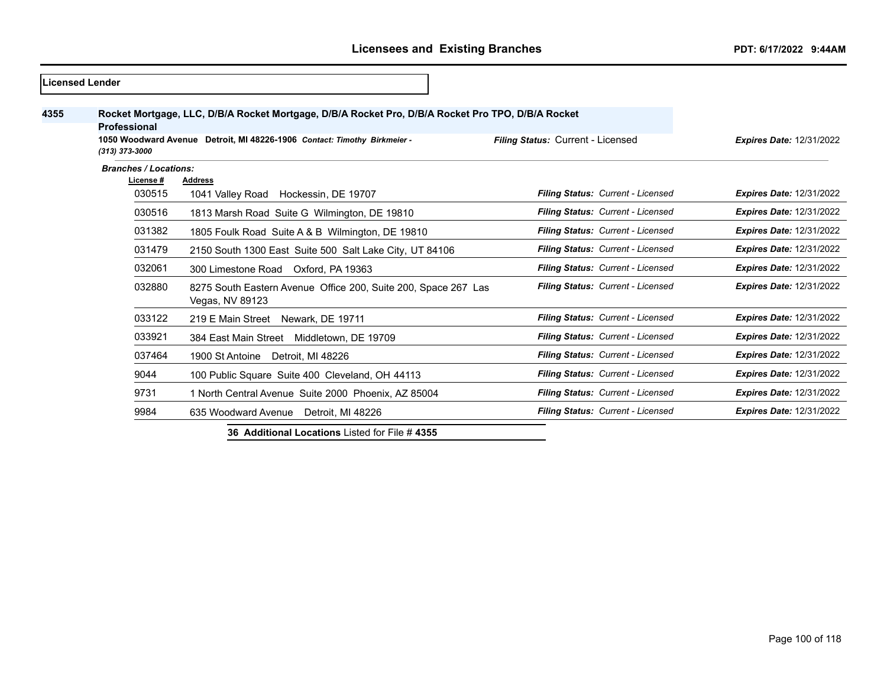|      | <b>ILicensed Lender</b>                   |                                                                                                                                                                               |                                   |                                 |
|------|-------------------------------------------|-------------------------------------------------------------------------------------------------------------------------------------------------------------------------------|-----------------------------------|---------------------------------|
| 4355 | Professional<br>(313) 373-3000            | Rocket Mortgage, LLC, D/B/A Rocket Mortgage, D/B/A Rocket Pro, D/B/A Rocket Pro TPO, D/B/A Rocket<br>1050 Woodward Avenue Detroit, MI 48226-1906 Contact: Timothy Birkmeier - | Filing Status: Current - Licensed | <b>Expires Date: 12/31/2022</b> |
|      | <b>Branches / Locations:</b><br>License # | <b>Address</b>                                                                                                                                                                |                                   |                                 |
|      | 030515                                    | 1041 Valley Road Hockessin, DE 19707                                                                                                                                          | Filing Status: Current - Licensed | <b>Expires Date: 12/31/2022</b> |
|      | 030516                                    | 1813 Marsh Road Suite G Wilmington, DE 19810                                                                                                                                  | Filing Status: Current - Licensed | <b>Expires Date: 12/31/2022</b> |
|      | 031382                                    | 1805 Foulk Road Suite A & B Wilmington, DE 19810                                                                                                                              | Filing Status: Current - Licensed | <b>Expires Date: 12/31/2022</b> |
|      | 031479                                    | 2150 South 1300 East Suite 500 Salt Lake City, UT 84106                                                                                                                       | Filing Status: Current - Licensed | <b>Expires Date: 12/31/2022</b> |
|      | 032061                                    | 300 Limestone Road Oxford, PA 19363                                                                                                                                           | Filing Status: Current - Licensed | <b>Expires Date: 12/31/2022</b> |
|      | 032880                                    | 8275 South Eastern Avenue Office 200, Suite 200, Space 267 Las<br>Vegas, NV 89123                                                                                             | Filing Status: Current - Licensed | <b>Expires Date: 12/31/2022</b> |
|      | 033122                                    | 219 E Main Street Newark, DE 19711                                                                                                                                            | Filing Status: Current - Licensed | <b>Expires Date: 12/31/2022</b> |
|      | 033921                                    | 384 East Main Street Middletown, DE 19709                                                                                                                                     | Filing Status: Current - Licensed | <b>Expires Date: 12/31/2022</b> |
|      | 037464                                    | 1900 St Antoine Detroit, MI 48226                                                                                                                                             | Filing Status: Current - Licensed | <b>Expires Date: 12/31/2022</b> |
|      | 9044                                      | 100 Public Square Suite 400 Cleveland, OH 44113                                                                                                                               | Filing Status: Current - Licensed | <b>Expires Date: 12/31/2022</b> |
|      | 9731                                      | 1 North Central Avenue Suite 2000 Phoenix, AZ 85004                                                                                                                           | Filing Status: Current - Licensed | <b>Expires Date: 12/31/2022</b> |
|      | 9984                                      | 635 Woodward Avenue<br>Detroit. MI 48226                                                                                                                                      | Filing Status: Current - Licensed | <b>Expires Date: 12/31/2022</b> |

**36 Additional Locations** Listed for File # **4355**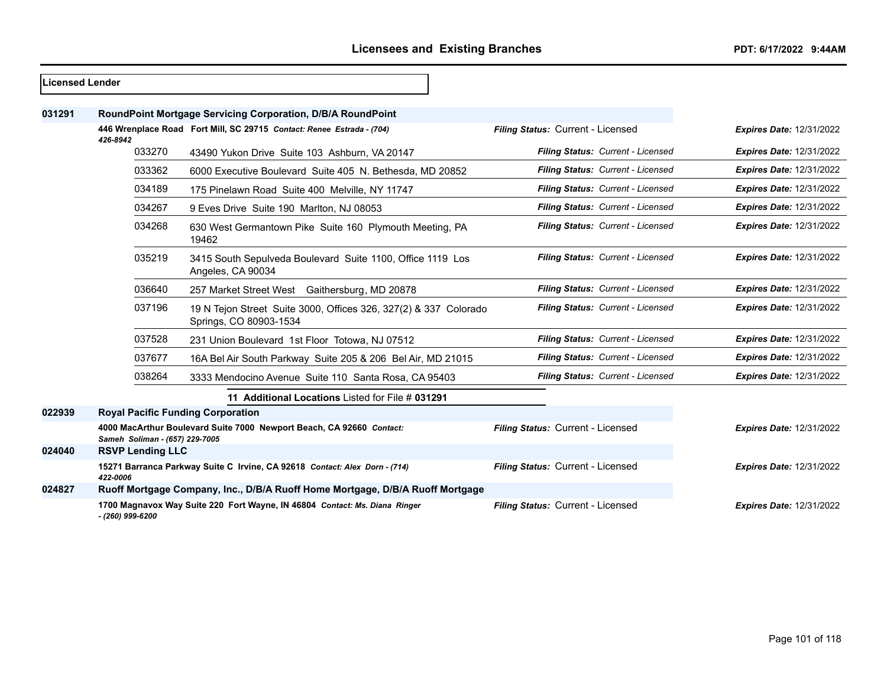| Licensed Lender |                                          |                                                                                            |                                   |                                 |
|-----------------|------------------------------------------|--------------------------------------------------------------------------------------------|-----------------------------------|---------------------------------|
| 031291          |                                          | RoundPoint Mortgage Servicing Corporation, D/B/A RoundPoint                                |                                   |                                 |
|                 | 426-8942                                 | 446 Wrenplace Road Fort Mill, SC 29715 Contact: Renee Estrada - (704)                      | Filing Status: Current - Licensed | <b>Expires Date: 12/31/2022</b> |
|                 | 033270                                   | 43490 Yukon Drive Suite 103 Ashburn, VA 20147                                              | Filing Status: Current - Licensed | <b>Expires Date: 12/31/2022</b> |
|                 | 033362                                   | 6000 Executive Boulevard Suite 405 N. Bethesda, MD 20852                                   | Filing Status: Current - Licensed | <b>Expires Date: 12/31/2022</b> |
|                 | 034189                                   | 175 Pinelawn Road Suite 400 Melville, NY 11747                                             | Filing Status: Current - Licensed | <b>Expires Date: 12/31/2022</b> |
|                 | 034267                                   | 9 Eves Drive Suite 190 Marlton, NJ 08053                                                   | Filing Status: Current - Licensed | <b>Expires Date: 12/31/2022</b> |
|                 | 034268                                   | 630 West Germantown Pike Suite 160 Plymouth Meeting, PA<br>19462                           | Filing Status: Current - Licensed | <b>Expires Date: 12/31/2022</b> |
|                 | 035219                                   | 3415 South Sepulveda Boulevard Suite 1100, Office 1119 Los<br>Angeles, CA 90034            | Filing Status: Current - Licensed | <b>Expires Date: 12/31/2022</b> |
|                 | 036640                                   | 257 Market Street West Gaithersburg, MD 20878                                              | Filing Status: Current - Licensed | <b>Expires Date: 12/31/2022</b> |
|                 | 037196                                   | 19 N Tejon Street Suite 3000, Offices 326, 327(2) & 337 Colorado<br>Springs, CO 80903-1534 | Filing Status: Current - Licensed | <b>Expires Date: 12/31/2022</b> |
|                 | 037528                                   | 231 Union Boulevard 1st Floor Totowa, NJ 07512                                             | Filing Status: Current - Licensed | <b>Expires Date: 12/31/2022</b> |
|                 | 037677                                   | 16A Bel Air South Parkway Suite 205 & 206 Bel Air, MD 21015                                | Filing Status: Current - Licensed | <b>Expires Date: 12/31/2022</b> |
|                 | 038264                                   | 3333 Mendocino Avenue Suite 110 Santa Rosa, CA 95403                                       | Filing Status: Current - Licensed | <b>Expires Date: 12/31/2022</b> |
|                 |                                          | 11 Additional Locations Listed for File # 031291                                           |                                   |                                 |
| 022939          | <b>Royal Pacific Funding Corporation</b> |                                                                                            |                                   |                                 |
|                 | Sameh Soliman - (657) 229-7005           | 4000 MacArthur Boulevard Suite 7000 Newport Beach, CA 92660 Contact:                       | Filing Status: Current - Licensed | <b>Expires Date: 12/31/2022</b> |
| 024040          | <b>RSVP Lending LLC</b>                  |                                                                                            |                                   |                                 |
|                 | 422-0006                                 | 15271 Barranca Parkway Suite C Irvine, CA 92618 Contact: Alex Dorn - (714)                 | Filing Status: Current - Licensed | <b>Expires Date: 12/31/2022</b> |
| 024827          |                                          | Ruoff Mortgage Company, Inc., D/B/A Ruoff Home Mortgage, D/B/A Ruoff Mortgage              |                                   |                                 |
|                 | - (260) 999-6200                         | 1700 Magnavox Way Suite 220 Fort Wayne, IN 46804 Contact: Ms. Diana Ringer                 | Filing Status: Current - Licensed | <b>Expires Date: 12/31/2022</b> |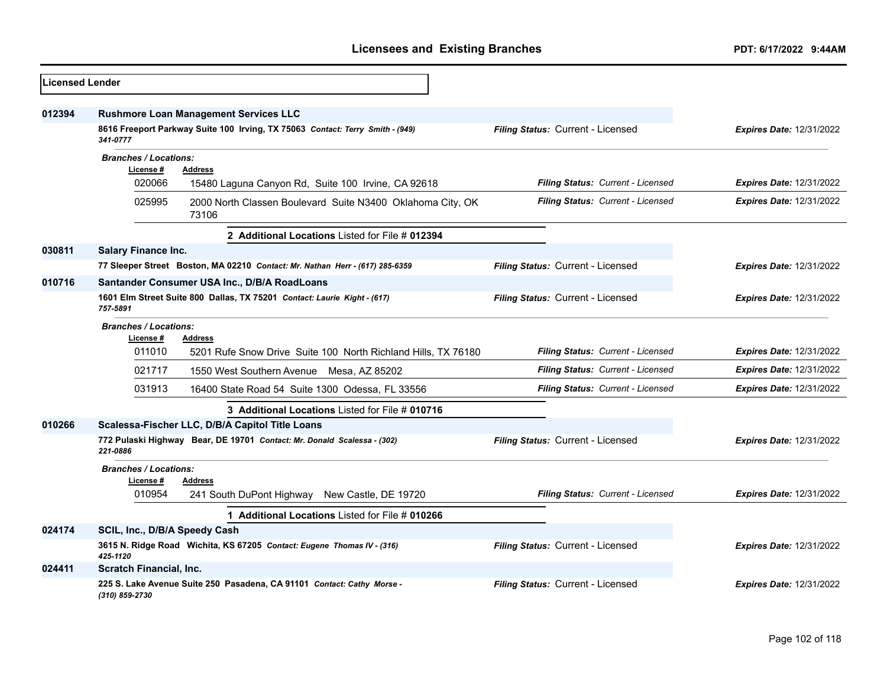| Licensed Lender |                                                                                           |                                   |                                 |
|-----------------|-------------------------------------------------------------------------------------------|-----------------------------------|---------------------------------|
| 012394          | <b>Rushmore Loan Management Services LLC</b>                                              |                                   |                                 |
|                 | 8616 Freeport Parkway Suite 100 Irving, TX 75063 Contact: Terry Smith - (949)<br>341-0777 | Filing Status: Current - Licensed | <b>Expires Date: 12/31/2022</b> |
|                 | <b>Branches / Locations:</b>                                                              |                                   |                                 |
|                 | License #<br><b>Address</b><br>020066                                                     | Filing Status: Current - Licensed | <b>Expires Date: 12/31/2022</b> |
|                 | 15480 Laguna Canyon Rd, Suite 100 Irvine, CA 92618                                        |                                   |                                 |
|                 | 025995<br>2000 North Classen Boulevard Suite N3400 Oklahoma City, OK<br>73106             | Filing Status: Current - Licensed | <b>Expires Date: 12/31/2022</b> |
|                 | 2 Additional Locations Listed for File # 012394                                           |                                   |                                 |
| 030811          | <b>Salary Finance Inc.</b>                                                                |                                   |                                 |
|                 | 77 Sleeper Street Boston, MA 02210 Contact: Mr. Nathan Herr - (617) 285-6359              | Filing Status: Current - Licensed | <b>Expires Date: 12/31/2022</b> |
| 010716          | Santander Consumer USA Inc., D/B/A RoadLoans                                              |                                   |                                 |
|                 | 1601 Elm Street Suite 800 Dallas, TX 75201 Contact: Laurie Kight - (617)<br>757-5891      | Filing Status: Current - Licensed | <b>Expires Date: 12/31/2022</b> |
|                 | <b>Branches / Locations:</b><br>License #<br><b>Address</b>                               |                                   |                                 |
|                 | 011010<br>5201 Rufe Snow Drive Suite 100 North Richland Hills, TX 76180                   | Filing Status: Current - Licensed | <b>Expires Date: 12/31/2022</b> |
|                 | 021717<br>1550 West Southern Avenue Mesa, AZ 85202                                        | Filing Status: Current - Licensed | Expires Date: 12/31/2022        |
|                 | 031913<br>16400 State Road 54 Suite 1300 Odessa, FL 33556                                 | Filing Status: Current - Licensed | <b>Expires Date: 12/31/2022</b> |
|                 | 3 Additional Locations Listed for File # 010716                                           |                                   |                                 |
| 010266          | Scalessa-Fischer LLC, D/B/A Capitol Title Loans                                           |                                   |                                 |
|                 | 772 Pulaski Highway Bear, DE 19701 Contact: Mr. Donald Scalessa - (302)<br>221-0886       | Filing Status: Current - Licensed | <b>Expires Date: 12/31/2022</b> |
|                 | <b>Branches / Locations:</b><br>License #<br><b>Address</b>                               |                                   |                                 |
|                 | 010954<br>241 South DuPont Highway<br>New Castle, DE 19720                                | Filing Status: Current - Licensed | <b>Expires Date: 12/31/2022</b> |
|                 | 1 Additional Locations Listed for File # 010266                                           |                                   |                                 |
| 024174          | SCIL, Inc., D/B/A Speedy Cash                                                             |                                   |                                 |
|                 | 3615 N. Ridge Road Wichita, KS 67205 Contact: Eugene Thomas IV - (316)<br>425-1120        | Filing Status: Current - Licensed | <b>Expires Date: 12/31/2022</b> |
| 024411          | Scratch Financial, Inc.                                                                   |                                   |                                 |
|                 | 225 S. Lake Avenue Suite 250 Pasadena, CA 91101 Contact: Cathy Morse -<br>(310) 859-2730  | Filing Status: Current - Licensed | <b>Expires Date: 12/31/2022</b> |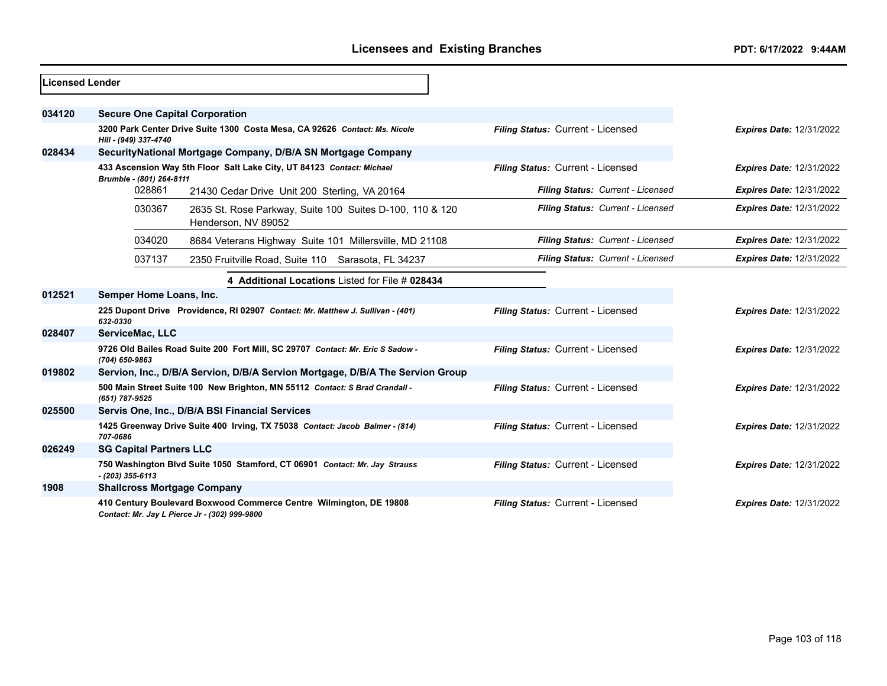| Licensed Lender |                                       |                                                                                                                     |                                   |                                 |
|-----------------|---------------------------------------|---------------------------------------------------------------------------------------------------------------------|-----------------------------------|---------------------------------|
| 034120          | <b>Secure One Capital Corporation</b> |                                                                                                                     |                                   |                                 |
|                 | Hill - (949) 337-4740                 | 3200 Park Center Drive Suite 1300 Costa Mesa, CA 92626 Contact: Ms. Nicole                                          | Filing Status: Current - Licensed | <b>Expires Date: 12/31/2022</b> |
| 028434          |                                       | SecurityNational Mortgage Company, D/B/A SN Mortgage Company                                                        |                                   |                                 |
|                 | Brumble - (801) 264-8111              | 433 Ascension Way 5th Floor Salt Lake City, UT 84123 Contact: Michael                                               | Filing Status: Current - Licensed | <b>Expires Date: 12/31/2022</b> |
|                 | 028861                                | 21430 Cedar Drive Unit 200 Sterling, VA 20164                                                                       | Filing Status: Current - Licensed | <b>Expires Date: 12/31/2022</b> |
|                 | 030367                                | 2635 St. Rose Parkway, Suite 100 Suites D-100, 110 & 120<br>Henderson, NV 89052                                     | Filing Status: Current - Licensed | <b>Expires Date: 12/31/2022</b> |
|                 | 034020                                | 8684 Veterans Highway Suite 101 Millersville, MD 21108                                                              | Filing Status: Current - Licensed | <b>Expires Date: 12/31/2022</b> |
|                 | 037137                                | 2350 Fruitville Road, Suite 110 Sarasota, FL 34237                                                                  | Filing Status: Current - Licensed | <b>Expires Date: 12/31/2022</b> |
|                 |                                       | 4 Additional Locations Listed for File # 028434                                                                     |                                   |                                 |
| 012521          | Semper Home Loans, Inc.               |                                                                                                                     |                                   |                                 |
|                 | 632-0330                              | 225 Dupont Drive Providence, RI 02907 Contact: Mr. Matthew J. Sullivan - (401)                                      | Filing Status: Current - Licensed | <b>Expires Date: 12/31/2022</b> |
| 028407          | ServiceMac, LLC                       |                                                                                                                     |                                   |                                 |
|                 | (704) 650-9863                        | 9726 Old Bailes Road Suite 200 Fort Mill, SC 29707 Contact: Mr. Eric S Sadow -                                      | Filing Status: Current - Licensed | <b>Expires Date: 12/31/2022</b> |
| 019802          |                                       | Servion, Inc., D/B/A Servion, D/B/A Servion Mortgage, D/B/A The Servion Group                                       |                                   |                                 |
|                 | (651) 787-9525                        | 500 Main Street Suite 100 New Brighton, MN 55112 Contact: S Brad Crandall -                                         | Filing Status: Current - Licensed | <b>Expires Date: 12/31/2022</b> |
| 025500          |                                       | Servis One, Inc., D/B/A BSI Financial Services                                                                      |                                   |                                 |
|                 | 707-0686                              | 1425 Greenway Drive Suite 400 Irving, TX 75038 Contact: Jacob Balmer - (814)                                        | Filing Status: Current - Licensed | <b>Expires Date: 12/31/2022</b> |
| 026249          | <b>SG Capital Partners LLC</b>        |                                                                                                                     |                                   |                                 |
|                 | $- (203)$ 355-6113                    | 750 Washington Blvd Suite 1050 Stamford, CT 06901 Contact: Mr. Jay Strauss                                          | Filing Status: Current - Licensed | <b>Expires Date: 12/31/2022</b> |
| 1908            | <b>Shallcross Mortgage Company</b>    |                                                                                                                     |                                   |                                 |
|                 |                                       | 410 Century Boulevard Boxwood Commerce Centre Wilmington, DE 19808<br>Contact: Mr. Jay L Pierce Jr - (302) 999-9800 | Filing Status: Current - Licensed | <b>Expires Date: 12/31/2022</b> |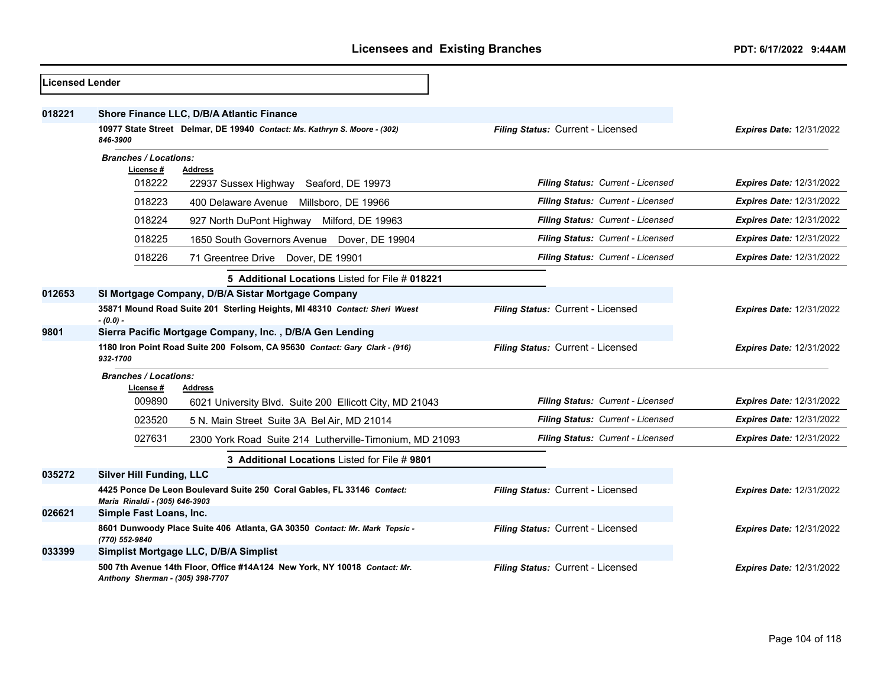| <b>Licensed Lender</b> |                                                                                                               |                                   |                                 |
|------------------------|---------------------------------------------------------------------------------------------------------------|-----------------------------------|---------------------------------|
| 018221                 | Shore Finance LLC, D/B/A Atlantic Finance                                                                     |                                   |                                 |
|                        | 10977 State Street Delmar, DE 19940 Contact: Ms. Kathryn S. Moore - (302)<br>846-3900                         | Filing Status: Current - Licensed | <b>Expires Date: 12/31/2022</b> |
|                        | <b>Branches / Locations:</b><br>License #<br><b>Address</b>                                                   |                                   |                                 |
|                        | 018222<br>22937 Sussex Highway<br>Seaford, DE 19973                                                           | Filing Status: Current - Licensed | <b>Expires Date: 12/31/2022</b> |
|                        | 018223<br>400 Delaware Avenue<br>Millsboro, DE 19966                                                          | Filing Status: Current - Licensed | <b>Expires Date: 12/31/2022</b> |
|                        | 018224<br>927 North DuPont Highway<br>Milford, DE 19963                                                       | Filing Status: Current - Licensed | <b>Expires Date: 12/31/2022</b> |
|                        | 018225<br>1650 South Governors Avenue Dover, DE 19904                                                         | Filing Status: Current - Licensed | <b>Expires Date: 12/31/2022</b> |
|                        | 018226<br>71 Greentree Drive Dover, DE 19901                                                                  | Filing Status: Current - Licensed | <b>Expires Date: 12/31/2022</b> |
|                        | 5 Additional Locations Listed for File # 018221                                                               |                                   |                                 |
| 012653                 | SI Mortgage Company, D/B/A Sistar Mortgage Company                                                            |                                   |                                 |
|                        | 35871 Mound Road Suite 201 Sterling Heights, MI 48310 Contact: Sheri Wuest<br>$-(0.0) -$                      | Filing Status: Current - Licensed | <b>Expires Date: 12/31/2022</b> |
| 9801                   | Sierra Pacific Mortgage Company, Inc., D/B/A Gen Lending                                                      |                                   |                                 |
|                        | 1180 Iron Point Road Suite 200 Folsom, CA 95630 Contact: Gary Clark - (916)<br>932-1700                       | Filing Status: Current - Licensed | Expires Date: 12/31/2022        |
|                        | <b>Branches / Locations:</b>                                                                                  |                                   |                                 |
|                        | License #<br><b>Address</b><br>009890<br>6021 University Blvd. Suite 200 Ellicott City, MD 21043              | Filing Status: Current - Licensed | <b>Expires Date: 12/31/2022</b> |
|                        | 023520<br>5 N. Main Street Suite 3A Bel Air, MD 21014                                                         | Filing Status: Current - Licensed | <b>Expires Date: 12/31/2022</b> |
|                        | 027631<br>2300 York Road Suite 214 Lutherville-Timonium, MD 21093                                             | Filing Status: Current - Licensed | <b>Expires Date: 12/31/2022</b> |
|                        | 3 Additional Locations Listed for File # 9801                                                                 |                                   |                                 |
| 035272                 | <b>Silver Hill Funding, LLC</b>                                                                               |                                   |                                 |
|                        | 4425 Ponce De Leon Boulevard Suite 250 Coral Gables, FL 33146 Contact:<br>Maria Rinaldi - (305) 646-3903      | Filing Status: Current - Licensed | <b>Expires Date: 12/31/2022</b> |
| 026621                 | Simple Fast Loans, Inc.                                                                                       |                                   |                                 |
|                        | 8601 Dunwoody Place Suite 406 Atlanta, GA 30350 Contact: Mr. Mark Tepsic -<br>(770) 552-9840                  | Filing Status: Current - Licensed | <b>Expires Date: 12/31/2022</b> |
| 033399                 | Simplist Mortgage LLC, D/B/A Simplist                                                                         |                                   |                                 |
|                        | 500 7th Avenue 14th Floor, Office #14A124 New York, NY 10018 Contact: Mr.<br>Anthony Sherman - (305) 398-7707 | Filing Status: Current - Licensed | <b>Expires Date: 12/31/2022</b> |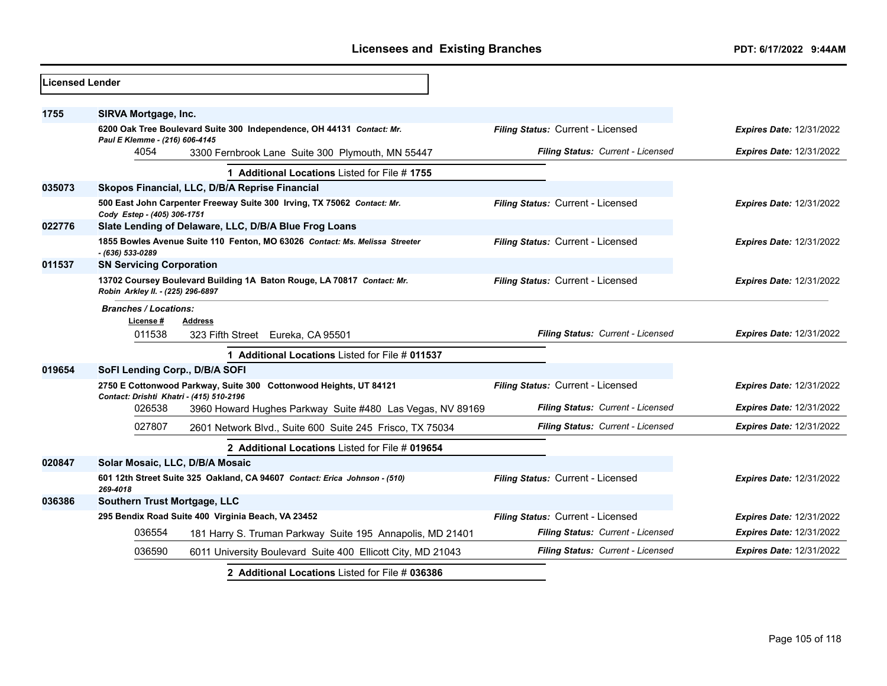| <b>ILicensed Lender</b> |                                           |                                                                             |                                   |                                 |
|-------------------------|-------------------------------------------|-----------------------------------------------------------------------------|-----------------------------------|---------------------------------|
| 1755                    | SIRVA Mortgage, Inc.                      |                                                                             |                                   |                                 |
|                         | Paul E Klemme - (216) 606-4145            | 6200 Oak Tree Boulevard Suite 300 Independence, OH 44131 Contact: Mr.       | Filing Status: Current - Licensed | <b>Expires Date: 12/31/2022</b> |
|                         | 4054                                      | 3300 Fernbrook Lane Suite 300 Plymouth, MN 55447                            | Filing Status: Current - Licensed | <b>Expires Date: 12/31/2022</b> |
|                         |                                           | 1 Additional Locations Listed for File #1755                                |                                   |                                 |
| 035073                  |                                           | Skopos Financial, LLC, D/B/A Reprise Financial                              |                                   |                                 |
|                         | Cody Estep - (405) 306-1751               | 500 East John Carpenter Freeway Suite 300 Irving, TX 75062 Contact: Mr.     | Filing Status: Current - Licensed | <b>Expires Date: 12/31/2022</b> |
| 022776                  |                                           | Slate Lending of Delaware, LLC, D/B/A Blue Frog Loans                       |                                   |                                 |
|                         | - (636) 533-0289                          | 1855 Bowles Avenue Suite 110 Fenton, MO 63026 Contact: Ms. Melissa Streeter | Filing Status: Current - Licensed | <b>Expires Date: 12/31/2022</b> |
| 011537                  | <b>SN Servicing Corporation</b>           |                                                                             |                                   |                                 |
|                         | Robin Arkley II. - (225) 296-6897         | 13702 Coursey Boulevard Building 1A Baton Rouge, LA 70817 Contact: Mr.      | Filing Status: Current - Licensed | <b>Expires Date: 12/31/2022</b> |
|                         | <b>Branches / Locations:</b><br>License # | <b>Address</b>                                                              |                                   |                                 |
|                         | 011538                                    | 323 Fifth Street Eureka, CA 95501                                           | Filing Status: Current - Licensed | <b>Expires Date: 12/31/2022</b> |
|                         |                                           | 1 Additional Locations Listed for File # 011537                             |                                   |                                 |
| 019654                  | SoFI Lending Corp., D/B/A SOFI            |                                                                             |                                   |                                 |
|                         | Contact: Drishti Khatri - (415) 510-2196  | 2750 E Cottonwood Parkway, Suite 300 Cottonwood Heights, UT 84121           | Filing Status: Current - Licensed | <b>Expires Date: 12/31/2022</b> |
|                         | 026538                                    | 3960 Howard Hughes Parkway Suite #480 Las Vegas, NV 89169                   | Filing Status: Current - Licensed | <b>Expires Date: 12/31/2022</b> |
|                         | 027807                                    | 2601 Network Blvd., Suite 600 Suite 245 Frisco, TX 75034                    | Filing Status: Current - Licensed | <b>Expires Date: 12/31/2022</b> |
|                         |                                           | 2 Additional Locations Listed for File # 019654                             |                                   |                                 |
| 020847                  | Solar Mosaic, LLC, D/B/A Mosaic           |                                                                             |                                   |                                 |
|                         | 269-4018                                  | 601 12th Street Suite 325 Oakland, CA 94607 Contact: Erica Johnson - (510)  | Filing Status: Current - Licensed | Expires Date: 12/31/2022        |
| 036386                  | Southern Trust Mortgage, LLC              |                                                                             |                                   |                                 |
|                         |                                           | 295 Bendix Road Suite 400 Virginia Beach, VA 23452                          | Filing Status: Current - Licensed | Expires Date: 12/31/2022        |
|                         | 036554                                    | 181 Harry S. Truman Parkway Suite 195 Annapolis, MD 21401                   | Filing Status: Current - Licensed | <b>Expires Date: 12/31/2022</b> |
|                         | 036590                                    | 6011 University Boulevard Suite 400 Ellicott City, MD 21043                 | Filing Status: Current - Licensed | <b>Expires Date: 12/31/2022</b> |
|                         |                                           | 2 Additional Locations Listed for File # 036386                             |                                   |                                 |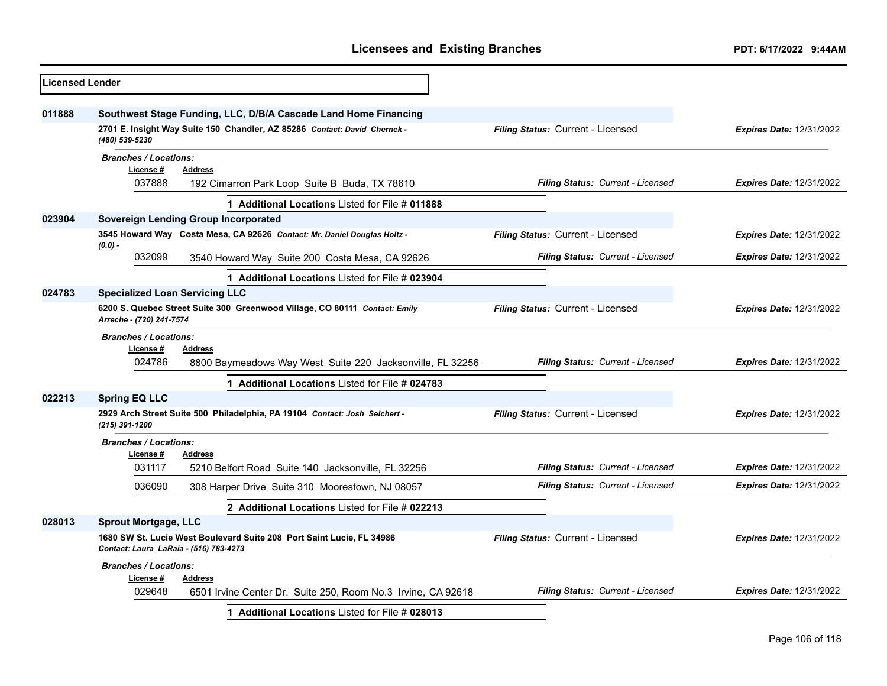| <b>Licensed Lender</b> |                                                                                                                                             |                                                                                                                                              |                                   |                                 |
|------------------------|---------------------------------------------------------------------------------------------------------------------------------------------|----------------------------------------------------------------------------------------------------------------------------------------------|-----------------------------------|---------------------------------|
| 011888                 | (480) 539-5230                                                                                                                              | Southwest Stage Funding, LLC, D/B/A Cascade Land Home Financing<br>2701 E. Insight Way Suite 150 Chandler, AZ 85286 Contact: David Chernek - | Filing Status: Current - Licensed | <b>Expires Date: 12/31/2022</b> |
|                        | <b>Branches / Locations:</b><br>License #<br>037888                                                                                         | <b>Address</b><br>192 Cimarron Park Loop Suite B Buda, TX 78610                                                                              | Filing Status: Current - Licensed | <b>Expires Date: 12/31/2022</b> |
|                        |                                                                                                                                             | 1 Additional Locations Listed for File # 011888                                                                                              |                                   |                                 |
| 023904                 |                                                                                                                                             | <b>Sovereign Lending Group Incorporated</b><br>3545 Howard Way Costa Mesa, CA 92626 Contact: Mr. Daniel Douglas Holtz -                      | Filing Status: Current - Licensed |                                 |
|                        | $(0.0) -$                                                                                                                                   |                                                                                                                                              |                                   | <b>Expires Date: 12/31/2022</b> |
|                        | 032099                                                                                                                                      | 3540 Howard Way Suite 200 Costa Mesa, CA 92626                                                                                               | Filing Status: Current - Licensed | Expires Date: 12/31/2022        |
|                        |                                                                                                                                             | 1 Additional Locations Listed for File # 023904                                                                                              |                                   |                                 |
| 024783                 | <b>Specialized Loan Servicing LLC</b>                                                                                                       |                                                                                                                                              |                                   |                                 |
|                        | 6200 S. Quebec Street Suite 300 Greenwood Village, CO 80111 Contact: Emily<br>Filing Status: Current - Licensed<br>Arreche - (720) 241-7574 |                                                                                                                                              | <b>Expires Date: 12/31/2022</b>   |                                 |
|                        | <b>Branches / Locations:</b><br>License #<br>024786                                                                                         | Address<br>8800 Baymeadows Way West Suite 220 Jacksonville, FL 32256                                                                         | Filing Status: Current - Licensed | Expires Date: 12/31/2022        |
|                        |                                                                                                                                             | 1 Additional Locations Listed for File # 024783                                                                                              |                                   |                                 |
| 022213                 | <b>Spring EQ LLC</b>                                                                                                                        |                                                                                                                                              |                                   |                                 |
|                        | (215) 391-1200                                                                                                                              | 2929 Arch Street Suite 500 Philadelphia, PA 19104 Contact: Josh Selchert -                                                                   | Filing Status: Current - Licensed | <b>Expires Date: 12/31/2022</b> |
|                        | <b>Branches / Locations:</b><br>License#                                                                                                    | <b>Address</b>                                                                                                                               |                                   |                                 |
|                        | 031117                                                                                                                                      | 5210 Belfort Road Suite 140 Jacksonville, FL 32256                                                                                           | Filing Status: Current - Licensed | <b>Expires Date: 12/31/2022</b> |
|                        | 036090                                                                                                                                      | 308 Harper Drive Suite 310 Moorestown, NJ 08057                                                                                              | Filing Status: Current - Licensed | <b>Expires Date: 12/31/2022</b> |
|                        |                                                                                                                                             | 2 Additional Locations Listed for File # 022213                                                                                              |                                   |                                 |
| 028013                 | <b>Sprout Mortgage, LLC</b>                                                                                                                 |                                                                                                                                              |                                   |                                 |
|                        | 1680 SW St. Lucie West Boulevard Suite 208 Port Saint Lucie, FL 34986<br>Contact: Laura LaRaia - (516) 783-4273                             |                                                                                                                                              | Filing Status: Current - Licensed | <b>Expires Date: 12/31/2022</b> |
|                        | <b>Branches / Locations:</b><br>License #<br>Address                                                                                        |                                                                                                                                              |                                   |                                 |
|                        | 029648                                                                                                                                      | 6501 Irvine Center Dr. Suite 250, Room No.3 Irvine, CA 92618                                                                                 | Filing Status: Current - Licensed | Expires Date: 12/31/2022        |
|                        |                                                                                                                                             | 1 Additional Locations Listed for File # 028013                                                                                              |                                   |                                 |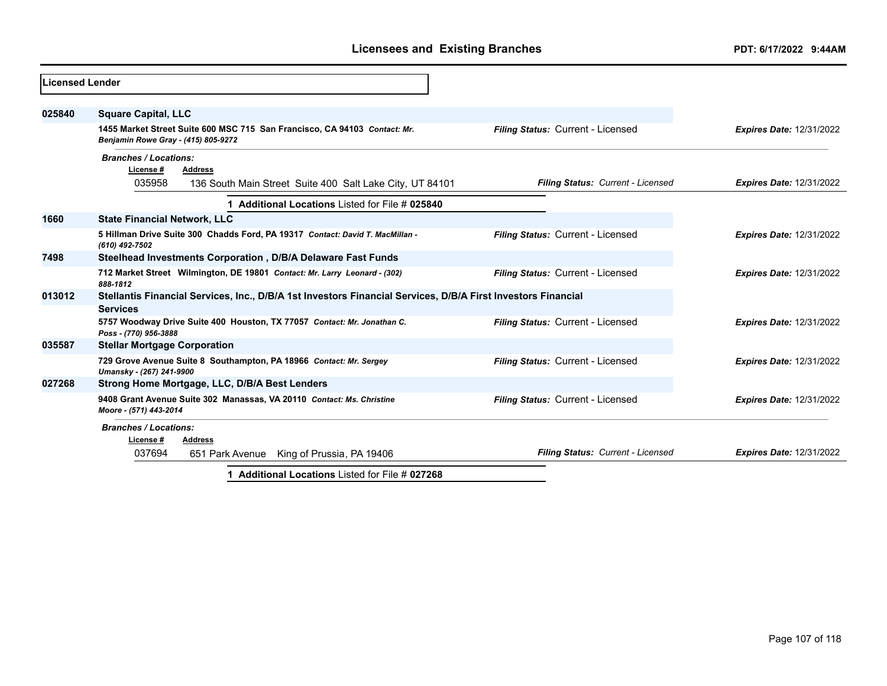| <b>Licensed Lender</b> |                                                                                                                                 |                                   |                                 |
|------------------------|---------------------------------------------------------------------------------------------------------------------------------|-----------------------------------|---------------------------------|
| 025840                 | <b>Square Capital, LLC</b>                                                                                                      |                                   |                                 |
|                        | 1455 Market Street Suite 600 MSC 715 San Francisco, CA 94103 Contact: Mr.<br>Benjamin Rowe Gray - (415) 805-9272                | Filing Status: Current - Licensed | <b>Expires Date: 12/31/2022</b> |
|                        | <b>Branches / Locations:</b>                                                                                                    |                                   |                                 |
|                        | License #<br><b>Address</b><br>035958<br>136 South Main Street Suite 400 Salt Lake City, UT 84101                               | Filing Status: Current - Licensed | <b>Expires Date: 12/31/2022</b> |
|                        | 1 Additional Locations Listed for File # 025840                                                                                 |                                   |                                 |
| 1660                   | <b>State Financial Network, LLC</b>                                                                                             |                                   |                                 |
|                        | 5 Hillman Drive Suite 300 Chadds Ford, PA 19317 Contact: David T. MacMillan -<br>(610) 492-7502                                 | Filing Status: Current - Licensed | <b>Expires Date: 12/31/2022</b> |
| 7498                   | Steelhead Investments Corporation, D/B/A Delaware Fast Funds                                                                    |                                   |                                 |
|                        | 712 Market Street Wilmington, DE 19801 Contact: Mr. Larry Leonard - (302)<br>888-1812                                           | Filing Status: Current - Licensed | <b>Expires Date: 12/31/2022</b> |
| 013012                 | Stellantis Financial Services, Inc., D/B/A 1st Investors Financial Services, D/B/A First Investors Financial<br><b>Services</b> |                                   |                                 |
|                        | 5757 Woodway Drive Suite 400 Houston, TX 77057 Contact: Mr. Jonathan C.<br>Poss - (770) 956-3888                                | Filing Status: Current - Licensed | <b>Expires Date: 12/31/2022</b> |
| 035587                 | <b>Stellar Mortgage Corporation</b>                                                                                             |                                   |                                 |
|                        | 729 Grove Avenue Suite 8 Southampton, PA 18966 Contact: Mr. Sergey<br>Umansky - (267) 241-9900                                  | Filing Status: Current - Licensed | <b>Expires Date: 12/31/2022</b> |
| 027268                 | Strong Home Mortgage, LLC, D/B/A Best Lenders                                                                                   |                                   |                                 |
|                        | 9408 Grant Avenue Suite 302 Manassas, VA 20110 Contact: Ms. Christine<br>Moore - (571) 443-2014                                 | Filing Status: Current - Licensed | <b>Expires Date: 12/31/2022</b> |
|                        | <b>Branches / Locations:</b><br>License #                                                                                       |                                   |                                 |
|                        | <b>Address</b><br>037694<br>King of Prussia, PA 19406<br>651 Park Avenue                                                        | Filing Status: Current - Licensed | <b>Expires Date: 12/31/2022</b> |
|                        | 1 Additional Locations Listed for File # 027268                                                                                 |                                   |                                 |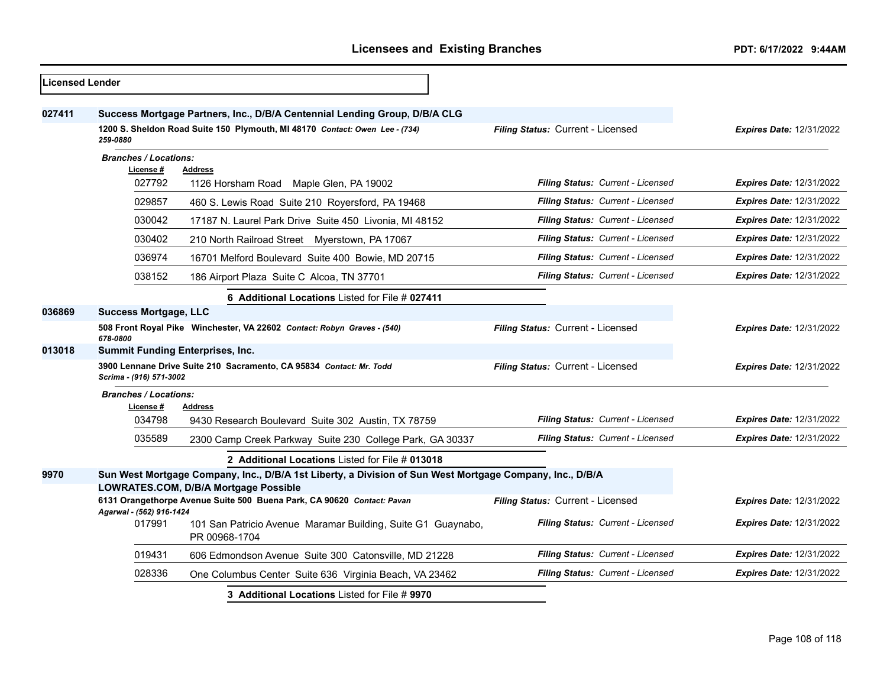| <b>Licensed Lender</b> |                                                                                                                                                   |                                                                               |                                   |                                 |
|------------------------|---------------------------------------------------------------------------------------------------------------------------------------------------|-------------------------------------------------------------------------------|-----------------------------------|---------------------------------|
| 027411                 | Success Mortgage Partners, Inc., D/B/A Centennial Lending Group, D/B/A CLG                                                                        |                                                                               |                                   |                                 |
|                        | 1200 S. Sheldon Road Suite 150 Plymouth, MI 48170 Contact: Owen Lee - (734)<br>259-0880                                                           |                                                                               | Filing Status: Current - Licensed | <b>Expires Date: 12/31/2022</b> |
|                        | <b>Branches / Locations:</b>                                                                                                                      |                                                                               |                                   |                                 |
|                        | License #<br>027792                                                                                                                               | <b>Address</b><br>1126 Horsham Road Maple Glen, PA 19002                      | Filing Status: Current - Licensed | <b>Expires Date: 12/31/2022</b> |
|                        | 029857                                                                                                                                            | 460 S. Lewis Road Suite 210 Royersford, PA 19468                              | Filing Status: Current - Licensed | <b>Expires Date: 12/31/2022</b> |
|                        | 030042                                                                                                                                            | 17187 N. Laurel Park Drive Suite 450 Livonia, MI 48152                        | Filing Status: Current - Licensed | <b>Expires Date: 12/31/2022</b> |
|                        | 030402                                                                                                                                            | 210 North Railroad Street Myerstown, PA 17067                                 | Filing Status: Current - Licensed | <b>Expires Date: 12/31/2022</b> |
|                        | 036974                                                                                                                                            | 16701 Melford Boulevard Suite 400 Bowie, MD 20715                             | Filing Status: Current - Licensed | <b>Expires Date: 12/31/2022</b> |
|                        | 038152                                                                                                                                            | 186 Airport Plaza Suite C Alcoa, TN 37701                                     | Filing Status: Current - Licensed | <b>Expires Date: 12/31/2022</b> |
|                        |                                                                                                                                                   | 6 Additional Locations Listed for File # 027411                               |                                   |                                 |
| 036869                 | <b>Success Mortgage, LLC</b>                                                                                                                      |                                                                               |                                   |                                 |
|                        | 678-0800                                                                                                                                          | 508 Front Royal Pike Winchester, VA 22602 Contact: Robyn Graves - (540)       | Filing Status: Current - Licensed | Expires Date: 12/31/2022        |
| 013018                 | <b>Summit Funding Enterprises, Inc.</b>                                                                                                           |                                                                               |                                   |                                 |
|                        | 3900 Lennane Drive Suite 210 Sacramento, CA 95834 Contact: Mr. Todd<br>Scrima - (916) 571-3002                                                    |                                                                               | Filing Status: Current - Licensed | <b>Expires Date: 12/31/2022</b> |
|                        | <b>Branches / Locations:</b><br>License #                                                                                                         | <b>Address</b>                                                                |                                   |                                 |
|                        | 034798                                                                                                                                            | 9430 Research Boulevard Suite 302 Austin, TX 78759                            | Filing Status: Current - Licensed | <b>Expires Date: 12/31/2022</b> |
|                        | 035589                                                                                                                                            | 2300 Camp Creek Parkway Suite 230 College Park, GA 30337                      | Filing Status: Current - Licensed | <b>Expires Date: 12/31/2022</b> |
|                        | 2 Additional Locations Listed for File # 013018                                                                                                   |                                                                               |                                   |                                 |
| 9970                   | Sun West Mortgage Company, Inc., D/B/A 1st Liberty, a Division of Sun West Mortgage Company, Inc., D/B/A<br>LOWRATES.COM, D/B/A Mortgage Possible |                                                                               |                                   |                                 |
|                        | 6131 Orangethorpe Avenue Suite 500 Buena Park, CA 90620 Contact: Pavan<br>Agarwal - (562) 916-1424                                                |                                                                               | Filing Status: Current - Licensed | <b>Expires Date: 12/31/2022</b> |
|                        | 017991                                                                                                                                            | 101 San Patricio Avenue Maramar Building, Suite G1 Guaynabo,<br>PR 00968-1704 | Filing Status: Current - Licensed | Expires Date: 12/31/2022        |
|                        | 019431                                                                                                                                            | 606 Edmondson Avenue Suite 300 Catonsville, MD 21228                          | Filing Status: Current - Licensed | <b>Expires Date: 12/31/2022</b> |
|                        | 028336                                                                                                                                            | One Columbus Center Suite 636 Virginia Beach, VA 23462                        | Filing Status: Current - Licensed | <b>Expires Date: 12/31/2022</b> |
|                        | 3 Additional Locations Listed for File # 9970                                                                                                     |                                                                               |                                   |                                 |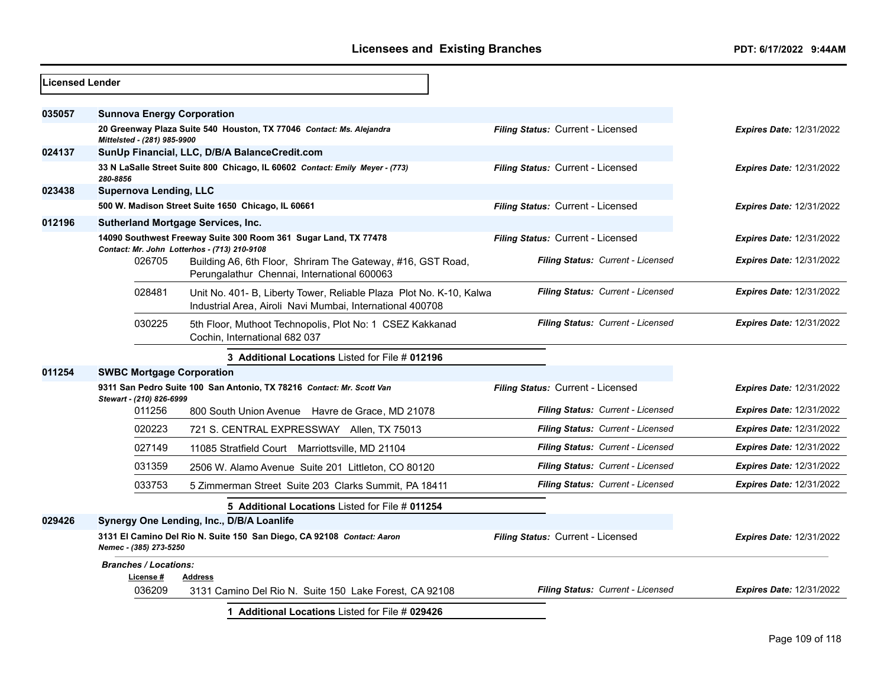| <b>Licensed Lender</b> |                                           |                                                                                                                                  |                                   |                                 |
|------------------------|-------------------------------------------|----------------------------------------------------------------------------------------------------------------------------------|-----------------------------------|---------------------------------|
| 035057                 | <b>Sunnova Energy Corporation</b>         |                                                                                                                                  |                                   |                                 |
|                        | Mittelsted - (281) 985-9900               | 20 Greenway Plaza Suite 540 Houston, TX 77046 Contact: Ms. Alejandra                                                             | Filing Status: Current - Licensed | <b>Expires Date: 12/31/2022</b> |
| 024137                 |                                           | SunUp Financial, LLC, D/B/A BalanceCredit.com                                                                                    |                                   |                                 |
|                        | 280-8856                                  | 33 N LaSalle Street Suite 800 Chicago, IL 60602 Contact: Emily Meyer - (773)                                                     | Filing Status: Current - Licensed | <b>Expires Date: 12/31/2022</b> |
| 023438                 | <b>Supernova Lending, LLC</b>             |                                                                                                                                  |                                   |                                 |
|                        |                                           | 500 W. Madison Street Suite 1650 Chicago, IL 60661                                                                               | Filing Status: Current - Licensed | <b>Expires Date: 12/31/2022</b> |
| 012196                 |                                           | <b>Sutherland Mortgage Services, Inc.</b>                                                                                        |                                   |                                 |
|                        |                                           | 14090 Southwest Freeway Suite 300 Room 361 Sugar Land, TX 77478<br>Contact: Mr. John Lotterhos - (713) 210-9108                  | Filing Status: Current - Licensed | <b>Expires Date: 12/31/2022</b> |
|                        | 026705                                    | Building A6, 6th Floor, Shriram The Gateway, #16, GST Road,<br>Perungalathur Chennai, International 600063                       | Filing Status: Current - Licensed | <b>Expires Date: 12/31/2022</b> |
|                        | 028481                                    | Unit No. 401- B, Liberty Tower, Reliable Plaza Plot No. K-10, Kalwa<br>Industrial Area, Airoli Navi Mumbai, International 400708 | Filing Status: Current - Licensed | <b>Expires Date: 12/31/2022</b> |
|                        | 030225                                    | 5th Floor, Muthoot Technopolis, Plot No: 1 CSEZ Kakkanad<br>Cochin. International 682 037                                        | Filing Status: Current - Licensed | <b>Expires Date: 12/31/2022</b> |
|                        |                                           | 3 Additional Locations Listed for File # 012196                                                                                  |                                   |                                 |
| 011254                 | <b>SWBC Mortgage Corporation</b>          |                                                                                                                                  |                                   |                                 |
|                        | Stewart - (210) 826-6999                  | 9311 San Pedro Suite 100 San Antonio, TX 78216 Contact: Mr. Scott Van                                                            | Filing Status: Current - Licensed | <b>Expires Date: 12/31/2022</b> |
|                        | 011256                                    | 800 South Union Avenue Havre de Grace, MD 21078                                                                                  | Filing Status: Current - Licensed | <b>Expires Date: 12/31/2022</b> |
|                        | 020223                                    | 721 S. CENTRAL EXPRESSWAY Allen, TX 75013                                                                                        | Filing Status: Current - Licensed | <b>Expires Date: 12/31/2022</b> |
|                        | 027149                                    | 11085 Stratfield Court Marriottsville, MD 21104                                                                                  | Filing Status: Current - Licensed | <b>Expires Date: 12/31/2022</b> |
|                        | 031359                                    | 2506 W. Alamo Avenue Suite 201 Littleton, CO 80120                                                                               | Filing Status: Current - Licensed | <b>Expires Date: 12/31/2022</b> |
|                        | 033753                                    | 5 Zimmerman Street Suite 203 Clarks Summit, PA 18411                                                                             | Filing Status: Current - Licensed | <b>Expires Date: 12/31/2022</b> |
|                        |                                           | 5 Additional Locations Listed for File # 011254                                                                                  |                                   |                                 |
| 029426                 |                                           | Synergy One Lending, Inc., D/B/A Loanlife                                                                                        |                                   |                                 |
|                        | Nemec - (385) 273-5250                    | 3131 El Camino Del Rio N. Suite 150 San Diego, CA 92108 Contact: Aaron                                                           | Filing Status: Current - Licensed | <b>Expires Date: 12/31/2022</b> |
|                        | <b>Branches / Locations:</b><br>License # | Address                                                                                                                          |                                   |                                 |
|                        | 036209                                    | 3131 Camino Del Rio N. Suite 150 Lake Forest, CA 92108                                                                           | Filing Status: Current - Licensed | <b>Expires Date: 12/31/2022</b> |
|                        |                                           | 1 Additional Locations Listed for File # 029426                                                                                  |                                   |                                 |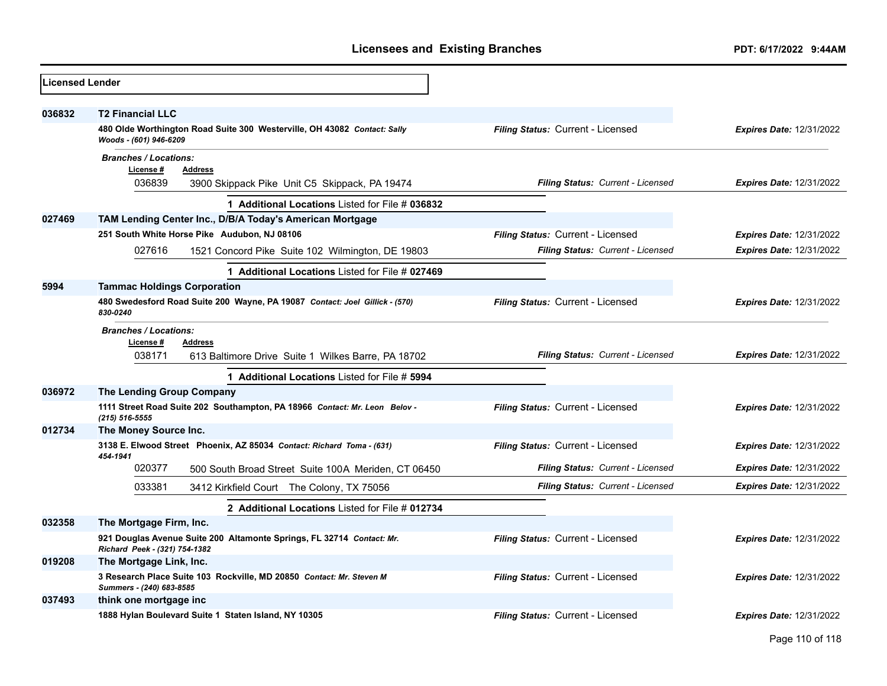| <b>Licensed Lender</b> |                                                                                                                               |                                   |                                 |
|------------------------|-------------------------------------------------------------------------------------------------------------------------------|-----------------------------------|---------------------------------|
| 036832                 | <b>T2 Financial LLC</b><br>480 Olde Worthington Road Suite 300 Westerville, OH 43082 Contact: Sally<br>Woods - (601) 946-6209 | Filing Status: Current - Licensed | <b>Expires Date: 12/31/2022</b> |
|                        | <b>Branches / Locations:</b><br>License #<br><b>Address</b><br>036839<br>3900 Skippack Pike Unit C5 Skippack, PA 19474        | Filing Status: Current - Licensed | <b>Expires Date: 12/31/2022</b> |
|                        | 1 Additional Locations Listed for File # 036832                                                                               |                                   |                                 |
| 027469                 | TAM Lending Center Inc., D/B/A Today's American Mortgage                                                                      |                                   |                                 |
|                        | 251 South White Horse Pike Audubon, NJ 08106                                                                                  | Filing Status: Current - Licensed | <b>Expires Date: 12/31/2022</b> |
|                        | 027616<br>1521 Concord Pike Suite 102 Wilmington, DE 19803                                                                    | Filing Status: Current - Licensed | <b>Expires Date: 12/31/2022</b> |
|                        | 1 Additional Locations Listed for File # 027469                                                                               |                                   |                                 |
| 5994                   | <b>Tammac Holdings Corporation</b>                                                                                            |                                   |                                 |
|                        | 480 Swedesford Road Suite 200 Wayne, PA 19087 Contact: Joel Gillick - (570)<br>830-0240                                       | Filing Status: Current - Licensed | <b>Expires Date: 12/31/2022</b> |
|                        | <b>Branches / Locations:</b><br>License #<br>Address<br>038171<br>613 Baltimore Drive Suite 1 Wilkes Barre, PA 18702          | Filing Status: Current - Licensed | <b>Expires Date: 12/31/2022</b> |
|                        | 1 Additional Locations Listed for File # 5994                                                                                 |                                   |                                 |
| 036972                 | The Lending Group Company                                                                                                     |                                   |                                 |
|                        | 1111 Street Road Suite 202 Southampton, PA 18966 Contact: Mr. Leon Belov -<br>$(215) 516 - 5555$                              | Filing Status: Current - Licensed | <b>Expires Date: 12/31/2022</b> |
| 012734                 | The Money Source Inc.                                                                                                         |                                   |                                 |
|                        | 3138 E. Elwood Street Phoenix, AZ 85034 Contact: Richard Toma - (631)<br>454-1941                                             | Filing Status: Current - Licensed | <b>Expires Date: 12/31/2022</b> |
|                        | 020377<br>500 South Broad Street Suite 100A Meriden, CT 06450                                                                 | Filing Status: Current - Licensed | <b>Expires Date: 12/31/2022</b> |
|                        | 033381<br>3412 Kirkfield Court The Colony, TX 75056                                                                           | Filing Status: Current - Licensed | <b>Expires Date: 12/31/2022</b> |
|                        | 2 Additional Locations Listed for File # 012734                                                                               |                                   |                                 |
| 032358                 | The Mortgage Firm, Inc.                                                                                                       |                                   |                                 |
|                        | 921 Douglas Avenue Suite 200 Altamonte Springs, FL 32714 Contact: Mr.<br>Richard Peek - (321) 754-1382                        | Filing Status: Current - Licensed | Expires Date: 12/31/2022        |
| 019208                 | The Mortgage Link, Inc.                                                                                                       |                                   |                                 |
|                        | 3 Research Place Suite 103 Rockville, MD 20850 Contact: Mr. Steven M<br>Summers - (240) 683-8585                              | Filing Status: Current - Licensed | <b>Expires Date: 12/31/2022</b> |
| 037493                 | think one mortgage inc                                                                                                        |                                   |                                 |
|                        | 1888 Hylan Boulevard Suite 1 Staten Island, NY 10305                                                                          | Filing Status: Current - Licensed | <b>Expires Date: 12/31/2022</b> |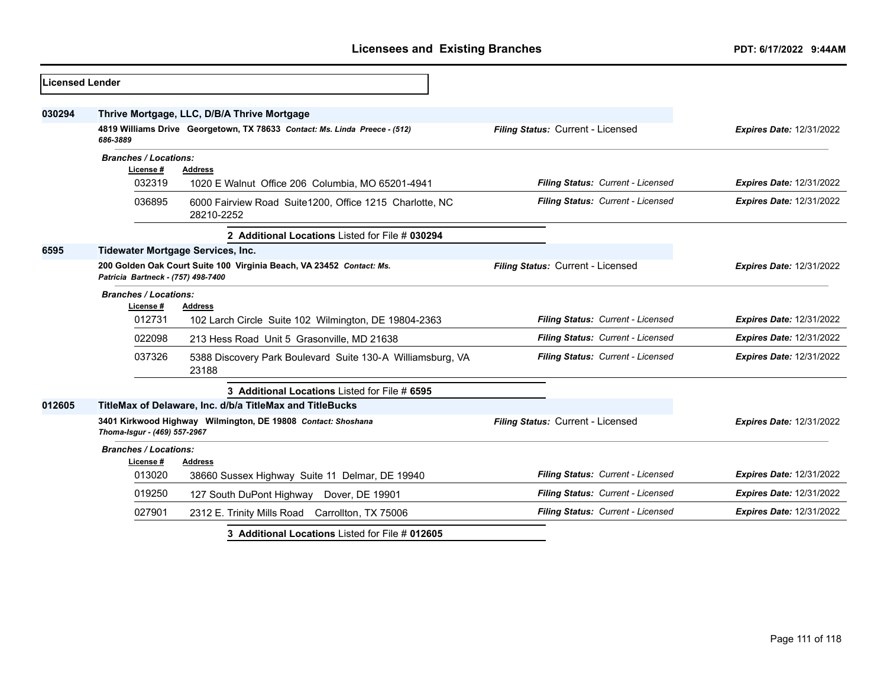| <b>Licensed Lender</b> |                                                                                                            |                                                                            |                                   |                                 |
|------------------------|------------------------------------------------------------------------------------------------------------|----------------------------------------------------------------------------|-----------------------------------|---------------------------------|
| 030294                 |                                                                                                            | Thrive Mortgage, LLC, D/B/A Thrive Mortgage                                |                                   |                                 |
|                        | 686-3889                                                                                                   | 4819 Williams Drive Georgetown, TX 78633 Contact: Ms. Linda Preece - (512) | Filing Status: Current - Licensed | <b>Expires Date: 12/31/2022</b> |
|                        | <b>Branches / Locations:</b><br>License #                                                                  | <b>Address</b>                                                             |                                   |                                 |
|                        | 032319                                                                                                     | 1020 E Walnut Office 206 Columbia, MO 65201-4941                           | Filing Status: Current - Licensed | <b>Expires Date: 12/31/2022</b> |
|                        | 036895                                                                                                     | 6000 Fairview Road Suite1200, Office 1215 Charlotte, NC<br>28210-2252      | Filing Status: Current - Licensed | <b>Expires Date: 12/31/2022</b> |
|                        |                                                                                                            | 2 Additional Locations Listed for File # 030294                            |                                   |                                 |
| 6595                   |                                                                                                            | <b>Tidewater Mortgage Services, Inc.</b>                                   |                                   |                                 |
|                        | 200 Golden Oak Court Suite 100 Virginia Beach, VA 23452 Contact: Ms.<br>Patricia Bartneck - (757) 498-7400 |                                                                            | Filing Status: Current - Licensed | <b>Expires Date: 12/31/2022</b> |
|                        | <b>Branches / Locations:</b><br>License #                                                                  | <b>Address</b>                                                             |                                   |                                 |
|                        | 012731                                                                                                     | 102 Larch Circle Suite 102 Wilmington, DE 19804-2363                       | Filing Status: Current - Licensed | <b>Expires Date: 12/31/2022</b> |
|                        | 022098                                                                                                     | 213 Hess Road Unit 5 Grasonville, MD 21638                                 | Filing Status: Current - Licensed | <b>Expires Date: 12/31/2022</b> |
|                        | 037326                                                                                                     | 5388 Discovery Park Boulevard Suite 130-A Williamsburg, VA<br>23188        | Filing Status: Current - Licensed | <b>Expires Date: 12/31/2022</b> |
|                        |                                                                                                            | 3 Additional Locations Listed for File # 6595                              |                                   |                                 |
| 012605                 |                                                                                                            | TitleMax of Delaware, Inc. d/b/a TitleMax and TitleBucks                   |                                   |                                 |
|                        | 3401 Kirkwood Highway Wilmington, DE 19808 Contact: Shoshana<br>Thoma-Isgur - (469) 557-2967               |                                                                            | Filing Status: Current - Licensed | <b>Expires Date: 12/31/2022</b> |
|                        | <b>Branches / Locations:</b><br>License#                                                                   | <b>Address</b>                                                             |                                   |                                 |
|                        | 013020                                                                                                     | 38660 Sussex Highway Suite 11 Delmar, DE 19940                             | Filing Status: Current - Licensed | <b>Expires Date: 12/31/2022</b> |
|                        | 019250                                                                                                     | 127 South DuPont Highway Dover, DE 19901                                   | Filing Status: Current - Licensed | Expires Date: 12/31/2022        |
|                        | 027901                                                                                                     | 2312 E. Trinity Mills Road Carrollton, TX 75006                            | Filing Status: Current - Licensed | Expires Date: 12/31/2022        |
|                        |                                                                                                            | 3 Additional Locations Listed for File # 012605                            |                                   |                                 |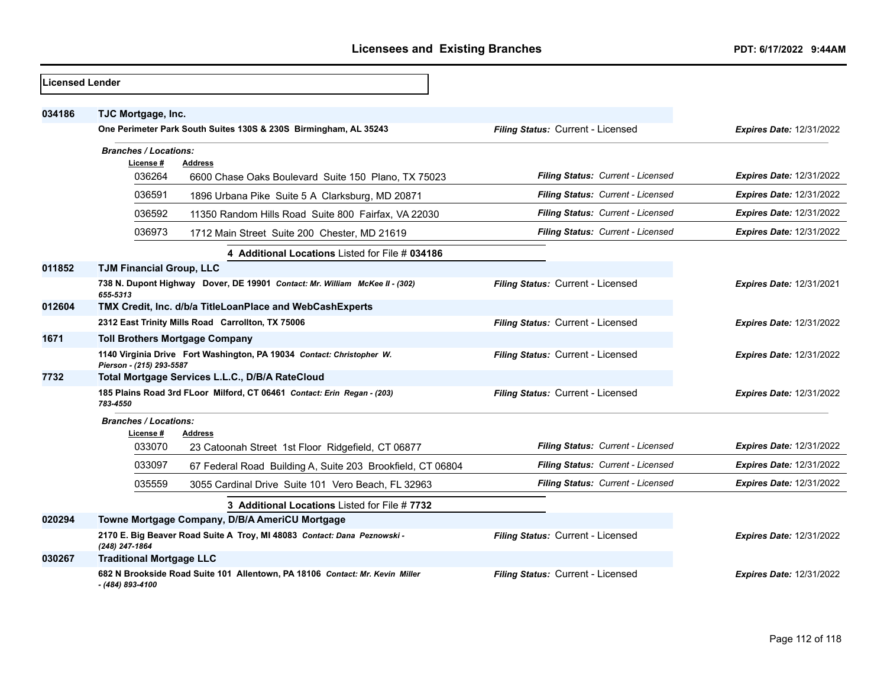| <b>Licensed Lender</b> |                                                                                                   |                                          |                                 |
|------------------------|---------------------------------------------------------------------------------------------------|------------------------------------------|---------------------------------|
| 034186                 | TJC Mortgage, Inc.                                                                                |                                          |                                 |
|                        | One Perimeter Park South Suites 130S & 230S Birmingham, AL 35243                                  | Filing Status: Current - Licensed        | <b>Expires Date: 12/31/2022</b> |
|                        | <b>Branches / Locations:</b>                                                                      |                                          |                                 |
|                        | License #<br><b>Address</b><br>036264<br>6600 Chase Oaks Boulevard Suite 150 Plano, TX 75023      | Filing Status: Current - Licensed        | <b>Expires Date: 12/31/2022</b> |
|                        | 036591<br>1896 Urbana Pike Suite 5 A Clarksburg, MD 20871                                         | Filing Status: Current - Licensed        | <b>Expires Date: 12/31/2022</b> |
|                        | 036592<br>11350 Random Hills Road Suite 800 Fairfax, VA 22030                                     | Filing Status: Current - Licensed        | <b>Expires Date: 12/31/2022</b> |
|                        | 036973<br>1712 Main Street Suite 200 Chester, MD 21619                                            | Filing Status: Current - Licensed        | <b>Expires Date: 12/31/2022</b> |
|                        | 4 Additional Locations Listed for File # 034186                                                   |                                          |                                 |
| 011852                 | <b>TJM Financial Group, LLC</b>                                                                   |                                          |                                 |
|                        | 738 N. Dupont Highway Dover, DE 19901 Contact: Mr. William McKee II - (302)<br>655-5313           | Filing Status: Current - Licensed        | <b>Expires Date: 12/31/2021</b> |
| 012604                 | TMX Credit, Inc. d/b/a TitleLoanPlace and WebCashExperts                                          |                                          |                                 |
|                        | 2312 East Trinity Mills Road Carrollton, TX 75006                                                 | Filing Status: Current - Licensed        | <b>Expires Date: 12/31/2022</b> |
| 1671                   | <b>Toll Brothers Mortgage Company</b>                                                             |                                          |                                 |
|                        | 1140 Virginia Drive Fort Washington, PA 19034 Contact: Christopher W.<br>Pierson - (215) 293-5587 | Filing Status: Current - Licensed        | <b>Expires Date: 12/31/2022</b> |
| 7732                   | Total Mortgage Services L.L.C., D/B/A RateCloud                                                   |                                          |                                 |
|                        | 185 Plains Road 3rd FLoor Milford, CT 06461 Contact: Erin Regan - (203)<br>783-4550               | Filing Status: Current - Licensed        | Expires Date: 12/31/2022        |
|                        | <b>Branches / Locations:</b>                                                                      |                                          |                                 |
|                        | License#<br><b>Address</b><br>033070<br>23 Catoonah Street 1st Floor Ridgefield, CT 06877         | <b>Filing Status: Current - Licensed</b> | <b>Expires Date: 12/31/2022</b> |
|                        | 033097<br>67 Federal Road Building A, Suite 203 Brookfield, CT 06804                              | Filing Status: Current - Licensed        | <b>Expires Date: 12/31/2022</b> |
|                        | 035559<br>3055 Cardinal Drive Suite 101 Vero Beach, FL 32963                                      | Filing Status: Current - Licensed        | <b>Expires Date: 12/31/2022</b> |
|                        | 3 Additional Locations Listed for File # 7732                                                     |                                          |                                 |
| 020294                 | Towne Mortgage Company, D/B/A AmeriCU Mortgage                                                    |                                          |                                 |
|                        | 2170 E. Big Beaver Road Suite A Troy, MI 48083 Contact: Dana Peznowski -<br>(248) 247-1864        | Filing Status: Current - Licensed        | Expires Date: 12/31/2022        |
| 030267                 | <b>Traditional Mortgage LLC</b>                                                                   |                                          |                                 |
|                        | 682 N Brookside Road Suite 101 Allentown, PA 18106 Contact: Mr. Kevin Miller<br>- (484) 893-4100  | Filing Status: Current - Licensed        | <b>Expires Date: 12/31/2022</b> |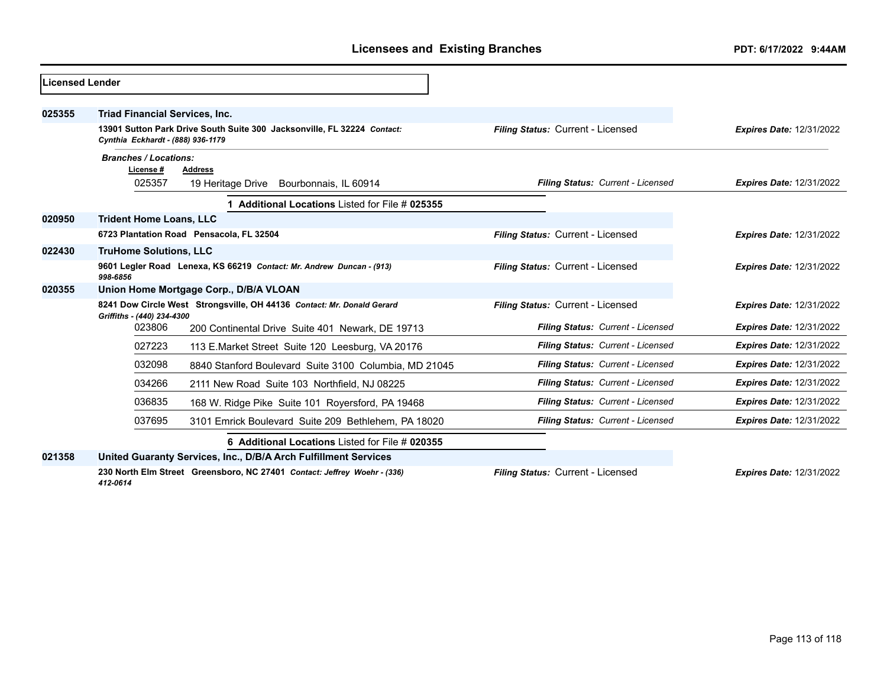| Licensed Lender |                                       |                                                                          |                                   |                                 |
|-----------------|---------------------------------------|--------------------------------------------------------------------------|-----------------------------------|---------------------------------|
| 025355          | <b>Triad Financial Services, Inc.</b> |                                                                          |                                   |                                 |
|                 | Cynthia Eckhardt - (888) 936-1179     | 13901 Sutton Park Drive South Suite 300 Jacksonville, FL 32224 Contact:  | Filing Status: Current - Licensed | <b>Expires Date: 12/31/2022</b> |
|                 | <b>Branches / Locations:</b>          |                                                                          |                                   |                                 |
|                 | License #                             | <b>Address</b>                                                           |                                   |                                 |
|                 | 025357                                | 19 Heritage Drive Bourbonnais, IL 60914                                  | Filing Status: Current - Licensed | <b>Expires Date: 12/31/2022</b> |
|                 |                                       | Additional Locations Listed for File # 025355                            |                                   |                                 |
| 020950          | <b>Trident Home Loans, LLC</b>        |                                                                          |                                   |                                 |
|                 |                                       | 6723 Plantation Road Pensacola, FL 32504                                 | Filing Status: Current - Licensed | <b>Expires Date: 12/31/2022</b> |
| 022430          | <b>TruHome Solutions, LLC</b>         |                                                                          |                                   |                                 |
|                 | 998-6856                              | 9601 Legler Road Lenexa, KS 66219 Contact: Mr. Andrew Duncan - (913)     | Filing Status: Current - Licensed | <b>Expires Date: 12/31/2022</b> |
| 020355          |                                       | Union Home Mortgage Corp., D/B/A VLOAN                                   |                                   |                                 |
|                 | Griffiths - (440) 234-4300            | 8241 Dow Circle West Strongsville, OH 44136 Contact: Mr. Donald Gerard   | Filing Status: Current - Licensed | <b>Expires Date: 12/31/2022</b> |
|                 | 023806                                | 200 Continental Drive Suite 401 Newark, DE 19713                         | Filing Status: Current - Licensed | <b>Expires Date: 12/31/2022</b> |
|                 | 027223                                | 113 E.Market Street Suite 120 Leesburg, VA 20176                         | Filing Status: Current - Licensed | <b>Expires Date: 12/31/2022</b> |
|                 | 032098                                | 8840 Stanford Boulevard Suite 3100 Columbia, MD 21045                    | Filing Status: Current - Licensed | <b>Expires Date: 12/31/2022</b> |
|                 | 034266                                | 2111 New Road Suite 103 Northfield, NJ 08225                             | Filing Status: Current - Licensed | <b>Expires Date: 12/31/2022</b> |
|                 | 036835                                | 168 W. Ridge Pike Suite 101 Royersford, PA 19468                         | Filing Status: Current - Licensed | <b>Expires Date: 12/31/2022</b> |
|                 | 037695                                | 3101 Emrick Boulevard Suite 209 Bethlehem, PA 18020                      | Filing Status: Current - Licensed | <b>Expires Date: 12/31/2022</b> |
|                 |                                       | 6 Additional Locations Listed for File # 020355                          |                                   |                                 |
| 021358          |                                       | United Guaranty Services, Inc., D/B/A Arch Fulfillment Services          |                                   |                                 |
|                 | 412-0614                              | 230 North Elm Street Greensboro, NC 27401 Contact: Jeffrey Woehr - (336) | Filing Status: Current - Licensed | <b>Expires Date: 12/31/2022</b> |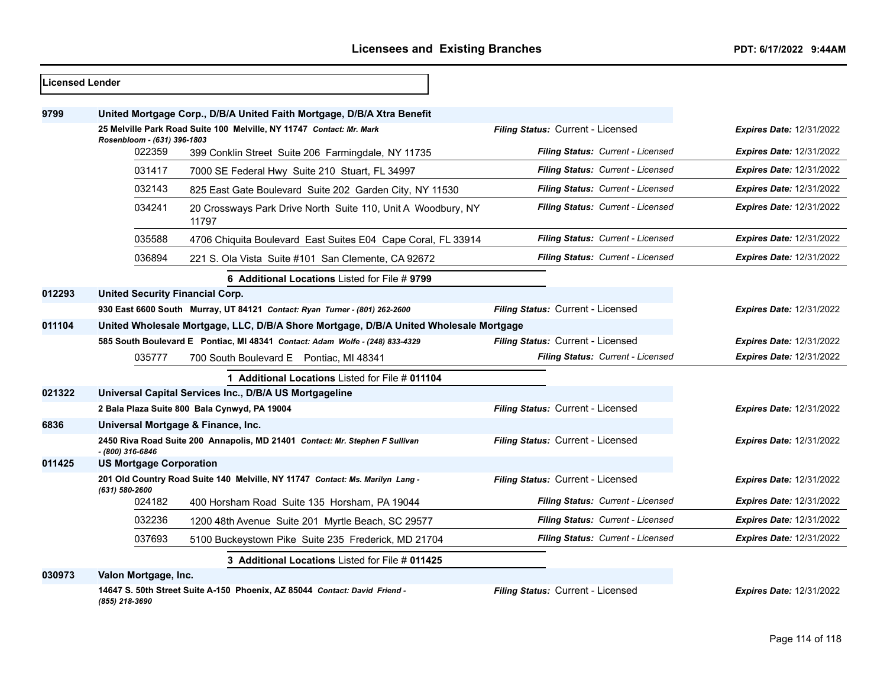| <b>Licensed Lender</b> |                                        |                                                                                       |                                   |                                 |
|------------------------|----------------------------------------|---------------------------------------------------------------------------------------|-----------------------------------|---------------------------------|
| 9799                   |                                        | United Mortgage Corp., D/B/A United Faith Mortgage, D/B/A Xtra Benefit                |                                   |                                 |
|                        | Rosenbloom - (631) 396-1803            | 25 Melville Park Road Suite 100 Melville, NY 11747 Contact: Mr. Mark                  | Filing Status: Current - Licensed | Expires Date: 12/31/2022        |
|                        | 022359                                 | 399 Conklin Street Suite 206 Farmingdale, NY 11735                                    | Filing Status: Current - Licensed | <b>Expires Date: 12/31/2022</b> |
|                        | 031417                                 | 7000 SE Federal Hwy Suite 210 Stuart, FL 34997                                        | Filing Status: Current - Licensed | Expires Date: 12/31/2022        |
|                        | 032143                                 | 825 East Gate Boulevard Suite 202 Garden City, NY 11530                               | Filing Status: Current - Licensed | <b>Expires Date: 12/31/2022</b> |
|                        | 034241                                 | 20 Crossways Park Drive North Suite 110, Unit A Woodbury, NY<br>11797                 | Filing Status: Current - Licensed | <b>Expires Date: 12/31/2022</b> |
|                        | 035588                                 | 4706 Chiquita Boulevard East Suites E04 Cape Coral, FL 33914                          | Filing Status: Current - Licensed | <b>Expires Date: 12/31/2022</b> |
|                        | 036894                                 | 221 S. Ola Vista Suite #101 San Clemente, CA 92672                                    | Filing Status: Current - Licensed | <b>Expires Date: 12/31/2022</b> |
|                        |                                        | 6 Additional Locations Listed for File # 9799                                         |                                   |                                 |
| 012293                 | <b>United Security Financial Corp.</b> |                                                                                       |                                   |                                 |
|                        |                                        | 930 East 6600 South Murray, UT 84121 Contact: Ryan Turner - (801) 262-2600            | Filing Status: Current - Licensed | <b>Expires Date: 12/31/2022</b> |
| 011104                 |                                        | United Wholesale Mortgage, LLC, D/B/A Shore Mortgage, D/B/A United Wholesale Mortgage |                                   |                                 |
|                        |                                        | 585 South Boulevard E Pontiac, MI 48341 Contact: Adam Wolfe - (248) 833-4329          | Filing Status: Current - Licensed | <b>Expires Date: 12/31/2022</b> |
|                        | 035777                                 | 700 South Boulevard E Pontiac, MI 48341                                               | Filing Status: Current - Licensed | <b>Expires Date: 12/31/2022</b> |
|                        |                                        | 1 Additional Locations Listed for File # 011104                                       |                                   |                                 |
| 021322                 |                                        | Universal Capital Services Inc., D/B/A US Mortgageline                                |                                   |                                 |
|                        |                                        | 2 Bala Plaza Suite 800 Bala Cynwyd, PA 19004                                          | Filing Status: Current - Licensed | <b>Expires Date: 12/31/2022</b> |
| 6836                   |                                        | Universal Mortgage & Finance, Inc.                                                    |                                   |                                 |
|                        | - (800) 316-6846                       | 2450 Riva Road Suite 200 Annapolis, MD 21401 Contact: Mr. Stephen F Sullivan          | Filing Status: Current - Licensed | <b>Expires Date: 12/31/2022</b> |
| 011425                 | <b>US Mortgage Corporation</b>         |                                                                                       |                                   |                                 |
|                        | (631) 580-2600                         | 201 Old Country Road Suite 140 Melville, NY 11747 Contact: Ms. Marilyn Lang -         | Filing Status: Current - Licensed | <b>Expires Date: 12/31/2022</b> |
|                        | 024182                                 | 400 Horsham Road Suite 135 Horsham, PA 19044                                          | Filing Status: Current - Licensed | <b>Expires Date: 12/31/2022</b> |
|                        | 032236                                 | 1200 48th Avenue Suite 201 Myrtle Beach, SC 29577                                     | Filing Status: Current - Licensed | <b>Expires Date: 12/31/2022</b> |
|                        | 037693                                 | 5100 Buckeystown Pike Suite 235 Frederick, MD 21704                                   | Filing Status: Current - Licensed | <b>Expires Date: 12/31/2022</b> |
|                        |                                        | 3 Additional Locations Listed for File # 011425                                       |                                   |                                 |
| 030973                 | Valon Mortgage, Inc.                   |                                                                                       |                                   |                                 |
|                        | (855) 218-3690                         | 14647 S. 50th Street Suite A-150 Phoenix, AZ 85044 Contact: David Friend -            | Filing Status: Current - Licensed | <b>Expires Date: 12/31/2022</b> |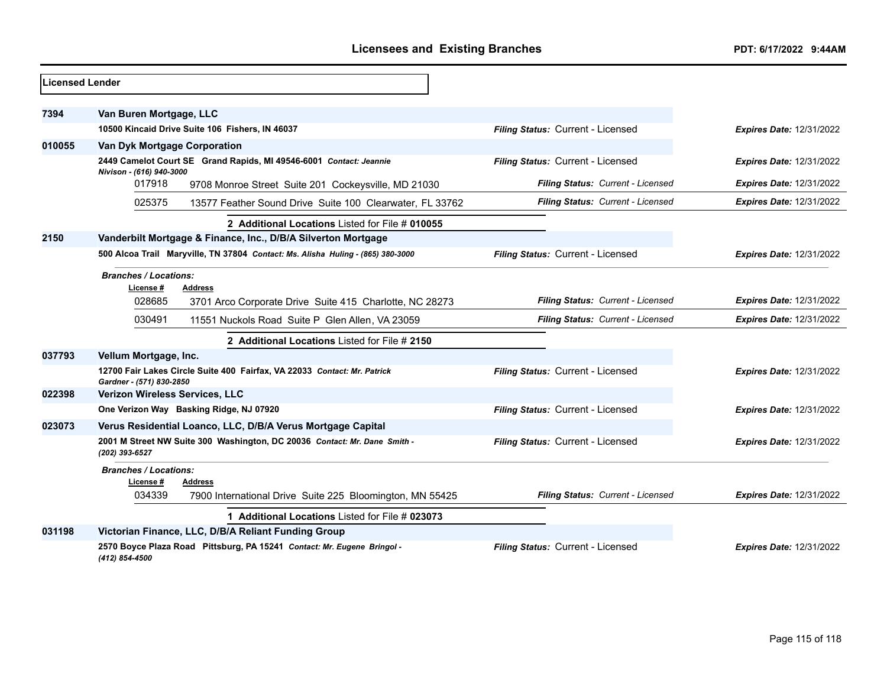| <b>Licensed Lender</b> |                                                                                                      |                                   |                                 |
|------------------------|------------------------------------------------------------------------------------------------------|-----------------------------------|---------------------------------|
| 7394                   | Van Buren Mortgage, LLC                                                                              |                                   |                                 |
|                        | 10500 Kincaid Drive Suite 106 Fishers, IN 46037                                                      | Filing Status: Current - Licensed | <b>Expires Date: 12/31/2022</b> |
| 010055                 | Van Dyk Mortgage Corporation                                                                         |                                   |                                 |
|                        | 2449 Camelot Court SE Grand Rapids, MI 49546-6001 Contact: Jeannie<br>Nivison - (616) 940-3000       | Filing Status: Current - Licensed | <b>Expires Date: 12/31/2022</b> |
|                        | 017918<br>9708 Monroe Street Suite 201 Cockeysville, MD 21030                                        | Filing Status: Current - Licensed | <b>Expires Date: 12/31/2022</b> |
|                        | 025375<br>13577 Feather Sound Drive Suite 100 Clearwater, FL 33762                                   | Filing Status: Current - Licensed | <b>Expires Date: 12/31/2022</b> |
|                        | 2 Additional Locations Listed for File # 010055                                                      |                                   |                                 |
| 2150                   | Vanderbilt Mortgage & Finance, Inc., D/B/A Silverton Mortgage                                        |                                   |                                 |
|                        | 500 Alcoa Trail Maryville, TN 37804 Contact: Ms. Alisha Huling - (865) 380-3000                      | Filing Status: Current - Licensed | <b>Expires Date: 12/31/2022</b> |
|                        | <b>Branches / Locations:</b><br>License #<br>Address                                                 |                                   |                                 |
|                        | 028685<br>3701 Arco Corporate Drive Suite 415 Charlotte, NC 28273                                    | Filing Status: Current - Licensed | <b>Expires Date: 12/31/2022</b> |
|                        | 030491<br>11551 Nuckols Road Suite P Glen Allen, VA 23059                                            | Filing Status: Current - Licensed | <b>Expires Date: 12/31/2022</b> |
|                        | 2 Additional Locations Listed for File # 2150                                                        |                                   |                                 |
| 037793                 | Vellum Mortgage, Inc.                                                                                |                                   |                                 |
|                        | 12700 Fair Lakes Circle Suite 400 Fairfax, VA 22033 Contact: Mr. Patrick<br>Gardner - (571) 830-2850 | Filing Status: Current - Licensed | <b>Expires Date: 12/31/2022</b> |
| 022398                 | Verizon Wireless Services, LLC                                                                       |                                   |                                 |
|                        | One Verizon Way Basking Ridge, NJ 07920                                                              | Filing Status: Current - Licensed | <b>Expires Date: 12/31/2022</b> |
| 023073                 | Verus Residential Loanco, LLC, D/B/A Verus Mortgage Capital                                          |                                   |                                 |
|                        | 2001 M Street NW Suite 300 Washington, DC 20036 Contact: Mr. Dane Smith -<br>(202) 393-6527          | Filing Status: Current - Licensed | <b>Expires Date: 12/31/2022</b> |
|                        | <b>Branches / Locations:</b><br>License#<br>Address                                                  |                                   |                                 |
|                        | 034339<br>7900 International Drive Suite 225 Bloomington, MN 55425                                   | Filing Status: Current - Licensed | <b>Expires Date: 12/31/2022</b> |
|                        | 1 Additional Locations Listed for File # 023073                                                      |                                   |                                 |
| 031198                 | Victorian Finance, LLC, D/B/A Reliant Funding Group                                                  |                                   |                                 |
|                        | 2570 Boyce Plaza Road Pittsburg, PA 15241 Contact: Mr. Eugene Bringol -<br>(412) 854-4500            | Filing Status: Current - Licensed | Expires Date: 12/31/2022        |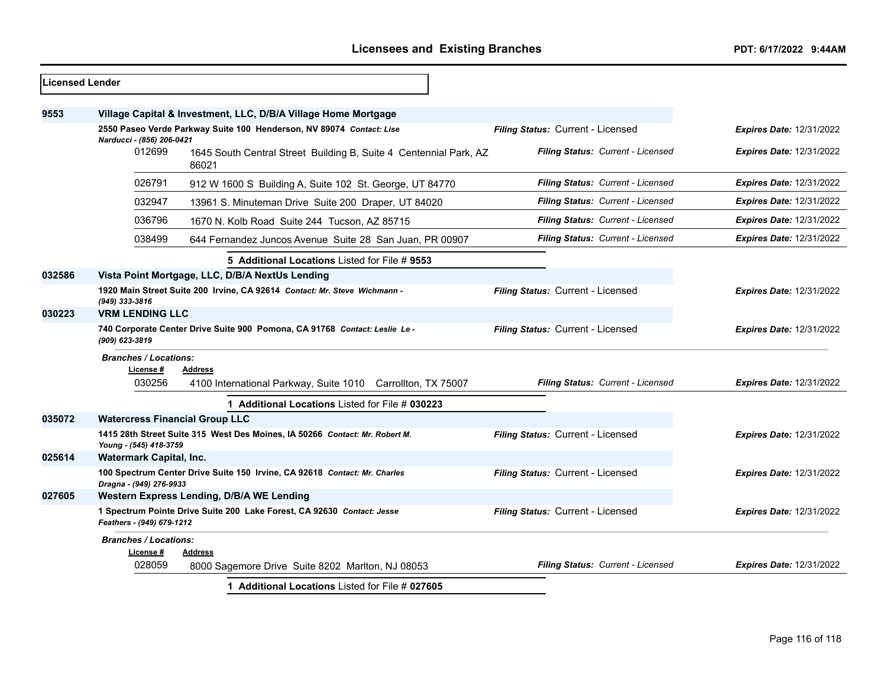| <b>Licensed Lender</b> |                                                                                                                                        |                                                                               |                                          |                                 |
|------------------------|----------------------------------------------------------------------------------------------------------------------------------------|-------------------------------------------------------------------------------|------------------------------------------|---------------------------------|
| 9553                   |                                                                                                                                        | Village Capital & Investment, LLC, D/B/A Village Home Mortgage                |                                          |                                 |
|                        | 2550 Paseo Verde Parkway Suite 100 Henderson, NV 89074 Contact: Lise<br>Filing Status: Current - Licensed<br>Narducci - (856) 206-0421 |                                                                               | <b>Expires Date: 12/31/2022</b>          |                                 |
|                        | 012699                                                                                                                                 | 1645 South Central Street Building B, Suite 4 Centennial Park, AZ<br>86021    | Filing Status: Current - Licensed        | <b>Expires Date: 12/31/2022</b> |
|                        | 026791                                                                                                                                 | 912 W 1600 S Building A, Suite 102 St. George, UT 84770                       | Filing Status: Current - Licensed        | <b>Expires Date: 12/31/2022</b> |
|                        | 032947                                                                                                                                 | 13961 S. Minuteman Drive Suite 200 Draper, UT 84020                           | Filing Status: Current - Licensed        | <b>Expires Date: 12/31/2022</b> |
|                        | 036796                                                                                                                                 | 1670 N. Kolb Road Suite 244 Tucson, AZ 85715                                  | Filing Status: Current - Licensed        | Expires Date: 12/31/2022        |
|                        | 038499                                                                                                                                 | 644 Fernandez Juncos Avenue Suite 28 San Juan, PR 00907                       | <b>Filing Status: Current - Licensed</b> | <b>Expires Date: 12/31/2022</b> |
|                        |                                                                                                                                        | 5 Additional Locations Listed for File # 9553                                 |                                          |                                 |
| 032586                 |                                                                                                                                        | Vista Point Mortgage, LLC, D/B/A NextUs Lending                               |                                          |                                 |
|                        | (949) 333-3816                                                                                                                         | 1920 Main Street Suite 200 Irvine, CA 92614 Contact: Mr. Steve Wichmann -     | Filing Status: Current - Licensed        | <b>Expires Date: 12/31/2022</b> |
| 030223                 | <b>VRM LENDING LLC</b>                                                                                                                 |                                                                               |                                          |                                 |
|                        | (909) 623-3819                                                                                                                         | 740 Corporate Center Drive Suite 900 Pomona, CA 91768 Contact: Leslie Le-     | Filing Status: Current - Licensed        | <b>Expires Date: 12/31/2022</b> |
|                        | <b>Branches / Locations:</b><br>License #<br>030256                                                                                    | <b>Address</b><br>4100 International Parkway, Suite 1010 Carrollton, TX 75007 | Filing Status: Current - Licensed        | <b>Expires Date: 12/31/2022</b> |
|                        |                                                                                                                                        | 1 Additional Locations Listed for File # 030223                               |                                          |                                 |
| 035072                 | <b>Watercress Financial Group LLC</b>                                                                                                  |                                                                               |                                          |                                 |
|                        | Young - (545) 418-3759                                                                                                                 | 1415 28th Street Suite 315 West Des Moines, IA 50266 Contact: Mr. Robert M.   | Filing Status: Current - Licensed        | Expires Date: 12/31/2022        |
| 025614                 | <b>Watermark Capital, Inc.</b>                                                                                                         |                                                                               |                                          |                                 |
|                        | Dragna - (949) 276-9933                                                                                                                | 100 Spectrum Center Drive Suite 150 Irvine, CA 92618 Contact: Mr. Charles     | Filing Status: Current - Licensed        | <b>Expires Date: 12/31/2022</b> |
| 027605                 |                                                                                                                                        | Western Express Lending, D/B/A WE Lending                                     |                                          |                                 |
|                        | Feathers - (949) 679-1212                                                                                                              | 1 Spectrum Pointe Drive Suite 200 Lake Forest, CA 92630 Contact: Jesse        | Filing Status: Current - Licensed        | <b>Expires Date: 12/31/2022</b> |
|                        | <b>Branches / Locations:</b>                                                                                                           |                                                                               |                                          |                                 |
|                        | License #<br>028059                                                                                                                    | Address<br>8000 Sagemore Drive Suite 8202 Marlton, NJ 08053                   | Filing Status: Current - Licensed        | <b>Expires Date: 12/31/2022</b> |
|                        |                                                                                                                                        | 1 Additional Locations Listed for File # 027605                               |                                          |                                 |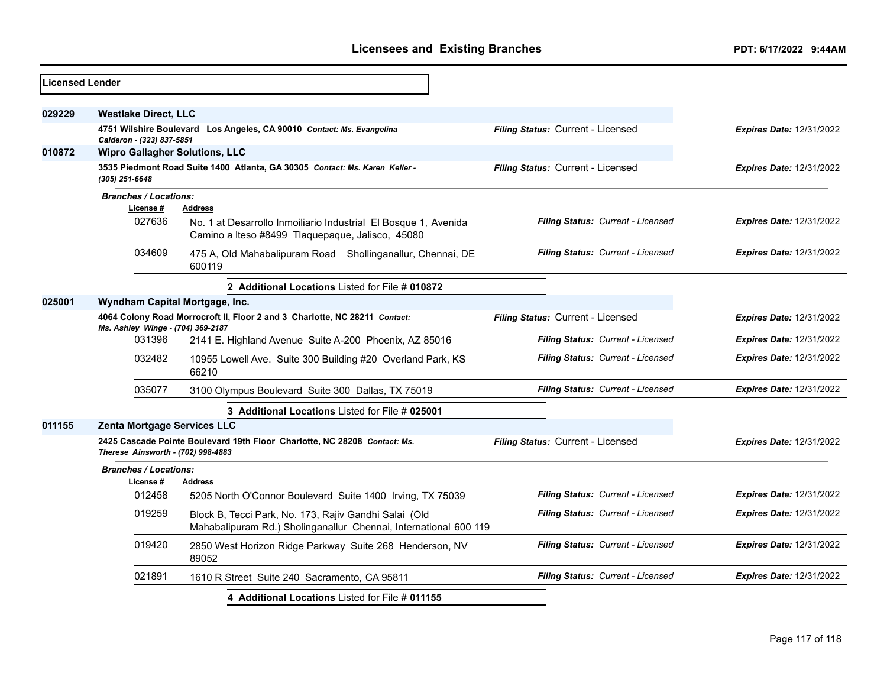| <b>Licensed Lender</b> |                                           |                                                                                                                           |                                   |                                 |
|------------------------|-------------------------------------------|---------------------------------------------------------------------------------------------------------------------------|-----------------------------------|---------------------------------|
| 029229                 | <b>Westlake Direct, LLC</b>               |                                                                                                                           |                                   |                                 |
|                        | Calderon - (323) 837-5851                 | 4751 Wilshire Boulevard Los Angeles, CA 90010 Contact: Ms. Evangelina                                                     | Filing Status: Current - Licensed | <b>Expires Date: 12/31/2022</b> |
| 010872                 | <b>Wipro Gallagher Solutions, LLC</b>     |                                                                                                                           |                                   |                                 |
|                        | (305) 251-6648                            | 3535 Piedmont Road Suite 1400 Atlanta, GA 30305 Contact: Ms. Karen Keller -                                               | Filing Status: Current - Licensed | <b>Expires Date: 12/31/2022</b> |
|                        | <b>Branches / Locations:</b><br>License # | <b>Address</b>                                                                                                            |                                   |                                 |
|                        | 027636                                    | No. 1 at Desarrollo Inmoiliario Industrial El Bosque 1, Avenida<br>Camino a Iteso #8499 Tlaquepaque, Jalisco, 45080       | Filing Status: Current - Licensed | <b>Expires Date: 12/31/2022</b> |
|                        | 034609                                    | 475 A, Old Mahabalipuram Road Shollinganallur, Chennai, DE<br>600119                                                      | Filing Status: Current - Licensed | <b>Expires Date: 12/31/2022</b> |
|                        |                                           | 2 Additional Locations Listed for File # 010872                                                                           |                                   |                                 |
| 025001                 | Wyndham Capital Mortgage, Inc.            |                                                                                                                           |                                   |                                 |
|                        | Ms. Ashley Winge - (704) 369-2187         | 4064 Colony Road Morrocroft II, Floor 2 and 3 Charlotte, NC 28211 Contact:                                                | Filing Status: Current - Licensed | <b>Expires Date: 12/31/2022</b> |
|                        | 031396                                    | 2141 E. Highland Avenue Suite A-200 Phoenix, AZ 85016                                                                     | Filing Status: Current - Licensed | <b>Expires Date: 12/31/2022</b> |
|                        | 032482                                    | 10955 Lowell Ave. Suite 300 Building #20 Overland Park, KS<br>66210                                                       | Filing Status: Current - Licensed | <b>Expires Date: 12/31/2022</b> |
|                        | 035077                                    | 3100 Olympus Boulevard Suite 300 Dallas, TX 75019                                                                         | Filing Status: Current - Licensed | <b>Expires Date: 12/31/2022</b> |
|                        |                                           | 3 Additional Locations Listed for File # 025001                                                                           |                                   |                                 |
| 011155                 | <b>Zenta Mortgage Services LLC</b>        |                                                                                                                           |                                   |                                 |
|                        | Therese Ainsworth - (702) 998-4883        | 2425 Cascade Pointe Boulevard 19th Floor Charlotte, NC 28208 Contact: Ms.                                                 | Filing Status: Current - Licensed | <b>Expires Date: 12/31/2022</b> |
|                        | <b>Branches / Locations:</b>              |                                                                                                                           |                                   |                                 |
|                        | License #                                 | <b>Address</b>                                                                                                            |                                   |                                 |
|                        | 012458                                    | 5205 North O'Connor Boulevard Suite 1400 Irving, TX 75039                                                                 | Filing Status: Current - Licensed | <b>Expires Date: 12/31/2022</b> |
|                        | 019259                                    | Block B, Tecci Park, No. 173, Rajiv Gandhi Salai (Old<br>Mahabalipuram Rd.) Sholinganallur Chennai, International 600 119 | Filing Status: Current - Licensed | <b>Expires Date: 12/31/2022</b> |
|                        | 019420                                    | 2850 West Horizon Ridge Parkway Suite 268 Henderson, NV<br>89052                                                          | Filing Status: Current - Licensed | <b>Expires Date: 12/31/2022</b> |
|                        | 021891                                    | 1610 R Street Suite 240 Sacramento, CA 95811                                                                              | Filing Status: Current - Licensed | <b>Expires Date: 12/31/2022</b> |
|                        |                                           | 4 Additional Locations Listed for File # 011155                                                                           |                                   |                                 |